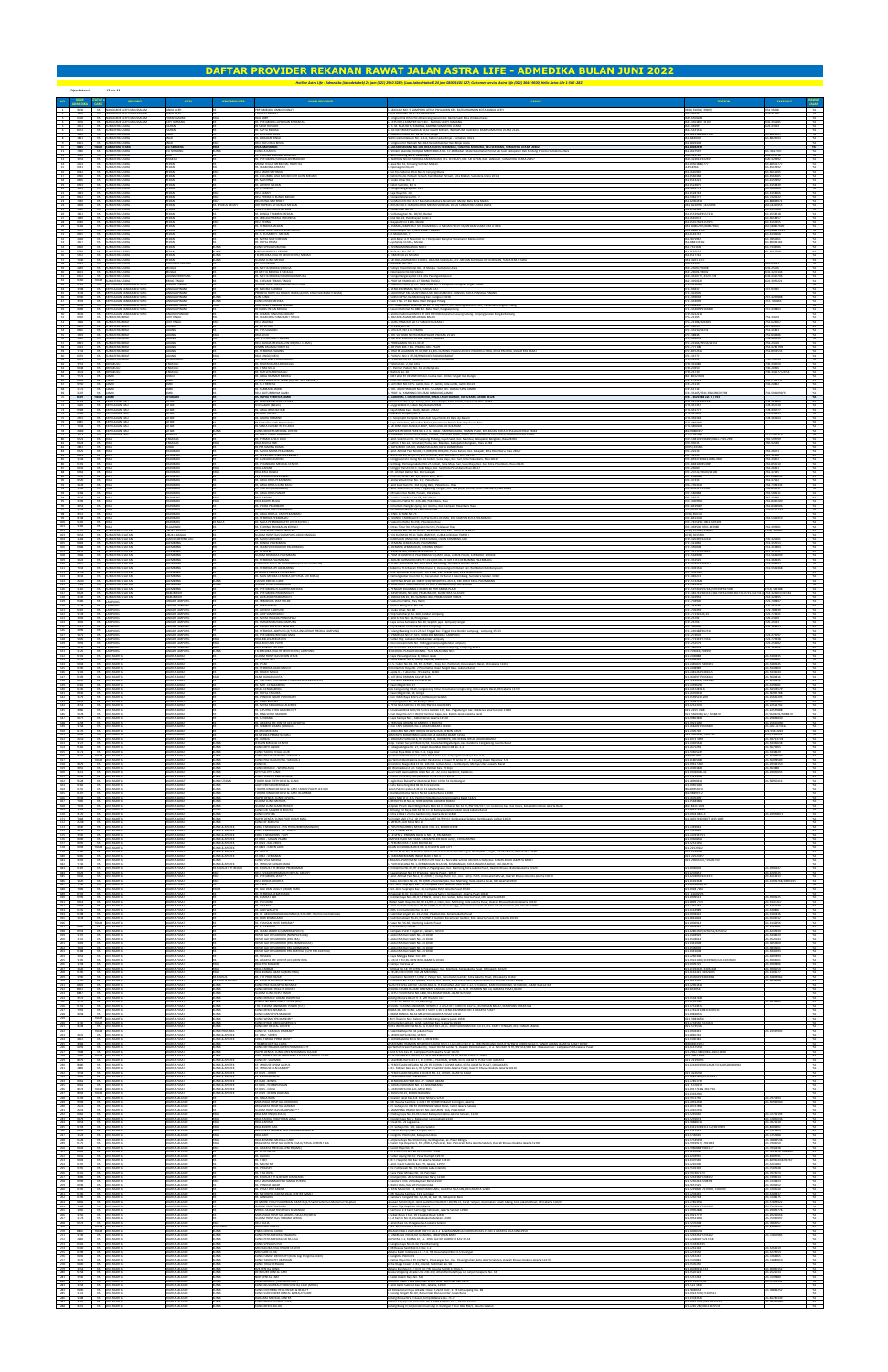| Diperbaharu.<br>KODE                                                                                             | 17-Jun-22                                                                                                     |                                                                            |                                                     |                                                                                                                                 |                                                                                                                                                                                                                                                                                                                                                                            |                                                                               |                                                           |                                         |
|------------------------------------------------------------------------------------------------------------------|---------------------------------------------------------------------------------------------------------------|----------------------------------------------------------------------------|-----------------------------------------------------|---------------------------------------------------------------------------------------------------------------------------------|----------------------------------------------------------------------------------------------------------------------------------------------------------------------------------------------------------------------------------------------------------------------------------------------------------------------------------------------------------------------------|-------------------------------------------------------------------------------|-----------------------------------------------------------|-----------------------------------------|
| NO.<br>$\Box$<br>'4836                                                                                           | <b>PROVINS</b><br>YA NANGGROE ACEH DARUSSALAN                                                                 | <b>KOTA</b><br><b>BANDA ACEH</b>                                           | <b>JENIS PROVIDER</b>                               | <b>NAMA PROVIDER</b><br>PERTAMEDIKA UMMI ROSNATI                                                                                | <b>ALAMAT</b><br>IL. SEKOLAH MO. 5 GAMPONG ATEUK PAHLAAWN KEC. BAITURRAHMAN KOTA BANDA ACEH                                                                                                                                                                                                                                                                                | <b>TELEPON</b><br>(0651) 35092 / 35905                                        | FAKSIMILE<br>065135098                                    | <b>JALAN</b><br>YA                      |
| 1100<br>YA NAN<br>3 <sup>1</sup><br>$-4$<br>YA<br>5 <sup>5</sup><br>2351 YA SUMATERA UTARA                       | <b>SROE ACEH DARUSSALAI</b><br>6708 YA NANGGROE ACEH DARUSSALAM<br><b>ROE ACEH</b>                            | BANDA ACEH<br>LHOKSEUMAWI<br>ASAHAN                                        |                                                     | TENGKU FAKINA<br>RSIA ABBY<br>RS. PERTAMINA LAPANGAN EP RANTALI<br>RS SETIO HUSODO                                              | ian No 27-29 Banda Aceh<br>II. Tengku Chik Ditiro No 28 Lancang Garam Kec. Banda Sakti Kota Lhokseumawe<br>U NO.1 KOMPERTA FIEKD, RANTAU ACEHT<br>IL. S. M. RAJA NO 67 KISARAN, ASAHAN SUMATERA UTARA                                                                                                                                                                      | 0645-6500284<br>0623-44999                                                    | 0641-350185<br>0623-43394                                 | YA<br>YA<br>YA<br>YA.                   |
| $\frac{1}{2}$<br>8772<br>1652 YA SUMATERA UTARA<br>1811                                                          | YA SUMATERA UTARA                                                                                             | BINJAI                                                                     |                                                     | RS. LATERSIA BINJAI                                                                                                             | 4AH MERAH, INDRAPURA, KAB BATU BARA SUMATERA UTARA 21265<br>Jl. Soekarno Hatta Km. 18 No. 451, Binjai<br>tis kemerdekaan No. 174 A, Kebun Lada, Binjai - Sumatera Utara                                                                                                                                                                                                    | 061-8829588/8829788                                                           | 061-8822565                                               | YA<br>YA                                |
| $\overline{\phantom{a}}$<br>6461<br>10<br>9025<br>$-11$<br>7986                                                  | YA SUMATERA UTARA<br>TIDAK SUMATERA UTARA<br>YA SUMATERA UTARA                                                | DELI SERDA<br>DELI SERDANG                                                 | KLINIK                                              | RSU. RATU MAS BINJA<br><b>GLINIK ATLANTIS</b>                                                                                   | II. Tengku Amir Hamzah No 281A Kel Jatimakmur Kec. Biniai Utara<br>JL. SULTAN SEDANG NO.100, DESA BUNTU BEDIMBAR, TANJUNG MORAWA, DELI SERDANG, SUMATERA UTARA 20362<br>II. Williem Iskandar, Komplek MMTC Blok A No. 17-18 Medan Estate Kecamatan Percut Sei tuan Kabupaten Deli Serdang Provinsi Sumatera Utara                                                          | 061-8829404<br>061-80042199<br>061-662759                                     | 061-6627597                                               | YA<br>YA                                |
| $\frac{12}{13}$<br>1542<br>'1653<br>2053<br>14                                                                   | YA SUMATERA UTARA<br>YA SUMATERA UTARA<br>YA SUMATERA UTARA                                                   | MEDAN                                                                      |                                                     | RS: EFARINA ETAHAM BRASTAG<br>S. PERTAMINA PANGKALAN BRANDAN<br><b>IURNI TEGUH MEMORIAL HOSPITAL</b>                            | ting No. 1. Desa Raya<br>.<br>WAHIDIN NO.01 PANGKALAN BRANDAN, KEL SEI BILAH, KEC. SEI LEPAN, KAB. LANGKAT, SUMATERA UTARA 20857<br>Jawa No. 32, Simpang Veteran Medan                                                                                                                                                                                                     | 0628-323716<br>620-322612/<br>061-80501888/                                   | 0628-213718<br>1620-323392<br>061-8050177                 | YA<br>YA<br>YA<br>YA                    |
| 0741<br>15<br>16<br>0742<br>17<br>0590 YA SUMATERA UTARA                                                         | YA SUMATERA UTARA<br>YA SUMATERA UTARA                                                                        | MEDAN<br>MEDAN<br>MEDAN                                                    |                                                     | RS. ISLAM MALAHAYA'<br><b>ISU. MARTHA FRISKA</b><br>RS. COLUMBIA ASIA MEDAN (D/H GLENI MEDAN                                    | II. Diponegoro No,2-4<br>I. Kol. Yos Sudarso Km.6 No.91 Tanjung Mulia<br>Listrik No.2A, Petisah Tengah, Kec. Medan Petisah, Kota Medan, Sumatera Utara 20112                                                                                                                                                                                                               | 614518766<br>061-6610910<br>061-4566368                                       | 061-4515392<br>061-6612005<br>061-4566585                 | YA<br>YA<br>YA                          |
| 18<br>0416<br>19<br>0523 YA SUMATERA UTARA<br>1061<br>20                                                         | YA SUMATERA UTARA<br>YA SUMATERA UTARA                                                                        | MEDAN<br>MEDAN<br>MEDAN                                                    |                                                     | S. MATERNA<br>RS. ADVENT MEDAN<br>IS. ESTOMIHI                                                                                  | Teului Umar No. 11<br>II. Gatot Subroto, Km 4<br>Sisingamangaraja No. 235                                                                                                                                                                                                                                                                                                  | 061-451422<br>061-4524875<br>061-7861771                                      | 161-4155392<br>061-4154839<br>061-7866660                 | YA<br>YA<br>YA                          |
| 21<br>1193<br>$\frac{0322}{7030}$<br>$_{\rm B}$                                                                  | YA SUMATERA UTARA<br>YA SUMATERA UTARA<br>YA SUMATERA UTARA                                                   | MEDAN<br>MEDAN<br>MEDAN                                                    |                                                     | RSU. SARAH<br>RSU, PERMATA BUNDA MEDAN<br>RSU ROYAL MATERNITY                                                                   | I. Baja Raya No. 10<br>Sisingamangaraja No. 7<br>Sei Mencirim No 55-57 Kelurahan Babura Kecamatan Medan Baru Kota Medan                                                                                                                                                                                                                                                    | 061-4528744<br>061-7362777<br>061-42002419                                    | 061-4158166<br>061-7320222<br>061-88814071                | YA<br>YA<br>YA                          |
| $4168$<br>$1592$<br>24<br>26<br>1651                                                                             | YA SUMATERA UTARA<br>YA SUMATERA UTARA                                                                        | MEDAN<br>MEDAN<br>MEDAN                                                    | RS. KHUSUS BEDAH                                    | ORTHOPEDIC SETIA BUDI MEDAN<br>RSIA: STELLA MARIS MEDAN<br>RS. BUNDA THAMRIN MEDAN<br>S. IMELDA PEKERJA IN                      | I. MESJID NO.3 TANJUNG REJO MEDAN SUNGGAL 20122 SUMATERA UTARA 20154<br>II. Sei Batanzhari No. 28/30. Medan                                                                                                                                                                                                                                                                | (061) 8220995 ; 8220996<br>061-4158383<br>061-4553928/4557318                 | (061) 8220955<br>061-4558218                              | $\frac{YA}{YA}$<br>YA                   |
| $\overline{\boldsymbol{n}}$<br>1649<br>28<br>0740<br>29<br>6482                                                  | YA SUMATERA UTARA<br>YA SUMATERA UTARA<br>YA SUMATERA UTARA                                                   | MEDAN<br>MEDAN                                                             |                                                     | RSU. HERNA<br>IS. HERMINA MEDAN<br><b>ILOAM HOSPITALS DHIRGA SURYA</b>                                                          | II. Bilal No. 24, Pulo Brayan Darat 1<br>Jl. Majapahit no 118A, Medan<br>ABING C-II MEDAN HELVETIA, MEDAN, SUMATERA UTARA<br>IL. ASRAMA/AMPERA II SEI SIKAN                                                                                                                                                                                                                | 061-4510766/415395<br>(061) 80862525/8                                        | 061-4153955<br>(061) 8086769                              | YA<br>YA<br>YA                          |
| 30<br>3779<br>31<br>0925<br>32<br>2028                                                                           | YA SUMATERA UTARA<br>YA SUMATERA UTARA<br>YA SUMATERA UTARA                                                   | MEDAN<br>MEDAN<br>MEDAN                                                    |                                                     | RS. ST ELISABETH - MEDAN<br>RS. MITRA SEJATI MEDAN                                                                              | I. Imam Bonjol no. 6, Kel Petisah - Medan<br>JI. H. Misbah No. 7<br>II. Jend Besar A.H Nasution no.7 Pangkalan Masyhur Kecamatan Medan Johor                                                                                                                                                                                                                               | (061) 8888 1900<br>061-4144737<br>061-7875967                                 | (061) 8888 1933<br>061-4143168<br>061-7850261             | YA.<br>YA<br>YA.                        |
| 33<br>3957 YA SUMATERA UTARA<br>34<br>0418<br>0739<br>35                                                         | YA SUMATERA UTARA<br>YA SUMATERA UTARA                                                                        | MEDAN<br>MEDAN<br>MEDAN                                                    | <b>KLINK</b><br>KLINK                               | RS. ROYAL PRIMA<br>KLINIK SPESIALIS BUNDA<br>AEDAN MEDICAL CENTR                                                                | II. Ayahanda no 68 A, Medan<br>IL. SISINGAMANGARAJA NO.17<br>. Multatuli No. 56-57                                                                                                                                                                                                                                                                                         | 061-888131182<br>061-7321666<br>061-453552                                    | 061-80013181<br>061-7344786<br>061-4510609                | YA<br>YA<br>YA                          |
| 36<br>5572 - YA SUMATERA UTARA<br>17840 - YA SUMATERA UTARA<br>$\frac{37}{38}$<br>0719 YA SUMATERA UTARA         |                                                                                                               | MEDAN<br>MEDAN<br>PEMATANG SIANT.                                          | KLINK<br><b>KLINK</b>                               | TELEMEDIKA HEALTH CENTER (THC) MEDAN<br>SILOAM CLINIC MEDAN<br>RS. VITA INSANI                                                  | IL. TIMOR NO.25 MEDAI<br>.<br>IL. SEI BATANGHARI NO.110 KEL. BABURA SUNGGAL. KEC. MEDAN SUNGGAL KOTA MEDAN. SUMATERA UTARA<br>I. Merdeka No. 329                                                                                                                                                                                                                           | 061-4517742<br>(061) 4201 2217<br>0622-22520                                  | 0622-24521                                                | $\frac{YA}{YA}$<br>YA                   |
| 39<br>2249<br>40<br>8063<br>$\overline{1}$<br>6552 YA SUMATERA UTARA<br>'6460 TIDAK SUMATERA UTARA               | YA SUMATERA UTARA<br>YA SUMATERA UTARA                                                                        | BOLGA<br><b>IBOLGA</b><br>PADANGSIDIMPUAN                                  |                                                     | S. METTA MEDIKA SIBOLGA<br>IS METTA MEDIKA II SIBOLGA<br>RS. METTA MEDIKA PADANGSIDIMPUAN                                       | Sutoyo Siswomiharjo No. 34 Sibolga - Sumatera Utara<br>Diponegoro No 6-8 Sibolga<br>Sisingamangaraja No 113 Kota Padangsidimpua<br>PROF M. YAMIN NO.17 TEBING TINGGI                                                                                                                                                                                                       | 0631-25007/25008<br>0631-24001/2400<br>0634-4320777, 43207778                 | 0631-25006<br>0631-3270144<br>0634-4320706                | YA<br>YA<br>YA                          |
| 42<br>$-43$<br>$-44$                                                                                             | '6122 YA KEPULAUAN BANGKA BELITUNG<br>'1508 YA KEPULAUAN BANGKA BELITUN                                       | <b>EBING TINGGI</b><br>BANGKA TENGAH<br>PANGKAL PINAN                      |                                                     | S. CHEVANI TEBING TINGO<br>ILOAM HOSPITALS BANGKA BELITUNG<br>RS. MEDIKA STANNIA                                                | Soekarno Hatta (d/h Jl. Raya Koba) Km 5 Kabupaten Bangka Tengah 33684<br>JL. JEND.SUDIRMAN, NO.3, SUNGAI LIAT                                                                                                                                                                                                                                                              | 0621-3950222<br>0717-9190900<br>0717-95837                                    | 1621-395022<br>717-93335                                  | YA<br>YA<br>YA                          |
| $-45$<br>$\frac{46}{ }$<br>$-47$                                                                                 | '1443 YA KEPULAUAN BANGKA BELITUNG<br>'0900 YA KEPULAUAN BANGKA BELITUN<br>'3991 YA KEPULAUAN BANGKA BELITUNG | PANGKAL PINANG<br>ANGKAL PINANC<br>PANGKAL PINANG                          | KLINK                                               | PRIMAYA HOSPITAL BHAKTI WARA (d/h RS. KHATOLIK BHAKTI WARA)<br>UN CLINIC<br><b>KLINIK INTAN MEDIKA</b>                          | L. SOLIHIN GP KEL GAJAH MADA NO.180 ASAM KEC. RANGKUI KOTA PANGKAL PINANG<br>Solihin GP 92, Kel Melintang Kec. Rangkui 33138<br>Giok 1 No. 77 Kel. Batu Intan Pangkal Pinang                                                                                                                                                                                               | 0717-422605<br>0717-439694<br>0717-434099                                     | 0717-4297888<br>717-436863                                | YA<br>YA<br>YA                          |
| 48<br>49<br>$\sim$                                                                                               | '8042 YA KEPULAUAN BANGKA BELITUN<br>16889 YA KEPULAUAN BANGKA BELITUNG<br>14842 YA KEPULAUAN BANGKA BELITUNG | PANGKAL PINAN<br>PANGKAL PINANG<br>TANJUNG PANDA                           |                                                     | RSIA RONA PANGKAL PINA<br>RS KALBU INTAN MEDIKA<br>RS. UTAMA TANJUNG PAN                                                        | KH. Hasan Basri Sulaiman No 20. RT 01/RW 01, Kel. Gedung Nasional, Kec, Tamansari Pangkal Pinang<br>Jl. Basuki Rachmat No.888 Kel. Batu Intan, Pangkalpinang.<br>Jl. Jendral Sudirman KM 03 RT 019 RW 008 Kelurahan Lesung Batang, Tanjungpandan Bangka Belitung .                                                                                                         | 0717-438450<br>0717-434099/91<br>0719-9222211                                 | 0717-436863                                               | YA<br>YA<br>YA                          |
| 51<br>10687<br>1398<br>52<br>0304 YA SUMATERA BARAT                                                              | YA SUMATERA BARAT<br>YA SUMATERA BARAT                                                                        | BUKITTINGGI<br>BUKITTINGG<br>PADANG                                        |                                                     | RS. ISLAM IBNU SINA BUKIT TINGG<br>RSU. MADINA<br>RS. SELAGURI                                                                  | L. BATANG AGAM, BELAKANG BALOK<br>GURU HAMZAH NO.17 SUMATERA BARAT<br>IL. A.YANI, NO.26                                                                                                                                                                                                                                                                                    | 0752-21105<br>0752-21388/626<br>0751-33010                                    | 0752-34009<br>0752-626667<br>0751-840051                  | YA<br>YA<br>$\frac{YA}{YA}$             |
| $\frac{1}{2}$<br>0616<br>55<br>1569 YA SUMATERA BARAT<br>56<br>1320<br>YA                                        | YA SUMATERA BARAT<br><b>SUMATERA RARA</b>                                                                     | PADANG                                                                     |                                                     | RS. YOS SUDARSO<br>RSIA, CICIK                                                                                                  | SITUJUH, NO.1 JATI BARU<br>L. DR. SUTOMO NO.94 MARAPALAM PADANG 25125<br>. RAYA BY PASS KM 15 AIE PACAH, PADANG                                                                                                                                                                                                                                                            | 0751-33230/332<br>0751-38846                                                  | 0751-31811<br>0751-841286<br>751-46353                    | YA.<br>YA                               |
| 57<br>0423 YA SUMATERA BARAT<br>58<br>YA<br>2714<br>59<br>7131                                                   | SUMATERA BARA<br>YA SUMATERA BARAT                                                                            | PADANG<br>PADANG                                                           |                                                     | RSU. BUNDA MEDICAL CENTER (RSU. C-BMC)<br>RS. HERMINA PADANG                                                                    | L. PROKLAMASI NO.31-33-37<br>BY PASS KM 7 KEL PISANG, KEC. PAUR<br>L KHATIB SULAIMAN RT.01/RW.12. KEL GUNUNG PANGILUN. KEC PADANG UTARA. KOTA PADANG. SUMATERA BARAT                                                                                                                                                                                                       | 0751-23164/29536/2115<br>0751-8972525                                         | 0751-24750<br>751-4782 999<br>0751-8973535                | YA<br>YA<br>YA                          |
| 61<br>6779<br>YA BENGKUL<br>'1551                                                                                | YA SUMATERA BARA'                                                                                             | PAYAKUMBUH                                                                 |                                                     | RSI. IBNU SINA PAYAKUMBU<br>S. BHAYANGKARA BENG                                                                                 | RUS II NO.1 RT.03/RW.04.KEC.PA<br>L. PEMUDA NO.14 PAYAKUMBUH SUMATERA BARAT<br>an No. 2, Kel. Ji                                                                                                                                                                                                                                                                           | 0752-92222<br>0736-34108                                                      | 0752-796744<br>736-349050                                 | YA<br>YA<br>YA                          |
| $rac{62}{63}$<br>0848<br>64<br>1021<br>YA JAMBI<br>65<br>7972                                                    | YA BENGKULU<br>YA BENGKULU                                                                                    | ENGKULL<br>BENGKULU<br><b>SUNGO</b>                                        |                                                     | S. TIARA SELLA<br>S. RAFFLESIA BENGKU<br>IS. JABAL RAHMAH MEDI                                                                  | S. Parman Padang No. 61 Jati Bengkulu<br>Mahoni No. 10<br>I. RM Taher RT 015 RW 005 Kel. Cadika Kec. Rimbo Tengah Kab Bungo                                                                                                                                                                                                                                                | 0736-20350<br>0736-21710<br>0821 8032 000                                     | 736-20626<br>0736-342677/21954                            | YA<br>YA                                |
| $-66$<br>0894<br>YA JAMBI<br>67<br>YA JAMBI<br>10550<br>68<br>YA JAMBI                                           |                                                                                                               | <b>BMA</b>                                                                 |                                                     | LOAM HOSPITALS JAMBI (D/H RS. ASIA MEDIKA)<br>RS. ST. THERESIA<br>S. KAMBANG JAMB                                               | .<br>. Soekarno-Hatta, Palmerah<br>SUTOMO NO.19 Ps. Jambi, Kec. Ps. Jambi, Kota Jambi, Jambi 36123                                                                                                                                                                                                                                                                         | 0741-573333<br>0741-23119<br>0741-61714                                       | 0741-5733271<br>0741-20832                                | YA<br>YA<br>YA                          |
| $\frac{2372}{2207}$<br>YA JAMBI<br>69<br>$\frac{1}{8}$<br>B719 TIDAK JAMBI<br>71<br>10764                        | YA KEPULAUAN RIAL                                                                                             | KOTABARU<br>BATAM                                                          |                                                     | RSU. BAITURF<br>RS. RAPHA THERESIA JAMI<br>RS. HARAPAN BUNDA BATAI                                                              | IL: KOL AMIR HAMZAH No.53 KEL SELAMAT KEC. DANAU SIPIN JAMBI<br>IL: PROF. M. YAMIN NO.30 LEBAK BANDUNG, JAMBI<br>IL KARDINAL J. DARMOJUWONO, KENALI ASAH BAWAH, KOTA BARU, JAMBI 36128<br>Jalan Seraya No.1, Kp. Seraya, Kec. Batu Ampar, Kota Batam, Kepulauan Riau 29433                                                                                                 | 0741-35165/<br>11096/97/98<br>0741 - 3620 888 ext. 0 / 703<br>0778-457333/456 | 0741-5911099/5<br>0778-456800                             | YA<br>YA<br>YA                          |
| 1010<br>0584<br>$\frac{72}{73}$<br>74                                                                            | YA KEPULAUAN RIAU                                                                                             | BATAM<br>BATAM                                                             |                                                     | t Elisabeth (Batam)<br>RS. AWAL BROS BATA                                                                                       | Anggrek blok II, Lubuk Baja Batam 29441<br>II. Gajah Mada Kav.1 Baloi, Batam 29422                                                                                                                                                                                                                                                                                         | 0778-457357<br>0778-43177<br>0778-427854                                      | 778-457710<br>0778-43077                                  | YA<br>YA                                |
| $\frac{0484}{2503}$<br>76<br>6485 YA KEPULAUAN RIAU                                                              | YA KEPULAUAN RIAL                                                                                             | BATAM<br>BATAM<br>BATAM                                                    |                                                     | rb. Budi Rosari<br>RS. Graha Hermine<br>RS Santa Elisabeth Batam Kot                                                            | . Mahkota Simpang No. 1<br>I. R. Soeprapto Komplek Ruko Asih Raya No.06-15 Batu Aji-Batan<br>Jl. Raya Ali Kelana, Kelurahan Belian, Kecamatan Batam kota Kepulauan Riau                                                                                                                                                                                                    | 1778.363318<br>0778-4803191                                                   | 0778-432833<br>0778-363164                                | YA<br>YA<br>YA.<br>YA                   |
| $\frac{1}{8}$<br>'A084 YA KEPULAUAN RIAL<br>1271<br>80<br>10921<br>YA RIAL                                       | YA KEPULAUAN RI                                                                                               | BATAM<br>CARIMUM<br>BENGKALIS                                              | TINK                                                | KLINIK MEDENS MEDICAL CENTR<br>IS. BAKTI TIP<br>RS. PERMATA HATI DURI                                                           | JL. SEI BINTI KAV SUNGAI LEKOP, SAGULUNG KOTA BATAM<br>KOMPLEK MEDENS PARK NO.1-2 JL: BAKAL, SIMPANG KARA, TAMAN PALOL, KEC BATAM KOTA KEPULALIAN RIAU 29444<br>JL: CANGGAI PUTRI TELUK UMA, TEBING, TANJUNG BALAI, KABUPATEN KARIMUN PROVINSI KEPULALIAN RIAU 29661<br>I. Jend. Sudirman No. 37 Simpang Padang, Gajah Sakti, Kec. Mandau, Kabupaten Bengkalis, Riau 28784 | 0778-3850268<br>081299880197<br>0765-598101/596899/0852-7929-2993             | 777-7367176<br>0765-595799                                | YA.<br>YA<br>YA.                        |
| 81<br>0624<br>YA RIAU<br>82<br>2833<br>YA RIAU<br>83<br>'0625  YA RIAU                                           |                                                                                                               | BENGKALIS<br><b>DUMAI</b>                                                  |                                                     | RSIA. MUTIA SARI<br>RS PERTAMINA DUMA<br>RS. SANTA MARIA PEKANBARI                                                              | il. Bathin. B No.1A, Pematang Pudu, Kec. Mandau, Kabupaten Bengkalis, Riau 28784<br>IL. RAYA BUKIT DATUK, DUMAI SELATAN, KOTA DUMAI RIAU<br>il. Jend. Ahmad Yani No.68, RT./RW/RW.001/001, Pulau Karam, Kec. Sukajadi, Kota Pekanbaru, Riau 28127                                                                                                                          | 0765-93635<br>$(0765)$ 443601<br>0761-22213                                   | 765-92080<br>0761-26071                                   | YA<br>YA<br>YA                          |
| 84<br>10664<br>YA RIAU<br>85<br>1444<br>YA RIAU                                                                  |                                                                                                               | PEKANBARU<br>PEKANBARL                                                     |                                                     | RS. ISLAM IBNU SINA PEKANBARI<br>RS. LANCANG KUNINI                                                                             | I. Melati No.60, Harjosari, Kec. Sukajadi, Kota Pekanbaru, Riau 28122<br>l. Ronggowarsito Ujung No. 5A Gobah, Suka Maju, Kec. Sail, Kota Pekanbaru, Riau 28127                                                                                                                                                                                                             | 0761-24242<br>0761-859273]0823-8866-4660                                      | 0761-35698<br>0761-34672                                  | YA.<br>YA                               |
| 86<br>10791<br>YA RIAL<br>87<br>0841<br>YA RIAU<br>Г≋ Г<br>'0663 YA RIAU<br>89<br>YA RIAU                        |                                                                                                               | PEKANBARU<br>PEKANBARU                                                     | <b>ROA</b>                                          | RS. PEKANBARU MEDICAL CENTEI<br>RSIA, ZAINAB<br>RSIA. ERIA BUNDA<br>EKA HOSPITAL PEKANBAR                                       | il. Lembaga Pemasyarakatan No. 25 Gobah, Suka Maju, Sail, Suka Maju, Kec. Sail, Kota Pekanbaru, Riau 28126<br>il. Ronggo Warsito No.1, Suka Maju, Kec. Sail, Kota Pekanbaru, Riau 28127<br>I. KH. Ahmad Dahlan No. 163 Sukajadi                                                                                                                                            | 0761-848100/854985<br>0761-24000<br>0761-20722/23600/2                        | 0761-859510<br>0761-26421<br>0761-47235                   | $\frac{YA}{YA}$<br>YA                   |
| 1535<br>-- 1920<br>90<br>YA RIAU<br>91<br>1878<br>YA RIAU<br>92                                                  |                                                                                                               | PEKANBARU<br>PEKANBARU<br>PEKANBARU                                        |                                                     | RS. AWAL BROS PEKANBA<br>RS. AWAL BROS UJUNG BATL                                                                               | Soekarno Hatta Km. 6,5, Pekan Baru, Riau<br>. Jenderal Sudirman No. 117, Pekanbaru<br>Jend Sudinman No. 314 Ujung Batu, Pekanbaru - Riau                                                                                                                                                                                                                                   | 0761-6989999<br>0761-47333<br>0762-7363329                                    | 0761-6989944<br>0761-47222<br>0762-7363334<br>0761-856517 | YA<br>YA<br>YA                          |
| YA RIAU<br>'1596<br>93<br>$\frac{2468}{2926}$<br>YA RIAU<br>94<br>YA RIAU                                        |                                                                                                               | PEKANBARU<br>PEKANBARU<br>PEKANBARU                                        |                                                     | S. SYAFIRA (PEKANBAR<br>RS. AWAL BROS PANAM<br>RSIA, ANDINI                                                                     | Jend. Sudirman No.134, Tengkerang Tengah, Kec. Marpoyan Damai, Kota Pekanbaru, Riau 28282<br>HR Subrantas No 88, Panam, Pekanbaru<br>Tuanku Tsambusai no 55, Pekanbaru                                                                                                                                                                                                     | 0761-856517/353<br>0761-586888<br>0761-33612                                  | 0761-586111<br>0761-33649                                 | YA<br>YA<br>YA                          |
| 2409 YA RIAU<br>95<br>96<br>'4853<br>YA RIAL<br>$-97$<br>'4739<br>YA RIAU                                        |                                                                                                               | PEKANBARU<br>PEKANBARU<br>PEKANBARU                                        |                                                     | RSIA. BUDHI MULIA<br>RS. PRIMA PEKANBARI<br>ULIA HOSPITAL PEKANBARI                                                             | I. Soekarno-Hatta No. 226-228, Pekanbaru, Riau<br>. Bima No 1 Nangka Ujung, Kel. Delima, Kec. Tampan, Pekanbaru Riau<br>. HR Soebrantas NO 63 Pekanbaru Riau                                                                                                                                                                                                               | 0761-3069900<br>0761-8419007<br>0761-6700 000                                 | 0761-8417200<br>0761-8419006<br>0761-6700 222             | YA<br>YA<br>YA                          |
| 98<br>'4511<br>YA RIAU<br>$\frac{1}{2}$<br>18148 YA RIAU<br>15205 YA RIAU<br>100                                 |                                                                                                               | PEKANBARU<br>PEKANBARU                                                     | MATA                                                | RS. AWAL BROS A. YANI PEKANB<br>IS. HERMINA PEKANBARU<br>IS. MATA PEKANBARU EYE CENTER (PBEC)                                   | L. JEND. A. YANI NO.73<br>L. TUANKU TAMBUSAI RT.03/RW.02 KEL DELIMA, KEC.TAMPAN KOTA PEKANBARU<br>il. Soekarno Hatta No 236, Pekanbaru Riau                                                                                                                                                                                                                                | (0761) 856370<br>0761-8412020<br>0761-7875191; 081176051                      | 0761-5411919                                              | YA<br>YA<br>YA                          |
| 101<br>'1369<br>YA RIAL<br>102<br>2715<br>103<br>6654                                                            | YA SUMATERA SELATAN<br>YA SUMATERA SELATAN                                                                    | PELALAWAN<br>LUBUK LINGGAU                                                 |                                                     | RS. EFARINA PANGKALAN KERINC<br>RS. AR BUNDA LUBUK LINGGAU<br>SILOAM HOSPITALS SILAMPARI LUBUK LINGGAL                          | Lintas Timur No 1 Pangkalan Kerinci, Pelalawan Riau<br>JL. GARUDA NO 245 RT 03 KEL. BANDUNG KIRI, KEC. LINGGAU BARAT 1                                                                                                                                                                                                                                                     | 0761-494500.0761-493980<br>(0733) 324955/324963                               | 0761-493981<br>(0733) 321892                              | YA<br>YA<br>YA                          |
| 104<br>- 1284<br>105<br>10883<br>106<br>0688                                                                     | YA SUMATERA SELATAN<br>YA SUMATERA SELATAN                                                                    | LUBUK LINGGALI<br>OGAN KOMERINI<br>PALEMBANG<br><b>ALEMRAN</b>             |                                                     | RS. BUNDA PALEMBANG<br>S. ISLAM SITI KHADUA                                                                                     | JI. YOS SUDARSO RT.11 TABA JEMEKEH, LUBUK LINGGAU TIMUR I<br>JI. KOMISARIS UMAR NO. 33, BATURAJA, OGAN KOMERING ULU<br>L. DEMANG LEBAR DAUN, PALEMBANG<br>DEMANG LEBAR DAUN, LORONG PAKIO                                                                                                                                                                                  | (0733) 3035900<br>0735-320395/32<br>0711-312866<br>0711-356008                | 0735-320201<br>0711-355553<br>711-311884                  | YA<br>YA                                |
| $\frac{107}{108}$<br>'0627 YA SUMATERA SELATAN<br>1884<br>109<br>'1622 YA SUMATERA SELATAN                       | YA SUMATERA SELATAR                                                                                           | PALEMBANG<br>PALEMBANG                                                     |                                                     | RS. PT PUSRI<br>II QAM SRIMITAYA PALEM<br>RS. HERMINA PALEMBANG                                                                 | IL. MAYOR ZEN, KOMPLEK PUSRI NO. 1<br>POM IX KOMPLEKS PALEMBANG SQUARE MALL, LOROK PAKIO, ILIR BARAT 190134<br>L. BASUKI RAHMAT NO.897 RT.011/003 KEL20 ILIR II KEC.KEMUNING PALEMBANG                                                                                                                                                                                     | 0711-712222/71847<br>0711-564909<br>0711-352525                               | 0711-712071<br>0711-366945                                | $\overline{Y}$<br>YA<br>YA              |
| $\begin{array}{r} 111 \\ 112 \\ 113 \end{array}$<br>7034 YA SUMATERA SELATAN<br>"A238                            | YA SUMATERA SELATAR                                                                                           | PALEMBANG<br><b>ALEMRAN</b>                                                |                                                     | RS. HERMINA OPI JAKABARI<br>IS BUNDA MEDIKA JAKABAR                                                                             | nbang, Sumater<br>.<br>Subarnur H.A Bastari RTO26 Dusun II, Desa Sungai Kedukan Kec. Rambutan Kab.Banyuasin<br>H.M. NOERDIN PANDJI.KEL. SELATAN. KEC.RAMBUTAN. KAB. BANYUASIN                                                                                                                                                                                              | 0711-3031525                                                                  | 0711-5541468                                              | YA<br>YA                                |
| '4034 YA SUMATERA SELATAN<br>114<br>'A840 YA SUMATERA SELATAN<br>115<br>7522                                     | YA SUMATERA SELATAN                                                                                           | PALEMBANG<br>PALEMBANG                                                     | KLINK                                               | S. MUSI MEDIKA CENDIKIA (D/H RSIA. SITI MIRZA<br>LOVER DENTAL CARE<br>OAM CLINIC JAKABA                                         | .<br>Demang Lebar Daun No 62, Kecamatan Ilir Barat 1 Palembang, Sumatera Selatan 301<br>KAPTEN A.RIVAI NO.108 RT.030/RW.009 KEL.26 ILIR, KEC.BUKIT KECIL PALEMBANG<br>UBERNUR HAJI A BASTARI 15 ULU 1 JAKABARING, PALEMBAN                                                                                                                                                 | 0711-44627<br>1711-5732644                                                    |                                                           | YA<br>YA<br>YA                          |
| 117<br>10824 YA SUMATERA SELATAN<br>'1449 YA SUMATERA SELATAN                                                    | VA SUMATERA SEI                                                                                               | RABUMULIH<br>RABUMULIH                                                     |                                                     | i. PERTAMINA PRABUMUL<br>S. AR BUNDA PRABUMULIH                                                                                 | KESEHATAN, NO.100, PRABUMULIH, SUMATERA SELATAN<br>ANGKATAN 45, KEL GUNUNG IBUL PRABUMULIH TIMUR                                                                                                                                                                                                                                                                           | 0713-382742/38333<br>!749/322069/382731 0713-38.<br>0713-322954               | 713-321903/32518<br>713-323895                            | <b>YA</b><br>YA<br>YA                   |
| $\begin{array}{r} 118 \\ 119 \end{array}$<br>1449 YA SUMATERA<br>10486 YA LAMPUNG<br>120<br>1228<br>121<br>10487 | YA LAMPUNG<br>YA LAMPUNG                                                                                      | SANDAR LAMPUN<br><b>SANDAR LAMPUNG</b><br>SANDAR LAMPUNG                   |                                                     | IS. IMMANUEL WAY HALIN<br>S. BUMI WARAS<br>RS. ADVENT LAMPUNG                                                                   | . Soekarno-Hatta, Way Halim<br>Wolter Monginsidi No.235<br>I. Teuku Umar, No. 48                                                                                                                                                                                                                                                                                           | 0721-704900<br>0721-254589<br>0721-703459                                     | 0721-704807<br>0721-257926<br>0721-786349                 | YA<br>YA<br>YA                          |
| 122<br>1378<br>123<br>1092                                                                                       | YA LAMPUNG<br>YA LAMPUNG<br>YA LAMPUNG                                                                        | ANDAR LAMPUN<br>SANDAR LAMPUNG                                             |                                                     | S. URIP SUMOHARIO<br>RS. MITRA HUSADA PRINGSEWI                                                                                 | Urip Sumoharjo No. 200, Bandar Lampung<br>Jl. Jend A Yani No. 14, Pringsewu                                                                                                                                                                                                                                                                                                | 1721-771322,23,2<br>0729-23792                                                | 721-771321<br>0729-23119                                  | YA<br>YA                                |
| $\frac{124}{125}$<br>$^{1692}_{1352}$<br>126<br>'1699 YA LAMPUNG<br>'1871                                        | YA LAMPUNG<br>YA LAMPUNG                                                                                      | .<br>SANDAR LAMPUNG<br>SANDAR LAMPUNG<br>BANDAR LAMPUNG                    |                                                     | S. HARAPAN BUNDA LAMPUNO<br>S. GRAHA HUSADA LAMPUNG<br>RS. HERMINA LAMPUNG (d/h RSIA ANUGERAH MEDIKA LAMPUNG)                   | Raya Lintas Sumatera No. 30, Seputih jaya - lampung tengah<br>Gajah Mada no 06 GH, Bandar Lampung<br>II. Tulang Bawang no 21-23 Kel. Enggal Kec. Enggal Kota Bandar Lampung, Lampung 35213                                                                                                                                                                                 | 0725-26766<br>0721-240000<br>0721-240488/26231                                | 725-25091<br>721-268417                                   | $\frac{YA}{YA}$<br>YA                   |
| 128<br>'5605 YA LAMPUNG<br>'1693<br>130<br>1970<br>YA LAMPUNG                                                    | YA LAMPUNG                                                                                                    | SANDAR LAMPUNG<br>BANDAR LAMPUNG<br>BANDAR LAMPUNG                         |                                                     | RS. PERTAMINA BINTANG AMIN<br>RSIA. BELLEZA KEDATON<br>RSIA. BUNDA ASY-SYIFA                                                    | L. PRAMUKA NO 27, KEC. KEMILING BANDAR LAMPUNG<br>Jl. Sultan Haji, Labuhan Ratu Bandar Lampung<br>No. 76 Enggal Lampung-Bandar Lampung                                                                                                                                                                                                                                     | 0721-273601<br>0721-773333/773<br>0721-240474                                 | 0721-273597<br>0721-773338<br>0721-256256                 | YA<br>YA<br>YA<br>YA                    |
| 131<br>2725<br>132<br>'0101                                                                                      | YA DKI JAKARTA                                                                                                | <b>JAKARTA BARAT</b>                                                       |                                                     | ILOAM HOSPITALS KEBON JERUK                                                                                                     | II. Dr. Susilo No. 54, teluk betung utara - bandar lampung, Lampung 35212<br>EX. GEDUNG PLASA TELKOM JL. SULTAN AO<br>Jl. Raya Perjuangan Kav. 8, Kebun Jeruk                                                                                                                                                                                                              | 021-5300888                                                                   | 021-5300835                                               | YA<br>YA                                |
| 133<br>0952<br>134<br>'0018<br>135<br>0380                                                                       | YA DKI JAKARTA<br>YA DKI JAKARTA<br>YA DKI JAKARTA                                                            | IAKARTA BARAT<br>JAKARTA BARAT<br>AKARTA BARAT                             |                                                     | S. PATRIA IKK<br>RS. PELNI<br>S. HERMINA DAAN M                                                                                 | endrawasih No. 1, Komp. Dephan/Mabes TNI<br>Jl. K.S. Tubun No.92 - 94, RT.13/RW.1, Slipi, Kec. Palmerah, Kota Jakarta Barat, DKI Jakarta 11410<br>Jin. Kintamani Raya No. 2 Perumahan Daan Mogot Baru. Jakarta Barat                                                                                                                                                       | 021-530898<br>021-5485870, 530690<br>021-5408989                              | 021-5346387<br>021-5483145<br>021-5449869                 | YA<br>YA.<br>YA                         |
| 136<br>"1102<br>$\frac{137}{138}$<br>0109 YA DKI JAKARTA<br>'0846 YA DKIJAKARTA                                  | YA DKI JAKARTA                                                                                                | <b>JAKARTA BARAT</b><br><b>JAKARTA BARAT</b><br>IAKARTA BARAT              | <b>RSAB</b>                                         | RS. BHAKTI MULIA<br>RSAB, HARAPAN KITA<br>.<br>RS: JANTUNG DAN PEMBULUH DARAH HARAPAN KITA                                      | Jl. Aipda K.S. Tubun No. 79 Jakarta, 11410<br>L. LETJEN S PARMAN KAV 87 SLIPI<br>. LETJEN S PARMAN KAV.87 SLIPI                                                                                                                                                                                                                                                            | 021-5481262/548162<br>021-5606977/5668284<br>021-5684093 / 568408             | 021-5331544<br>021-5601816<br>021-5601816                 | YA<br>YA<br>YA                          |
| $\frac{0381}{0736}$<br>139<br>140<br>141<br>$\begin{array}{r} 0836 \\ 1479 \end{array}$                          | YA DKI JAKARTA<br>YA DKI JAKARTA<br>YA DKIJAKARTA<br>YA DKIJAKARTA                                            | JAKARTA BARAT<br>JAKARTA BARAT<br>JAKARTA BARAT<br>JAKARTA BARAT           |                                                     | S. MHT. CENGKAREN<br>RSUD. CENGKARENG<br>S. ROYAL TARUMA                                                                        | Daan Mogot Km. 17<br>mi Cengkareng Indah, Cengkareng Timur, Kecamatan Cengkareng, Kota Jakarta Barat, DKI Jakarta 11730<br>. Daan Mogot No. 34, Grogol<br>. Puri Indah Raya Blok S-2, Kembangan Selatan                                                                                                                                                                    | 021-54396298<br>021-54372874-6<br>121-56958338                                | 21-6194581<br>021-54374579<br>021-56967788                | YA<br>YA<br>YA                          |
| $142$<br>$\frac{143}{144}$<br>$\begin{array}{r} 0643 \\ 4353 \end{array}$                                        | YA DKIJAKARTA<br>YA DKIJAKARTA                                                                                | <b>JAKARTA BARAT</b><br>AKARTA BARAT                                       |                                                     | RS. PONDOK INDAH PURI INDAI<br>S. GRHA KEDOYA<br>S. MITRA KELUARGA KALIDERES                                                    | Jl. Panjang Arteri No. 26 Kedoya Utara<br>Jl. PETA SELATAN NO.1 RT.007/RW.011 KALIDERES                                                                                                                                                                                                                                                                                    | 021-25695222,200<br>021-56982222<br>021-22523700                              | 021-25695205<br>021-29910987<br>021-22523702              | YA<br>YA<br>YA                          |
| 145<br>4686 YA DIGUAKARTA<br>5078 YA DIGUAKARTA<br>146<br>147<br>6877                                            | YA DKI JAKARTA                                                                                                | <b>JAKARTA BARAT</b><br>IAKARTA BARAT<br><b>JAKARTA BARAT</b>              |                                                     | RS. CIPUTRA CITRA GARDEN CITY<br>S. BINA SEHAT MANDI                                                                            | l. Boulevard Blok G-01/01 5 Citra Gerden City, Kel. Pegadungan Kec. Kalideres Jakarta Barat 11830<br>Duri Raya No 22 RT 002/07 Kel Duri Kepa, Kec. Kebon Jeruk, Jakarta Barat<br>Raya Kedoya No 2, Kebon Jeruk Jakarta 11520                                                                                                                                               | (021) 2255 7888<br>021) 5669411/12 / 56<br>021-29863838                       | 021-22557888<br>21 5603531/56<br>021-29863840             | YA<br>YA<br>YA                          |
| 2294<br>148<br>$\frac{149}{150}$<br>1158 YA DKIJAKARTA<br>16776 YA DKIJAKARTA                                    | YA DKI JAKARTA                                                                                                | AKARTA BARAT<br><b>JAKARTA BARAT</b><br>AKARTA BARAT                       |                                                     | RS. CENDANA<br>RS. JAKARTA EYE CENTER (JEC) KEDOYA<br>RS. SUMBER WARAS (GROGOL)<br>RS ANGGREK MAS                               | L. TERUSAN ARJUNA UTARA NO. 1 KEDOYA<br>JI. KIAI TAPA GROGOL No. 1 JAKARTA BARAT 11440<br>JL. ANGGREK NO.2B RT.009/02 KELAPA DUA, KEBON JERUK                                                                                                                                                                                                                              | 021-29221000<br>021-5682011/560580                                            | 021-2569 6060<br>021-021-5673122<br>021-53672019          | YA<br>YA                                |
| 151<br>10204<br>152<br>'4632 YA DICIJAKARTA<br>153<br>1127                                                       | YA DKI JAKARTA<br>YA DKI JAKARTA                                                                              | JAKARTA BARAT<br><b>JAKARTA BARAT</b><br><b>JAKARTA BARAT</b>              | <b>KLINK</b>                                        | RS MEDIKA PERMATA HUAI<br>RS. UKRIDA<br>JESSLYN MEDICAL CENTER                                                                  | JALAN RAYA KEBAYORAN LAMA NO.64 JAKARTA BARAT 11560<br>JL. ARJUNA UTARA NO.6, RT.06/RW.02, DURI KEPA, KEC.KEBON JERUK JAKARTA BARAT<br>Komp. Taman Surya III Blok F1/63, Kelurahan Pegadungan, kec. Kalideres Cengkareng Jakarta Barat                                                                                                                                     | (021) 5305288, 534741:<br>021-3972 3999<br>021-54365638                       | (021) 5305291<br>021-3972 3778<br>021-54365638            | YA.<br>YA<br>YA                         |
| 10782 YA DKI JAKARTA<br>154<br>155<br>10771<br>156<br>'4331                                                      | YA DKI JAKARTA<br>TIDAK DKI JAKARTA                                                                           | IAKARTA BARAT<br>JAKARTA BARAT<br><b>JAKARTA BARAT</b>                     | KLINK<br>KLINK                                      | KLINIK MHT ANGKE<br>KLINIK YADIKA TEGAL ALUR<br>LINIK PRATAMA ROYAL TARUMA:                                                     | Jl. Tubagus Angke No. 27, Taman Duta Mas Blok D-98 No. 2-3<br>Jl. Kamal Raya Blok A7 No.7-11, Tegal Alur<br>Apartemen Mediterania Garden Residence 1, Jl. Tanjung Duren Raya Kav. 5-9                                                                                                                                                                                      | 021-5675259<br>021-70605247<br>85888962906                                    | 021-5679165<br>021-3448929<br>021-56958589                | YA<br>YA<br>YA                          |
| 157<br>'4679<br>158<br>159<br>'4655                                                                              | TIDAK DKI JAKARTA<br>YA DKI JAKARTA<br>YA DKI JAKARTA                                                         | <b>JAKARTA BARAT</b><br>IAKARTA BARAT<br>JAKARTA BARAT                     | KLINK<br>KIINK<br>KLINK                             | KLINIK PRATAMA ROYAL TARUMA 2<br>KLINIK KL<br>KLINIK MIRACLE - WISMA ASIA                                                       | Apartemen Mediterania Garden Residence 2 Tower HJ lantai GF, Jl. Tanjung Duren Raya Kav. 5-9<br>.<br>rand Aries Niaga Blok E1 No. 1M-N Jl. Taman Aries – Kembangan, Meruya Utara-Jakarta Barat<br>GD. Wisma Asia Lt 7 Jl. Tetjen S Parman Kav. 79 Slipi                                                                                                                    | 021-41805688<br>021-2941 5300<br>021-56963844                                 | 021-56958589<br>021-29319150<br>021-563888                | YA YA<br>YA<br>YA                       |
| 160<br>3211<br>$\begin{array}{r} 161 \\ \hline 162 \\ 163 \end{array}$<br>"5539<br>6428                          | YA DKI JAKARTA<br>YA DKI JAKARTA                                                                              | AKARTA BARAT<br><b>JAKARTA BARAT</b><br><b>JAKARTA BARAT</b>               | KLINK<br>LINK UTAN                                  | ETHEALTHY CL<br>KLINIK TERATAI KEBON JERUS<br>OOTH AND TEETH DENTA                                                              | n Sixth Awanue Blok J01 A No. 20 - 22, Citra Garden 6, Kalid<br>II. Kebon Jeruk Raya No 68 Kebon Jeruk-Jakarta Barat<br>I. Joglo Raya Rukan Puri Bot<br>nical Blok I 10 No 51 Kembanga                                                                                                                                                                                     | 021-29030041-4<br>021-22534039<br>021-58900413                                | .<br>021-58900414                                         | YA<br>YA                                |
| 6382<br>$\frac{164}{165}$<br>6755<br>6707                                                                        | YA DKI JAKARTA<br>YA DKI JAKARTA<br>YA DKI JAKARTA                                                            | IAKARTA BARAT<br><b>JAKARTA BARAT</b><br>AKARTA BARAT                      | <b>KLINK</b><br>KLINK                               | AUDY DENTAL GREENVILLE<br>OTHS KINGDOM DENTAL CARE TAMAN PALEM LESTARI<br>OOTHS KINGDOM DENTAL CARE JELAMBAR                    | Jl. Ratu Kemuning Blok Bk No.6 Greenville<br>aman Palem Lestari A 34 no 11 Jakarta Barat<br>Il Jelambar Utama Sakti 2 No 2A Jakarta Barat 11460                                                                                                                                                                                                                            | 021-29401060<br>085289455010<br>081298899712                                  |                                                           | YA<br>$\overline{\phantom{a}}$ YA<br>YA |
| 166<br>6938 YA DKI JAKARTA<br>167<br>7085<br>168<br>7841                                                         | YA DKI JAKARTA<br>YA DKI JAKARTA                                                                              | <b>JAKARTA BARAT</b><br>IAKARTA BARAT<br><b>JAKARTA BARAT</b>              | KLINK<br>KLINK<br>KLINK                             | APPY DENTAL CLINIC CIPUTRA<br>LOAM CLINIC MERUYA<br>LOAM CLINIC DAAN MOGO                                                       | Ciputra Mall Lt 4, Jl. S. Parman Petamburan Grogol Jakarta Barat 11470<br>IL MERUYA ILIR No.32, SERENGSENG, JAKARTA BARAT<br>mplek Perum Daan Mogot Baru Blok 3A Jl. Jimbaran No.3A RT/RW 004/017, Kel. KaliDeres Kec. Kali Deres, Kota Administrasi Jakarta Barat                                                                                                         | 021-5605409<br>021-25684804<br>0813 8321 1103                                 |                                                           | YA<br>YA<br>YA                          |
| 169<br>1701<br>170<br>'4770<br>7884<br>171                                                                       | YA DKI JAKARTA<br>YA DKI JAKARTA<br>YA DKI JAKARTA                                                            | AKARTA BARAT<br><b>JAKARTA BARAT</b><br>IAKARTA BARAT                      | KLINK<br>KLINK<br>KLINK                             | LINIK DR. SANDER B KEDOYA<br>LINIK CIPUTRA<br>APPY DENTAL CLINIC PURI INDAH MAL                                                 | 'omang Tol Raya Blok A1 No.17-18 Kedoya Selatan Kebon Jeruk Jakarta Barat<br>. Citra 2 Blok J 2 Citra Garden City Jakarta Barat 11830<br>ri Indah Mall LT LG, Jln Puri Agung RT 01/RW 02, Kembangan Selatan, Kembangan, Jakbar 11610                                                                                                                                       | 021-5812781/82<br>021-2903 8871-3                                             | 021-2903 8871                                             | YA<br>YA                                |
| 172<br>$\frac{74498}{2640}$<br>173                                                                               | YA DKI JAKARTA<br>YA DKI JAKARTA                                                                              | <b>JAKARTA BARAT</b><br>AKARTA BARAT                                       | KLINIK & APOTEK<br>LINK & APOTEK                    | LINIK KF. MERUYA<br>IMIA FARMA.0254 - POS PENGUMBEN (MANDIRI)<br>IMIA FARMA 0282 - KS. TUBUN                                    | MERUYA ILIR RAYA NO. 8<br>IL POS PENGUMBEN RAYA BLOK I NO. 11, KEBON JERUK<br>L.K.S. TUBUN 84 BC                                                                                                                                                                                                                                                                           | 021-58357196/0877<br>021-5349063                                              |                                                           | YA<br>YA<br>YA<br>YA                    |
| $\frac{174}{175}$<br>$\frac{3977}{1945}$<br>176<br>16090<br>-8095                                                | Ya DKI JAKARTA<br>YA DKI JAKARTA<br>YA DKI JAKARTA                                                            | IAKARTA BARAT<br>IAKARTA BARAT<br>JAKARTA BARAT<br>AKARTA BARA             | KLINIK & APOTEK<br>KLINIK & APOTEK                  | JMIA FARMA.0096 - SLIPI<br>KF.0550 - TAMAN PALEM<br>.0714 - KAUDERES                                                            | IL: LETJEN: S. PARMAN BLOK: G NO. 14, PALMERAH<br>OMPLEK RUKO MUTIARA TAMAN PALEM BLOK A20/1, CENGKARENG<br>PERUM CITRA 7 BLOK E01 NO.10                                                                                                                                                                                                                                   | 021-5363950<br>021-5303347/5<br>021-29668651                                  |                                                           | YA<br>YA                                |
| 177<br>178<br>'6094 TIDAK DKI JAKARTA<br>179<br>7789                                                             | YA DKI JAKARTA<br>YA DKI JAKARTA                                                                              | <b>JAKARTA BARAT</b><br>AKARTA BARA                                        | LINK & APOTEK<br>KLINIK & APOTEK                    | KF.0814 - GREEN LAKE                                                                                                            | IUKAN CORDOBA BLOK B NO. 8-9 GREEN LAKE CITY<br>ırni Rt 16 Rw 02 N<br>iangan, RT.16/RW.2, Joglo, Jakarta Barat, DKI Jakarta 1164                                                                                                                                                                                                                                           | 021-22521955<br>021-22529242                                                  |                                                           | YA<br>YA                                |
| 180<br>'6085 YA DKI JAKARTA<br>182<br>7136                                                                       | YA DKI JAKARTA<br>YA DKI JAKARTA                                                                              | JAKARTA BARAT<br>ARTA BARA<br><b>JAKARTA BARAT</b>                         | KLINIK & APOTEK<br>KLINIK & APOTEK                  | KF.0342 - SEMANAN<br>KF. INHOUSE KAWAN LAMA                                                                                     | L. TAMAN SEMANAN INDAH BLOK G NO.4<br>ENTRO CITY KAV 4-5 No.S16 & S20 Kel KEDOYA UTARA Kec. KEBON JERUK JA<br>L. PURI KENCANA NO.1, KEMBANGAN SELATAN, KEMBANGAN, KOTA JAKARTA BARAT, DKI JAKARTA                                                                                                                                                                          | (021) 22524477<br>021) 29666764                                               |                                                           | YA 1<br>YA<br>YA<br>YA                  |
| 183<br>0787<br>184<br>10029<br>185<br>10042                                                                      | YA DKI JAKARTA<br>YA DKI JAKARTA<br>YA DKI JAKARTA                                                            | AKARTA PUSA<br><b>JAKARTA PUSAT</b><br>AKARTA PUSAT                        |                                                     | RSU. EVASARI (PRIMAYA HOSPITAL GROUP)<br>L PERTAMINA JAVA*                                                                      | klamasi No.43, RT.11/RW.2, Pegangsaan, Kec. Menteng, Kota Jakarta Pusat, Daerah<br>II. Rawamangun No. 47 Pramuka, Jakarta Pusat - 10570<br>mad Yani No.2, RT.2/RW.7, Cemp. Putih Tim., Kec. Cemp. Putih, Kota Jakarta Pusat, Daerah Khusus Ibukota Jakarta 10510                                                                                                           | 021-390000<br>021-4202851                                                     | 021-4209725                                               | YA<br>YA                                |
| 186<br>"1820<br>$\frac{187}{188}$<br>7146<br>7689<br>189                                                         | YA DKI JAKARTA<br>YA DKIJAKARTA<br>YA DKIJAKARTA                                                              | <b>JAKARTA PUSAT</b><br><b>JAKARTA PUSAT</b><br><b>AKARTA PUSAT</b>        |                                                     | RSU. BUNDA JAKARTA<br>RS, YARSI<br>S. GIGI DAN MULUT (RSGM) YARS                                                                | Teuku Cik Ditiro No.21, RT.9/RW.2, Gondangdia, Kec. Menteng, Kota Jakarta Pusat, DKI Jakarta 10350<br>Let. Jend. Suprapto Kav. 13, Cempaka Putih Jakarta Pusat 10510<br>Let. Jend. Suprapto Kav. 13, Cempaka Putih Jakarta Pusat 10510                                                                                                                                     | 021-31923344<br>021-80618618/19<br>021-2928 7264                              | 021-31931768,3190                                         | YA<br>YA<br>YA<br><b>YA</b>             |
| 0392<br>190<br>10599<br>191<br>10013 YA DXIJAKARTA<br>10084 YA DXIJAKARTA                                        | YA DKI JAKARTA<br>YA DKI JAKARTA                                                                              | JAKARTA PUSAT<br>JAKARTA PUSAT<br>IAKARTA PUSAT                            |                                                     | S. HERMINA KEMAYORAN<br>RS. KRAMAT 128<br>IS. PGI CIKINI                                                                        | Jin. Selangit B-10. Kavling No. 4. Gunung Sahari. Kemayoran. Jakarta Pusat 10610<br>Ji. Kramat Raya No.128, RT.1/RW.8, Kenari, Kec. Senen, Kota Jakarta Pusat, DKI Jakarta 10430<br>Raden Saleh Raya No.40, RT.12/RW.2, Cikini, Kec. Menteng, Kota Jakarta Pusat, Daerah Khusus Ibukota Jakarta 10330                                                                      | 121 - 22602529<br>021-3909513<br>021-3899 7723                                | 021-3909125<br>021-314 6217                               | YA<br>YA                                |
| 192<br>$\frac{193}{194}$<br>$\frac{0135}{0398}$                                                                  | YA DKIJAKARTA<br>YA DKIJAKARTA                                                                                | IAKARTA PUSAT<br>IAKARTA PUSAT<br>IAKARTA PUSAT                            |                                                     | RS. JAKARTA<br>S. ABDI WALUYO<br>RS. Dr. ABDUL RADJAK SALEMBA (d/h RS MH Thamrin international)                                 | il. Jend. Sudirman No.Kav 49, RT.5/RW.4, Karet Semanggi, Kecamatan Setiabudi, Kota Jakarta Selatan, DKI Jakarta 12930<br>HOS. Cokroaminoto No. 31-33<br>: HOS: Couroammoto No. 31-33<br>: Salemba Tengah No. 24-28 Kel. Paseban Kec. Senen Jakarta Pusat                                                                                                                   | 021-5732241<br>021-3144989<br>021-3904422                                     | 021-5710249<br>021-330866<br>021-3107816                  | YA<br>YA<br>YA                          |
| 195<br>1078<br>196<br>10600<br>10953<br>$\frac{197}{198}$                                                        | YA DKI JAKARTA<br>TIDAK DKI JAKARTA<br>YA DKI JAKARTA                                                         | IAKARTA PUSAT<br>AKARTA PUSAT<br>IAKARTA PUSAT                             |                                                     | RS. BUDI KEMULIAAN<br>IS. YAYASAN PANTI RAHA<br>RS. ST.CAROLUS                                                                  | l. Budi Kemuliaan No.25, RT.2/RW.3, Gambir, Kecamatan Gambir, Kota Jakarta Pusat, DKI Jakarta 10110<br>. Sawo No. 56-60, Menteng, Jakarta Pusat<br>Salemba Raya No.41                                                                                                                                                                                                      | 021-3842828<br>021-3906914<br>021-3904441                                     | 021-3501012<br>021-3142956<br>021-3154181                 | YA<br>YA<br>YA                          |
| $\frac{199}{200}$<br>1197 YA DKIJAKARTA<br>1115 YA DKIJAKARTA                                                    | YA DKI JAKARTA                                                                                                | AKARTA PUSAT<br>IAKARTA PUSAT<br>IAKARTA PUSAT                             |                                                     | S. ISLAM JAKARTA (CEMPAKA PUTIH)<br>RSPAD GATOT SUBROTO (NON PAVILIUN))<br>RSPAD GATOT SUBROTO (PAV. IKA)                       | Cempaka Putih Tengah1/1, Jakarta, 10510<br>l. Abdul Rahman Saleh No. 24 10410<br>I. Abdul Rahman Saleh No. 24 10410                                                                                                                                                                                                                                                        | 021-42801567/4<br>021-3448929<br>121.3504614                                  | 021-4245349<br>021-3448929<br>021-3520643                 | YA<br>YA                                |
| 201<br>"1069<br>202<br>1019<br>203<br>10788                                                                      | YA DKI JAKARTA<br>YA DKI JAKARTA<br>YA DKI JAKARTA                                                            | <b>JAKARTA PUSAT</b><br>AKARTA PUSAT<br><b>JAKARTA PUSAT</b>               |                                                     | RSPAD GATOT SUBROTO (PAV. IMAMSUJUDI)<br>RSPAD GATOT SUBROTO PAV.KARTIKA 1/D/H PAV.KARTIKA)                                     | II. Abdul Rahman Saleh No. 24 10410<br>Jl. Abdul Rahman Saleh No. 24 1041<br>Jl. Abdul Rahman Saleh No. 24 10410                                                                                                                                                                                                                                                           | 021-3441008<br>021-3500004<br>021-3441008                                     | 021-3859460<br>021-3843101<br>021-3440693                 | YA<br>YA<br>YA                          |
| 204<br>'1054 YA DICIJAKARTA<br>205<br>1105<br>206<br>1358                                                        | YA DKI JAKARTA<br>YA DKI JAKARTA                                                                              | IAKARTA PUSAT<br>JAKARTA PUSAT<br>IAKARTA PUSAT                            |                                                     | RS. JAKARTA EYE CENTER (JEC) MENTENG<br>RSIA. YPK MANDIR                                                                        | II. Raya Mangga Besar 137-139<br>L. CIK DI TIRO 46, MENTENG JAKARTA 10310<br>II. Gereja Theresia 22                                                                                                                                                                                                                                                                        | 021-6260108<br>021-29221000/31935600 021-31935600<br>021-3909725              | 021-6497494<br>021-3904601<br>021-3909806                 | YA<br>YA<br>YA                          |
| 207<br>"1026<br>208<br>0790<br>209<br>'1590                                                                      | YA DKI JAKARTA<br>YA DKI JAKARTA<br>YA DKI JAKARTA                                                            | <b>IAKARTA PUSAT</b><br>IAKARTA PUSAT<br><b>JAKARTA PUSAT</b>              | <b>RSIA</b><br><b>RS KHUSUS</b>                     | RSIA. TAMBAK<br>RSIA. BUNDA JAKARTA (MENTENG)<br>RS. THT PROF. NIZAR                                                            | Tambak No.18, RT.1/RW.6, Pegangsaan, Kec. Menteng, Kota Jakarta Pusat, DKI Jakarta 10320<br>L. TEUKU CIK DITIRO NO.28, MENTENG<br>II. Kesehatan No.09, RT.1/RW.7, Petojo Sel., Kecamatan Gambir, Kota Jakarta Pusat, DKI Jakarta 10160                                                                                                                                     | 021-31934322, 23034444<br>021-3143215, 31922005<br>021-3505691/34834982       | 021-3902550<br>021-310107<br>021-34834982                 | YA<br>YA<br>YA                          |
| 210<br>-1702<br>$\begin{array}{r} 211 \\ 212 \\ 213 \end{array}$<br>8358 YA DKIJAKARTA<br>8972                   | YA DKI JAKARTA                                                                                                | <b>JAKARTA PUSAT</b><br><b>JAKARTA PUSAT</b><br><b>IAKARTA PUSAT</b>       | RS KHUSUS BE<br>KLINK<br><b>KLINK</b>               | S. KHUSUS BEDAH SS MEDIKA<br>LINIK PRATAMA MYDENTISMILI<br>KLINIK MEDIEZ HEALTH CENTER                                          | Salemba I No.11, RT.4/RW.6, Kenari, Kec. Senen, Kota Jakarta Pusat, Daerah Kh<br>.<br>PLAZA FESTIVAL LANTAI LIG NO.36A, JL H.R.RASUNA SAID KAV-C.22, SETIABUDI, KARET KUNINGAN, SETIABL<br>GEDUNG CHUBB SQUARE BASEMENT LANTAI 1 UNIT B3 - JL M.H. THAMRIN NO. 10. JAKARTA PUSAT.10230<br><b>(GAN, SETIABUDI, JAKARTA SELATAN</b>                                          | 021-3913336<br>021-52961411<br>08118339544                                    | 021-3926689                                               | YA<br>$YA$<br>$YA$                      |
| B847 YA DKI JAKARTA<br>$\frac{214}{215}$<br>$\frac{3972}{1477}$                                                  | YA DKI JAKARTA<br>YA DKI JAKARTA                                                                              | IAKARTA PUSAT<br>IAKARTA PUSAT<br>AKARTA PUSAT                             | KLINK<br><b>KLINK</b><br>KLINK                      | SILOAM CLINIC KEPU TIMUR<br>LINIK MIRACLE GRAND INDONESIA<br>UNDA INTERNATIONAL CLINIC (BIC)                                    | L. KEPU TIMUR RAYA NO.1888, KEL. KEMAYORAN. JAKARTA PUSAT<br>iedung Menara BCA It 9 Jl. MH Thamrin no 1<br>Teuku Cik Ditiro no. 12, Menteng                                                                                                                                                                                                                                | 021-25387188<br>021-31922005                                                  | 21-3926494                                                | YA<br>YA<br>YA                          |
| $\frac{6719}{7991}$<br>$\frac{216}{217}$<br>218<br>'4058                                                         | YA DKI JAKARTA<br>YA DKI JAKARTA<br>YA DKI JAKARTA                                                            | JAKARTA PUSAT<br><b>IAKARTA PUSAT</b><br><b>IAKARTA PUSAT</b>              | <b>KLINK</b><br>KLINK<br>KLINK                      | THC TELKOM LANDMARK TOWER (TLT)<br>LINIK MHDC WISMA 46<br><b>TINIK GRAHA YPK MANDIRI</b>                                        | GEDUNG TELKOM LANDMARK TOWER LT.2 JL.GATOT SUBROTO KAV.52, KUNINGAN BARAT, MAMPANG PRAPATAN<br>ISMA 46 - KOTA BNI, LANTAI 1 SUITE 1.10 JLJEND.SUDIRMAN NO.1 JAKARTA PUSAT<br>IMAM BONJOL NO.61 MENTENG JAKARTA PUSAT 10310                                                                                                                                                 | 021-27514475<br>021-5742211   081118<br>021-39838556                          |                                                           | YA<br>YA<br>YA                          |
| 219<br>2745 TIDAK DKI JAKARTA<br>220<br>221<br>'4238                                                             | TIDAK DKI JAKARTA<br>YA DKI JAKARTA                                                                           | IAKARTA PUSAT<br>IAKARTA PUSAT<br>IAKARTA PUSAT                            | KLINK<br>KLINK                                      | LINIK WISMA YPK MANDI<br>LINIK KYOAI MEDICAL SERVICES<br>LINIK MP DENTAL CENTER                                                 | M.H.Thamrin No.5 Kebon sirih Menteng Jakarta pusat 10340<br>Visma Keilai Lantai 6. Jend. Sudirman Kav. 3 Jakarta 10220<br>.<br>TEL INTERCONTINENTAL LG FLOOR R27-28, JL. JEND SUDIRMAN KAV.10-11, KEL. KARET TENGSIN, KEC. TANAH ABANG                                                                                                                                     | (021) 39838556<br>021-5734550, 5724330<br>(021) 5735336                       |                                                           | YA.<br><b>YA</b><br>YA.                 |
| 222<br>2637<br>223<br>$-224$                                                                                     | TIDAK DKI JAKARTA<br>YA DKI JAKARTA                                                                           | IAKARTA PUSAT<br>IAKARTA PUSAT<br>JAKARTA PUSAT<br>JAKARTA PUSAT           | KLINIK PRATAMA<br>KLINK & APOTEK<br>KLINIK & APOTEK | LINIK St. CAROLUS PASEBAN<br>F. 0002 - SENEN<br>IMIA FARMA. PPBM CIKINI"<br>HAMRIN DENTAL CLINIC                                | Salemba Raya No. 41 jakarta Pusat<br>JL. SENEN RAYA NO. 66, SENEN<br>. GONDANGDIA KECIL NO. 4, MENTENG<br>PARTEMEN THAMRIN RESIDENCES RUKO RTD LT.LG BLOK D NO.9, JL. KEBON KACANG RAYA RT.4/RW.8 KEBON MELATI, TANAH ABANG JAKARTA PUSAT 10230                                                                                                                            | 021-3904441<br>021-3840742<br>021-2300181                                     | 021-23567905                                              | YA<br>YA<br>YA<br>YA                    |
| $-4662$<br>$-4068$<br>25<br>226<br>'6859<br>227<br>7608                                                          | YA DKIJAKARTA<br>YA DKIJAKARTA<br>YA DKI JAKARTA<br>YA DKI JAKARTA                                            | <b>JAKARTA PUSAT</b><br><b>JAKARTA PUSAT</b>                               | KLINK<br><b>LINK</b>                                | LINIK MITRASANA GREEN PRAMUKA CITY<br>APPY DENTAL CLINIC GREEN PRAMUKA SQUAI                                                    | loartemen Green Pramuka City. Tower Orchid Lantai P1: Daerah Perencanaan 2: Jl. A. Yani KAV 49 RT/RW 014/009 Kel : Rawasari Kec : Cempaka Putih Jakarta Pusat<br>end A Yani Kav 49, Cempaka Putih Jakarta Pusat 10570                                                                                                                                                      | 021-21475359<br>021-2962-4834/0812-8202-8898                                  |                                                           | YA<br>YA                                |
| 228<br>7091 TIDAK DKI JAKARTA<br>229<br>- 3079<br>230<br>'8080                                                   | YA DKI JAKARTA<br>YA DKI JAKARTA                                                                              | <b>IAKARTA PUSAT</b><br>IAKARTA PUSAT<br><b>JAKARTA PUSAT</b>              | KLINK<br>LINK & APOTEK<br>KLINK & APOTEK            | SMILEXPRESS TEETH WHITENING STUDIO & DENTAL CLINI<br>LINIK KF. SALEMBA<br>KF. INHOUSE BPOM JAKPUS                               | PLAZA INDONESIA LANTAI 4 JL.M.H THAMRIN KAV 28-30 JAKARTA PUSAT 1035I<br>SALEMBA RAYA NO.17, RT.1/RW.3, PASEBAN, SENEN, KOTA JAKARTA PUSAT, DKI JAKARTA<br>. PERCETAKAN NEGARA NO.29, RT.23/RW.7, JOHAR BARU, KOTA JAKARTA PUSAT, DKI JAKARTA                                                                                                                              | (021) 2992 3993<br>021-4244691/085246287374/085280158942                      |                                                           | $\sqrt{a}$<br>YA<br>YA                  |
| 232<br>'1934 YA DKI JAKARTA                                                                                      | YA DKI JAKARTA<br>YA DKI JAKARTA                                                                              | <b>JAKARTA PUSAT</b>                                                       | NK & APOTI<br>LINK & APOTEK                         | KF.0359 - JOHAR                                                                                                                 | L. PERCETAKAN NEGARA II BLOK B NO. 12, JOHAR, JAKARTA PUSAT<br>GNI RAYA NO.2 MENTE                                                                                                                                                                                                                                                                                         | (021) 4226929                                                                 |                                                           | YA<br>YA<br>YA                          |
| 234<br>'6062 YA DKI JAKARTA<br>$\frac{235}{236}$<br>6061<br>'8073 TIDAK DKI JAKARTA                              | YA DKI JAKARTA                                                                                                | <b>JAKARTA PUSAT</b><br><b>JAKARTA PUSAT</b>                               | KLINK & APOTEK<br>KLINK & APOTEK                    | KF.0298 - BENHIL<br>KF.0005 - CIKINI                                                                                            | L. BENDUNGAN HILIR NO. 27, TANAH ABANG<br>L. CIKINI RAYA NO. 121. MENTENG                                                                                                                                                                                                                                                                                                  | 021-57851732<br>021-3917714 & 3917716                                         |                                                           | YA<br>YA<br>YA                          |
| 238<br>10794 YA DKI JAKARTA                                                                                      |                                                                                                               | AKARTA SELATAN<br>AKARTA SELATAN                                           |                                                     | SIAGA RAYA<br>WAYAPADA HOSPITAL KUNINGAN                                                                                        | Pejaten Barat Kav.4-8, Pasar Minggu 12510<br>. HR. Rasuna Said Kav. C no 17 RT 02/RW 05 Karet Kuningan, Jakarta                                                                                                                                                                                                                                                            | 021-50912929                                                                  | 021-7970494<br>021-50912900                               | YA                                      |
| 239 9999 YA DKIJAKARTA<br>240 14821 YA DKIJAKARTA<br>241 14841 YA DKIJAKARTA<br>$242$<br>'6081 YA DKI JAKARTA    |                                                                                                               | AKARTA SELATAN<br><b>IAKARTA SELATAN</b><br><b>IAKARTA SELATAN</b>         |                                                     | RAWIJAYA HOSPITAL SAHARJO<br>LOAM HOSPITALS MAMPANG**<br>RSIA. KARTINI (CILEDUG)                                                | I. Dr. Saharjo no 199 RT 001/RW001 Tebet Barat, Tebet Jakarta Selatan<br>MAMPANG PRAPATAN XVI NO.22 DUREN TIGA, PANCORAN<br>I. Ciledug Raya No. 94-96 Opulir Kebayoran Lama Jakarta Selatan, 12230                                                                                                                                                                         | 021-39737890<br>021-50102911<br>021-7245646                                   | 021-72792194                                              | YA<br>YA<br>YA                          |
| 243<br>- 0879<br>244<br>'0854 YA DKI JAKARTA<br>245 10193 YA DKI JAKARTA                                         | YA DKI JAKARTA                                                                                                | <b>IAKARTA SELATAN</b><br><b>IAKARTA SELATAN</b><br>IAKARTA SELATAN        |                                                     | SIA. YADIKA KEBAYORAN LAMA<br>RSIA. ZAHIRAH<br>RSIA, BUDHI JAYA                                                                 | iputat Raya No. 5, Kebayoran Lama Jaksel 12240<br>Jl. Sirsak No. 21 Jagakarsa<br>Dr. Saharjo No. 120, Jakarta Selatan                                                                                                                                                                                                                                                      | 121-7291074<br>021-78888723<br>021-8312378/8311722/8319179                    | 021-7872210<br>021-8301901                                | YA<br>$\frac{YA}{YA}$                   |
| 246<br>'0842 YA DKI JAKARTA<br>$^{1424}_{0228}$<br>247<br>248                                                    | YA DKIJAKARTA<br>YA DKIJAKARTA                                                                                | <b>IAKARTA SELATAN</b><br><b>IAKARTA SELATAN</b><br>AKARTA SELATAN         |                                                     | RAWIJAYA WOMEN AND CHILDREN HOSPITAL<br>SIA, ASIH<br>nam.com<br>RSIA, KEMANG MEDICAL CARE                                       | Taman Brawijaya No.1 Cipete Utara<br>Panglima Polim I/34, Kebayoran Baru<br>Ampera Raya No. 34, Kemang, Kel. Ragunan, ec. Pasar Minggu                                                                                                                                                                                                                                     | 021-7211337<br>021-2700610<br>021-2754545                                     | 021-7211364<br>21-7255188<br>021-78843548                 | YA<br>YA .<br>YA                        |
| $\frac{249}{250}$<br>10775 YA DKIJAKARTA.<br>10043 YA DKIJAKARTA<br>251<br>'0593 YA DKI JAKARTA                  |                                                                                                               | IAKARTA SELATAN<br>IAKARTA SELATAN<br><b>JAKARTA SELATAN</b>               |                                                     | BRAWIJAYA HOSPITAL DUREN TIGA D/H RSIA. DUREN TIGA<br>RS. JAKARTA MEDICAL CENTER (JMC)<br>RS. SETIA MITRA                       | II. Duren Tiga Raya No. 15, RT.1/RW.1, Pancoran, Kec. Pancoran, Kota Jakarta Selatan, Daerah Khusus Ibukota Jakarta 12780<br>I. Buncit Raya No. 15<br>Jl. RS Fatmawati No. 80-82 Cilandak 12430                                                                                                                                                                            | 021-7993917 / 7941843<br>121.7480888779851<br>021-7656000                     | 021-7901050<br>021-7940838<br>021-7656318-7656880         | YA<br>YA<br>YA .                        |
| $\frac{252}{253}$<br>'0041 YA DIGJAKARTA<br>'0003 YA DKI JAKARTA<br>'0797 YA DKI JAKARTA                         |                                                                                                               | <b>JAKARTA SELATAN</b><br><b>JAKARTA SELATAI</b>                           |                                                     | RS. TEBET                                                                                                                       | Itan Agung No. 67, Pasar Rumput 129<br>Jl. M.T. Haryono No. Kay 13 Jakarta Selatan 12810<br>Jl. Jend. Gatot Subroto Kav. 59, Jakarta, 12950                                                                                                                                                                                                                                | 021-8307540<br>021-521020                                                     | 021-8291540,829176<br>021-521018/                         | YA<br>YA.<br>YA                         |
| $\frac{254}{255}$<br>'0395 YA DKI JAKARTA<br>256<br>0110 YA DKI JAKARTA<br>257<br>"1089 YA DKI JAKARTA           |                                                                                                               | <b>JAKARTA SELATAN</b><br>IAKARTA SELATAN<br><b>JAKARTA SELATAN</b>        |                                                     | RS. PRIKASIH<br>RS. TRIA DIPA<br>RS. KHUSUS THT & BEDAH CIRANJANG                                                               | Jl. RS. Fatmawati No. 74, Pondok Labu-Cilandak<br>Jl. Raya Pasar Minggu No. 3A, Pancoran<br>Jl. Ciranjang No. 20-22 Kebayoran Baru, 12180                                                                                                                                                                                                                                  | 021-7501192<br>021-7243366/720819                                             | 021-7505148<br>021-7974074<br>021-7394614                 | YA.<br>YA<br>YA                         |
| 258 10999 YA DKI JAKARTA<br>259<br>'0049 YA DKI JAKARTA<br>260<br>'0795 YA DKI JAKARTA                           |                                                                                                               | JAKARTA SELATAN<br><b>JAKARTA SELATAN</b><br>IAKARTA SELATAN               |                                                     | RSU. MUHAMM<br>RS. PONDOK INDAH<br>RS. PUSAT PERTAMIN                                                                           | Jl. Gandaria I No. 20 Kebayoran Baru 12130<br>II. Metro Duta, Kay, UE Pondok Indah<br>JL. KYAI MAJA NO. 43, KEBAYORAN BARU, JAKARTA SELATAN, DKI JAKARTA 12120                                                                                                                                                                                                             | 021-7250243-7208358<br>021-7657525<br>021-7219800, 7219300, 7200290           | 021-7234823<br>021-7692252<br>021-7203540                 | YA .<br>YA<br>YA                        |
| 261 10796 YA DIXIJAKARTA<br>262 10799 YA DIXIJAKARTA<br>263 10802 YA DIXIJAKARTA                                 |                                                                                                               | <b>JAKARTA SELATAN</b><br><b>JAKARTA SELATAN</b><br>IAKARTA SELATAN        |                                                     | RS. METROPOLITAN MEDICAL CENTRE (MMC)<br>RS. GANDARIA<br>RS MURNI TEGUH SUDIRMAN JAKARTA (d/h Sahid Sahirman Memorial Hospital) | l. HR. Rasuna Said Kav. C21 Kuningan<br>I. Gandaria Tengah II No. 6,8,10,12, dan 14, Kebayoran Baru<br>.<br>wasan Sahid City, Jl. Jend. Sudirman No.86, RT.10/RW.11, Karet Tengsin, Kecamatan Tanah Abang, Kota Jakarta Pusat, DKI Jakarta 10220                                                                                                                           | 021-5203435<br>021-7250718<br>021-57853911                                    | 021-5203417<br>021-7248175<br>021-57853922                | $\frac{YA}{YA}$<br>YA                   |
| $rac{264}{265}$<br>1488 YA DKIJAKARTA<br>1066 YA DKIJAKARTA                                                      |                                                                                                               | <b>IAKARTA SELATAN</b><br>AKARTA SELATAN<br><b>IAKARTA SELATAN</b>         |                                                     | LOAM HOSPITALS ASRI<br>ARCCC-SILOAM HOSPITALS SEMANGI<br>MAYAPADA HOSPITAL JAKARTA SELATAN (MHJS)                               | Duren Tiga Raya No. 20, Jakarta<br>purem riga Kaya No. 20, sakarta<br>Garnisun 2-3 Karet Semanggi Setiabudi, Jakarta Selatan 12930<br>. Lebak Bulus 1 Kav. 29 Glandak Barat 12430                                                                                                                                                                                          | 121-7992211/799556<br>021-29962888<br>021-29217777                            | 021-79192944<br>021-29962778<br>021-29216666              | YA<br>YA<br>YA                          |
| 266 2356 YA DIUJAKARTA<br>267 2174 YA DIUJAKARTA<br>268 1972 YA DKIJAKARTA<br>269 TIDAK DKIJAKARTA               |                                                                                                               | AKARTA SELATAN<br><b>IAKARTA SELATAN</b><br>AKARTA SELATAN                 | POLIKLINIK                                          | LOAM HOSPITALS TB SIMATUPANG<br>RSU, AULIA<br>POLIKLINIK TEBET*                                                                 | I. R.A Kartini No. 8, Cilandak Jakarta Selatan 12430<br>Jeruk Raya no.15 Jagakarsa A Jakarta Selatan<br>MT. Haryono No.8, Pancoran                                                                                                                                                                                                                                         | 021-29531900<br>021-7270208<br>021-8307540                                    | 21-7591699<br>021-7866057<br>021-8291764                  | YA<br>YA<br>YA                          |
| 270 8806 TIDAK DKIJAKARTA<br>271 2139 YA DKIJAKARTA<br>272<br>2138 YA DKI JAKARTA                                |                                                                                                               | IAKARTA SELATAN<br><b>IAKARTA SELATAN</b><br><b>IAKARTA SELATAN</b>        | KLINK<br>KLINK<br>KLINK                             | YABES DENTAL CLINIC<br>LINIK PERTAMEDIKA SINABUNG<br><b>INIK PERTAMEDIKA PATRA IASA</b>                                         | ELLAGIO MALL UG FLOOR UNIT O.UG.1-2 KAWASAN MEGA KUNINGAN KAV. E4 NO.3 JAKARTA SELATAN 12950<br>SINABUNG II NO.32AF GUNUNG, KEBAYORAN BARU<br>D.PATRA Lt.1, RUANG 1E, JL. JEND. GATOT SUBROTO KAV.32-34                                                                                                                                                                    | 021-30066701<br>021-7243262/724328<br>021-5228026/5217318                     | 021-72800985                                              | <b>YA</b><br>YA<br>YA                   |
| 273<br>'0401 YA DKI JAKARTA<br>274 10400 VA DKIJAKARTA<br>275 10199 VA DKIJAKARTA                                |                                                                                                               | AKARTA SELATAN<br>IAKARTA SELATAN<br>IAKARTA SELATAN                       | KLINK<br><b>KLINK</b>                               | LINIK SPESIALIS ESTI<br><b>IEDIKALOKA HEALTHCARE CENTER</b>                                                                     | I. Bangka Raya No.28-30, Pela Mampang<br>HR Rasuna Said Blok X-1 Kav. 1-2<br>Menara Kadin Indonesia Lt. 27 JL. HR. Rasuna Said Blok X-5 Kuningan                                                                                                                                                                                                                           | 021-7194434/35<br>021-5261118<br>021-5274556                                  | 021-5261119<br>021-5274754                                | YA<br>YA<br>YA                          |
| 276<br>10892<br>277<br>'1076 YA DKI JAKARTA<br>'0800 YA DKI JAKARTA                                              | YA DKI JAKARTA                                                                                                | <b>JAKARTA SELATAN</b><br><b>IAKARTA SELATAN</b><br><b>JAKARTA SELATAN</b> | <b>KLINK</b><br><b>KLINK</b><br>KLINK               | KLINIK FAMILY DENTISTRY (Klinik Gigi Panglima Polim)<br>LINIK YADIKA PETUKANGAN<br>KLINIK TRIAZ PERSADA                         | II. Panglima Polim II/2<br>. Damai Raya No.1, RT.10/RW.5, Petukangan Sel., Kec. Pesanggrahan, Kota Jakarta Selatan, Daerah Khusus Ibukota Jakarta 12270<br>iraha Niaga Tower Lt. B1, Jl. Jend. Sudirman No. 58                                                                                                                                                             | 021-7267267<br>021-7370881<br>021-2505250                                     | 021-7264365<br>021-73887810                               | YA.<br>YA                               |
| $\frac{278}{279}$<br>'1554 YA DKI JAKARTA<br>$rac{280}{281}$<br>'0758 YA DKI JAKARTA<br>'1546                    | YA DIG JAKARTA                                                                                                | IAKARTA SELATAN<br><b>JAKARTA SELATAN</b><br><b>IAKARTA SELATAI</b>        | <b>KLINK</b><br>KLINK<br>KLINK                      | H2E DENTAL CLINIC<br>DE BLITZER DENTAL CARE<br>DH DENTAL CARE                                                                   | ara Kuningan Lt. I Unit I, Jl. HR. Rasuna Said BIX-7,Kav. S<br>elleza Shopping Arcade Unit 230-330, Arteri Permata Hijau Jal. Letjen. Soepeno No. 34<br>lam Raya No. 54A                                                                                                                                                                                                   | 021-30040151-15<br>021-2520124                                                | 021-30040152<br>021-2522014                               | $\frac{YA}{YA}$<br>YA YA<br>YA          |
| $-282$<br>$283$<br>'1577 YA DKI JAKARTA<br>1458                                                                  | YA DKI JAKARTA                                                                                                | <b>JAKARTA SELATAN</b><br>AKARTA SELATAP                                   | KLINK                                               | KLINIK MIRACLE ( GD INDOFOOD<br>INIK MULIA HEALTH AND DENTAL CARE (MHDC                                                         | 1dofood Tower Plaza Sudirman Lt.8 Jl. Jend. Sudirman Kay. 78-79<br>iroto Kav 9-11, Jakarta, 12930                                                                                                                                                                                                                                                                          | 021-57954573,38                                                               | 021-57954541                                              | YA<br>YA                                |
| 284<br>'0890 YA DKI JAKARTA<br>'1712 YA DKI JAKARTA<br>'1408 YA DKI JAKARTA                                      |                                                                                                               | <b>JAKARTA SELATAN</b><br><b>JAKARTA SELATAN</b>                           | KLINK<br>KLINK                                      | KLINIK INTERMED HEALTHCARE & BEAUTY<br>INIK SUNFLOWER DENTAL & HEALTH<br>IIDAKARA MEDICAL CENTER                                | Gd. Perkantoran hijau Arkadia Tower F, Zand Floor, Jl. TB Simatupang Kav. 88<br>I. Karang Tengah No. 8V, Bona Indah Bisnis Center, lebak Bulus<br>Gedung Binasentra Lt dasar, Komp Bidakara kav. 71-73                                                                                                                                                                     | 021-7800654<br>021-83783535                                                   | 021-78849252<br>021-83785349                              | YA.                                     |
| $\begin{array}{r} 286 \\ 287 \\ 288 \end{array}$<br>4216<br>'4215 YA DKI JAKARTA                                 | YA DKI JAKARTA                                                                                                | <b>AKARTA SELATAN</b><br>AKARTA SELATA                                     |                                                     | LINIK MHDC KALIBATA CITY                                                                                                        | nd CJOS III TMP Kali<br>ung Bulog II (Corporate University) Jl. Kuningan Timur Blok M2/5, Jakarta                                                                                                                                                                                                                                                                          | 291600261081195<br>021-5210 284 08                                            | 1-2931 6950                                               | YA<br>YA<br>YA                          |

## **DAFTAR PROVIDER REKANAN RAWAT JALAN ASTRA LIFE - ADMEDIKA BULAN JUNI 2022** *Hotline Astra Life - Admedika (Jabodetabek) 24 jam (021) 2960 3282; (Luar Jabodetabek) 24 jam 0800 1401 027; Customer service Astra Life (021) 3044 9600; Hello Astra Life 1-500 -282*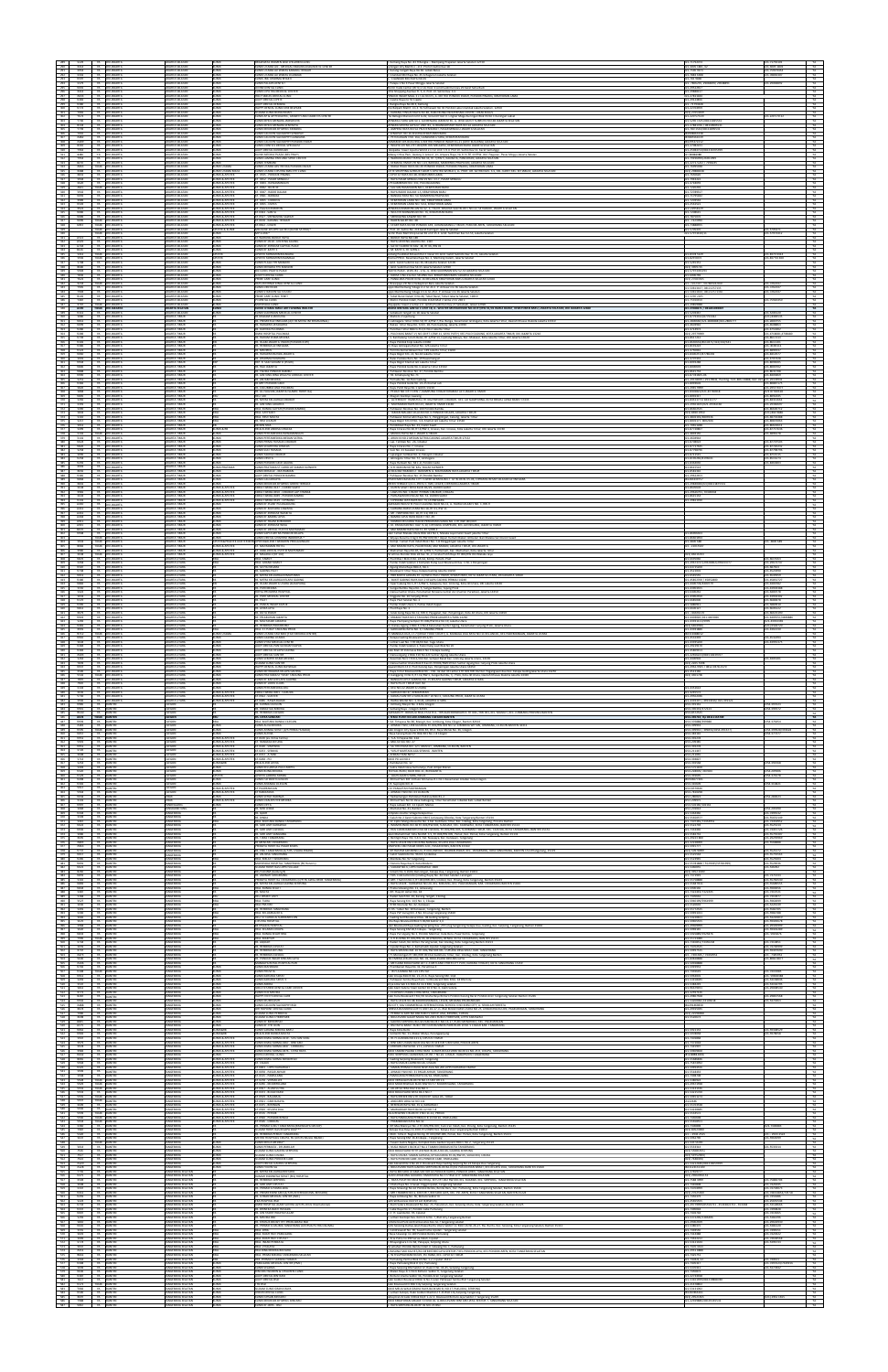| 289 2229 YA DKUAKARTA<br>290 4414 YA DKUAKARTA<br>291 2954 YA DKUAKARTA<br>292 2341 YA DKUAKARTA                                                                                                                                      |                                                                                                   |                                                          | IAKARTA SELATAN<br><b>JAKARTA SELATAN</b><br>AKARTA SELATAI                           | KLINK<br>KLINK                                                                             | IUAYA WOMEN AND CHILDREN CUNIC<br>KLINIK UTAMA AIC - MEDICAL IMAGING DIAGNOSTIC CENTER<br>UNIK UTAMA AJI WARAS KARANG TENGAH                              | il. Kemang Raya No. 83 H Bangka – Mampang Prapatan Jakarta Selatan 12730<br>Kuningan City Mall B-C -D Jl. Prof.Dr.Satrio Kav.18<br>.<br>II. Karang Tengah Raya No 60. Lebak Bulu                                                                                                                                                                                                                                                                                             | 021-71792074<br>021-3005 1801, 02<br>021-7590 9473                                                                     | YA<br>021-7179210<br>021-3005 1803<br>YA .<br>021-7590 9454                                      |
|---------------------------------------------------------------------------------------------------------------------------------------------------------------------------------------------------------------------------------------|---------------------------------------------------------------------------------------------------|----------------------------------------------------------|---------------------------------------------------------------------------------------|--------------------------------------------------------------------------------------------|-----------------------------------------------------------------------------------------------------------------------------------------------------------|------------------------------------------------------------------------------------------------------------------------------------------------------------------------------------------------------------------------------------------------------------------------------------------------------------------------------------------------------------------------------------------------------------------------------------------------------------------------------|------------------------------------------------------------------------------------------------------------------------|--------------------------------------------------------------------------------------------------|
| $rac{293}{294}$                                                                                                                                                                                                                       | 10597 YA DIGUAKARTA<br>2379 YA DIGUAKARTA                                                         |                                                          | AKARTA SELATAI<br><b>AKARTA SELATAN</b><br>KARTA SELATAI                              | KLINK<br><b>KUNK</b>                                                                       | KLINIK UTAMA AJI WARAS CILANDAK<br>KLINIK JMC DHARMA BHAKTI<br>CUNIK PALAPA DENTIST                                                                       | II. Cilandak KKO Raya No. 45 A Ragunan Jakarta Se<br>L. CILANDAK KKO RAYA NO.45<br>II. Palapa 1 No 4 Pasar Minggu Jakarta Selatan                                                                                                                                                                                                                                                                                                                                            | 021-7883 6308<br>021-781 9848<br>121-7806291, 290                                                                      | $\frac{YA}{YA}$<br>021-7883630<br>YA<br>YA<br>021-2904889.                                       |
| $rac{295}{296}$<br>$rac{297}{298}$                                                                                                                                                                                                    | 6001 YA DKIJAKARTA<br>'4413 YA DKIJAKARTA<br>14033 YA DKIJAKARTA<br>16381 YA DKIJAKARTA           |                                                          | <b>AKARTA SELATAN</b><br>KARTA SELATAI<br>AKARTA SELATAN<br>KARTA SELATAI             | <b>KUNK</b><br>KLINK                                                                       | <b><i>NVINE DENTAL CLINIC</i></b><br><b>GINIK CIPUTRA MEDICAL CENT</b><br>HOLY SMILES DENTAL CLINIC<br>AUDY DENTAL CIPETE                                 | World Trade Center (WTC) 2 LG floor Ji.Jend Sudirman kay 29 Karet Setia Budi<br>Lotte Shopping Avenue Fl. S, Jl. Prof. dr. Satrio Kav. 3-5<br>PONDOK INDAH MALL 3 LT.LG NO.ES, JL. METRO PONDOK INDAH, PONDOK PINANG, KEBAYORAN LAMA<br>II. Cipete Raya no 55 Cipete                                                                                                                                                                                                         | 021-29522657<br>021-2988813<br>021-27811184<br>021-2912485                                                             | YA<br>YA<br>YA<br>YA                                                                             |
| $rac{299}{300}$<br>301                                                                                                                                                                                                                | 6380 YA DKI JAKARTA<br>'6772 YA DKI JAKARTA<br>7081 YA DXIJAKARTA<br>7672 YA DXIJAKARTA           |                                                          | AKARTA SELATAN<br>KARTA SELATAI<br>AKARTA SELATAN                                     | KLINK<br>KLINK<br>KLINK                                                                    | AUDY DENTAL KEMANG<br>APPY DENTAL CLINIC ONE BELPAR<br>SILOAM CLINIC BONA INDAH                                                                           | II. Bangka Raya No 40 E, Kemang<br>One Belpark Mall It. LG Jl. Rs Fatmawati No 01 Pondok Labu Cilandak Jakarta Selatan, 1245<br>IL. KARANG TENGAH RAYA NO.8K, RUKO BONA INDAH BISNIS CENTRE, LEBAK BULUS                                                                                                                                                                                                                                                                     | 021-71794428<br>21-22764959<br>(021) 27654439                                                                          | YA<br>YA<br>YA<br>YA                                                                             |
| 302<br>$\frac{303}{304}$<br>$-305$                                                                                                                                                                                                    | 1991 - TA DKI JAKARTA<br>1991 - TA DKI JAKARTA<br>'7739 YA DKI JAKARTA                            |                                                          | KARTA SELATAI<br>WARTA SELATAN<br>WARTA SELATAN<br>IAKARTA SELATAN                    | KLINK<br>KLINK<br><b>KTIMIK</b>                                                            | CUNIK AP & AP PEDIATRIC, GROWTH AND DIABETES CENT<br>GUNIK MHDC MENARA JAMSOSTEK<br>GUNIK MHDC MENARA SENTRAYA<br>KLINIK MEDIKIDS BY MHDC KEMANO          | The Bellagio Mansion Unit G-02, Ground Floor Jl. Lingkar Mega Kuningan Blok E6 No 1 Kuningan Jaksel<br>MENARA UTARA LANTAI 1, Gd MENARA JAMSOSTEK, JL. JEND.GATOT SUBROTO NO 38 JAKARTA SELATAN I<br>MENARA SENTRA JAYA GF UNIT B1, JL ISKANDARSYAH RAYA NO.1A JAKARTA SELATAN<br>JL. AMPERA RAYA NO.SA PEJATEN BARAT, PASAR MINGGU JAKARTA SELATAN                                                                                                                          | 21-220 570 20<br>21-5296 1525 08111025531<br>21-27881766 / 08118905531<br>021-780 1541 0811189553                      | 021-220 570 22<br>$\frac{YA}{YA}$<br>YA                                                          |
| 306<br>307<br>308                                                                                                                                                                                                                     | 7016 YA DKI JAKARTA<br>'A482 YA DKI JAKARTA<br>'A309 YA DKI JAKARTA                               |                                                          | AKARTA SELATAP<br><b>JAKARTA SELATAN</b><br><b>MARTA SELATAI</b>                      | KLINK<br>KLINK<br>KLINK                                                                    | LINIK GIGI DENTALOSOPHY SENOPA'<br>CUNIK GIGI DENTALOSOPHY GANDARIA<br>CUNIK GIGI DENTALOSOPHY PONDOK INDA                                                | JI. SENOPATI NO.16 SELONG KEBAYORAN BARU<br>JL. PETOGOGAN I NO. 16A, GANDARIA UTARA, KEBAYORAN BARU<br>IAMIA SPA BUILDING JL METRO PONDOK INDAH SG-21 (ARTE BUILDING) JAKARTA SELATAN                                                                                                                                                                                                                                                                                        | 087885561639<br>081295372212                                                                                           | YA<br>YA<br>YA                                                                                   |
| 309<br>310<br>311<br>6483<br>7954<br>312                                                                                                                                                                                              | '8310 YA DKI JAKARTA<br>7963 YA DKI JAKARTA<br>YA DKI JAKARTA                                     | YA DKI JAKARTA                                           | <b>IAKARTA SELATAN</b><br>IAKARTA SELATAN<br><b>AKARTA SELATAN</b><br>AKARTA SELATAI  | KLINK<br>KLINK<br>KLINK<br>KLINK                                                           | KLINIK DONTICS DENTAL SPECIALIST<br>AUDY DENTAL KUNINGAN<br>KLINIK MEDIKA PLAZA (BELTWAY<br>LINIK LAMINA PAIN AND SPINE CENTER                            | JL. WUAYA VIII NO.2 RT.004/RW.005 MELAWAI, KEBAYORAN BARU JAKARTA SELATAN<br>Tokopedia Tower Ciputra World 2 Lt 12 Unit 7-9 Jl. Prof Dr. Satrio Kav 11. Karet Semanggi<br>Beltway Office Park, Gedung C lantai 2, Jin. Ampera Raya, No 9-10 RT 007RW. 002, Regunan, Pasar Minggu Jakarta Selatan<br>L. WARUNG BUNCIT RAYA NO.34, RT. 7/RW. S., KALIBATA, PANCORAN, JAKARTA SELATAR                                                                                           | 021-2708223<br>021-25984754/081<br>021-80866088<br>021-79196999                                                        | YA .<br>YA<br>YA<br>YA                                                                           |
| 313<br>314<br>''A063<br>315                                                                                                                                                                                                           | 8270 YA DKI JAKARTA<br>'4488 YA DKI JAKARTA                                                       | TIDAK DKI JAKARTA                                        | <b>JAKARTA SELATA!</b><br><b>IAKARTA SELATAI</b><br><b>IAKARTA SELATAN</b>            | KLINK<br>KLINK UTAMA<br>KLINIK UTAMA MATA                                                  | KLINIK TEMBUNI<br>CUNIK UTAMA AESTHETIKA PONDOK INDAH<br>KLINIK UTAMA CIPUTRA SMG EYE CLINIC                                                              | JL. KEMANG TIMUR VIII NO. L13, BANGKA, MAMPANG PRAPATAN, JAKARTA SELATAN<br>L: NIAGA HIJAU RAYA NO.49 PONDOK INDAH, PONDOK PINANG, KEBAYORAN LAMA<br>LOTTE SHOPPING AVENUE FLOOR 5 CIPUTRA WORLD 1, JL. PROF. DR. SATRIO KAV. 3-5, KEL. KARET KEC. SETIABUDI, JAKARTA SELATAN                                                                                                                                                                                                | 021-2271-5222 / 7198245<br>021-76995941<br>(021) 29888138                                                              | YA .<br>YA<br>YA                                                                                 |
| $\frac{316}{317}$<br>$\begin{array}{r} 318 \\ 319 \end{array}$                                                                                                                                                                        | 1944 YA DKI JAKARTA<br>1944 YA DKI JAKARTA<br>2620 YA DIGUAKARTA<br>2641 TIDAK DIGUAKARTA         |                                                          | AKARTA SELATAI<br>AKARTA SELATAI<br>AKARTA SELATAN<br>KARTA SELATAI                   | <b>CLINIK &amp; APOTER</b><br>KLINK & APOTEK<br>KLINK & APOTEK<br>KLINK & APOTEK           | F. 0535 - PONDOK PINAN<br>KF. 0152 - PASAR MINGG<br>KF. 0004 - RAWAMANGUN<br>KF. 0042 - BLOK M                                                            | LCIPUTAT RAYA NO 2B, KEBAYORAN LAMA<br>JL. RAYA PASAR MINGGU KM 19 NO. 3 E-F, PASAR MINGG<br>IL PEGAMBIRAN NO. 33C, PULOAGADUNG<br>L. SULTAN HASANUDIN NO.1, KEBAYORAN BARI                                                                                                                                                                                                                                                                                                  | 021-7943222<br>021-4718059<br>21-7220292                                                                               | YA<br>YA<br>YA<br>YA                                                                             |
| 320<br>321<br>$\frac{322}{323}$                                                                                                                                                                                                       | 1942 YA DIGUAKARTA<br>16092 YA DIGUAKARTA<br>3989 YA DXIJAKARTA<br>6503 YA DXIJAKARTA             |                                                          | AKARTA SELATAN<br>KARTA SELATAI<br>AKARTA SELATAN                                     | KLINK & APOTEK<br>KLINK & APOTEK<br>KLINK & APOTEK                                         | KF. 0047 - RADIO DALAM<br>KF. 0581 - BANGKA<br>KF. 0055 - CIDODOL                                                                                         | IL. RAYA RADIO DALAM 1-S, KEBAYORAN BARU<br>L. BANGKA RAYA NO. 50, MAMPANG PRAPATAM<br>IL. KEBAYORAN LAMA NO. 34K, KEBAYORAN LAMA                                                                                                                                                                                                                                                                                                                                            | 021-72789317<br>21-7179518<br>021-7203563                                                                              | YA<br>YA<br>YA<br>YA                                                                             |
| $\frac{324}{325}$                                                                                                                                                                                                                     | '4922 YA DKI JAKARTA<br>'6086 YA DKI JAKARTA                                                      |                                                          | KARTA SELATAN<br>AKARTA SELATAN<br>KARTA SELATAI<br>AKARTA SELATAN                    | KLINK & APOTEK<br>KLINK & APOTEK<br>KLINK & APOTEK<br><b>KUNK &amp; APOTEK</b>             | KF. 0055 - OSHCS<br>KF. PLAZA DANAMON<br>(F.0364 - SANTA<br>KF.0527 - SRENGSENG SAV                                                                       | IL. KEBAYORAN LAMA NO. 50 A, KEBAYORAN LAMA<br>MENARA DANAMON LANTAI 22, JL. HAJI R. RASUNA SAID BLOK C NO.22, SETIABUDI, JAKARTA SELATAN<br>L. WOLTER MONGINSIDI NO. 76, KEBAYORAN BARI<br>JL. SRENGSENG SAWAH NO. 99                                                                                                                                                                                                                                                       | 21-2561521<br>21-22958129<br>21-7208615<br>021-7875076                                                                 | YA<br>YA                                                                                         |
| $rac{326}{327}$<br>$\frac{328}{329}$                                                                                                                                                                                                  | 6089 YA DKIJAKARTA<br>6096 TIDAK DKIJAKARTA<br>6093 TIDAK DKI JAKARTA                             |                                                          | <b>MARTA SELATAI</b><br>WARTA SELATAN<br>WARTA SELATAN                                | KLINK & APOTEK<br>KLINK & APOTEK<br>APOTEK & KLINIK                                        | KF.0678 - KARANG TEN<br>(F.0652 - CEGER<br>MEDICINE SHOPPE SATRIO (KLINIK SATRIO)                                                                         | L. RADEN SALEH NO. 4B<br>.<br>L. CEGER RAYA NO.98 PONDOK ARE, JURANGMANGU TIMUR, PONDOK AREN, TANGERANG SELATAN.<br>I. Prof. Dr. Satrio No. 21E karet Kuningan Jakarta Selatan                                                                                                                                                                                                                                                                                               | $-7323994$<br>21-73888955<br>21-5705470                                                                                | YA<br>YA<br>$\frac{YA}{YA}$<br>5705471                                                           |
| 330<br>331<br>332<br>A519<br>333                                                                                                                                                                                                      | A513 YA DKI JAKARTA<br>YA DKI JAKARTA<br>A728 YA DKI JAKARTA                                      | TIDAK DKI JAKARTA                                        | IAKARTA SELATAN<br><b>JAKARTA SELATAI</b><br><b>JAKARTA SELATAN</b><br>AKARTA SELATAP | <b>KLINK</b><br><b>KLINK</b><br>KLINK<br>KLINK                                             | <b>MP CLINIC*</b><br><b>CF. WARUNG BUNCIT RAYA</b><br>CLINIK KF.0510 - LENTENG AGUNO<br>LINIK KFJINHOUSE CAPITAL PLACE                                    | .<br>Pacific Place Mall Shop Levwl B1 unit 15 Jl. Jend. Sudirman Kav 52-53, Jakarta Selatan<br>IL. BUNCIT RAYA NO. 189<br>JL. RAYA LENTENG AGUNG NO. 131E<br>IL. GATOT SUBROTO KAV. 18, RT 06, RW 0:                                                                                                                                                                                                                                                                         | 021-57973410/1                                                                                                         | 021-57973412<br>YA<br>YA<br>YA<br>YA                                                             |
| 334<br>8126<br>335<br>1412<br>336<br>'1936                                                                                                                                                                                            | TIDAK DKI JAKARTA                                                                                 | YA DKI JAKARTA<br>TIDAK DKI JAKARTA                      | <b>IAKARTA SELATAN</b><br>IAKARTA SELATAN<br><b>IAKARTA SELATAN</b><br>AKARTA SELATAI | KLINK<br>APOTEK<br>APOTEK                                                                  | KLINIK KF.KAHFI 1<br><b>APOTEK FARMARIN BIDAKARA</b><br><b>IPOTEK FARMARIN RASAMALA</b><br>LINIK PLAZA YPK MANDIRI                                        | JL. M. KAHFI 1, RT.5/RW.1<br>.<br>Gedung Pusdiklat Binasentra Lt. Dasar Jin Jend. Gatot Subroto Kav 71-73, Jakarta Selatar<br>Wisma PPBI Jl. Rasamala Raya No. 2, Menteng Dalam, Jakarta Selatan<br>Jl.Jend. Gatot Subroto kav 36-38 Jakarta Selatan 12190                                                                                                                                                                                                                   | 021-8378 5129<br>021-829 0073<br>21-5245351                                                                            | YA .<br>021-8370 4414<br>YA<br>021-837 94 460<br>YA                                              |
| 337<br>1708<br>338<br>339<br>5904<br>340<br>7836                                                                                                                                                                                      | '8686 YA DKI JAKARTA<br>YA DKI JAKARTA                                                            | YA DKI JAKARTA<br>YA DKI JAKARTA                         | <b>JAKARTA SELATA!</b><br>AKARTA SELATAI<br><b>IAKARTA SELATAN</b>                    | KLINK<br>KLINK<br>KLINK<br>KLINK                                                           | KLINIK MENARA YPK MANDI<br>BIC CLINIC PACIFIC PLACE<br>SOUTH DENTAL CLINIC                                                                                | Jl. Jend. Sudirman Kav 54-55 Jakarta Selatan 12920<br>PACIFIC PLACE, LEVEL B1 - 17A, JL. JEND SUDIRMAN KAV 52-53 JAKARTA SELATAN<br>JL. DAKSA 1 No.11a Kel. SELONG Kec. KEBAYORAN BARU JAKARTA SELATAN                                                                                                                                                                                                                                                                       | (021) 390972<br>021-57973781/9<br>021-6000769                                                                          | YA<br>YA<br>YA<br>YA                                                                             |
| $\frac{341}{342}$<br>343<br>344                                                                                                                                                                                                       | 7621 YA DKIJAKARTA<br>'4234 TIDAK DKIJAKARTA<br>7905 YA DIGUAKARTA<br>7904 YA DIGUAKARTA          |                                                          | AKARTA SELATAN<br>AKARTA SELATAI<br>AKARTA SELATAN                                    | KTIMIK<br><b>KUNK</b>                                                                      | <b>RIME CARE CLINI</b><br>RAYS INTERNATIONAL<br>KLINIK DENTIKIDS                                                                                          | . PANGLIMA POLIM IX No.16 MELAWAI KEBAYORAN BARU JAKARTA SELATAN 1<br>Jl. Brawijaya VIII No 2 Kebayoran Baru Jakarta Selatan<br>Lippo Mall Kemang Village Lt 2 no 21 Jl. P. Antasari no 36 Jakarta Selatan                                                                                                                                                                                                                                                                   | 021-7262347;08788928280<br>021-50813447; 08121257135                                                                   | YA<br>YA<br>021-7262347<br>$\frac{YA}{YA}$                                                       |
| 345<br>346<br>347                                                                                                                                                                                                                     | 18145 YA DIGUAKARTA<br>17487 YA DIGUAKARTA<br>'4707 TIDAK DKI JAKARTA                             |                                                          | KARTA SELATAI<br>AKARTA SELATAN<br>KARTA SELATAI<br>AKARTA SELATAN                    | <b>KLINK</b><br>KLINK<br>KLINK                                                             | KLINIK STAR DENTAL STU<br>PRIME CARE CLINIC TEBET<br>PI DENTAL CLINIC<br>MAYAPADA CLINIC                                                                  | Lippo Mall Kemang Village Lt LG no 26 Jl. P. Antasari no 36 Jakarta Selata<br>il. Tebet Barat Dalam II No 46, Tebet Barat, Tebet Jakarta Selatan, 12810<br>il. Metro Pondok Indah, Pondok Indah Mall 2 lantai 2 no 238 C<br>Mayapada Tower 2 lantai 2 Jl. Jendral Sudirman Kay.27 Setiabudi. Jaksel 12920                                                                                                                                                                    | 021-50813460; 08121257136<br>121-2290 2205<br>1-75920451<br>021-29859988                                               | 021-7262347<br>YA<br>021-7592045<br>YA<br>$\frac{YA}{YA}$                                        |
| 348<br>349<br>0112<br>350                                                                                                                                                                                                             | A190 TIDAK DKI JAKARTA<br>'1080 YA DKI JAKARTA                                                    | YA DKI JAKARTA                                           | <b>IAKARTA SELATAN</b><br><b>IKARTA SELATAN</b><br>KARTA TIMUR<br>AKARTA TIMUR        | <b>KLINIK</b><br><b>KLINK</b>                                                              | <b>CLINIK UTAMA SMILE ART FLEMING WOLTER</b><br>CUNIK SUDIRMAN MEDICAL CENTER<br>IS KESDAM CIJANTUNG<br>RS. PREMIER JATINEGARA (d/h RS MITRA INTERNASIONA | .<br>GRAHA BINTARA LANTAI 1 UNIT 1B, JL. WOLTER MONGONSIDI NO.43 RT/RW 01/01 RAWA BARAT, KEBAYORAN BARU, JAKARTA SELATAN, DKI JAKARTA 12180<br>I. Setiabudi Tengah no 18 Jakarta Selatan<br>II. Mahoni 2 Cijantung                                                                                                                                                                                                                                                           | 021 27088371 / 08128106900<br>21-5203467<br>21-87793332/877<br>021-2800666;021-2800888 021-28007                       | 021-5204120<br>YA<br>YA<br>(021) 840053                                                          |
| 351<br>352<br>$\begin{array}{ c c } \hline 353 \\ \hline 354 \\ \hline \end{array}$                                                                                                                                                   | '0012 YA DKI JAKARTA<br>'0099 YA DKI JAKARTA<br>10286 VA DKIJAKARTA<br>10289 VA DKIJAKARTA        |                                                          | <b>AKARTA TIMUR</b><br>WARTA TIMUR<br>WARTA TIMUR                                     |                                                                                            | RS. HARAPAN JAYAKARTA<br>RS. KARTIKA PULOMAS<br>OMNI HOSPITAL PULOI                                                                                       | Jl. Jatinegara Timur III No.50, RT.2/RW.7, Rw. Bunga, Kecamatan Jatinegara, Kota Jakarta Timur, Daerah Khusus Ibukota Jakarta 13310<br>I. Bekasi Timur Raya No. 6 Km. 18, Pulo Gadung, Jakarta,13930<br>I. Pulomas Timur Blok G-H-C/1 No.2 Jakarta Timur<br>L. PULO MAS BARAT VI, NO.20 RT.1/RW.11, KAYU PUTIH, KEC.PULO GADUNG, KOTA JAKARTA TIMUR, DKI JAKARTA 13210                                                                                                       | 021-4603916<br>021-4714973<br>10211 297799                                                                             | 021-2800755<br>$\frac{YA}{YA}$<br>021-4608863<br>021-4753402<br>021-4718081,4<br>$\frac{YA}{YA}$ |
| 355<br>356<br>357<br>10386<br>358                                                                                                                                                                                                     | '0749 YA DKIJAKARTA<br>'0102 YA DKI JAKARTA<br>YA DKI JAKARTA<br>'0122 YA DKI JAKARTA             |                                                          | IAKARTA TIMUR<br>AKARTA TIMUR<br><b>JAKARTA TIMUR</b><br>AKARTA TIMUR                 |                                                                                            | RS. HARUM SISMA MEDIKA<br>RS. ISLAM JAKARTA TIMUR (PONDOK KOPI)<br>RS. HERMINA JATINEGARA<br>S. MEDIROS                                                   | JI: S. Kalimalang Tarum Barat: RT.1/RW.13: Cipinang Melayu: Kec: Makasar: Kota Jakarta Timur: DKI Jakarta 13620<br>II. Raya Pondok Kopi Jakarta 13460<br>Jin. Raya Jatinegara Barat No. 126 Jakarta Timur<br>I. Perintis Kemerdekaan Kav. 149 Jakarta Timur,13260                                                                                                                                                                                                            | 021-8617212<br>021-8630654/86<br>021-8191223<br>021-4750042                                                            | 021-8617213<br>YA .<br>021-8611101<br>YA<br>021-8190111<br>YA<br>021-4891937<br>YA               |
| 359<br>360<br>361<br>10944                                                                                                                                                                                                            | '0060 YA DKI JAKARTA<br>'1001 YA DKI JAKARTA<br>YA DKI JAKARTA                                    |                                                          | AKARTA TIMUR<br>IAKARTA TIMUR<br><b>JAKARTA TIMUR</b>                                 |                                                                                            | RS. HARAPAN BUNDA JAKARTA<br>RS. DHARMA NUGRAHA<br>RSP. R. SAID SUKANTO (POLRI)                                                                           | Jl. Raya Bogor Km. 22, No.44 Jakarta Timur<br>II. Balai Pustaka Baru No. 19 Rawamangun<br>Jl. Raya Bogor Kramat Jati Jakarta Timu                                                                                                                                                                                                                                                                                                                                            | 021-8400257/87780<br>021-4707433<br>021-8093288                                                                        | 021-8412977<br>YA<br>021-4707428<br>YA<br>021-8094005<br>YA                                      |
| 362<br>'0806<br>$363$<br>$364$<br>0990<br>365<br>2251                                                                                                                                                                                 | '0888 YA DKI JAKARTA<br>YA DKI JAKARTA                                                            | YA DKI JAKARTA<br>YA DKI JAKARTA                         | AKARTA TIMUR<br>AKARTA TIMUR<br>AKARTA TIMUR<br><b>JAKARTA TIMUR</b>                  |                                                                                            | S. HAJI JAKARTA<br>RS. YADIKA PONDOK BAMBL<br>S. JANTUNG BINA WAI<br><b>LIYA CARDIAC CENTER</b><br>RS. ANTAM MEDIKA                                       | II. Raya Pondok Gede No.4 Jakarta Timur 13560<br>Jl. Pahlawan Revolusi No. 47, Pondok Bambu<br>II. TB. Sima<br>tupang No. 71<br>Jl. Pemuda No. 1A Pulo Gadung                                                                                                                                                                                                                                                                                                                | 021-8000693<br>021-8615754<br>021-87781605-0<br>021-29378939 / 29378941; Hunting: 021-805-14888; IGD: 021-021-29378941 | 021-8000702<br>YA<br>021-8631708<br>YA .<br>YA<br>021-8403869<br>YA                              |
| $\frac{366}{367}$<br>$368$<br>$369$                                                                                                                                                                                                   | 19382 YA DKIJAKARTA<br>2826 YA DKIJAKARTA<br>1868 YA DIGUAKARTA<br>1805 YA DIGUAKARTA             |                                                          | IAKARTA TIMUR<br>IAKARTA TIMUR<br>IAKARTA TIMUR<br>IAKARTA TIMUR                      |                                                                                            | S MHT PONDOK GI<br>RS. COLUMBIA ASIA PULOMA<br>RS. AL-FAUZAN (JAKARTA ISLAMIC HOSPITAL)                                                                   | I. Raya F<br>Jl. Kayu Putih Raya No.1 Jaktim 13210<br>IL. PEDATI NO 3 RT 5 RW 7, KAMPUNG TENGAH KRAMAT JATI JAKARTA TIMUR                                                                                                                                                                                                                                                                                                                                                    | 021-2945 9995<br>021-8402821/021-87780318                                                                              | $-808871$<br>YA<br>YA<br>021-2955 9477<br>02187780318<br>YA<br>YA                                |
| $\frac{370}{371}$                                                                                                                                                                                                                     | '1350 YA DKI JAKARTA<br>'2391 YA DKI JAKARTA                                                      |                                                          | AKARTA TIMUR<br>KARTA TIMUR<br>AKARTA TIMUR                                           |                                                                                            | RSU. UKI<br>RS. MITRA KELUARGA CIBUBUR<br>RS. JANTUNG JAKARTA<br>RSIA. BUNDA ALIYAH (PONDOK BAMBU)                                                        | I. Mayjen Soetoyo Cawang<br>.<br>ALTERNATIF TRANSYOGI, RT.002/RW.009, CIBUBUR, .KEC. JATISAMPURNA, KOTA BEKASI, JAWA BARAT 17435<br>L. MATRAMAN RAYA NO.23, JAKARTA TIMUR 13140                                                                                                                                                                                                                                                                                              | 021-8092317<br>021-84311771/8431177<br>021-29361165/021-29361<br>021-86602525                                          | 021-8092445<br>021-84311661<br>$YA$<br>$YA$<br>021-2936069                                       |
| $\frac{372}{373}$<br>374<br>375                                                                                                                                                                                                       | 1490 - YA DXIJAKARTA<br>1843 - YA DXIJAKARTA<br>'1110 YA DKI JAKARTA<br>"1217 YA DKI JAKARTA      |                                                          | <b>AKARTA TIMUR</b><br>AKARTA TIMUR<br>KARTA TIMUR                                    | <b>RSIA</b><br><b>RSIA</b>                                                                 | RSIA, SAYYIDAH<br>RSIA. RESTI MULYA<br>RS. RESTU KASIH                                                                                                    | Jl. Pahlawan Revolusi No. 100 Pondok Bambu<br>L. TAMAN MALAKA SELATAN NO. 6 PONDOK KELAPA, JAKARTA TIMUR<br>il. Pahlawan Komarudin Raya No. 5, Penggilingan, Cakung, Jakarta Timur<br>I. Raya Bogor Km 19 No. 3 A, Kramat Jati Jakarta Timur 13510                                                                                                                                                                                                                           | (021) 8690 2950<br>021-4802192/480393<br>021-8001177, 80021                                                            | 021-86600712<br>$\frac{YA}{YA}$<br>$(021)$ 864 9886<br>021-48701488<br>YA<br>YA<br>021-80876063  |
| 376<br>377<br>$378$<br>$379$                                                                                                                                                                                                          | '1012 YA DKI JAKARTA<br>'1499 YA DKI JAKARTA<br>2142 TIDAK DKI JAKARTA<br>2141 YA DKI JAKARTA     |                                                          | AKARTA TIMUR<br><b>AKARTA TIMUR</b><br><mark>AKARTA TIMUR.</mark><br>AKARTA TIMUR     | KLINK & RB<br><b>KLINIK</b><br>KLINIK                                                      | <b>RB IBIN SINA</b><br>RB & KLINIK ANNISA CIRACAS<br>CLINIK PERTAMEDIKA RAWAMANGUN                                                                        | I. Pendidikan Raya No. 33, Duren Sawit<br>I. Raya Ciracas No.18, RT.4/RW.2, Ciracas, Kec. Gracas, Kota Jakarta Timur, DKI Jakarta 13740<br>L. MUNDU RAYA NO. 1 JAKARTA TIMUR                                                                                                                                                                                                                                                                                                 | 021-70651288<br>21-8772080<br>21-4894150                                                                               | 021-86601611<br>YA<br>YA<br>021-87717636<br>021-4894278<br>$\frac{YA}{YA}$                       |
| 380<br>381<br>382<br>"1258                                                                                                                                                                                                            | '0024 YA DKI JAKARTA<br>'0826 YA DKI JAKARTA<br>YA DKI JAKARTA                                    |                                                          | IAKARTA TIMUR<br>AKARTA TIMUR<br><b>JAKARTA TIMUR</b>                                 | <b>KUNK</b><br>KLINK<br>KLINK                                                              | LINIK PERTAMEDIKA MEDAN SATRIA<br>KLINIK PRIMA HUSADA CIBUBUR<br>CLINIK SEJAHTERA CIRACAS<br><b>GJNIK SUCI HUSADA</b>                                     | JL. ARUN IX NO.2 MEDAN SATRIA CAKUNG JAKARTA TIMUR 17132<br>Jl. Lap. Tembak No. 2A, Cibubur<br>II. Raya Ciracas No. 7, Ciracas<br>Jl. Suci No. 21 Susukan Ciracas                                                                                                                                                                                                                                                                                                            | 021-4604944<br>021-8708024<br>021-8771763<br>021-87798796                                                              | 021-87707503<br>YA .<br>YA<br>021-87720232<br>021-87798796<br>YA                                 |
| 383<br>1096<br>384<br>385                                                                                                                                                                                                             | '0258 YA DKI JAKARTA<br>'0292 YA DKI JAKARTA                                                      | YA DKI JAKARTA                                           | AKARTA TIMUR<br><b>JAKARTA TIMUR</b><br>IAKARTA TIMUR                                 | KLINK<br>KLINK<br>KLINK                                                                    | LINIK YADIKA CIBUBUR<br>KLINIK DEVITA<br>QJINIK PONDOK GEDE AGUNG                                                                                         | Jl. Lapangan Tembak No. 9, Pekayon-Cibubur<br>II. Jatinegara Timur No. 57, Jatinegara<br>Jl. Raya Hankam No. 58 C-D, Po                                                                                                                                                                                                                                                                                                                                                      | 021-8711515<br>021-8196260/81<br>021-8464030                                                                           | 021-8711515<br>YA<br>021-8516274<br>YA .<br>YA<br>021-8463803                                    |
| 386<br>'4993<br>387<br>'4656<br>$\begin{array}{r} 388 \\ 389 \end{array}$<br>6868                                                                                                                                                     | YA DKI JAKARTA<br>'63B5 YA DKI JAKARTA                                                            | YA DKI JAKARTA<br>YA DKI JAKARTA                         | <b>AKARTA TIMUR</b><br>AKARTA TIMUR<br>AKARTA TIMUR<br>AKARTA TIMUR                   | <b>KLINIK PRATAMA</b><br>KLINK<br>KLINK                                                    | CUNIK PRATAMA ST.CAROLUS SAMADI KLENDER<br>UNIK MIRACLE - MATRAMA<br><b>NJDY DENTAL PONDOK BAMBU</b><br>LINIK GIGI ARDAYA                                 | JL. K.H. MAISIN NO 58. KAV. BULAK KLENDER<br>GD BCA MATRAMAN LT. BASEMEN JL. MATRAMAN RAYA JAKARTA TIMUR<br>Jl. Pahlawan Revolusi No. 15 Pondok Bambu<br>APARTEMEN BASSURA CITY TOWER GERANIUM LT. GF BLOK BL 05-06, CIPINANG BESAR SELATAN JATINEGARA                                                                                                                                                                                                                       | 021-8615514<br>021-8581316<br>021-2962245                                                                              | YA<br>YA<br>YA .<br>YA                                                                           |
| 390<br>$\frac{391}{392}$                                                                                                                                                                                                              | '4841 YA DKI JAKARTA<br>2638 YA DKIJAKARTA<br>3981 YA DKIJAKARTA                                  |                                                          | <b>JAKARTA TIMUR</b><br>IAKARTA TIMUR<br>IAKARTA TIMUR                                | KLINK<br><b>CLINIK &amp; APOTI</b><br>KLINIK & APOTEK                                      | CUNIK MEDIKIDS BY MHDC GREEN TERRACE<br>KIMIA FARMA.0450 - CIBUBUR LAP.TEMBAK                                                                             | GREEN TERRACE D/2 JL.PINTU 1 TMII, CEGER, CIPAYUNG JAKARTA TIMUR<br>L. DUREN SAWIT RAYA BLOK B3/29, DURE<br>JL. LAWU B1 NO. 1 BUKIT PERMAI CIBUBUR, CIRACAS                                                                                                                                                                                                                                                                                                                  | 021-29840066/63 08111875531<br>021-29626791, 70300                                                                     | YA .<br>YA<br>YA                                                                                 |
| $\frac{393}{394}$<br>$\frac{395}{396}$                                                                                                                                                                                                | 2643 YA DKIJAKARTA<br>6141 YA DKIJAKARTA<br>A430 YA DIGI JAKARTA<br>A431 YA DKI JAKARTA           |                                                          | AKARTA TIMUR<br>AKARTA TIMUR<br>AKARTA TIMUR<br>KARTA TIMUR                           | KLINIK & APOTEK<br>KLINIK & APOTEK<br>KLINIK<br>KLINIK                                     | OMIA FARMA 0049 - PONDOK BAMBU<br>OMIA FARMA 0529 - CIPINANG<br>LINIK KE PLANT PULOGADUNG<br>(LINIK KF.MUTIARA CAWANG                                     | IL. PAHLAWAN REVOLUSI NO. 53, DUREN SAWIT<br>IL. CIPINANG JAYA RAYA NO. 74, JATINEGARA<br>KAWASAN INDUSTRI PULO GADUNG BLOK N6-11, JL. RAWA GELAM 5 NO. 1, RW.9<br>L. CAWANG BARU UTARA NO.18, RT 01, RW 11                                                                                                                                                                                                                                                                  | 021-8615154<br>021-29821930                                                                                            | YA<br>YA<br>YA<br>YA                                                                             |
| 397<br>398<br>399<br>400                                                                                                                                                                                                              | A432 YA DKI JAKARTA<br>A438 YA DKI JAKARTA<br>A911 YA DKI JAKARTA<br>A915 YA DKI JAKARTA          |                                                          | AKARTA TIMUR<br>KARTA TIMUR<br>AKARTA TIMUR<br>KARTA TIMUR                            | KLINK<br>KLINIK<br>KUNK<br>KLINIK                                                          | KLINIK KFJNHOUSE WASKITA<br>(LINIK KF.BAMBU APUS<br>KLINIK KF.HALIM KOMODOR<br>KLINIK KFJNHOUSE WIKA                                                      | JL. MT. HARYONO NO. 10, RT 11/ RW 11<br>L. BAMBU APUS RAYA BLOK F NO. 49<br>IL. KOMODOR UDARA HALIM PERDANAKUSUMA NO. 1 RT/RW 003/007<br>L. DI. PANJAITAN NO. KAV. 9-10, CIPINANG CEMPEDAK, KECJATINEGARA, JAKARTA TIMU                                                                                                                                                                                                                                                      |                                                                                                                        | YA<br>YA<br>YA<br>YA                                                                             |
| $\frac{401}{402}$<br>'0948<br>403                                                                                                                                                                                                     | 8159 YA DKI JAKARTA                                                                               | YA DKI JAKARTA<br>TIDAK DKI JAKARTA<br>TIDAK DKI JAKARTA | AKARTA TIMUR<br><b>AKARTA TIMUR</b><br><mark>AKARTA TIMUR</mark><br>AKARTA TIMUR      | <b>KLINIK</b><br>KLINIK<br>APOTEK&PRAKTEK D                                                | KLINIK KF.DENTAL ESTETIK MATRAMAN<br>CLINIK SAPTA MITRA PONDOK KELAPA<br>KUNIK DENTAL UNIVERSE INDONESIA.<br>APOTIKRA'I INIK FARMARIN PENGGILIN           | IL. MATRAMAN RAYA NO.57, RT.5/RW.4<br>alan Taman Malaka Utara Blok A12 No 1, Malaka Jaya Duren Sawit jakarta Timu<br>l. Wijaya Kusuma 3 Gg 6 RT/RW 009/007 depan Rumah Makan Jimbaran Ikan Malaka Sari Duren Sawit<br>I. Kompl. Taman Pulo Indah Blok I No. 7-8 Penggilingan Jakarta Timur                                                                                                                                                                                   | 21-8690636<br>21-86601494<br>21-4800 688                                                                               | YA<br>YA<br>$\frac{YA}{YA}$                                                                      |
| -1933<br>405<br>406<br>407                                                                                                                                                                                                            | "8082 TIDAK DKI JAKARTA<br>3980 YA DIGLIAKARTA<br>2638 TIDAK DKI JAKARTA                          |                                                          | IAKARTA TIMUR<br>AKARTA TIMUF<br><b>AKARTA TIMUR</b>                                  | KLINIK & APOTEK<br>KLINIK & APOTEK<br>KLINIK & APOTER                                      | KF. MATRAMAN HOTEL<br>KF. 0048-DENTAL ESTETIK MATRAMAN<br>KF. MALAKA 2 (KF 147)                                                                           | JL. MATRAMAN RAYA, PALMERIAM, MATRAMAN, JAKARTA TIMUR, DKI JAKARTA<br>Jl. Matraman Raya No.85, RT.1/RW.5, Palmeriam, Kec. Matraman, Kota Jakarta Timur                                                                                                                                                                                                                                                                                                                       | $-2101550$<br>21) 86616763                                                                                             | 021-4800 689<br>YA<br>YA                                                                         |
| 408<br>0876<br>409 2458 YA DKIJAKARTA<br>410                                                                                                                                                                                          | '0587 YA DKI JAKARTA                                                                              | YA DKI JAKARTA                                           | KARTA UTARA<br>AKARTA UTARA<br>IAKARTA UTARA                                          |                                                                                            | RSIA, GRAND FAMILY<br>RS. SATYA NEGARA                                                                                                                    | Perumnas Klender Blok 28 Kav .9L, Jl Teratai Putih Raya RT 005/RW 013 Malaka Jaya<br>Jl. Pluit Mas I Blok A No. 2A-5A, Komp. Perum. Pluit<br>Jl. Pantai Indah Selatan 1 Komplek Elang Laut Boulevard Kav. 1 No.1 Penjaringan<br>II. Agung Utara Raya Blok A, No.1                                                                                                                                                                                                            | 021-29673737/29678062/29633377<br>021-64715200                                                                         | $YA$<br>$YA$<br>21-6615563<br>YA .<br>021-29673747<br>021-687813<br>YA                           |
| 411<br>412<br>0011<br>413<br>414<br>10882                                                                                                                                                                                             | '0748 YA DKI JAKARTA<br>'0186 YA DKI JAKARTA                                                      | YA DKI JAKARTA<br>YA DKI JAKARTA                         | <b>JAKARTA UTARA</b><br><b>AKARTA UTARA</b><br>AKARTA UTARA<br>AKARTA UTARA           |                                                                                            | RS. GADING PLUIT<br>S. MITRA KELUARGA KEMAYORAN<br>RS. MITRA KELUARGA KELAPA GADING<br>S. ISLAM JAKARTA UTARA (SUKAR                                      | Jl. Boulevard Timur Raya, Kelapa Gading Jakarta 14250<br>HBR MOTIK LANDAS RT.13/RW.6 PACU TIMUR, KEMAYORAN, KOTA JAKARTA UTARA, DKI JAKARTA 10630<br>JL. BUKIT GADING RAYA KAV.2 KELAPA GADING PERMAI 14240<br>. Tipar Cakung No.5, RT.5/RW.5, Sukapura, Kec. Cilincing, Kota Jkt Utara, DKI Jakarta 14140                                                                                                                                                                   | 021-4521001<br>021-45852700 / 45852800<br>021-4400778/4                                                                | 021-4520390<br>YA .<br>21-6545955<br>YA<br>021-45852727<br>YA .<br>YA                            |
| 415<br>$416$<br>$417$                                                                                                                                                                                                                 | "1550 YA DKI JAKARTA<br>1422 YA DKIJAKARTA<br>1033 YA DKIJAKARTA                                  |                                                          | ARARTA UTARA<br>IAKARTA UTARA<br>IAKARTA UTARA                                        |                                                                                            | RS. PURI MEDIKA<br>RS. PORT MEDICAL CENTER                                                                                                                | Jl. Sungai Bambu Raya No. 5, Sungai Bambu, Tajung Priok<br>Jl. Enggano No. 10 Tanjung Priok                                                                                                                                                                                                                                                                                                                                                                                  | 021-43903355<br>021-43902351                                                                                           | 021-43903388<br>YA<br>YA<br>YA<br>021-4390230                                                    |
| $418$<br>$419$<br>420<br>421                                                                                                                                                                                                          | 0170 YA DKIJAKARTA<br>0396 YA DKIJAKARTA<br>'0812 YA DKI JAKARTA<br>'4079 YA DKI JAKARTA          |                                                          | AKARTA UTARA<br>WARTA UTARA<br>AKARTA UTARA<br>KARTA UTARA                            |                                                                                            | RS. PLUIT<br>RS. PANTAI INDAH KAPUI<br>RS. ATMA JAYA<br>RS. DUTA INDAH                                                                                    | II. Raya Pluit Selatan No. 2<br>II. Pantai Indah Utara 3, Pantai Indah Kapuk<br>II. Pluit Raya No. 2<br>. Teluk Gong Raya No.12, RW.9, Pejagalan, Kec. Penjaringan, Kota Jkt Utara, DKI Jakarta 14450                                                                                                                                                                                                                                                                        | 021-6685006<br>021-5880911<br>021-6606127<br>$321 - 66676170$                                                          | 021-6684878<br>YA<br>YA<br>021-5880910<br>021-6606122<br>YA<br>YA<br>021-66676190                |
| 422 1919 YA DKIJAKARTA<br>423 1269 YA DKIJAKARTA<br>424                                                                                                                                                                               | 6481 YA DKI JAKARTA                                                                               |                                                          | AKARTA UTARA<br>WARTA UTARA<br>AKARTA UTARA                                           |                                                                                            | RS. PELABUHAN JAKARTA<br>RS. MULYASARI JAKARTA<br>RS. HERMINA PODOMORO                                                                                    | JL. KRAMAT RAYA NO. 1 TANJUNG PRIOK JAKARTA UTARA 14260<br>Jl. Raya Plumpang Semper RT.006/RW.012 No.19, Jakarta Utara<br>iln. Danau Agung 2 Blok E-3 No.4 Kelurahan Sunter Agung, Kecamatan Tanjung Priok, Jakarta Utara.                                                                                                                                                                                                                                                   | 021-4403026 021-440302<br>021-43931111/99<br>021) 6404910                                                              | 021-4403551/4406<br>YA<br>YA<br>021-43934369<br>(021) 6518720<br>YA                              |
| 45<br>426<br>427                                                                                                                                                                                                                      | '4991 YA DKI JAKARTA<br>18712 TIDAK DKI JAKARTA<br>'0910 YA DKI JAKARTA                           |                                                          | KARTA UTARA<br>AKARTA UTARA<br>KARTA UTARA                                            | KLINK UTAM                                                                                 | RSIA. ST.YUSUF TANJUNG PRIC<br>KLINIK UTAMA FASTMED (FAST MEDIKA CENTER)<br>(LINIK GADING UTAMA                                                           | L. GANGGENG RAYA NO. 9, TANJUNG PRIOK<br>.<br>TC MANGGA DUA, LT.7 (DEKAT FOOD COURT) JL: MANGGA DUA RAYA NO.11 KELANCOL, KEC.PADEMANGAN, JAKARTA UTARA<br>II. Kelapa Gading Boulevard CN 2/25                                                                                                                                                                                                                                                                                | 021-43931880<br>082111088012<br>21-4532493                                                                             | YA<br>021-4361330<br>YA<br>YA<br>021-4532494<br>021-43935375                                     |
| $\frac{428}{429}$<br>431                                                                                                                                                                                                              | 1644 YA DKIJAKARTA<br>6383 YA DKIJAKARTA<br>'A503 YA DKI JAKARTA                                  |                                                          | KARTA UTARA<br>KARTA UTARA<br>IAKARTA UTARA<br>IAKARTA UTARA                          | <b>KLINK</b><br>KLINK<br>KLINK<br>KLINK                                                    | KLINIK SYIFA MEDICAL CENTRE<br>AUDY DENTAL PANTAI INDAH KAP<br>AUDY DENTAL KELAPA GADING<br>AUDY DENTAL SUNTER                                            | l. Lontar Luar No. 7 Rt 04/04 Kel. Tugu Utara<br>I. Pantai Indah Selatan 1, Ruko Elang Laut Blok N<br>Ruko Mall Of Indonesia Blok K No 3 Kelapa Gading<br>Jl. Danau Agung 2 Blok E10 No.22C Sunter Agung Jakarta Utara                                                                                                                                                                                                                                                       | 2143935260<br>21-29219170<br>021-45869153<br>021-22656221/                                                             | $\frac{YA}{YA}$<br>YA<br>YA                                                                      |
| 432<br>1263                                                                                                                                                                                                                           |                                                                                                   |                                                          |                                                                                       | KLINK                                                                                      | KLINIK SEMPER SISMA MEDIKA                                                                                                                                | .8. Kesemek No.5 TR 011/014 Kel. Semper Barat Kec. Glincing Jakarta Utara, 14130<br>.8. Danau Sunter Utara Blok R Kav 65 RT001/RW019 Kel. Sunter Agung Kec.Tanjung Priok Jakarta Utar                                                                                                                                                                                                                                                                                        | 021-4400902                                                                                                            | 021-4403101<br>YA .<br>YA                                                                        |
| 433<br>7839<br>434                                                                                                                                                                                                                    | YA DKI JAKARTA<br>'6937 YA DKI JAKARTA                                                            | YA DKI JAKARTA                                           | <b>JAKARTA UTARA</b><br>AKARTA UTARA<br><b>JAKARTA UTARA</b>                          | KLINK<br>KLINK                                                                             | HAPPY DENTAL CLINIC BAYWALK<br>CUNIK MITRASANA KELAPA GADING                                                                                              | Baywall Mall Lt 4 Jl. Pluit Karang Ayu, Penjaringan Jakarta Utara 14450                                                                                                                                                                                                                                                                                                                                                                                                      | (21) 2265 S<br>021-2962-9505 / 0812-9478-1570<br>021-4513166                                                           | YA                                                                                               |
| 435<br>2506<br>436<br>437<br>7499<br>438                                                                                                                                                                                              | "5542 TIDAK DKI JAKARTA<br>7500 YA DKI JAKARTA                                                    | YA DKI JAKARTA<br>YA DKI JAKARTA                         | AKARTA UTARA<br>ARARTA UTARA<br><b>AKARTA UTARA</b><br><b>JAKARTA UTARA</b>           | KLINK<br>KLINK<br>KLINK<br>KLINK                                                           | KLINIK PRATAMA ST YOSEF TANJUNG PRIOK<br>LINIK KF.KAIFA KELAPA G<br><b>GUNIK KF.LIONS CLUBS</b>                                                           | .<br>II. Raya Timur Boulevard Blok NC - I No. 42 dan 43 Lantai 1 RT 001 RW 012 Kel. Pegangsaan dua Kec. Kelapa GadingJakarta Utara 14250<br>Jl. Ganggeng VI No.9, RT.11/RW.1, Sungai Bambu, Tj. Priok, Kota Jkt Utara, Daerah Khusus Ibukota Jakarta 14330<br>.<br>TA SARANA NO. 75 KELAPA GADING TIMUR, JAKARTA UTARA<br>JL. RAYA PLUIT TIMUR KAV. B2                                                                                                                       | (021) 4301706                                                                                                          | YA<br>YA<br>YA<br>YA                                                                             |
| 439<br>2143<br>440                                                                                                                                                                                                                    | "2636 YA DKI JAKARTA                                                                              | YA DKI JAKARTA                                           | <b>AKARTA UTARA</b><br><b>AKARTA UTARA</b>                                            | KLINIK & APOTEK                                                                            | <b>UNIK PERTAMEDIKA D</b><br>OMIA FARMA 0001 - GARUDA<br>0562 - SUNTI                                                                                     | L. DELI NO.22 JAKARTA UTARA<br>JL. GARUDA NO.47, KEMAYORAN<br>NAU SUNTER UTARA BLOK F 20 NO.3, TANJUNG PRIOK, JAKARTA UTARA                                                                                                                                                                                                                                                                                                                                                  | 021-4351614<br>021-4245572                                                                                             | YA<br>YA<br>YA                                                                                   |
| $\frac{441}{442}$<br>$-443$<br>444<br>445                                                                                                                                                                                             | 5730 YA DKIJAKARTA<br>'1946 YA DKIJAKARTA<br>1985 YA BANTEN<br>19915 YA BANTEN<br>'8540 YA BANTEN |                                                          | IAKARTA UTARJ<br>IAKARTA UTARJ<br><b>ILEGON</b><br><b>ILEGON</b><br><b>ILEGON</b>     | KLINIK & APOTER                                                                            | KF.0046 - RAWA BADAI<br>RS. KURNIA CILEGON<br>RS. KRAKATAU MEDIKA<br>RS. HERMINA CILEGON                                                                  | JL. RAWA BADAK NO. 3, KOJA, JAKARTA UTARA<br>I. Jombang Masjid No. 4 Kota Cilegon<br>II. Semang Raya - Cilegon 42435<br>.<br>KAWASAN PT. BONAULI REAL ESTATE JL. TERUSAN BONAKARTA. RT 001 / RW 001, KEL. MASIGIT, KEC. JOMBANG PROVINSI BANTEN                                                                                                                                                                                                                              | 021-4393397 / 43934416/021-39132<br>0254-391161<br>0254-396333/3721<br>0254-857252                                     | YA.<br>0254-397023<br>YA<br>YA<br>254-391972                                                     |
| 446<br>447<br>448                                                                                                                                                                                                                     | A678 TIDAK BANTEN<br>1939 YA BANTEN<br>'A181 YA BANTEN                                            |                                                          | CILEGON<br><b>ILEGON</b><br>ILEGON                                                    | <b>RSU</b><br>RSIA<br>KLINK                                                                | RS. CITRA SUNDARI<br>RSIA. MUTIARA BUNDA C<br>KLINIK ALVA MEDIKA                                                                                          | JL TEMU PUTIH NO.100 JOMBANG CILEGON BANTEN<br>l. SA. Tirtayasa No.86, Masigit, Kec. Jombang, Kota Cilegon, Banten 42414<br>IL. AHMAD YANI, LINK GUDANG RT.001/RW.003 NO.12 JOMBANG WETAN, JOMBANG, CILEGON BANTEN 42411                                                                                                                                                                                                                                                     | 0254-396710; Hp 08111165789<br>0254-376888/39<br>254-399933                                                            | $\frac{YA}{YA}$<br>0254-376454<br>$\frac{YA}{YA}$                                                |
| 449<br>450<br>$451$<br>$452$                                                                                                                                                                                                          | '0595 TIDAK BANTEN<br>'0057 YA BANTEN<br>'0951 YA BANTEN<br>'5919 YA BANTEN                       |                                                          | LEGON<br>ILEGON<br><b>ILEGON</b><br>ILEGON                                            | KLINK<br>KLINIK<br>KLINIK & APOTEK<br>KLINIK & APOTEK                                      | KLINIK ANNISA SEHAT (d/h PRIMA HUSADA)<br>KLINIK ALFINA<br>KF 0140 (ex. Kimia Farn<br>KF. RANGKAS BITUNO                                                  | Ruko Cilegon City Square Blok B3, B5 Jl. Raya Merak No. 36, Cilegon<br>II Raya Serang Ruko PCI Blok KK1 No.7-8 Cilegon<br>IL. S.A. Tirtayasa No. 12A<br>IL. MULTATULI NO. 27                                                                                                                                                                                                                                                                                                 | 1254-399933 / 399856/0254-391677/<br>254-383116<br>0254-392278<br>254-209385                                           | 0254-399928/391628<br>YA<br>YA<br>0254-3773<br>$\frac{YA}{YA}$                                   |
| 453<br>455                                                                                                                                                                                                                            | 19951 - YA BANTEN<br>22726 - YA BANTEN<br>'2608 YA BANTEN                                         |                                                          | LEGON<br>ILEGON                                                                       | <b>KLINIK &amp; APOTER</b><br>KLINIK & APOTEK<br>KLINIK & APOTEK                           | KF.0140 - SIMPANG<br>KF.0253 - SERANG<br>KF.0472 - A.YANI                                                                                                 | L. SA TIRTAYASA NO. 12 C MASIGIT, JOMBANG, CILEGON, BANTEN<br>IL. YUSUF MARTADILAGA SERANG - BANTEN<br>LAHMAD YANI NO 57                                                                                                                                                                                                                                                                                                                                                     | 0254-392278<br>254-211447<br>0254-211065                                                                               | YA<br>YA                                                                                         |
| 456<br>457<br>1254<br>458<br>1403<br>459                                                                                                                                                                                              | '1713 YA BANTEN<br>YA BANTEN<br>YA BANTEN<br>'0320  YA BANTEN                                     |                                                          | <b>ILEGON</b><br>ILEGON<br>LEGON<br>ILEGON                                            | KLINIK & APOTEK<br>KLINK&RB<br>KLINK<br>KLINIK                                             | KF.0268 - PCI<br>RB & KLINIK AFINA<br>LINIK KELUARGA PULO<br>KLINIK BONA MEDIKA                                                                           | RUKO PCI A4 NO.1<br>Jl. Rambutan No. 12<br>iuranja, Pulo Ampel Merak<br>I. Salira Indah Desa Sui<br>FESTIVAL RUKO, BLOK B10-11, BONAKARTA                                                                                                                                                                                                                                                                                                                                    | 0254-394827<br>0254-392568<br>0254-575110<br>0254-228005/28768-                                                        | YA<br>YA<br>0254-392568<br>YA<br>YA<br>0254-205906<br>YA .                                       |
| 460<br>0129<br>461<br>462<br>'0302                                                                                                                                                                                                    | YA BANTEN<br>'6498 YA BANTEN<br>YA BANTEN<br>'5917 YA BANTEN                                      |                                                          | <b>ILEGON</b><br>ILEGON<br><b>ILEGON</b>                                              | APOTEK<br>KLINIK<br>KLINIK & APOTEK                                                        | POTEK LABORA FARM<br><b>GINIK FATIMAH CILEGO!</b><br>JINIK ANANDA CIL<br>KF PAGEBANGAN                                                                    | L. ALUN-ALUN UTARA, NO.23<br>Jl. Ahmad Yani KM 14 Ruko Monalisa B 1 No 1 Kecamatan Gbeber Kota Cilegon<br>II. R. Suprapto Km. 8<br>JL DI PANJAITAN PAGEBANGAN                                                                                                                                                                                                                                                                                                                | 0254-391699<br>185946077301<br>354.310606<br>0254-8370636                                                              | 0254-374278<br>YA<br>YA .<br>254-310821<br>YA<br>YA                                              |
| 463<br>464<br>'5918<br>465                                                                                                                                                                                                            | YA BANTEN<br>'0658 YA BANTEN                                                                      |                                                          | LEBAK                                                                                 | LINK & APOTER<br>KLINK<br>LINIK & APOTE                                                    | KLINIK SEHAT RABINZA                                                                                                                                      | AHMAD YANI NO. 03 CILEGON<br>Jl. Hadiwinangun Pertokoan Rabinza Blok B1-2<br>Kadiagung Timur Ke                                                                                                                                                                                                                                                                                                                                                                              | 0252-280023                                                                                                            | YA<br>0252-280023<br>YA<br>YA                                                                    |
| $466$<br>$467$<br>468<br>469<br>470                                                                                                                                                                                                   | 13141 YA BANTEN<br>1084 YA BANTEN<br>0344 YA BANTEN                                               |                                                          | ANDEGLAN<br>ANGKASBITUNG<br>NGERANG<br>ANGERANG                                       | <b>CLINIK</b>                                                                              | KLINIK DIFFA<br>RS. MISI LEBAK<br>RS. QADR                                                                                                                | Jl. Raya Labuan Km. 12 Ciputri Mene<br>Jl. Multatuli No. 41, Banten<br>Kompleks Islamic Village Kelapa Dua                                                                                                                                                                                                                                                                                                                                                                   | 0254-502160,5<br>0252-201014<br>121-5464466                                                                            | YA<br>0252-203390<br>YA<br>YA<br>021-7493532                                                     |
| 471<br>472<br>473                                                                                                                                                                                                                     | '1594 YA BANTEN<br>'1467 YA BANTEN<br>'0022  YA BANTEN<br>'0936  YA BANTEN                        |                                                          | NGERANG<br>ANGERANG<br>NGERANG                                                        |                                                                                            | S. DINDA<br>RSIA. MUTIARA BUNDA TANGERAI<br>RS. SARI ASIH KARAWACI<br>RS. SARI ASIH CILEDUG                                                               | I. Galuh No.2 Gatot Subroto KM.5 Jatiuwung Cibodas, Kota Tangerang Banten 15134<br>. Dr. Cipto Mangunkusumo No. 3 Kel. Sudimara Timur, Kec. Ciledug, Kota Tangerang, Provinsi Banter<br>IL. IMAM BONJOL NO.38 RT.003/RW.004, SUKAJADI, KEC. KARAWACI, KOTA TANGERANG, BANTEN 15113<br>IL. HOS COKROAMINOTO NO.38 CILEDUG, RT.001/RW.005, SUDIMARA TIMUR, KEC. CILEDUG, KOTA TANGERANG, BANTEN 15151                                                                          | 21-55650577<br>021-7307365/734<br>021-5522794<br>021-7333430                                                           | 021-55652149<br>$YA$<br>$YA$<br>021-73454952<br>021-5525214<br>YA<br>YA<br>021-73457726          |
| 474<br>475<br>476<br>$-477$                                                                                                                                                                                                           | '1086 YA BANTEN<br>'4695 YA BANTEN<br>'A803 YA BANTEN<br>'A963 YA BANTEN                          |                                                          | <b>INGERANG</b><br>NGERANG<br>ANGERANG<br>NGERANG                                     |                                                                                            | RS. SARI ASIH SANGIAN<br>RS. TIARA TANGERANO<br><b>RS MENTARI TANGERANG</b><br>PRIMAYA HOSPITAL PASAR KEMI                                                | ialan Muhammad Toha No.KM. 3.5, RT.004/RW.005, Periuk, Kec. Periuk, Kota Tangerang, Banten 15131<br>JL. Beringin Raya. No. 3-4-5, Kel. Nusajaya, Kec. Karawaci, Tangerang.<br>JL. RAYA LEGOK KM.4 BOJONG NANGKA, KELAPA DUA TANGERANG<br>KOMPLEKS CBD PASAR KEMIS A 01, PASAR KEMIS, BANTEN 15560                                                                                                                                                                            | 21-5582732<br>021-29223 800<br>021-22228001<br>21-5915777                                                              | 021-55791307<br>YA<br>YA<br>021-29239969<br>021-5568888<br>YA<br>YA                              |
| $478$<br>$479$<br>480<br>- 0285                                                                                                                                                                                                       | 10737 YA BANTEN<br>10017 YA BANTEN<br>YA BANTEN                                                   |                                                          | NGERANG<br>NGERANG<br><b>INGERANG</b>                                                 |                                                                                            | RS. EMC TANGERANG (d/h RS. USADA INSANI).<br>RS. AN-NISA TANGERANG<br>RSIA. MELATI TANGERANO                                                              | II. KH HASYIM ASHABINO.24, RT.001/RW.007, BUARAN INDAH, KEC. TANGERANG, KOTA TANGERANG, BANTEN 15119Tangerang, 15119<br>II. Gatot Soebroto No. 96 Km 3,Cibodas<br>Jl. Merdeka No. 92 Tangerang                                                                                                                                                                                                                                                                               | (21) 50978995<br>21.5525564<br>021-5523945                                                                             | 021-5521272<br>YA<br>021-55791563<br>YA<br>021-5525604                                           |
| 481<br>0091<br>482<br>10021<br>483<br>8260                                                                                                                                                                                            | YA BANTEN<br>YA BANTEN<br>YA BANTEN<br>'0859 YA BANTEN                                            |                                                          | ANGERANG<br>ANGERANG<br><b>INGERANG</b>                                               |                                                                                            | MAYAPADA HOSPITAL TANGERANG (RS H<br>SILOAM HOSPITALS LIPPO VILLAGE<br>RSU SILOAM (Gedung B)<br>RS. AMINAH TANGERANO                                      | II. Honoris Raya Kav.6, Kota Moder<br>JL. SILOAM NO.6, LIPPO KARAWACI 1600<br>I. Siloam No. 6 1600, Bencongan, Kelapa Dua, Tangerang, Banten 15811<br>Jl. HOS. Cokroaminoto (Ciledug Raya) No. 4A Kreo Selatan-Larangan                                                                                                                                                                                                                                                      | 021-55781888 /<br>021-5460055<br>021) 3952 100<br>021-7371919                                                          | YA<br>YA<br>021-5529036<br>021-546092<br>YA<br>YA<br>021-7371333<br>YA                           |
| $484$<br>$485$<br>1116<br>486<br>487<br>0844                                                                                                                                                                                          | YA BANTEN<br>'6869  YA BANTEN<br>YA BANTEN                                                        |                                                          | ANGERANG                                                                              |                                                                                            | RIMAYA HOSPITAL TANGERANG (D/H RS AWAL BROS TANGERANG)<br>RS. MITRA KELUARGA GADING SERPONG<br>SIA. BUNDA SEJAT                                           | Jl. MH. Thamrin No.3, RT.003/RW.001, Cikokol, Kec. Pinang, Kota Tangerang, Banten 15143<br>JL. RAYA LEGOK - KARAWACI NO.20, KEL. MEDANG, KEC. PAGEDANGAN, KAB. TANGERANG BANTEN 15810<br>Prabu Siliwangi No. 11, Jatiuwung                                                                                                                                                                                                                                                   | 121.5575888<br>021-5568 9111                                                                                           | 021-55781530<br>YA<br>021-55689555<br>YA<br>YA                                                   |
| 488<br>'1168<br>490                                                                                                                                                                                                                   | '1487 YA BANTEN<br>YA BANTEN<br>'1527 YA BANTEN                                                   |                                                          | NGERANG<br>ANGERANG                                                                   | <b>RSIA</b>                                                                                | RS. MULYA<br>RSIA, TIARA                                                                                                                                  | Jl. KH. Hasyim Ashari No. 18<br>I. Raden Saleh No. 10, Karang Tengah, Ciledug<br>Jl. Raya Serang Km. 14,5 No. 1, Cikupa                                                                                                                                                                                                                                                                                                                                                      | 021-7322443/732244<br>021-5940199/596199                                                                               | 021-7310721<br>YA<br>YA<br>021-5960699<br>YA<br>YA                                               |
| $491$<br>$492$<br>$-493$<br>494                                                                                                                                                                                                       | 1046 - YA BANTEN<br>1491 - YA BANTEN<br>'1340 YA BANTEN<br>'1682  YA BANTEN                       |                                                          | ANGERANG<br><b>INGERANG</b><br>NGERANG                                                | <b>RSIA</b>                                                                                | RSIA PRATIWI<br>RS. HERMINA TANGER<br>RSIA. KELUARGA KITA<br><b>ISU. ST CAROLUS SUM</b>                                                                   | Jl. RHM Noeradji No. 42, Karawaci<br>Jln. KS. Tubun No. 10 Karawaci, Tangerang, Banten<br>II. Raya PLP Curug Km. 4 No. 8 Curug Tangerang 15810<br>II. Gading Golf Boulevard Kav. 08 Gading Serpong                                                                                                                                                                                                                                                                           | 021-5577252<br>021-59491011<br>021-54220811                                                                            | 021-5582705<br>YA<br>021-5982788<br>YA<br>YA<br>021-54220810                                     |
| $-495$<br>496<br>$-497$<br>498                                                                                                                                                                                                        | '1670 YA BANTEN<br>'1968  YA BANTEN<br>'1020 YA BANTEN<br>'0833 YA BANTEN                         |                                                          | <b>INGERANG</b><br>NGERANG<br>ANGERANG<br>NGERANG                                     | <b>RSIA</b>                                                                                | <b>CIPUTRA HOSPITAL</b><br>BETHSAIDA HOSPITA<br>RSIA. SELARAS CIKUPA<br>RSIA. BUNDA SEJAHTEF                                                              | Citra Raya Boulevard Blok V 00/08 Sektor 3,4<br>.<br>alan Boulevard Raya Gading Serpong Kav. 29 Curug Sangereng Kelapa Dua, Gading, Kec. Serpong, Tangerang, Banten 15810<br>ji. Raya Serang KM 18,5 Cikupa - Tangerang<br>Ji. Raya Puri Agung No 3, Pondok Makmur, Kuta Baru, Pasar Kemis, Tangerang                                                                                                                                                                        | 121-59405555<br>021-29309999<br>021-5969145<br>21-5925889/5925                                                         | 021-59405678<br>YA<br>YA<br>021-29305999<br>021-59401289<br>YA<br>YA<br>021-5925876              |
| $-499$<br>500<br><b>501</b><br>502                                                                                                                                                                                                    | 7996 TIDAK BANTEN<br>2744 YA BANTEN                                                               |                                                          | NGERANG<br>NGERANG<br><b>INGERANG</b><br><b>IGERANG</b>                               |                                                                                            | RSIA. MAKIYAH<br>RS. AQIDAH<br>RS. HERMINA CIPUTA<br>RS. HERMINA BITUNG                                                                                   | IL. K.H.KUDING RT.005/RW.06, BELENDUNG, BENDA. KOTA TANGERANG, BANTEN 15123<br>II. Raden Fatah, No 40 Kel. Parung Serab, Kec Ciledug, Kota Tangerang Banten 15153                                                                                                                                                                                                                                                                                                            | 21-55723080<br>021-7310851/7345<br>021-74702525<br>21-59497525                                                         | YA<br>021-7310851<br>YA<br>021-74700999<br>021-59497690                                          |
| $\begin{array}{r} 503 \\ 504 \\ 505 \end{array}$                                                                                                                                                                                      | 1659 YA BANTEN<br>14747 YA BANTEN<br>1473 YA BANTEN<br>15640 YA BANTEN<br>14146 YA BANTEN         |                                                          | NGERANG<br>NGERANG<br>ANGERANG                                                        |                                                                                            | <b>15. HERMINA CILEDUG</b><br>RS. PONDOK INDAH BINTARO JAYA<br><b>MANDAYA ROYAL HOSPITAL PURI</b>                                                         | il. Ciputat Raya No. 2, Kertamukti Ciputat Tangerang Selatan.<br>IL. RAYA SERANG KM. 10 RT 001/RW 004 KEL. CURUNG DESA KADU. KAB. TANGERANG<br>il. H. Mencongan RT 001/RW 001 Kel Sudimara Timur, Kec. Gledug, Kota Tangerang Bante<br>CBC EMERALD BLOK CE/C NO. 01, BOULEVARD BINTARO JAYA<br>IL. METLAND BOULEVARD LOT.C-3 METLAND CYBER CITY PURI, KARANG TENGAH, KOTA TANGERANG 15159                                                                                    | $\frac{11.7301365}{1.80828888}$<br>021-50928888                                                                        | YA<br>YA<br>021 - 7345952<br>YA<br>021-8082 8877<br>YA                                           |
| 506<br>0702<br>507<br>10108<br>508<br>0912                                                                                                                                                                                            | YA BANTEN<br>TIDAK BANTEN<br>YA BANTEN<br>'1459 YA BANTEN                                         |                                                          | <b>INGERANG</b><br>ANGERANG<br>NGERANO<br>NGERANG                                     | KLINI<br>KLINK<br>KLINK<br>KLINK                                                           | KLINIK MAHARA<br>KLINIK PROVITA<br>INIK KARIINIA SEH<br>KLINIK KARUNIA SEHAT I                                                                            | Jl. Prambanan Raya No. 31, Perus<br>JL. IR.H.JUANDA NO.125 CIPUTAT<br>Ruko Cikupa Blok B No. 21-23 JL. Raya Serang KM. 14,8<br>Jl. Pahlawan Seribu Raya Ruko Tol Bouleyard Blok B No. 18 BSD City                                                                                                                                                                                                                                                                            | 021-5919953<br>021-7492619<br>21-5963001<br>021-5315804                                                                | YA<br>YA<br>021-744 0085<br>YA<br>021-59408388<br>YA<br>YA .<br>021-53158046                     |
| $\frac{$99}{$10}$<br>1547<br>511                                                                                                                                                                                                      | YA BANTEN<br>'1812 YA BANTEN                                                                      |                                                          | ANGERANG                                                                              | <b>KLINK</b><br>KLINK                                                                      | <b>CINIK AMIRA</b><br>SMILE N SHINE DENTAL CARE CENTER                                                                                                    | Loka Sek 1.6 Blok A1 no.3 BSD, tangerang selatan<br>Ruko Alam Sutera Town Center 10 D No. 6, Alam Sutera                                                                                                                                                                                                                                                                                                                                                                     | 021-5384219<br>021-96679191                                                                                            | YA<br>021-5316479<br>021-29008540<br>YA<br>YA                                                    |
| 513<br>514<br>'0942<br>515                                                                                                                                                                                                            | '8287 YA BANTEN<br>YA BANTEN<br>'A488 YA BANTEN                                                   |                                                          | <b>INGERANG</b><br><b>INGERANG</b>                                                    | KLINIK<br>KLINIK                                                                           | HAPPY TEETH DENTAL CARE<br><b>LINIK MURNI A</b><br>KUNIK GIGI DENTALOSOPHY BSD                                                                            | Ruko Fiera Boulevard FR.D/OS Graha Raya Bintaro Pondok Kacang Barat Pondok Aren Tangerang Selatan Banten 15226<br>BSD CITY, KAV COMMERCIAL INTERNATIONAL SCHOOL II NO.8 BSD CITY, JL. SEKOLAH FORESTA                                                                                                                                                                                                                                                                        | 121-29867568<br>081291469830                                                                                           | 021-29867568<br>YA<br>YA<br>YA                                                                   |
| $rac{516}{517}$<br>$518$<br>$519$                                                                                                                                                                                                     | 14074 YA BANTEN<br>'4698 YA BANTEN<br>8065 YA BANTEN                                              |                                                          | ANGERANG<br><b>INGERANG</b><br>NGERANG                                                | <b>KLINIK</b><br>KLINIK<br>KUNK<br>KLINK                                                   | <b>SILOAM CLINIC PERMATA</b><br>SILOAM CLINIC CYBERPARK<br>KLINIK KF MENDRISIO                                                                            | FORESTA BUSSINESS LOFT 5 UNIT:16-17, JL: BSD BOULEVARD UTA<br>JL: PERMATA SARI NO.838 RUKO STAR OF ASIA; BINONG, CURUG<br>IL. BOULEVARD GAJAH MADA NO.2001 RUKO CYBERPARK, LIPPO KARAWACI<br>L. GADING SERPONG BOULEVARD BLOK E NO.16-17, RUKO MENDRISIO, KEC. PAGEDANGAN                                                                                                                                                                                                    | 021) 2259806<br>021-5526673                                                                                            | YA<br>YA<br>YA<br>YA                                                                             |
| <b>520</b><br>521                                                                                                                                                                                                                     | A175 YA BANTEN<br>'0062 YA BANTEN<br>'0902 YA BANTEN                                              |                                                          | <b>INGERANG</b><br>NGERANG<br><b>INGERANG</b>                                         | KLINK<br>KLINK&RB<br><b>KLINK&amp;RB</b>                                                   | KLINIK KF.THE ICON<br>KLINIK SARANA MEDIKA BA<br>RB & KLINIK BUNDA MULYA                                                                                  | L. BSD RAYA BARAT RUKO THE ICON BUSINESS PARK BLOK D NO. 5 CISAUK KAB. TANGERANG<br>JI. Raya Kota Bumi<br>II. Somantri No. 11, Mekar Mulya, Parungpanjang                                                                                                                                                                                                                                                                                                                    | 21-5921153<br>021-5978058                                                                                              | YA<br>YA<br>021-59308529<br>021-5978058                                                          |
| $rac{522}{523}$<br><b>524</b><br>3979<br>S25                                                                                                                                                                                          | '1947 YA BANTEN<br>YA BANTEN<br>'3978 YA BANTEN                                                   |                                                          | NGERANG<br>NGERANG<br>NGERANG<br><b>INGERANG</b>                                      | KLINIK & APOTE<br>KLINIK & APOTE<br>KLINIK & APOTEK<br>KLINIK & APOTEK                     | KLINIK KIMIA FARMA 0219 - SITU GINTUNG<br>KLINIK KIMIA FARMA 0267 - BINTARO<br>KLINIK KIMIA FARMA.0447 - CIRENDEL<br>KLINIK KIMIA FARMA 0476 - CITRA RAYA | L. IR. H. JUANDA NO.111 A, CIPUTAT TIMUR<br>L. BINTARO UTAMA BLOK EA2 NO.35 SEKTOR 5 BINTARO, PINDOK AREN<br>L.CIRENDEU RAYA NO. 27 C, CIPUTAT TIMUR<br>.<br>RUKO TAMAN PALMA CITRA RAYA JL RAYA BOULEVARD BLOK G1 NO.25 R, CIKUPA, TANGERANG                                                                                                                                                                                                                                | 21-7401868<br>1-7371018<br>21-7415997<br>21-59409461                                                                   | YA<br>YA<br>YA<br>YA                                                                             |
|                                                                                                                                                                                                                                       |                                                                                                   |                                                          | <b>IGERANG</b><br>NGERANG                                                             | KLINIK & APOTEK<br>INIK & APOTEK<br><b>CLINIK &amp; APOTE</b>                              | DOKGI DENTAL CLINIC<br>CUNIK KIMIA FARMA MENDRISIO<br><b>CISAUK</b><br>F.0003 - LIPPO KARAV                                                               | IUKO SERPONG GARDEN BLOK RK 7 NO.22, CISAUK, KABUPATEN TANGERANG<br>I. Gading Serpong Boulevard, Tangerang<br>L. RAYA CISAUK LAPAN NO.26, CISAUK<br>TAMAN PERMATA RUKO NEW ASIA NO 200 LIPPO KARA                                                                                                                                                                                                                                                                            | 812-8898-8006<br>1587499                                                                                               | YA<br>YA<br>YA<br>YA                                                                             |
| 325 3988 WA BANTEN<br>526 3988 WA BANTEN<br>527 8982<br>528 3065 WA BANTEN<br>529 3544 WA BANTEN<br>530 5325 WA BANTEN<br>531 3949 WA BANTEN<br>531 3949 WA BANTEN<br>531 3949 WA BANTEN<br>$\begin{array}{c} 532 \\ 533 \end{array}$ | '1948 YA BANTEN<br>5928 TIDAK BAI                                                                 |                                                          | ANGERANG<br>ANGERANG<br>WGERANG                                                       | KLINIK & APOTEK<br>KLINIK & APOTEK<br>KLINIK & APOTEK                                      | KF.0078 - PASAR ANYAR<br>KF.0115 - PAMULANG                                                                                                               | IL. AHMAD YANI NO. 31 PASAR ANYAR, TANGERANG<br>JL PAMULANG PERMAI RAYA D2/1A, PAMULANG                                                                                                                                                                                                                                                                                                                                                                                      | 021-5518433<br>021-7498708                                                                                             | YA<br>YA .                                                                                       |
| $rac{534}{535}$<br>536<br>537                                                                                                                                                                                                         | '5929 TIDAK BANTEN<br>5932 TIDAK BANTEN<br>'5933 YA BANTEN<br>TIDAK BANTEN                        |                                                          | <b>INGERANG</b>                                                                       | <b>CLINIK &amp; APOTEK</b><br>LINK & APOTER<br><b>CLINIK &amp; APOTEK</b><br>LINIK & APOTE | KF.0296 - MODERNLAND<br>F.0457 - ALAM SUTRA<br>KF.0473 - BOULEVARD<br><b>3559 - BALARAJ</b>                                                               | RUKO MODERNWALK BLOK MW NO 57 MODERNLAND, TANGERANG<br>L. JALUR SUTERA KAV 31A NO.3<br>RUKO BOULEVARD RAYA BA 3 NO.7<br>L. RAYA KRESEK KM 2 RT 04/04 KP. SAGA DS. TOBA                                                                                                                                                                                                                                                                                                       | 021-29671598<br>021-54215760                                                                                           | YA<br>YA<br>YA.<br>YA                                                                            |
| 540                                                                                                                                                                                                                                   | '5936 YA BANTEN                                                                                   |                                                          | <b>INGERANG</b><br>ANGERANG                                                           | KLINIK & APOTEK<br>LINIK & APOTE<br>KLINIK & APOTEK                                        | KF.0561 - GRAHA RAYA<br>0475 - BERII<br>KF.0560 - KELAPA DUA                                                                                              | JL. ANGGREK LOKA A1 NO 11C<br>NGIN RAYA NO. 45 A, KARAV<br>JL. MAWADDAH RAYA BLOK J12 NO 7-8                                                                                                                                                                                                                                                                                                                                                                                 | 53122446<br>021-54220485                                                                                               | YA<br>YA<br>YA                                                                                   |
| $\frac{541}{542}$<br>543 5934 TIDAK BANTEN<br>544                                                                                                                                                                                     | 5939 TIDAK BANTEN<br>5940 TIDAK BANTEN<br>'2360 YA BANTEN                                         |                                                          | ANGERANG<br>ANGERANG<br>TANGERANG                                                     | LINK & APOTE<br>KLINIK & APOTEK<br>KLINIK & APOTEK                                         | KF.0590 - PONDOK BENDA<br>KF.0536 - CIBODAS<br>RS. PERMATA IBU TANGERANG (BRAWWAYA GROUP).                                                                | REGENSI 1 BLOK EE II NO.11<br>JL. RAYA PAMULANG PERMAI II B 13 NO 10, PAMULANG<br>IL. PRAMBANAN RAYA NO.32<br>II. KH Mas Mansyur No. 2 RT.005/RW.007, Kunciran Indah, Kec. Pinang, Kota Tangerang, Banten 15145                                                                                                                                                                                                                                                              | 021-7430698<br>021-5565855<br>021-7300898                                                                              | YA<br>YA.<br>YA<br>021-7300883<br>YA.                                                            |
| 545<br>546<br>547 '1637 YA BANTEN                                                                                                                                                                                                     | '7987 YA BANTEN<br>'5420 YA BANTEN                                                                |                                                          | <b>INGERANG</b><br>NGERANG<br>ANGERANG                                                |                                                                                            | SILOAM HOSPITALS KELAPA DUA*<br>RS. HERMINA PERIUK TANGERANI<br>METRO HOSPITALS CIKUPA, RS (d/h RS MULIA INSANI)                                          | il Kelapa Dua Raya no. 1001 RT2/RW2 Kec. Kelapa Dua Tangerang Banten 15810<br>. Moh. Toha Jl. Nagrak No.Kp, RT.004/RW.006, Periuk, Kec. Periuk, Kota Tangerang, Banten 15131                                                                                                                                                                                                                                                                                                 | 021) 80524900<br>$21 - 29432525$<br>021-5962790                                                                        | YA<br>$021 - 29432524$<br>YA<br>021-5963099                                                      |
| 548<br>549<br>550 7516 YA BANTEN                                                                                                                                                                                                      | TIDAK BANTEN<br>'1014 YA BANTEN                                                                   |                                                          | NGERANG<br>NGERANG<br>NGERANG<br><b>INGERANG</b>                                      | KLINIK<br><b>KLINIK</b><br>KLINIK<br><b>KLINIK</b>                                         | KLINIK MELIA MEDIKA"<br>KLINIK PERMATA - DR JAMILAH<br><b>ILOAM CLINIC GADING SERPONG</b><br>LOAM CLINIC CISOKA                                           | il. Raya Serang KM. 16,8 Citupa - Tangerang<br>Il. Husein Sastra Negara, Komplek Duta Garden Square Blok C No 2, Tangerang 15124<br>IL: NUSA INDAH 1 BLOK A7 No.1 TAMAN CIBODAS KOTA TANGERANI<br>RUKO BOULEVARD FIFTH AVENUE BLOK A NO.36, GADING SERPONG<br>. RAYA CISOKA TAMAN ADIYASA, KP KAUDANG RT.01/RW.05, SUKATANI, CISOKA                                                                                                                                          | 21-543 56781<br>1-5533314<br>(021) 55681355<br>021) 59752304                                                           | YA<br>YA<br>021-5533314<br>YA<br>YA                                                              |
| 552                                                                                                                                                                                                                                   | 7524 YA BANTEN<br>"A120 YA BANTEN"<br>"A128" YA BANTEN"                                           |                                                          | NGERANG<br>NGERANG                                                                    | KLINIK<br><b>KLINIK</b><br>KLINIK                                                          | SILOAM CLINIC PONDOK CABE<br>UDY DENTAL GADING SERPONG<br>UNIK HI DENTAL                                                                                  | . RAYA PONDOK CABE, KEL.PONDOK CABE, PAMULANG                                                                                                                                                                                                                                                                                                                                                                                                                                | 021) 7448491                                                                                                           | YA<br>YA<br>$\frac{YA}{YA}$                                                                      |
| $\begin{array}{r} 553 \\ 554 \\ 555 \\ 555 \\ 556 \end{array}$<br>557<br>558                                                                                                                                                          | 7745 YA BANTEN<br>'6475 YA BANTEN<br>'2504 YA BANTEN<br>'1608 YA BANTEN                           |                                                          | NGERANG<br>NGERANG SELATAN<br>INGERANG SELATAN<br>INGERANG SELATAN<br>ERANG SELATAN   |                                                                                            | RS. MITRA KELUARGA BINTARO<br><b>NUMAH INDONESIA SEHAT (RIS) HOSPITAL</b><br>RS. HERMINA SERPONO<br>S. SARI ASIH CIPUTA'                                  | Ruko Alexandrite 3 No. 20 Jl. Boulevard Raya Gading Serpong No. 23 Kelapa Dua Tangerang<br>Jl. BOULEVARD RAYA GADING SERPONG BLOK BA G3/51 PAXULONARI BARAT, KECAELAPA DUA, TANGERANG BANTEN 15810<br>Jl. JRAYA BINTARO UTAMA SEKTOR<br>JALAN LENGKONG GUDANG TIMUR RAYA No. 777 BSD CITY TANGERANG SELATAN<br>JL. RAYA PUSPITEK KM.8 NO.99,Kp. SETU RT.002 RW.001 KEL. BUARAN, KEC. SERPONG, TANGERANG SELATAN<br>Otista Raya No. 3 Sasak Tinggi Ciputat, Tangerang Selatan | 021-54212186/081316059399<br>0821123131100<br>021-27659777<br>1129660950-<br>021-7588 4999                             | YA<br>YA<br>021-75883704<br>YA                                                                   |
| 559 2347 YA BANTEN<br>560 10412 YA BANTEN<br>561                                                                                                                                                                                      | '0291   YA BANTEN                                                                                 |                                                          | NGERANG SELATAN<br>ERANG SELATAN<br>INGERANG SELATAN                                  |                                                                                            | RS. PERMATA PAMULANI<br>S. PREMIER BINTARO (d/h RS.INTERNASIONAL BINTARO<br>RS. ICHSAN MEDICAL CENTER (IMC)                                               | Jl. Raya Siliwangi No.1A Pondok Benda, Benda Baru, Kec. Pamulang, Kota Tangerang Selatan, Banten 15416<br>N NO.1, SEKTOR 7, BINTARO JAYA, KEC. PD. AREN, KOTA TANG<br>Jl. Raya Jombane No. 56, Bintaro Sektor IX                                                                                                                                                                                                                                                             | 021-74704999<br>1) 27625<br>021-7456379                                                                                | 021-74704073<br>YA<br>YA<br>21-748 64854<br>021-7456386<br>YA                                    |
| 1223<br>563 10733 YA BANTEN<br>564 10337 YA BANTEN<br>565 '0007 YA BANTEN                                                                                                                                                             |                                                                                                   |                                                          | NGERANG SELATAN<br>INGERANG SELATAN                                                   |                                                                                            | OMNI HOSPITAL ALAM SUTERA (d/h RS.Omni International)<br>INEKA BAKTI HUS<br>RS. UIN SYARIF HIDAYATULLAH                                                   | Jl. Alam Sutera Boulevard No.Kav. 25, Pakulonan, Kec. Serpong Utara, Kota Tangerang Selatan, Banten 15325<br>Cabe Raya No.17, Po<br>dok Cabe Pamulang<br>Jl. Ir. H. Juanda No. 95, Ciputat                                                                                                                                                                                                                                                                                   | 021-29779999/85550711 - 353438 0711 - 353438<br>021-7402718                                                            | YA<br>021-53128666<br>YA<br>YA<br>021-7413065<br>YA                                              |
| $566$<br>567                                                                                                                                                                                                                          | 1292 - YA BANTEN<br>1810 - YA BANTEN                                                              |                                                          | INGERANG SELATAN<br>INGERANG SELATAN<br>INGERANG SELATAN<br>NGERANG SELATAN           |                                                                                            | RS. KHUSUS BEDAH THT PROKLAMASI BSD<br>RS. PERMATA DALIMA TANGERANG (d/h RSIA PUTRA DALIMA)<br>RSIA, DHIA                                                 | lumi Serpong Damai,Jalan Rawa Buntu Utara Sektor I.2, Blok UA No.26-27, Rw. Buntu, Kec. Serpong, Kota Tangerang Selatan, Banten 15311<br>. Cendrawasih No. 90, Sawah lama ciputat - Tangerang selatan                                                                                                                                                                                                                                                                        | 21-2900292<br>021-5380375<br>21-7494550                                                                                | YA<br>021-2960293<br>YA.<br>021-5381220<br>YA<br>021-7494551<br>YA                               |
| 570 1619 YA BANTEN<br>571                                                                                                                                                                                                             | '1669 YA BANTEN                                                                                   |                                                          | NGERANG SELATAN<br><b>IGERANG SELATAN</b><br>NGERANG SELATAN                          | <b>RSIA</b><br><b>RSIA</b>                                                                 | RSIA. BUAH HATI PAMULANG<br>RSIA. BUAH HATI CIPUTAT<br>RSIA. INSAN PERMATA                                                                                | il Raya Siliwangi no 189 Pondok Benda Pamulang<br>I. Aria Putra no 399 Serua Indah, Ciputat<br>I. Bhayangkara 1 no 68, Pakujaya, Serpong Utara                                                                                                                                                                                                                                                                                                                               | 21-7414488<br>21-7463222<br>021-53121344                                                                               | 021-7420322<br>$YA$<br>$YA$<br>021-74638568<br>021-5396733                                       |
| 572 12774 YA BANTEN<br>573 3047 YA BANTEN<br>574<br>575                                                                                                                                                                               | 'A551 YA BANTEN<br>'8661 YA BANTEN                                                                |                                                          | <b>IGERANG SELATAN</b><br>NGERANG SELATAN<br>NGERANG SELATAN<br>NGERANG SELATAN       |                                                                                            | RSIA, VITALAYA<br>RSIA BINA MEDIKA BINTARO<br>RSIA. PRIMA MEDIKA TANGERANG SELATAN<br>RSB. PERMATA SARANA HUSADA                                          | Perumahan Pondok Benda Indah Jl. Siliwang No. 1, Pamulang<br>JL RASUNA SAID KAV.B7/AS-O8 BINTARO JAYA SEKTOR 7 KELPONDOK JAYA, KEC PONDOK AREN, KOTA TANGERANG SELATAN<br>IL. W R SUPRATMAN NO.69, PD. RANJI, KEC. CIPUTAT TIMUR                                                                                                                                                                                                                                             | 21-7470 3313<br>21-2931 8888<br>21-7425751<br>021-740421,22                                                            | YA<br>YA<br>YA<br>YA<br>021-740421                                                               |
| 576 1564 YA BANTEN<br>577<br>$rac{578}{579}$                                                                                                                                                                                          | '0308 YA BANTEN<br>1049 YA BANTEN<br>6646 YA BANTEN                                               |                                                          | <b>IGERANG SELATAN</b><br>NGERANG SELATAN<br>NGERANG SELATAN                          | KLINK                                                                                      | PAMULANG MEDICAL CENTER (PMC<br>LINIK SELARAS<br>INTARO WOMEN & CHILDREN CLINIC                                                                           | . Pamulang Permai Blok D3 No. 1-2, Ciputat 15417<br>I. Raya Pamulang Blok D II/2, Pamulang<br>. Naya Serpong BSD Sektor IV, Ruko E No. 43-45, Serpong Tangerang<br>I. Raya Serpong BSD Sektor IV, Ruko E No. 43-45, Serpong Tangerang<br>I. Maleo Raya JC 1 No 6 Bintaro Sektor 9, Tangerang Selatan                                                                                                                                                                         | 21-7405317<br>1-7450873                                                                                                | YA<br>YA<br>021-7497624/7429156<br>021-5377842<br>$\frac{YA}{YA}$                                |
| 580 6387 YA BANTEN<br>581 7617 YA BANTEN<br>582 6171 TIDAK BANTEN<br>583                                                                                                                                                              | '7082 YA BANTEN                                                                                   |                                                          | NGERANG SELATAN<br><b>IGERANG SELATAN</b><br>NGERANG SELATAN<br>ERANG SELATAN         | KLINK<br>KLINK<br>KLINK<br>KLINK                                                           | AUDY DENTAL BINTARO<br>NUDY DENTAL BSD<br>THC BSD<br><b>ILOAM CLINIC GRAHA RAYA</b>                                                                       | Jl. Bintaro Utama Sektor 3A, Pondok Aren Tangerang Selatan<br>Ruko Golden Boulevard Blok Q No.3 Jalan Pahlawan Seribu BSD Tangerang Selata<br>Ruko Boulevard III BSD City Serpong Tangerang Selatan<br>RUKO MELIA WALK GRAHA RAYA BLOK MD B, NO.17 PAKUJAYA, SERPON                                                                                                                                                                                                          | 21-22734921<br>021-5316139<br>021-21478802                                                                             | YA<br>YA<br>YA                                                                                   |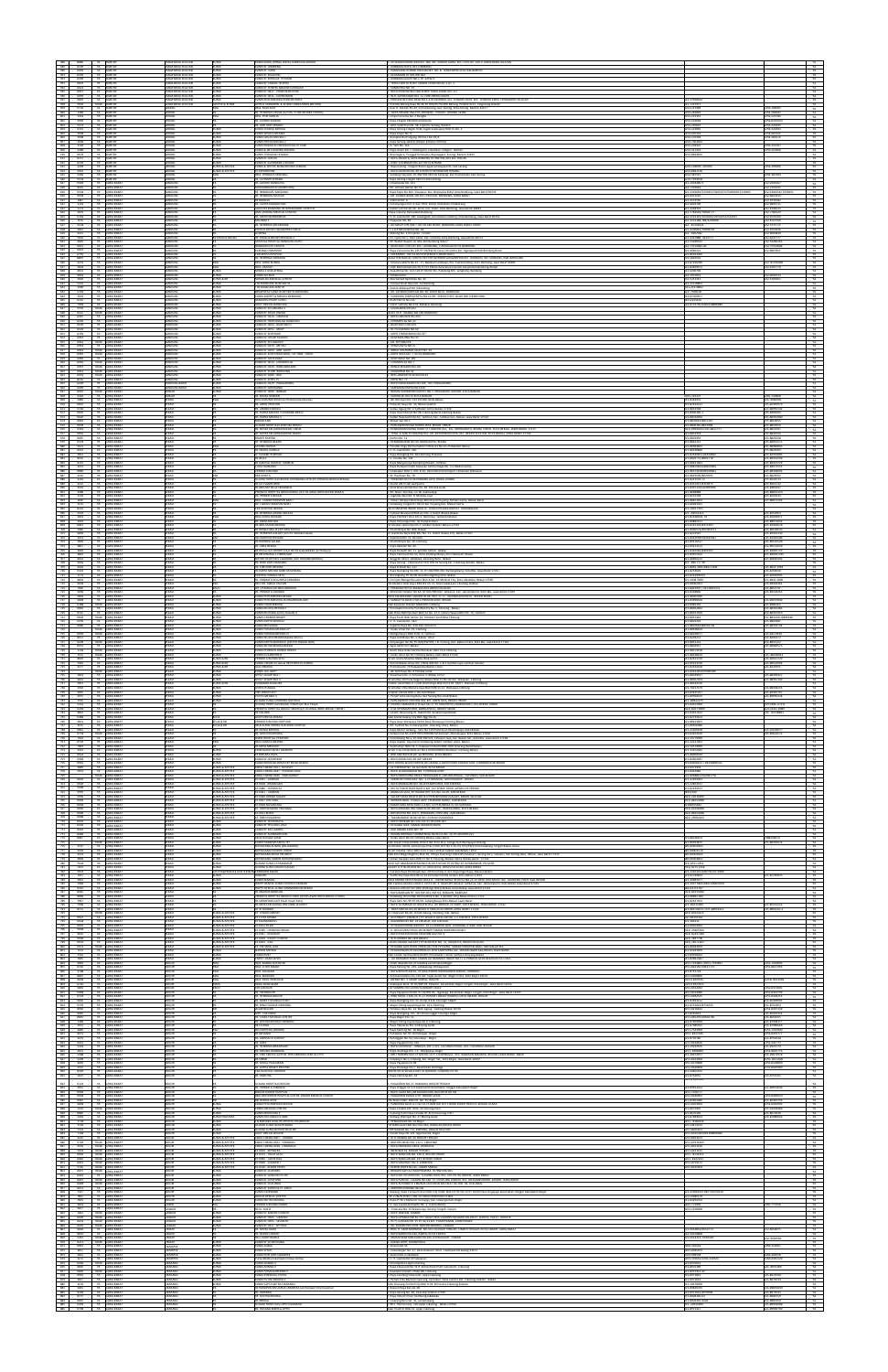|                                                                          | 588 8088 YA BANTEN<br>589 A199 YA BANTEN<br>A495 YA BANTEN                                                   |                                                  |                                                 | ANGERANG SELATAN<br>NGERANG SELATAM                           | KLINK<br>KLINK                                                           | CUNIK KIMIA FARMA WIDYA KAMPUNG SAWAH<br><b>UNIK KFJOMB</b><br>LINIK KF.TIARA                                                                       | JL. KI HAJAR DEWANTARA NO. 189, KEL SAWAH LAMA, KEC. CIPUTAT, KOTA TANGERANG SELATAN<br>MBANG RAYA, KEC JON<br>JL. PAMULANG PERMAI RAYA BLOK E NO. 8, TANGERANG SELATAN-BANTEN                                                                                                                                                                                          |                                                                                |                                                            | YA .<br>YA<br>YA .                                                  |
|--------------------------------------------------------------------------|--------------------------------------------------------------------------------------------------------------|--------------------------------------------------|-------------------------------------------------|---------------------------------------------------------------|--------------------------------------------------------------------------|-----------------------------------------------------------------------------------------------------------------------------------------------------|-------------------------------------------------------------------------------------------------------------------------------------------------------------------------------------------------------------------------------------------------------------------------------------------------------------------------------------------------------------------------|--------------------------------------------------------------------------------|------------------------------------------------------------|---------------------------------------------------------------------|
| $\begin{array}{r} 590 \\ 591 \\ 592 \end{array}$                         | <b>AS95</b><br>A599 YA BANTEN<br>A601 YA BANTEN                                                              | YA BANTEN                                        |                                                 | <b>IGERANG SELATAM</b><br>NGERANG SELATAM<br>INGERANG SELATAN | KLINK<br>KLINK                                                           | <b>LINIK KF KEDAUN</b><br>LINIK KFJNHOUSE TPI GRA<br><b>GUNIK KETAMAN TECHNO</b>                                                                    | KEUANGAN RT 001 RW 002<br>IL. JOMBANG ASTEK NO.1, RT.2/RW.4<br>JL. TEKNO WIDYA RUKO TAMAN TEKNO BLOK I 2 & I 3                                                                                                                                                                                                                                                          |                                                                                |                                                            | $\frac{YA}{YA}$                                                     |
| $\frac{593}{594}$<br>595<br>596                                          | A622 YA BANTEN<br>A957<br>A959                                                                               | YA BANTEN<br>YA BANTEN                           |                                                 | NGERANG SELATAI<br>INGERANG SELATAN<br>NGERANG SELATAN        | KLINK<br>KLINK<br>KLINK                                                  | LINIK KF.PONPES MADINATUNNAJA<br>KLINIK KF.0817 - PONDOK BETUNG<br>CLINIK KF.0011 - SUPRATMAN                                                       | JL. SUMATERA NO. 97<br>JL. RAYA PONDOK BETUNG KOMP. RUKO GIANT NO. 4-5<br>JL. W.R. SUPRATMAN NO. 72, CIBEUNYING KALER                                                                                                                                                                                                                                                   |                                                                                |                                                            | $\frac{YA}{YA}$<br>YA<br>YA                                         |
| 597<br>598<br>599                                                        | 2807 YA BANTEN<br>'1935 TIDAK BANTEN<br>0716                                                                 | YA BANTEN                                        |                                                 | INGERANG SELATAN<br>NGERANG SELATAN                           | <b>KLINK</b><br>APOTEK & KLINI                                           | KLINIK PERTAMEDIKA PONDOK RANJI<br>APOTIK FARMARIN & KLINIK FARMATAMA BINTARO<br>SIA. BUDI ASIH<br>RS. HERMINA CIRUAS (D/H RS. CITRA MEDIKA CIRUAS) | IL. PONDOK BETUNG RAYA NO.1 A RT02/RW04, KEL. PONDOK RAYA, KEC. PONDOK AREN, TANGERANG SELATAN<br>II. Pondok Betung Raya No.46 RT 001/05 Pondok Betung, Pondok Aren, Tangerang Selatan<br>Jl. Kyai H. Sokhari No.39, Sumurpecung, Kec. Serang, Kota Serang, Banten 42117<br>Jl.: RAYA SERANG KM.9 DS.RANJENG - CIRUAS- SERANG 42182                                     | 021-27658342<br>21-7357077<br>254-212484                                       | 254-208583                                                 | YA<br>YA<br>YA<br>YA                                                |
| 600<br>601<br>$602$<br>$603$                                             | '1489 YA BANTEN<br>1414<br>3993 YA BANTEN<br>1272 YA BANTEN                                                  | YA BANTEN                                        |                                                 | ERANG<br>ERANG<br>ERANG<br>ERANG                              |                                                                          | SIA. PURI GARCIA<br>RS. KURNIA SERANG<br>RS. SARI ASIH SERANG                                                                                       | II. Griya Purnama No. 2 Nangka<br>il. Raya Cilegon KM 08 Kramatwatu<br>Il. Jend. Sudirman No. 38, Cipocok, Serang, Banten                                                                                                                                                                                                                                               | 1254-281829<br>254-223333<br>0254-232648<br>0254-220022                        | 254-281845<br>254-223786<br>!54-8235050<br>!54-220345      | YA<br>YA                                                            |
| 604<br>$rac{605}{606}$                                                   | '0115 YA BANTEN<br>'1004 YA BANTEN<br>1008                                                                   | YA BANTEN                                        |                                                 | FRANC<br>SERANG                                               | KLINK<br><b>CLINIK</b>                                                   | UNIK SERANG MEDIK<br><b>CLINIK WISATA MEDIKA</b><br>UNIK IKHLAS MEDIKA                                                                              | II. Raya Serang Cilegon Ruko Legok Sukmajaya Blok SC No. 1<br>Jl. Raya Anyer No. 9<br>mplek Bumi Agung Permai1 No.D1/6                                                                                                                                                                                                                                                  | 254-223992<br>1254-605141<br>1254-207918                                       | 54-223992<br>254-605141<br>54-281676                       | YA<br>YA<br>YA .<br>YA                                              |
| $\frac{607}{608}$<br>609                                                 | '1009  YA BANTEN<br>'1126<br>'2389  YA BANTEN                                                                |                                                  |                                                 | SERANG<br>SERANG                                              | KLINK<br>KLINK                                                           | LINIK IKHLAS MEDIKA 2<br>CUNIK & RB CIGADING MEDIKA                                                                                                 | Jl. Raya Serang-Jakarta (Depan kampus Untirta)<br>Jl. Raya Anyer Km 7, Kubangsari, Ciwandan, Cilegon - Banten                                                                                                                                                                                                                                                           | 1254-7001824<br>0254-311323                                                    | 54-221397<br>254-310568                                    | YA<br>YA<br>YA                                                      |
| 610<br>611<br>$612$<br>$613$                                             | '8070<br>A157<br>A159                                                                                        | YA BANTEN                                        |                                                 | SERANG                                                        | KLINK                                                                    | <b>GUNIK KF.CIRUAS</b>                                                                                                                              | jonegara, Tunggak Kertasana, Bojonegara, Serang, Banten 4244<br>JL. RAYA JAKARTA, DESA RANJENG RT/RW 001/001 KEC CIRUAS                                                                                                                                                                                                                                                 |                                                                                |                                                            | YA<br>YA<br>YA                                                      |
| 614<br>615                                                               | 2392<br>'5915<br>"5285<br>5534                                                                               | YA BANTEN<br>YA BANTEN<br>YA BANTEN<br>YA BANTEN |                                                 | <b>ERANG</b><br>SERANG<br><b>SERANG</b>                       | KLINIK & APOTEK<br>LINK & APOTE                                          | CLINIK & APOTIK BONA MEDIKA SERANG<br>RSIA. PERMATA SERDANI<br>RS. FATIMAH SERANG                                                                   | JL. Raya Serang - Cilegon Ruko Legok Sukmajaya No. 5A1 Serang<br>VA CILEGON NO. 40 A RUKO D KEPANDEAN SERAN<br>Jl. Serdang Harjatani RT/RW 001/003 Ds Serdang, Kec Kramatwatu Kab Serang<br>II. Raya Serang Cilegon KM 3,5 Kota Serang                                                                                                                                  | 0254-228005/287684<br>0254-387515<br>1254-7913678                              | 254-205906<br>0254-387494                                  | YA<br>YA<br>YA                                                      |
| $\frac{616}{617}$<br>618<br>619                                          | 10303<br>0145 YA JAWA BARAT<br>10144 YA JAWA BARAT                                                           |                                                  | YA JAWA BARA                                    | WDUN<br>ANDUNG<br>NDUNG                                       |                                                                          | RS. ADVENT BANDUN<br>IUHAMMADIYAH (BAND<br>RS. IMMANUEL BANDUN                                                                                      | II. Cihampelas No. 161<br>II. KH. Ahmad Dahlan No 53                                                                                                                                                                                                                                                                                                                    | 022-2034386-9<br>22-7301062<br>022-5201656/52301                               | 22-2043167<br>22-7323545<br>22-5201656/ 52301              | YA<br>YA<br>YA<br>YA .                                              |
| 620<br>621<br>622                                                        | 10044 YA JAWA BARAT<br>1087 YA JAWA BARAT<br>1125                                                            |                                                  | YA JAWA BARAT                                   | NDUNG<br>NDUNG<br>ANDUNG                                      |                                                                          | S. HERMINA PASTEUR<br><b>RS BUNGSU</b><br>RS. CAHYA KAWALUYAN                                                                                       | Jl. Raya Kopo No.161, Situsaeur, Kec. Bojongloa Kidul, Kota Bandung, Jawa Barat 40233 .<br>Jl. DR. DJUNDJUNAN, NO.107, PASTEUR, BANDUNG, JAWA BARAT<br>Jl. Veteran No. 6<br>il. Parahyangan Km. 3, Kav. HOS, Komp. Kota Baru, Padalarang                                                                                                                                | 22-6072525<br>022-4231550<br>022-6803700                                       | 2-6037815<br>22-4231582<br>22-6803711                      | $\frac{YA}{YA}$<br>YA<br>YA                                         |
| 623<br>624<br>625                                                        | '1171 YA JAWA BARAT<br>1169<br>'0761 YA JAWA BARAT                                                           |                                                  | YA JAWA BARAT                                   | ANDUNG<br>WDUNG<br>WDUNG                                      |                                                                          | ANTOSA BANDUNG INTERNASIONAL HOSPITA<br>MC (ANNISA MEDICAL CENTER)<br>RS. SANTO BORROMEUS                                                           | II. Kebon Jati No.38, Kb. Jeruk, Kec. Andir, Kota Bandung, Jawa Barat 4018<br>I. Raya Cileunyi Rancaekek Bandung<br>Jl. Ir. H. Juanda No. 100, Lebakgede, Kecamatan Coblong, Kota Bandung, Jawa Barat 40132                                                                                                                                                             | 022-4248333<br>22-7781630/70804<br>122-2552115/2552002/255                     | 122-4248111<br>2-7781629<br>22-2533760                     | $\frac{YA}{YA}$                                                     |
| 626<br>627<br>628                                                        | 1515 YA JAWA BARA'<br>'1578 YA JAWA BARA'<br>1093<br>2221                                                    |                                                  | YA JAWA BARAT<br>YA JAWA BARAT<br>YA JAWA BARAT | ANDUNG<br>VDUNG<br>IANDUNG<br>IANDUNG                         |                                                                          | MELINDA 1<br>RS. HERMINA ARCAMAN<br>CHUSUS BEDAH HALMAHERA SIAGA<br><b>VISENA</b>                                                                   | II. Pajajaran No. 46<br>IL. AH.NASUTION, KM.7, NO.50 ANTAPANI, BANDUNG JAWA BARAT 40291<br>II. L.L.R.E Martadinata No. 28<br>1. Melong No. 170 Cijerah -                                                                                                                                                                                                                | 022-4222388,788/4209088<br>122 - 87242525<br>022-4206061/7085825<br>22.6062582 | 22-4215700<br>122-4216436<br>2.6000830                     | YA<br>YA<br>YA<br>YA                                                |
| 629<br>630<br>632                                                        | '2950 YA JAWA BARAT<br>3366<br>6391 YA JAWA BARAT                                                            | YA JAWA                                          |                                                 | <b>IANDUNG</b><br>BANDUNG                                     | RS KHUSUS BEDAH                                                          | RS. KHUSUS BEDAH MELINDA 2<br><b>BANDUNG EYE CENTER</b>                                                                                             | Jl. Dr. Cipto No.1, Pasir Kaliki, Kec. Cicendo, Kota Bandung, Jawa Barat 40171<br>Jl. KH Wahid Hasyim no 461-463 Bandung 40227<br>JL. BUAH BATU NO.147 KEC. LENGKONG, TURANGGA KOTA BANDUNG                                                                                                                                                                             | 022-4267888, 423377<br>022-73514682-83                                         | 122-4247777<br>122-73514684                                | YA<br>YA<br>YA                                                      |
| $rac{633}{634}$<br>635                                                   | 6364<br>A795<br>8869                                                                                         |                                                  | YA JAWA BARAT<br>YA JAWA BARAT                  | <b>ANDUNG</b>                                                 |                                                                          | <b>DELWEISS HOSPITAL</b>                                                                                                                            | Jl. Raya Cimareme No.235 RT 03/RW 01 Desa Cimareme Kec. Ngamprah Kab B.<br>JL. SOEKARNO - HATTA NO.550 SEKEJATI, BUAH BATU<br>JALAN TERUSAN AL FARTHU NO.9 RT02/RW08 SARILAMPING KEL. SOREANG, KEC SOREANG, KAB. BANDUI                                                                                                                                                 | 022-86023000                                                                   | 2-6867821                                                  | YA<br>YA<br>YA                                                      |
| 636<br>637<br>638                                                        | '4237<br>'1829 YA JAWA BARAT<br>4654                                                                         |                                                  | YA JAWA BARAT<br>YA JAWA BARAT                  | BANDUNG<br>NDUNG<br><b>IANDUNG</b>                            | <b>RSIA</b><br>KLINK                                                     | RSIA. GRHA BUNDA<br>RSIA, LIMUATI<br><b>MIRACLE ASIA AFRIKA</b>                                                                                     | Jl. Terusan Jakarta No.15 - 17, Babakan Surabaya, Kec. Kiaracondong, Kota Bandung, Jawa Barat 40281<br>Jl. LLRE Martadinata No 39, RT 03 RW 01 Kelurahan Citarum Kecamatan Bandung Weta<br>Jl. Asia-Afrika No. 122-124 RT 06/01 KEL. Paledang KEC. Lengkong, Bandung                                                                                                    | 022-87256789<br>122-84469472<br>022-4200706                                    | 022-87256000                                               | YA<br>YA<br>YA .                                                    |
| 639<br>640<br>641                                                        | 0958 YA JAWA BARAT<br>1568 YA JAWA BARAT<br>SS47 VA JAWA BARAT                                               |                                                  |                                                 | IANDUNG<br>BANDUNG<br>BANDUNG                                 | KLINK & RB<br><b>KLINK</b>                                               | <b>CUNIK AN-NUR</b><br><b>MONALISA MEDICAL CENTER</b><br>THC BANDUNG BUAH BATU                                                                      | Jl. Setiabudi 63<br>Jl. Mochamad Ramdhan No. 32<br>II. Terusan Buah Batu No. 33 Bandung                                                                                                                                                                                                                                                                                 | 022-2031922<br>022-5211311<br>121-21478802                                     | 022-2042213<br>122-5200162                                 | YA<br>YA<br>YA                                                      |
| 642<br>643<br>644<br>645                                                 | 5119 YA JAWA BARAT<br>'7661 YA JAWA BARAT                                                                    |                                                  |                                                 | WDUNG<br>ANDUNG<br>WDUNG<br>WDUNG                             | KLINK<br><b>KLINK</b><br>KLINK<br>KLINK                                  | THC BANDUNG SENTO'<br><b>BRAWUAYA CLINIC BUAH BATU BANDUNG</b><br>CUNIK AMERTTA MEDIKA BANDUN<br>ANDUNG HEART CLINI                                 | Jl. Sentot Alibasyah No 4 Bandung<br>JL: KH. ACHMAD DAHLAN NO. 40, BUAH BATU, BANDUNG<br>JL: CIJARUWA GIRANG RAYA NO.16 KEL. SEKEJATI KEC. BUAH BATU BANDUNG<br>II. BUAH BATU No.211                                                                                                                                                                                    | 021-21478802<br>22-7308104<br>122-87309357<br>8112224426                       |                                                            | YA .<br>$\frac{YA}{YA}$                                             |
| 646<br>647<br>648                                                        | 6742 YA JAWA BARAT<br>7964 YA JAWA BARAT<br>5978 TIDAK JAWA BARAT<br>6512 TIDAK JAWA BARAT                   |                                                  |                                                 | WDUNG<br>ANDUNG<br>NDUNG                                      | KUNK<br><b>KLINIK</b><br>KLINIK                                          | AUDY DENTAL BANDUNG<br>CLINIK KF.SULANJANA 4<br><b>GUNIK KF.DAGO UNPAD</b>                                                                          | II. Gatot Subroto No.47A, Malabar Bandung<br>IL. SULANJANA NO.4AT<br>JALAN. IR.H. JUANDA NO.248 BANDUI                                                                                                                                                                                                                                                                  | 022-87327952/08212080698                                                       |                                                            | YA<br>YA<br>$\frac{YA}{YA}$                                         |
| $rac{649}{650}$<br>$651$<br>$652$                                        | A497 YA JAWA BARAT<br>A500 YA JAWA BARAT<br>ASOS YA JAWA BARAT<br>AS29 YA JAWA BARAT                         |                                                  |                                                 | WDUNG<br>NDUNG<br>IANDUNG                                     | <b>KLINK</b><br>KLINK<br>KUNK                                            | QJINIK KF.0320 - CINUNUI<br>CUNIK KF.HEMODIALISA BAN<br>KLINIK KF.0043 - BUAH BATU                                                                  | JL. RAYA CINUNUK NO.192<br>IL. CIHAMPELAS NO.11<br>JL. BUAH BATU NO.259                                                                                                                                                                                                                                                                                                 |                                                                                |                                                            | YA<br>YA<br>$\frac{YA}{YA}$                                         |
| 653<br>$\frac{654}{655}$                                                 | AS39 YA JAWA BARAT<br>- 4941                                                                                 |                                                  | YA JAWA BARAT                                   | IANDUNG<br><b>MDUM</b>                                        | <b>KTIMIK</b><br><b>KLINK</b>                                            | LINIK KF.0051 - MOX<br>KLINIK KF.KOPOSARI<br><b>TINIK KE GEGER KALO</b>                                                                             | JL. IR. H. DJUANDA NO.69<br>JL. KOPO CIRANGRANG NO.527<br>GEGERKALONG NO.33                                                                                                                                                                                                                                                                                             |                                                                                |                                                            | <b>YA</b><br>YA                                                     |
| 656<br>657                                                               | A942 TIDAK JAWA BARAT<br>A943 YA JAWA BARAT<br>A944                                                          |                                                  | TIDAK JAWA BARAT                                | <b>ANDUNG</b><br>BANDUNG<br>IANDUNG                           | KLINK<br>KLINK<br>KLINK                                                  | <b>GJINIK KF.SETIABUDH</b><br>LINIK KF.0319 - METR<br>CLINIK KF.0204 - ABD. SALEH<br>LINIK KF.KOPO MIKO MALL / KF.0381 - KOPO                       | JL. DR. SETIABUDHI<br>JL. VENUS RAYA NO.27<br>JL. ABDUL RACHMAN SALEH NO. 39<br>JL. KOPO RAYA NO. 7, KOTA BAN                                                                                                                                                                                                                                                           |                                                                                |                                                            | YA .<br>YA<br>YA<br>YA                                              |
| 658<br>659<br>661                                                        | A945 TIDAK JAWA BARAT<br>A949<br>660 A950 TIDAK JAWA BARAT<br><b>A951</b>                                    |                                                  | YA JAWA BARAT<br>TIDAK JAWA BARAT               | <b>IANDUNG</b><br>BANDUNG<br>BANDUNG                          | KLINK<br>KLINK<br>KLINK                                                  | CLINIK KF.GEDE BAGE<br>LINIK KF.0014 - CIHAMPEL<br>CLINIK KF.0240 - RANCABOLANO                                                                     | JL. GEDE BAGE NO.159<br>JL. CIHAMPELAS NO.<br>JL. RANCA BOLANG NO. 60                                                                                                                                                                                                                                                                                                   |                                                                                |                                                            | YA .<br>YA<br>YA                                                    |
| 662<br>663                                                               | 4952<br><b>A953</b><br>664 8116 YA JAWA BARAT                                                                |                                                  | TIDAK JAWA BARAT<br>TIDAK JAWA BARAT            | IANDUNG<br>WDUNG<br>IANDUNG                                   | KLINK<br>KLINK<br>KLINK                                                  | LINIK KF. PLANT BANI<br>KLINIK KF.0289 - BKR<br><b>CLINIK KF.KOPO 75</b>                                                                            | IL. PAJAJARAN NO.42<br>JL. BKR LINGKAR SELATAN NO.87<br>JL. KOPO NO. 75                                                                                                                                                                                                                                                                                                 |                                                                                |                                                            | YA .<br>YA YA<br>YA                                                 |
| $-665$<br>$666$<br>667                                                   | A200<br>$-4499$<br>A667 TIDAK JAWA BARAT                                                                     |                                                  | YA JAWA BARAT<br>YA JAWA BARAT                  | <b>IANDUNG BARA</b><br><b>ANDUNG BARAT</b><br>RALW            | KLINK<br><b>KLINK</b><br>KLINK                                           | CLINIK KF.0429 - PADALARANO<br><b>CUNIK KF.SARIWANG</b><br>KLINIK KF.0606 - BANJAI                                                                  | JL. RAYA PADALARANG NO.506, KEC PADALARANG<br>IL. SARIWANGI RAYA NO. 1320<br>JL: BADAN KEAMANAN RAKYAT NO.5, MEKARSARI, BANJAR, KOTA BANJAR                                                                                                                                                                                                                             |                                                                                |                                                            | YA .<br>YA<br>YA                                                    |
| $668$<br>$669$<br>670<br>671                                             | 2310 YA JAWA BARAT<br>1989 YA JAWA BARAT<br>10847 YA JAWA BARAT<br>10766 YA JAWA BARAT                       |                                                  |                                                 | Raikai<br><b>IEKASI</b><br>BEKASI                             |                                                                          | RS. MITRA IDAMAN<br>RSIA KARUNIA KASIH (ex RSIA Karunia Bunda)<br>RS. ANNA PEKAYON                                                                  | JL. SUDIRO W. NO.57 KOTA BANJAR<br>Jl. Jati Waringin No. 133 Pondok Gede Bekasi<br>Jl. Pekayon Raya No. 36, Bekasi Selatan                                                                                                                                                                                                                                              | 265-742175<br>021-8461970<br>021-82432211                                      | 265-740808<br>21-8460991<br>21-82419079                    | YA<br>YA<br>$\frac{YA}{YA}$                                         |
| $\frac{672}{673}$<br>674                                                 | 10016 YA JAWA BARAT<br>10620 YA JAWA BARAT<br>0384 YA JAWA BARAT                                             |                                                  |                                                 | <b>IEKASI</b><br>BEKASI<br><b>IEKASI</b><br>BEKASI            |                                                                          | RS. ANANDA BEKASI<br>RS. KARYA MEDIKA I CIKARANG BARAT<br>RS. KARYA MEDIKA II<br>MEKAR SARI                                                         | II. Sultan Agung No.173, Medan Satria Bekasi 17133<br>Jl. Raya Imam Bonjol No.9B, Cikarang Barat, Cibitung Bekasi<br>II. Sultan Hasanudin No.63, Tambun, Kec. Tambun Sel., Bekasi, Jawa Barat 1751                                                                                                                                                                      | 021-8854338<br>021-8900190-1<br>121-88324366<br>021-8802641/881378             | 21-88950141<br>021-8903004<br>21-88361980<br>21-8810055    | YA<br>YA                                                            |
| 675<br>676                                                               | '0036 YA JAWA BARAT<br>0161 YA JAWA BARAT<br>10010 YA JAWA BARAT                                             |                                                  |                                                 | <b>IEKASI</b><br>BEKASI                                       |                                                                          | ILOAM HOSPITALS SENTOSA BEKASI<br>RS. MITRA KELUARGA BEKASI TIMUR                                                                                   | Jl. Mekar Sari No.1<br>Jl. PAHLAWAN NO.60 DUREN JAYA, BEKASI TIMUR<br>IL. PENGASINAN RAWA SEMUT RT.004/RW.012,, KEL. MARGAHAYU, BEKASI TIMUR, KOTA BEKASI, JAWA BARAT 17113<br>L. JEND. A.YANI RT.002/RW.011, KEL.KAYURINGIN JAYA, KEC. BEKASI SELATAN, KOTA BEKASI, JAWA BARAT 17144                                                                                   | 021-8806140,881496<br>021) 89999222;021-88177                                  | 121-8814950<br>21-8820707                                  | YA<br>YA<br>YA<br>YA                                                |
| 678<br>679<br>680                                                        | '0178 YA JAWA BARAT<br>5611                                                                                  |                                                  | YA JAWA BARAT                                   | BEKASI<br>BEKASI                                              |                                                                          | RS. MITRA KELUARGA BEKASI BARAT<br>BHAKTI KARTINI<br>RS. HERMINA BEKA<br>SAYANG BUNDA                                                               | II. Kartini No. 11<br>JL. KEMAKMURAN NO.39, MARGAJAYA, BEKASI<br>Jl. Pondok Lingu Permai Sektor V Blok A1 No 22-25 Babelan Bekasi                                                                                                                                                                                                                                       | 021-8853333<br>021-8801954<br>021-8842121<br>021-88983843                      | 121-8842550<br>121-8824228<br>021-88952275<br>021-88983844 | YA<br>YA<br>YA                                                      |
| 681<br>682<br>683                                                        | 0324 YA JAWA BARAT<br>1053<br>0410                                                                           |                                                  | YA JAWA BARAT<br>YA JAWA BARAT                  | BEKASI<br>BEKASI<br>BEKASI                                    |                                                                          | RS GRAHA JUANDA<br>St. ELISABETH BEKAS<br>RS BELLA                                                                                                  | Jl. Ir. H. Juanda No. 326<br>Jl. Raya Narogong No. 202, Kemang Pratama<br>II. Ir. Juanda No. 141                                                                                                                                                                                                                                                                        | 021-88346880<br>021-82430101-82432082<br>021-8801775/8801778                   | 021-8821004<br>021-82432083<br>121-88352506                | YA<br>YA<br>YA                                                      |
| 684<br>685<br>686                                                        | 0735<br>1123<br>0988 YA JAWA BARAT                                                                           |                                                  | YA JAWA BARAT<br>YA JAWA BARAT                  | BEKASI<br>BEKASI<br>BEKASI                                    |                                                                          | RS KARTIKA HUSADA TAMBUN<br><b>CITRA HARAPAN</b><br>PERMATA BUNDA                                                                                   | .II. Raya Mangunjaya Kampung Rukem, Tambun<br>.II. Raya Harapan Indah Kawasan Sentra Niaga No. 3-5 Medan Satria<br>Jl. Gramapuri Blok C-I No. 8-10, Perumahan Gramapuri Tamansari Wanasari                                                                                                                                                                              | 021-88327281<br>021-88870606/8887<br>021-88373158/8832800                      | 121-88322529<br>121-88975555<br>021-88328002               | YA .<br>YA<br>YA                                                    |
| 687<br>$rac{688}{689}$                                                   | 1216<br>'1261 YA JAWA BARAT<br>1122<br>1244 YA JAWA BARAT                                                    |                                                  | YA JAWA BARAT<br>YA JAWA BARAT                  | BEKASI<br>BEKASI                                              |                                                                          | RSB JUWITA<br>SILOAM HOSPITALS BEKASI SEPANJANG JAYA (RS HOSANA MEDICA BEKASI)<br>SJATI SAMPU<br>RS MAS MITRA JATIMAKMU                             | aan No. 78<br>JL. PRAMUKA NO.12 SEPANJANG JAYA, RAWA LUMBU<br>I. Studio ANTV Jati Sampurna<br>Jl. Kelurahan Jatimakmur No. 40, Pondok Gede                                                                                                                                                                                                                              | 021-8221570-72<br>121-84971766/8499902                                         | 1-8829592<br>121-8221574<br>21-8483047                     | YA<br>YA<br>YA<br>YA                                                |
| $\begin{array}{r} 690 \\ 691 \\ \hline 692 \end{array}$                  | $1486$<br>$1541$<br>1296 YA JAWA BARAT                                                                       |                                                  | YA JAWA BARAT                                   | BEKASI<br><b>IEKASI</b><br>BEKASI                             | <b>RSIA</b>                                                              | .<br>RIMAYA HOSPITAL BEKASI BARAT (d/h RS AWAL BROS BEKASI BARAT<br>RS. PERMATA BEKASI<br>RSIA. TAMAN HARAPAN BAR                                   | I. KH. Noer Alie Kav. 17-18, Kalimalang<br>II. Legenda Raya No. 9, Mustika Jaya<br>II. Taman Harapan Baru Raya Blok R1/20 Pejuang, Medan Satria, Bekasi Barat                                                                                                                                                                                                           | 1-8868888<br>021-8254748<br>021-88871202                                       | 1-88855210<br>121-8251919<br>21-88871203                   | YA<br>YA .<br>YA                                                    |
| $rac{693}{694}$<br>695<br>696                                            | 1576<br>8122 YA JAWA BARAT<br>1553                                                                           |                                                  | YA JAWA BARAT<br>YA JAWA BARAT                  | <b>IEKASI</b><br>EKASI<br><b>IEKASI</b><br>BEKASI             |                                                                          | RS. TAMAN HARAPAN BAI<br>EKA HOSPITAL BEKAS<br>RS. HERMINA GRAND W                                                                                  | Jl. Kaliabang Tengah RT 04/23 Kel. Pejuang Kec. Medan Satria<br>KOTA HARAPAN INDAH BLOK 12 - 9 NO.9 PUSAKA RAKYAT, TARUMAJAYA<br>I. Festival Boulevard Blok JA I No. 1 Grand Wisata Bekasi                                                                                                                                                                              | 021-88981055<br>121-5093 5555<br>121 - 8265121.                                | 21-8252963                                                 | YA<br>$\frac{YA}{YA}$                                               |
| 697<br>698<br>699                                                        | 1304 YA JAWA BARAT<br>1334 YA JAWA BARAT<br>0063                                                             |                                                  | YA JAWA BARAT                                   | <b>IEKASI</b><br>EKASI                                        |                                                                          | RSIA PUSPA HUSADA<br>RS. ANNA MEDIKA<br>RS MULTAZAM MEDIKA                                                                                          | Jl. Raya Pondok Timur Km.1, Jatimulya, Tambun Selatan<br>II. Raya Perjuangan No. 45 Harapan Baru<br>erumahan Jatimulya No 1 Tambun Selatan Bekasi 17510                                                                                                                                                                                                                 | 021-82618978, 79<br>021-88882211<br>21-8215101/82151                           | 121-82618977<br>21-88973042<br>21-82416678                 | YA<br>YA<br>YA<br>YA                                                |
| 700<br>701<br>$\frac{702}{703}$                                          | 1586 YA JAWA BARAT                                                                                           |                                                  |                                                 | IEKASI<br>BEKASI                                              |                                                                          | RS BUNDA MULIA (d/h RSIA Sritina<br>RS. HERMINA GALAXY (d/h RS. Medika Galax<br>IS RIDHOKA SALMA                                                    | Jl. Imam Bonjol No. 80A, Bekasi<br>In. Gardenia Raya Blok BA I No. 11. Grand Galaxy City. Bekasi 17147<br>Jl. Swantara No. 72, Jati Asih<br>Jl. Imam Bonjol No. 10, Cibitung                                                                                                                                                                                            | 021-8900579/891063:<br>121-8222525<br>021-82435585/82435<br>21-8911652         | 21-89106633<br>121-82414130<br>21-82435586<br>21-89116528  | YA<br>YA<br>YA                                                      |
| 704<br>$\frac{705}{706}$                                                 | 1807 YA JAWA BARAT<br>1640 YA JAWA BARAT<br>1842 YA JAWA BARAT                                               |                                                  |                                                 | BEKASI<br><b>FKASI</b>                                        |                                                                          | S TIARA BEKASI<br>RS HELSA JATI RAHAYU (d/h RS Persada Medika Jati Rahayu)<br>S MEDIROSSA 2 CIBARUSAH                                               | I. Raya Babelan No. 63<br>Jl. Raya Hankam No. 17, pondok melati - Bekasi<br>il. Raya Cibarusah No.05, Desa Sindang Mulya, Kec Cibarusah, Bekas                                                                                                                                                                                                                          | 121-8913111<br>021-8462566/846256                                              | 21-8913203<br>021-84992723<br>21-899952355                 | YA<br>$\frac{YA}{YA}$                                               |
| 707<br>708<br>$\frac{709}{710}$                                          | 2454 YA JAWA BARAT<br>2061<br>"1062 YA JAWA BARAT                                                            |                                                  | YA JAWA BARA'                                   | BEKASI<br>BEKASI                                              |                                                                          | METRO HOSPITALS CIKARANG (d/h HOSANA MEDIKA)<br>RS RUDLASIH CIKARAI<br>RS. CIBITUNG MEDIKA                                                          | Jl. Anggrek I B2/2, Jababeka, Cikarang Baru, Bekasi<br>Raya Serang - Cibarusah RT 01/RW 01 Serang kec. Cikarang Sela<br>Jl. Raya H Bosih No. 117                                                                                                                                                                                                                        | 121-89895223<br>121.89677795<br>021-8839 3181/8832 3444                        | 121-89830442<br>021-8832 3449                              | YA<br>YA .                                                          |
| 711<br>$\frac{712}{713}$                                                 | 0147<br>1771 YA JAWA BARAT<br>'4815                                                                          |                                                  | YA JAWA BARAT                                   | BEKASI                                                        |                                                                          | KARTIKA HUSADA SETU                                                                                                                                 | .<br>Raya Narogong No.KM. 11, RT.002/RW.010, Bantargebang, Kota Bks, Jawa Barat 17151<br>Jl. Burangkeng RT 01/06 Desa Burangkeng Setu, Bekasi<br>no Blok A No. 1A Medical City, Kota                                                                                                                                                                                    | 021-82610003/4<br>$-2908335$                                                   | 121-82610005                                               | YA<br>YA<br>YA                                                      |
| 714<br>715                                                               | '2036 YA JAWA BARAT<br>7066<br>"1090<br>2802                                                                 |                                                  | YA JAWA BARA'<br>YA JAWA BARAT<br>YA JAWA BARAT | BEKASI<br>BEKASI<br>BEKASI                                    |                                                                          | <b>ISU. DR. IQBALI TAUFAN</b><br>RS. PERMATA CIBUBUR<br>LINIK PERTAMEDIKA BI                                                                        | Vila Mutiara Cikarang 2 Blok B1 no. 27, Desa Sukasejati, Cikarang Selatan<br>AYA BEKASI SELATAN<br>MMUKA NO.SS MAP<br>Jl. Alternatif Cibubur No.6A, RT.001/RW.002, Jatikarya, Kec. Jatisampurna, Kota Bks, Jawa Barat 17435<br>RUKO KALIMALANG SQUARE BLOK J NO. 17, JL. KALIMALANG RAYA - BEKASI BARA                                                                  | 021-89002361<br>21-8841005 /<br>021-8458806<br>21-8896294                      | 021-89902361<br>021-84594263                               | YA<br>YA<br>YA                                                      |
| $\frac{716}{717}$<br>718<br>719                                          | 2803<br>0188 TIDAK JAWA BARAT<br>'0887 YA JAWA BARAT                                                         |                                                  | YA JAWA BARAT                                   | <b>IEKASI</b><br>BEKASI<br>BEKASI                             | KLINK<br><b>KLINK</b><br>KLINK                                           | (LINIK PERTAMEDIKA JATI)<br><b>CLINIK FAJAR MEDIKA</b><br>GJINIK MULYA MEDIKA II                                                                    | JL. SANGATTA BLOK 1 NO.1 PONDOK GEDE, BEKASI<br>Ruko Kawasan Industri MM2100, Cibitung<br>Jl. Perumahan Grama Puri Blok D1 No. 5, Gbitung - Bekasi                                                                                                                                                                                                                      | 021-84990644<br>121-8981162<br>021-88362481                                    | 21-84970944<br>21-8981162<br>21-88362481                   | $\frac{YA}{YA}$<br>YA<br>YA                                         |
| 720<br>721<br>722                                                        | 0715 YA JAWA BARAT<br>'0843 TIDAK JAWA BARAT<br>0250                                                         |                                                  | YA JAWA BARAT                                   | FKASI<br>BEKASI<br>BEKASI                                     | KLINK<br>KLINK<br><b>KLINK</b>                                           | LINIK MUTIARA I(Citra Husad<br>(LINIK DHARMA BHAKT<br>CUNIK KARYA MEDIKA                                                                            | Ruko Plaza Metropolitan Blok A1 No. 14 Jl. Sultan Hasanuddin No. 14, Tambun<br>Jl. Raya Kosih Blok A4 No. 23, Pondok Tanah Mas Cibitung<br>II. Ir. H. Juanda No. 38 C                                                                                                                                                                                                   | 21-88337919<br>021-8831441<br>121-8801293                                      | 21-88337919<br>21-8831441/883<br>121-8800381               | YA<br>YA<br>$\frac{YA}{YA}$                                         |
| 723<br>724<br>725                                                        | 0588<br>1950 TIDAK JAWA BARAT                                                                                |                                                  | YA JAWA BARAT<br>TIDAK JAWA BARAT               | BEKASI<br>EKASI<br>BEKASI                                     | KLINK<br><b>KLINK</b><br>KLINK                                           | CLINIK MELVIANA<br>LINIK HOSANA MEDIKA III<br>KLINIK HOSANA MEDIKA IV                                                                               | Jl. Saparua Raya No. 239-240, Perum III<br>II, Teuku Umar No. 19, Cibitung<br>Jl. Mangunjaya I Blok A No. 6, Tambun                                                                                                                                                                                                                                                     | 021-8807610/88354<br>21-88338414<br>021-88328577                               | 121-88354744<br>021-832-0349                               | YA<br>YA                                                            |
| $\frac{726}{727}$<br>728<br>729                                          | 0151 YA JAWA BARAT<br>0294 TIDAK JAWA BARAT<br>0974<br>1136                                                  |                                                  | YA JAWA BARAT                                   | BEKASI<br><b>IEKASI</b><br>BEKASI<br>RFKASI                   | <b>KLINK</b><br>KLINK<br><b>KTIMIK</b><br>KUNK                           | CLINIK MULYA MEDIKA/Apotik Mi<br>KLINIK KARYA MEDIKA III (APOTIK MEKAR ASRI)<br>CLINIK MITRA MEDIKA BEKASI<br>CUNIK PERMATA BUNDA BEKA              | II. Raya Jati Mulya No. 1, Bekasi Timu<br>il. Perjuangan No.30, RT.003/RW.003, Tik. Pucung, Kec. Bekasi Utara, Kota Bks, Jawa Barat 17123<br>I. Agus Salim 52 F Bekasi<br>I. Bosh Raya Ruko Kartika Wanasari Blok C1/4 Cibitung                                                                                                                                         | 21-8203272<br>121-8851152<br>21-8802457<br>21.88373158                         | 21-8203272<br>121-8851152<br>21-89983575                   | YA<br>YA<br>YA<br>YA                                                |
| $730$<br>731<br>732                                                      | 7674 TIDAK JAWA BARAT<br>0819<br>7045                                                                        |                                                  | YA JAWA BARA'<br>YA JAWA BARAT                  | BEKASI<br>BEKASI                                              | KLINK<br>LINK & RE<br>KLINK & RB                                         | KLINIK Dr SANDERS B<br>CUNIK UMUM 24 Jam & RB PERMATA BUNDA                                                                                         | Jl. Teulu umar No 19, Cibitung Bekasi, Jawa Barat 17520<br>Jl. Perum Bekasi Griya Asri 2 Blok A04 No. 1 & 2 Sumber Jaya Tambun Selatan                                                                                                                                                                                                                                  | 021-88338414<br>021-89523740                                                   | 121-88338413<br>021-89523994                               | YA<br>YA<br>YA                                                      |
| $\frac{733}{734}$<br>$\frac{735}{736}$                                   | 1277<br>1203                                                                                                 |                                                  | TIDAK JAWA BARAT<br>YA JAWA BARAT               | BEKASI                                                        | LINK & RE<br><b>CLINIK</b>                                               | CUNIK JATI ASIH*                                                                                                                                    | Jl. Jati Asih Raya No. 8 Pondok Gede<br>II. Nusantara No. 2, Perumnas 3, Bekasi Tir                                                                                                                                                                                                                                                                                     | 021-82431104/94                                                                | 121-88349427                                               | YA<br>YA<br>YA                                                      |
| $\frac{737}{738}$                                                        | 1204<br>1051<br>1558                                                                                         |                                                  | YA JAWA BARAT<br>YA JAWA BARAT<br>YA JAWA BARAT | BEKASI<br>BEKASI                                              | KLINK<br>KLINK & RB<br>KLINK                                             | EHAT SEIAHTERA II<br>LINIK&RB ANGELIK<br>ASYIFA HUSADA                                                                                              | Perumahan Permata Regency Bekasi Blok F1 No. 85 Kel. Wanasari, Cibitung<br>.<br>Pondok Tanah Mas Jl. Lurah Bosih Raya Blok E5/12 Rt. 03/07, Wanasar<br>Perumahan Villa Mutiara Jaya Blok N78/11-12. Wanajaya Cibitung                                                                                                                                                   | 021-88367194<br>021-70217179                                                   | 021-88367194<br>021-88338235                               | YA<br>YA<br>YA                                                      |
| 739<br>740<br>741<br>742                                                 | 1595<br>2975<br>7515<br>'5221 YA JAWA BARAT                                                                  |                                                  | YA JAWA BARAT<br>YA JAWA BARAT<br>YA JAWA BARAT | BEKASI<br>BEKASI<br>BEKASI                                    | KLINK<br>KLINK<br><b>KLINK</b>                                           | VNV MEDIESTET<br>UTRA MEDIKA 3<br>ILOAM CLINIC CHANDRA SENTOSA<br>SILOAM HOSPITALS BEKASI TIMUR d/h BLU PLAZA                                       | Komplek Pemda Blok C Jati Asih Bekasi<br>JL, Perum Kota Serang Baru, Kec Serang Baru Kab Bekasi<br>JL. PAHLAWAN RT 002 RW 001, KEL. AREN JAYA, BEKASI TIMUR                                                                                                                                                                                                             | 021-82435767<br>021-89950333<br>021-89842275                                   | 021-82435767<br>021-89950334<br>021) 806 11 911            | YA<br>YA<br>YA                                                      |
| 743<br>744<br>745                                                        | 6250<br>4693 YA JAWA BARAT<br>6386                                                                           |                                                  | YA JAWA BARAT<br>YA JAWA BARAT                  | BEKASI<br>BEKASI<br>BEKASI<br>EKASI                           |                                                                          | RIMAYA HOSPITAL BEKASI TIMUR (d/h RS AWAL BROS BEKASI TIMUR)<br><b>RS CIKUNIR</b><br>UDY DENTAL BEKAS                                               | 8. CHAIRIL ANWAR BLU PLAZA NO.27 RT.004/009 KEL MARGAHAYU, KEC BEKASI TIMUR<br>L. H.M JOYOMARTONO, MARGAHAYU, BEKASI TIMUR<br>Jl. Cikunir Raya Gang Hj. Napiah No. 8 Jakamulya Bekasi<br>Ruko Grand Galaxy City Blok Rgg No 26                                                                                                                                          | 021-80611900<br>021) 8267 9999<br>021-82437322<br>21-82733123                  | 021) 8267 8989<br>121 - 82738891                           | YA .<br>YA<br>YA .                                                  |
| 746<br>747<br>748                                                        | 2461 YA JAWA BARAT<br>1415 YA JAWA BARAT<br>5902 YA JAWA BARAT                                               |                                                  |                                                 | BEKASI<br>BEKASI<br>BEKASI                                    | Klinik & RB<br>Klinik & RB                                               | PERMATA BUNDA CIBITUN<br>RB & KLINIK PERMATA BUNDA FUDHOLI<br>RS SATRIA MEDIKA                                                                      | Jl. Raya Desa Wanajaya 01/04 Desa Wanajaya Cibitung Bekasi<br>Jl. KH. Fudholi No 11 Karang Asih, Cikarang Utara, Bekas<br>Jl. Raya Bantar Gebang - Setu No 119 Padurenan Mustikajaya, Kota Bekasi                                                                                                                                                                       | 021-88323062<br>21-89106080<br>21-22105678                                     | 121-22105677                                               | $\frac{YA}{YA}$<br>YA<br>YA                                         |
| $\frac{749}{750}$<br>751                                                 | 16753 TIDAK JAWA BARAT<br>17025 YA JAWA BARAT<br>6714 YA JAWA BARAT<br>7069 YA JAWA BARAT                    |                                                  |                                                 | BEKASI<br>BEKASI<br>BEKASI                                    | <b>RSIA</b>                                                              | RS. MUSTIKA MEDIKA<br>OMNI HOSPITAL PEKAYO<br>RSIA CAHAYA MEDIKA                                                                                    | Ji. Kelapa Dua No.110 RTO07/RW008 Pandurenan, Mustikajaya, Kota Bekasi 17156<br>Ji. Pulo Ribung No.1, RT.001/RW.021, Pekayon Jaya, Kec. Bekasi Sel., Kota Bks, Jawa Barat 17148                                                                                                                                                                                         | 21-82622530<br>121-29779999<br>021-22137302                                    | 21-82623572                                                | $\frac{YA}{YA}$<br>$\frac{YA}{YA}$                                  |
| 752<br>$753$<br>$\frac{754}{755}$                                        | 1343 YA JAWA BARAT<br>'6022<br>'6969 YA JAWA BARAT                                                           |                                                  | YA JAWA BARAT                                   | BEKASI<br>RFKASI<br>BEKASI                                    | <b>KTIMIK</b><br>KUNK<br><b>LINK</b>                                     | IS GRHA MM210<br>CEMERLANG SEHAT MANDIR<br><b>CE RUNTARA RAYA</b><br><b>GJINIK KEJATIMEKAF</b>                                                      | Jl. Raya Jejalen Jaya No 47 Kampung Kebon Tambun utara, Bekasi<br>Jl. Kalimantan Blok CB-1, Kawasan Industri MM 2100 Cikarang Barat Bekasi<br>Perum Trias Estate Blok A2 No.2 RT004/RW19 Wanasari, Cibitung Bekasi<br>IL. BINTARA RAYA BLOK. 1A BINTARA, KOTA BEKASI<br>JL. RAYA KODAU NO.39 JATI MEKAR                                                                 | 21-5057099<br>121-22162585<br>1.88969549<br>021-84902387                       |                                                            | YA<br>YA<br>YA                                                      |
| 756<br>757<br>758                                                        | A925<br>2689<br>'1951                                                                                        |                                                  | YA JAWA BARAT<br>YA JAWA BARAT<br>YA JAWA BARAT | BEKASI<br>BEKASI                                              | KLINIK & APOTEK<br>KLINIK & APOTER                                       | KLINIK MEDIKIDS BEKASI BY MHDC BEKASI<br>OMIA FARMA 0367- JATIASIH<br>OMIA FARMA 0387 - PONDOK G                                                    | RUKO GRAHA BOULEVARD BLOK GB-BOB JL BOULEVARD AHMAD YANI, SUMMARECON BEKASI<br>JL. JATI MEKAR NO. 3A JATIASIH, KOTA BEKASI<br>JL. RAYA JATIWARINGIN NO. 5 PONDOK GEDE                                                                                                                                                                                                   | 021-89460123 / 0811890553<br>021-8473403                                       |                                                            | YA<br>YA<br>YA                                                      |
| 759<br>760<br>761                                                        | '6019 YA JAWA BARAT<br>16020                                                                                 |                                                  | TIDAK JAWA BARAT<br>YA JAWA BARAT               | BEKASI<br>BEKASI<br>BEKASI                                    | KLINIK & APOTEK<br><b>CLINIK &amp; APOTEK</b><br>KLINIK & APOTEK         | OMIA FARMA 0446 - NAROGONG<br>0F.0591 - ZAMRUD<br>KF.0618 - KRANGGAN                                                                                | JL. RAYA NAROGONG KM14 PANGKALAN 8, LIMUSNUNGGAL, CILEUNGSI, KAB.BOGOR<br>JL. ZAMRUD UTARA KAV. NO. 1-2 CIMUNING, MUSTIKAJAYA - BEKASI<br>JL. RAYA KRANGGAN NO. 38 JATISAMPURNA, KOTA BEKASI                                                                                                                                                                            | 021-80488122/82483778<br>021-22105041<br>021-22853327                          |                                                            | YA .<br>YA<br>YA                                                    |
| 762<br>763<br>764                                                        | '5999 YA JAWA BARAT<br>"5997<br>5995                                                                         |                                                  | YA JAWA BARAT<br>YA JAWA BARAT                  | BEKASI<br>BEKASI<br>BEKASI                                    | <b>CLINIK &amp; APOTEK</b><br>KLINIK & APOTEK<br>KLINIK & APOTEK         | CF.0486 - JATIMULYA<br>KF.0461 - TAMBUN<br>KF.0400 GRAND GALAXY                                                                                     | JL: DELTA TIMUR RAYA BLOK A NO. 147 KOMP. RUKO JATIMULYA PERMA<br>JL. MANGUN JAYA, KP.RUKEM RPC 115 NO. 94-95, KAB.BEKASI<br>JL. GALAXY RAYA BLOK B 301 B-D PERUM GRAND GALAXY, BEKASI SELATAN                                                                                                                                                                          | 021-82436521<br>88322566<br>(021) 22016499                                     |                                                            | YA .<br>YA YA<br>YA                                                 |
| 765<br>766<br>767                                                        | 16003<br>6004 YA JAWA BARAT                                                                                  |                                                  | YA JAWA BARAT                                   | BEKASI<br>BEKASI<br>BEKASI                                    | KLINIK & APOTEK<br>KLINIK & APOTE<br>KLINIK & APOTEK                     | KF.0507 CIBITUNG<br>CF.0508 NUSANTAR<br>KF. 0509 KEMANG PRATAM                                                                                      | JL. IMAM BONJOL TELAGA ASIH, CIKARANG BARAT, KAB.BEKASI<br>L.NUSANTARA RAYA BLOK A 4 NO. 10 PERUMNAS III, KOTA BEK<br>JL. RAYA KEMANG PRATAMA BLOK AM 02C, RAWALUMBU, KOTA BEKAS                                                                                                                                                                                        | (021) 88334048<br>(021) 82436008                                               |                                                            | YA .<br>YA.<br>YA                                                   |
| $\frac{768}{769}$<br>$\frac{770}{771}$                                   | 6005 YA JAWA BARAT<br>6008 YA JAWA BARAT<br>6970 YA JAWA BARAT<br>AS26 YA JAWA BARAT                         |                                                  |                                                 | BEKASI<br>BEKASI<br>BEKASI<br>EKASI                           | KLINIK & APOTEK<br>KLINIK & APOTEK<br><b>KLINIK</b><br>KLINIK            | F.0551 BOSIH<br>KF. 0583 PASADENA<br><b>JUNIK KE JATIRAHAYU</b><br>LINIK KF.PEJUANG JA                                                              | IL. BOSIH RAYA NO. 8 D-E, WANASARI, CIBITUNG - KAB BEKASI<br>JL. TARUM BARAT BLOK Q1 NO. 23 RUKO PASADENA<br>IL. RAYA HANKAM NO.130-131 RT.001/RW.007                                                                                                                                                                                                                   | (021) 88334048<br>(021) 29082624                                               |                                                            | YA<br>YA<br>$\frac{YA}{YA}$                                         |
| $\frac{772}{773}$                                                        | AS43 YA JAWA BARAT<br>A684 YA JAWA BARAT<br>0987 YA JAWA BARAT                                               |                                                  |                                                 | BEKASI<br>EKASI<br>BEKASI                                     | <b>KLINIK</b><br>KLINIK                                                  | KLINIK KF KALI ABANG<br>LINIK KF.SUMMARECO<br>Klinik Harapan Sehat                                                                                  | IL. PEJUANG JAYA TAMAN HARAPAN BARU<br>JL, KALI ABANG RAYA NO. 99<br>JL: RUKAN EMERALD COMMERCIAL BLOK UA NO. 20, RT.004/RW.011<br>Jl. Teulu umar No 33, Cibitung Bekasi, Jawa Barat                                                                                                                                                                                    | 121-88336674                                                                   | 188336674                                                  | $\frac{YA}{YA}$<br>YA                                               |
| $\frac{774}{775}$<br>$\frac{776}{777}$                                   | 2515 YA JAWA BARAT<br>2539 YA JAWA BARAT<br>2513 YA JAWA BARAT                                               |                                                  | TIDAK JAWA BARAT                                | <b>IEKASI</b><br>BEKASI                                       | <b>KUNK</b><br>KUNK<br><b>KLINK</b>                                      | (LINIK HARAPAN SEHAT<br>MITRASANA ALINDA (KALIABANG                                                                                                 | Ruko Green Emerald Blok R No 9 dan R no 10 jl. Telaga Asih Wanajaya Cibitung<br>perumahan Alinda, kencana permai 1 blok M 1 No.3-3A Lt1 RT3/RW21 Kel Kaliabang Tengah Bekasi Utar                                                                                                                                                                                       | 021-88393875<br>185100629065                                                   | 21-88336674                                                | YA<br>$\frac{YA}{YA}$                                               |
| 778<br>779<br>780                                                        | 2508 YA JAWA BARAT<br>7642                                                                                   |                                                  | YA JAWA BARAT                                   | BEKASI<br>BEKASI                                              | <b>KTIMIK</b><br>KLINK                                                   | MITRASANA PONDOK TIMUF<br>MITRASANA MEGA REGENCY<br>IITRASANA TAMAN HARAPAN<br>SILOAM CLINIC JATIMAKMUR                                             | Perum Pondok Timur Blok G no 1 Kec Tambun selatan kab Bekasi Timur<br>Ruko Kota Mega Regency Blok A9, Jl Raya Cikarang Cibarusah,Sukarsari, Serang baru, Sukasari, Kec Serang Baru, Bekasi, Jawa Barat 17331<br>il Taman harapan baru Blok E7 No 9, Pejuang, Medan Satria, Bekasi Barat - 1.<br>RUKO JATI MAKMUR RESIDENCE BLOK A NO.06 RT.01/RW.20 JATIMAKMUR, PD.GEDE | 185100822510<br>185100326665<br>185100418827<br>021) 8551 0351                 |                                                            | <b>YA</b><br>YA<br>YA .                                             |
| 781<br>782<br>783<br>784                                                 | 7837 YA JAWA BARAT<br>"1937<br>7647<br>1962 YA JAWA BARAT                                                    |                                                  | YA JAWA BARAT<br>YA JAWA BARAT                  | BEKASI<br>BEKASI<br>BEKASI<br>BEKASI                          | APOTEK&PRAKTEK DOKTER BERS FARMARIN BEKASI<br>KLINK<br>KLINK             | SILOAM CLINIC GRAND GALAX'<br>CLINIK KEMALA                                                                                                         | GALAXY CITY BLOK RGB NO. 17, JAKA SETIA, BEKASI SELATAN, JAWA BARAT<br>Jl. Gurame Raya Pertokoan Kav. 29 Perumnas II, Kel. Kayuringin Raya, Bekasi Selatan<br>II. Yudhistira Raya Blok B6 no 61 komplek Pemda Jatiasih Kota Bekasi 17423<br>RUKO GRAND ARTHA NIAGA RAYA JL. TARUM BARAT BLOK 02 NO.23-24 DESA JAYA MUKTI Kec. CIKARANG PUSAT Kab. BEKASI                | (021) 8275 2258<br>021-22101321/08778 311 5989<br>021-82740833<br>021-29083377 | 021-82740833                                               | YA<br>YA<br>YA<br>YA                                                |
| 785<br>786<br>787                                                        | 7981<br>"8107<br>8026                                                                                        |                                                  | YA JAWA BARAT<br>YA JAWA BARAT<br>YA JAWA BARAT | BEKASI<br>BEKASI<br>BEKASI                                    | KLINK<br>KLINK                                                           | HAPPY DENTAL CLINIC CIPUTRA CIBUBUR<br>HAPPY DENTAL CLINIC SUMMARECON BEKAS<br>S ANANDA BABELAN                                                     | Mall Ciputra Cibubur lantai 2, Unit S-02, Jl. Alternatif Cibubur, Jatikarya, Kec. Jatisampurna, Kota Bekasi Jawa Barat 17435<br>Jl. Bulevar Ahmad Yani Blok M Marga Mulya Bekasi Utara Bekasi Jawa Barat 17142<br>L. RAYA BABELAN RT. 002 RW.001, KM 9,6, KEBALEN, BABELAN                                                                                              | 021-2937 6835/0812 8380 9970<br>082121711787<br>021) 89234000                  |                                                            | YA<br>YA<br>YA                                                      |
| $\frac{788}{789}$<br>$-790$<br>$-791$                                    | '8083 YA JAWA BARAT<br>7997<br>'7906 YA JAWA BARAT                                                           |                                                  | YA JAWA BARAT                                   | BEKASI<br>BEKASI<br>BEKASI                                    |                                                                          | PRIMAYA HOSPITAL BEKASI UTARA (d/h RS AWAL BROS BEKASI UTARA)<br>RS UNIMEDIKA (d/h Kasih In<br>RS MITRA KELUARGA PRATAMA JATIASIH                   | Jl. Kaliabang Villa Indah Permai Blok G No. 1 (Golden City) Bekasi Utara 17121<br>II. Raya Setu No. 99 RT.03/01, Lubangbuaya Setu-Bekasi, Jawa Barat<br>JL. RAYA JATIMEKAR RT.001/RW.012, JATIMEKAR, JATIASIH, KOTA BEKASI, JAWA BARAT 17422                                                                                                                            | 021-88892 000<br>121-8262759<br>021-8551100                                    | 21-85511222                                                | YA<br>YA<br>YA                                                      |
| 792<br>793<br>794                                                        | 0173<br>6027 YA JAWA BARAT<br>6028 YA JAWA BARAT                                                             |                                                  | YA JAWA BARAT                                   | EKASI<br>BEKASI<br>EKASI                                      | KLINIK & APOTEK<br>KLINIK & APOTEK                                       | ETO HASBADI<br>KF. LEMAH ABANG'<br>KF CITRA GRAND                                                                                                   | L. RAYA SEROJA NO.19 BEKASI UTARA KOTA BEKASI JAWA BARAT 17124<br>Jin. Gbarusah No.20, Lemah Abang, Gkarang, kab. Bekasi<br>JL. ALTERNATIF CIBUBUR CITY WALK III BLOK CW NO. 1-2 CIBUBUR, KOTA BEKASI                                                                                                                                                                   | 21-889 58674 / 021-<br>(021) 89324175<br>'021 84305162                         | 21-8866141-2                                               | YA<br>YA<br>YA                                                      |
| 795<br>796<br>797                                                        | 6007 YA JAWA BARAT<br>5994 YA JAWA BARAT<br>3976 YA JAWA BARAT                                               |                                                  |                                                 | BEKASI<br>EKASI<br>BEKASI                                     | KLINIK & APOTEK<br>KLINIK & APOTEK<br>KLINIK & APOTEK<br>KLINIK & APOTEK | KF KALIMANGGIS<br>F 0552 PILAR<br>F.0330 - HARAPAN<br>KF.0347 - PEKAYON                                                                             | JL. KALIMANGGIS NO. 24 CIBUBUR, KOTA BEKASI<br>IL. KI HAJAR DEWANTARA NO. 10-11 KARANG ASIH, CIKARANG UTARA- KAB. BEKASI<br>JL. JL. BOULEVARD HUAU BLOK B8/9 TAMAN HARAPAN INDAH<br>JL. RAYA PEKAYON RUKO PEKAYON KAV NO. 9                                                                                                                                             | 021-384332<br>121-89102992<br>021) 2946544<br>021) 82437780                    |                                                            | YA .<br>$\frac{YA}{YA}$                                             |
| 798<br>799<br>800                                                        | '6000 YA JAWA BARAT<br>6021<br>'6973 TIDAK JAWA BARAT                                                        |                                                  | YA JAWA BARAT                                   | EKASI<br>EKASI<br>EKASI                                       | KLINIK & APOTEK<br>KLINIK & APOTEK<br>KLINIK & APOTEK                    | (F.0506 - GALUH JUAN<br>0F.0624 - GGC<br>KF. PEJUANG JAYA                                                                                           | JL. IR.H.JUANDA NO 28 B,BEKASI<br>JL RUKO GRAND GALAXY CITY BLOK RGF NO. 11, JAKASETIA, BEKASI SELATAN<br>JL. PEJUANG JAYA RUKO PHB BLOK H/44 PEJUANG, TAMAN HARAPAN BARU, MEDAN SATRIA                                                                                                                                                                                 | (021) 3847709<br>021) 29571262<br>021-88383639                                 |                                                            | $\frac{YA}{YA}$<br>YA<br>YA                                         |
| 801<br>$802$<br>$803$                                                    | 7513 YA JAWA BARAT<br>7743 YA JAWA BARAT<br>7485 YA JAWA BARAT<br>3990 YA JAWA BARAT                         |                                                  |                                                 | BEKASI<br>EKASI                                               | <b>KLINK</b><br><b>KLINK</b>                                             | NAROM MEDIKA<br>CLINIK RIZKI<br>EMPAT DARA SEHAT<br>ISIA. BUNDA SURYAT                                                                              | JL. PEGADUNGAN RTO13/RWO6 Ds.JAYA SAMPURNA Kec. SERANG BARU Kab.BEKASI JAWA BARAT<br>łuko Taman Sentosa Blok M10/1 Perumahan Taman Sentosa Cikarang Bekasi<br>L. . JATIMAKMUR RUKO TAMAN JATIMAKMUR INDAH NO.17 A PONDOK GEDE BEKASI KOTA 17413                                                                                                                         | 021-89283669<br>021-89920643<br>021-8498-6827<br>251-7543891/                  | 51-7543893                                                 | $\begin{array}{c}\nYA \\ YA \\ YA \\ YA\n\end{array}$               |
| 804<br>805<br>806<br>807                                                 | 0720 YA JAWA BARAT<br>2788 YA JAWA BARAT<br>8005 YA JAWA BARAT                                               |                                                  |                                                 | <b>IOGOR</b><br>ROGOR<br>BOGOR                                | <b>RSIA</b><br><b>RSIA</b><br><b>RSIA</b>                                | RSIA. CITRA INSANI<br>RSIA, ASSALAM<br>RSIA, NURAIDA                                                                                                | Jl. Soleh Iskandar No 21 Cibadak Tanah Sareal Bogor<br>. Jl. Raya Parung No. 242, Lebakwangi Pemagarsari<br>. JL. RAYA BOGOR KM 46,7 RT001/RW003 NANGGEWER MEKAR, CIBINONG<br>Jl. Achmad Sobana No. 105 Kel. Tegal Gundi Kec. Bogor Utara, Kota Bogor 16152                                                                                                             | 0251-8611507/8617<br>021-8753724<br>0251-8368866                               | 1251-8617493                                               | YA .<br>$\begin{array}{c}\nYA \\ YA \\ YA\n\end{array}$<br>YA       |
| 808<br>$rac{809}{810}$                                                   | '4694<br>A720 YA JAWA BARAT<br>3000                                                                          |                                                  | YA JAWA BARAT<br>YA JAWA BARAT                  | OGOR                                                          | RSKIA                                                                    | SIA, PASUTRI BOG<br>RSKIA SAWOJAJAR<br>KOTA BOGOR                                                                                                   | IL, MERAK NO. 3 TANAH SAREAL, BOGOR<br>Jl. Sawojajar No.9, RT.01/RW.04, Pabaton, Kecamatan Bogor Tengah, Kota Bogor, Jawa Barat 16121                                                                                                                                                                                                                                   | 11834970<br>1251) 8324371<br>251-831229                                        | 51) 8331931<br>251-8371001                                 | YA<br>YA .<br>YA                                                    |
| 811<br>812<br>813                                                        | '0468  YA JAWA BARAT<br>0133<br>0290 YA JAWA BARAT                                                           |                                                  |                                                 | BOGOR<br>BOGOR                                                |                                                                          | RS. PMI BOGOR<br>RS. MARY CLEUNGSI HIJA                                                                                                             | Jl. Raya Pajajaran No.80, RT.02/RW.05, Tegallega, Kecamatan Bogor Tengah, Kota Bogor, Jawa Barat 16143<br>ROAD-1 KAV 23,25,27 PEI<br>Jl. Raya Narogong Km. 21, Komp A 6-8, Gleungsi 16820                                                                                                                                                                               | 0251-8324080<br>021-82492222                                                   | 251-8324709<br>121-82493902                                | YA<br>YA<br>YA .                                                    |
| 814<br>815<br>$\frac{816}{817}$                                          | 10755<br>0190<br>0389                                                                                        |                                                  | YA JAWA BARA'<br>YA JAWA BARAT<br>YA JAWA BARAT | <b>BOGOR</b><br><b>JOGOR</b>                                  |                                                                          | S. BINA HUSADA CI<br>ISLAM BOGOR<br><b>IHT. CILEUNG</b>                                                                                             | Mayor Oking Jayaatmaja No. 101, Cibinong<br>Jl. Perdana Raya No. 22, Budi Agung - Kedung Badak 16710<br>. Raya Narogong, Km. 16 Limusnunggal Cileungsi Bogo                                                                                                                                                                                                             | 121-8753422/8<br>0251-8316822                                                  | 1251-8347139<br>1-82491332                                 | YA<br>YA<br>YA                                                      |
| $818$<br>$819$<br>820                                                    | 0835<br>'1385 YA JAWA BARAT<br>1353                                                                          |                                                  | YA JAWA BARAT<br>YA JAWA BARAT                  | <b>IOGOR</b><br><b>ROGOR</b><br><b>IOGOR</b><br><b>OGOR</b>   |                                                                          | RS. FAMILY MEDICAL CENT<br>RS. SENTRA MEDIKA CIBINONG<br>RS CITAMA<br>RSU SENTOSA (BOGOR)                                                           | Jl. Raya Bogor Km. 51<br>II. Mayor Oking Jayaatmaja No 9, Cibinong<br>II. Raya Pabuaran No. 52 Bojong Gede<br>II. Raya Kemang No. 18 Bogor                                                                                                                                                                                                                              | 1251-8652391/86<br>121-87909999<br>121-87985555<br>51-7541900                  | 21-8661605<br>121-87909377<br>121-87986666<br>251-7541900  | YA<br>YA<br>YA                                                      |
| 821<br>822<br>823                                                        | 1680 YA JAWA BARAT<br>0673 YA JAWA BARAT<br>1679<br>10411                                                    |                                                  | YA JAWA BARAT<br>YA JAWA BARAT                  | IOGOR<br>BOGOR<br><b>IOGOR</b>                                |                                                                          | RS MELANIA<br>RS, ANNISA CITEUREUP<br>RS. AZRA                                                                                                      | II. Pahlawan No. 91, Bondongan - Bogor<br>Jl. Karanggan No. 02, Citeureup - Bogor<br>II. Raya Pajajaran No. 216                                                                                                                                                                                                                                                         | 251-8321196<br>121-8756780<br>251-8318456                                      | 251-8331777<br>121-8752628<br>251-331773                   | $\frac{YA}{YA}$<br>YA<br>YA                                         |
| 824<br>$\begin{array}{r} 825 \\ 826 \\ 827 \\ 822 \\ \hline \end{array}$ | 2116<br>2191 YA JAWA BARAT<br>2388 YA JAWA BARAT                                                             |                                                  | YA JAWA BARAT                                   | <b>OGOR</b><br><b>IOGOR</b><br><b>ROGOR</b>                   |                                                                          | S. HERMINA MEKARSAR<br>RS. MEDIKA DRAMAGA<br>RS. EMC SENTUL (D/H RS. PERTAMEDIKA SENTUL CITY)                                                       | RAYA CILEUNGSI - JONGGOL KM 1, KEL. CILEUNGSI KIDUL, KEC. CILEUNGSI, BOGOR<br>Jl. Raya Dramaga Km. 7,3 - Margajaya, Bogor<br>JL. MH.THAMRIN KAV.57 SENTUL CITY, CITARINGGUL, KEC. BABAKAN MADANG, BOGOR, JAWA BARAT 16810                                                                                                                                               | 0251-8308900<br>1-2967297                                                      | 1-2923770<br>1251-8625776<br>21-29672978                   | YA<br>YA<br>YA<br>YA                                                |
| 829                                                                      | 2393 - YA JAWA BARAT<br>3420 - YA JAWA BARAT<br>2759 YA JAWA BARAT                                           |                                                  |                                                 |                                                               |                                                                          | S UMMI<br><b>S. MULIA PAJAJARAP</b><br>RS KARYA BHAKTI PRATIV<br>EKA HOSPITAL CIBUBUR                                                               | II. Empang II No.2, Empang, Kec. Bogor Sel., Kota Bogor, Jawa Barat 16132<br>.<br>naga Km 7, Kecamatan D                                                                                                                                                                                                                                                                | 251-8341600<br>251-8379898<br>0251-8626868                                     | 1251-8371400<br>251-8378800<br>251-8626969                 | YA                                                                  |
| 832                                                                      | 830 8120 YA JAWA BARAT<br>831 1103 YA JAWA BARAT<br>'6123                                                    |                                                  | YA JAWA BARAT                                   | BOGOR<br>OGOR                                                 |                                                                          | LOAM HOSPITALS BOGOR                                                                                                                                | PERUM KOTA WISATA KAV V2 NAGRAK, GUNUNG PUTRI<br>Jl. Raya Cibinong Km. 43<br>. PAIAIARAN NO.27, BABAKAN, BOGOR TENGAH                                                                                                                                                                                                                                                   | 021-50855555<br>0251) 8303911                                                  | 21-8755311                                                 | YA YA<br>YA<br>YA                                                   |
|                                                                          | 833 2955 YA JAWA BARAT<br>834 6928 YA JAWA BARAT<br>835 0992 YA JAWA BARAT                                   |                                                  |                                                 | BOGOR<br>BOGOR<br>BOGOR                                       |                                                                          | RS. PERMATA JONGGOL<br><b>BOGOR SENIOR HOSPITAL</b><br>BMC MAYAPADA HOSPITAL D/H RS. BOGOR MEDICAL CENTER                                           | Jl. Raya Jonggol no.1 A Sukamanah Kecamatan Jonggol Kabupaten Bogor<br>JL. RAYA TAJUR NO. 168 MUARA SARI, BOGOR SELATAN<br>JL. PAJAJARAN INDAH V/97 BOGOR 16143                                                                                                                                                                                                         | 021-89931222<br>0251-7556777<br>1251-8346002                                   | 021-89931836<br>1251-8390619                               | YA<br>$\frac{YA}{YA}$                                               |
| 837                                                                      | 836 0032 YA JAWA BARAT<br>'2809 YA JAWA BARAT<br>838 1525 TIDAK JAWA BARAT                                   |                                                  |                                                 | <b>OGOR</b><br>BOGOR<br><b>BOGOR</b>                          | KLINK<br><b>KLINK</b>                                                    | RB. BUNDA AUNI<br>(LINIK PERTAMEDIKA BOGO)<br>EMMA MEDICAL CENTER                                                                                   | Villa Nusa Indah, Blok DS, No. 19, Bogor<br>JL: PANDAWA BLOK A-1 NO 14-15 BANTAR JATI II BUMI INDAH PRASTA I BOGOR UTARA<br>Jl. Raya Cicadas Km. 9 No. 21 Gunung Putri                                                                                                                                                                                                  | 21-82402286<br>1251-8363994<br>121-8675955                                     | 21-82410136<br>251-8363993<br>121-91304486                 | YA<br>YA                                                            |
|                                                                          | 839 0986 YA JAWA BARAT 840 '1419 YA JAWA BARAT<br>841 1734 YA JAWA BARAT                                     |                                                  |                                                 | BOGOR<br>BOGOR<br>BOGOR                                       | KLINIK<br>KLINIK PRATAMA                                                 | LINIK MEDISTIRA II<br>LINIK PRATAMA CITAMA<br>TELEMEDIKA HEALTH CENTER (THC)BOGOR                                                                   | II. Gunung Putri Desa Cicadas RT 31/10 Gunung Putri .<br>II. Kedung Waringin No. 37 Bojong Gede<br>JL. PENGADILAN NO.14 Bogor                                                                                                                                                                                                                                           | 121-8670130<br>121-87983434<br>0251-8380134                                    | 121-8670130<br>121-87986666                                | $\begin{array}{c}\nYA \\ YA \\ YA\n\end{array}$<br>$\frac{1}{2}$ YA |
| $\frac{844}{845}$                                                        | 842 7520 YA JAWA BARAT<br>843 7521 YA JAWA BARAT<br>7104 YA JAWA BARAT<br>1235                               |                                                  | YA JAWA BARAT                                   | BOGOR<br><b>BOGOR</b><br>BOGOR<br><b>DOGOR</b>                | KLINK<br><b>KLINK</b><br>KLINK<br>KLINIK & APOTER                        | SILOAM CLINIC BOGOR BARAT<br>ILOAM CUNIC BOGOR SELATAN<br>AUDY DENTAL BOGOR<br>MIA FARMA 0007 - IIIAI                                               | JI.KHABDULLAH BIN NUH No.46A, BUBULAK, BOGOR BARAT<br>J. PAHLAWAN No.77A, EMPANG, BOGOR SELATAN<br>Jl. Pandu Raya No.145 Tegal Gundil, Bogor<br>L. IR H JUANDA NO 30, BOGOR TEN                                                                                                                                                                                         | 0251-8473213<br>0251-8365261<br>0251-8342780/081388<br>251-8363473             |                                                            | YA YA<br>YA<br>YA<br>YA                                             |
|                                                                          |                                                                                                              |                                                  |                                                 | <b>BOGOR</b><br><b>BOGOR</b>                                  | KLINIK & APOTEK<br>LINK & APOTEK<br>KLINIK & APOTEK                      | KIMIA FARMA 0362 - CIBINONG<br>IMIA FARMA.0348 - DRA<br>KF.0050 - MERDEKA                                                                           | JL. MAYOR OKING NO. 112 C. CIBINONO<br>L. RAYA DRAMAGA KM 8, DRAM<br>JL. MERDEKA 24, BOGOR TENGAH                                                                                                                                                                                                                                                                       | 0251-87914400<br>1251-8421234<br>0251-8321525                                  |                                                            | YA YA<br>YA<br>YA .                                                 |
| 851                                                                      | 848 1952 TIDAK JAWA BARAT<br>849 6029 TIDAK JAWA BARAT<br>850 6030 TIDAK JAWA BARAT<br>6031 TIDAK JAWA BARA' |                                                  |                                                 | <b>BOGOR</b>                                                  | LINIK & APOTE<br><b>CLINIK &amp; APOTEK</b>                              | .0113 - TAJUR SAT<br>KF.0595 - TAJUR DUA<br>:0628 - SUKAH                                                                                           | RAYA WANGUN NO. 240 D, BOGOR TIN<br>JL. RAYA WANGUN NO. 431, BOGOR TIMUR                                                                                                                                                                                                                                                                                                | 0251-8242233                                                                   |                                                            | YA<br>YA .<br>YA                                                    |
|                                                                          | 852 5736 TIDAK JAWA BARAT                                                                                    |                                                  |                                                 | OGOR<br>OGOR<br>OGOR                                          | KLINIK & APOTEK<br>KLINIK                                                | KF.0110 - KEBON PEDES<br>LINIK KF.CILENDER<br>KLINIK KF.GUNUNG PUT                                                                                  | JL. KEBON PEDES NO 45, TANAH SAREA<br>.<br>BRIGJEN SAPTAJI HADIPRAWIRA, RT/RW 004/00:<br>JL. RAYA GN. PUTRI NO.65, TLAIUNG UDIK, KEC. GN. PUTRI, BOGOR, JAWA BARAT                                                                                                                                                                                                      | 0251-8335904                                                                   |                                                            | YA<br>YA<br>YA YA                                                   |
|                                                                          | 857 M672 YA JAWA BARAT                                                                                       |                                                  |                                                 | OGOR<br>OGOR<br>OGOR                                          | <b>KLINIK</b><br>KLINIK<br>KLINIK                                        | KLINIK KF.CIPAYUNG<br>(LINIK KF.CILEUNGS<br>KLINIK KFJNHOUSE PT ZINUS                                                                               | IL. RAYA PUNCAK - GADOG NO.KM. 75, CIPAYUNG GIRANG, KEC. MEGAMENDUNG, BOGOR, JAWA BARAT<br>IL. RAYA ALTERNATIF CIBUBUR-CILEUNGSI NO.1B RT.01/ RW. 04, CILEUNGS<br>L. SERPONG PARUNG NO.68<br>ic. senzuwa ranciwa wu.sa<br>II. Kepang, Ruko Festival Citra Indah City Indah blok CIF 01 No 15 RT 10/09 Desa Singajaya kecamatan Jonggol Kabupaten Bogor                  |                                                                                |                                                            | YA<br>YA<br>$\frac{YA}{YA}$                                         |
| 860                                                                      | 858 7547 YA JAWA BARAT<br>859 7802 YA JAWA BARAT<br>7605 YA JAWA BARAT                                       |                                                  |                                                 | BOGOR<br>BOGOR<br>BOGOR                                       | KLINIK<br>KLINK<br>KLINK                                                 | <b>CLINIK GIORDANO</b><br><b>BOGOR DENTAL CENTER</b><br>(LINIK METRO MEDIKA<br>ERMATA BUNDA CIAMI                                                   | JI.KS TUBUN RUKO 7 NO.12 CIBULUH BOGOR UTARA<br>Jl. Ruko PTM 1 Metland Transyogi, Kec. Cileungsi Kab. Bogor<br>antri No. 1, Ciamis 462<br>I. Ir. Iwa Kusumi                                                                                                                                                                                                             | 021-22966292/087730720130<br>0251-8386178<br>021-84293702<br>265-771650        | 265-777658                                                 | YA<br>YA<br>YA                                                      |
|                                                                          | 861 1104 YA JAWA BARAT<br>862 4107 YA JAWA BARAT<br>863 7832 TIDAK JAWA BARAT                                |                                                  |                                                 | <b>RULIAN</b><br><b>CIANJUR</b><br>CIANJUR                    | <b>KLINIK</b><br>KLINIK                                                  | RS Dr. HAFIZ<br>CUNIK KF MANDE CIANJUR<br>GJINIK KF.0505 - CIPANA                                                                                   | IL. Pramuka No. 15 Sukamulya, Karang Tengah, Cianjur<br>IL. RAYA JANGARI, MANDE<br>IL. RAYA CIPANAS KM 81.3 RT 03/02 DESA GADONG KECAMATAN PACET, GADOG, PACET, CIANJUR                                                                                                                                                                                                 | 1263-2910000                                                                   |                                                            | YA<br>$\frac{YA}{YA}$                                               |
|                                                                          | 866 A659 TIDAK JAWA BARAT<br>867 0268 YA JAWA BARAT<br>868 18097 YA JAWA BARAT                               |                                                  |                                                 | <b>RUIANI</b><br><b>SULIANC</b><br><b>HAMO</b>                | <b>KLINIK</b><br><b>KLINK</b>                                            | <b>TINIK KE 0365 - SEI AKO</b><br>CLINIK KF.0317 - BY PASS<br>RS. MITRA KASIH                                                                       | LIR: H. JUANDA NO. 15 RT 01/13 KEL: PAMOYANAN : PAMOYANAN<br>DR. MUARDI NO.150E. BOJONGHERANG. CIANJUR<br>JLJEND. H. AMIR MAHMUD NO.341 CIGUGUR TENGAH, CIMAHI TENGAH, KOTA CIMAHI, JAWA BARAT                                                                                                                                                                          | 022-6654852/6652774                                                            | 122-6654875                                                | YA<br>YA<br>YA                                                      |
| 870                                                                      | 869 7467 TIDAK JAWA BARAT<br>'8115 TIDAK JAWA BARAT                                                          |                                                  |                                                 | CIMAHI                                                        |                                                                          | S. BAROS CIMAL<br>RSU. KASIH BUNDA                                                                                                                  | L. RAYA BAROS NO.E46, BAROS, KOTA CIMA<br>JL. MAHAR MARTANEGARA NO.166 LEUWIGAJAH - CIMAHI                                                                                                                                                                                                                                                                              | 022-6614221/6630585                                                            | 022-6630583                                                | YA<br>YA<br>YA                                                      |
| 872<br>873                                                               | 871 0093 YA JAWA BARAT<br>1497 YA JAWA<br>1302 YA JAWA BARAT                                                 |                                                  |                                                 | <b>CIKAMPEK</b><br><b>CIKAMPEK</b>                            | KLINIK<br>KLINIK                                                         | KLINIK AQMA<br>KLINIK PURI ASIH CIKAMPEK<br>itra Medika Cikampek (Group Aqn                                                                         | Jl. Stasiun No 93<br>warengan No. 37, Desa Dawuan Timur, Cikampek Karawang 41373<br>Jl. Stasiun No 2 cikampek                                                                                                                                                                                                                                                           | 0264-310524<br>0264-909558<br>1264-301652/0.                                   | 264-319307<br>1264-303558<br>264-8387129                   | YA<br>YA<br>YA .<br>YA                                              |
| 876<br>877                                                               | 874 1172 YA JAWA BARAT<br>875 10406 TIDAK JAWA BARAT<br>0406 YA JAWA BARAT<br>'0850 TIDAK JAWA BARAT         |                                                  |                                                 | <b>CIKARANG</b><br><b>CIKARANG</b>                            | KLINK<br>KLINK                                                           | KLINIK ANNISA II<br>LINIK ANNISA II<br>CUNIK HOSANA MEDIKA II                                                                                       | Jl. Perempatan Lippo Cikarang<br>I. Raya Cibarusah No 31 R, Komp Ruko Point Sukaresmi -Cikarang<br>Jl. Kawasan Industri I Ruko BB, Cikarang                                                                                                                                                                                                                             | 021-8970651<br>021-8976189<br>021-8937941-42                                   | 21-8976189                                                 | YA<br>YA<br>YA .                                                    |
|                                                                          | 878 0929 YA JAWA BARAT<br>879 1567 YA JAWA BARAT<br>879 1567 - YA JAWA BARAT<br>880 1119 - YA JAWA BARAT     |                                                  |                                                 | <b>IKARANG</b><br>IKARANG<br><b>IKARANO</b>                   | KTIMIK<br>KLINK<br><b>KLINK</b>                                          | KLINIK RENNICHA PUTRA<br>KLINIK PUTRA MEDIKA 2<br>CUNIK SAPTA MITRA CIKARANI                                                                        | il. Raya Cikarang Cibarusah, Lippo Cikarang<br>JL. Perum Villa Mutiara Cikarang, Kp Kukun, Desa Ciantra Kec. Cikarang Selatan - Bekasi<br>Ruko Cikarang Central City Blok H 29-30 Ciantra Cikarang Selatan                                                                                                                                                              | 021-8971852<br>021-8971612<br>21-29470099                                      | 21-8971658<br>121-8971614                                  | $\frac{YA}{YA}$<br>YA                                               |
|                                                                          | 881 1041 YA JAWA BARAT<br>882 0738 YA JAWA BARAT<br>883 0275 YA JAWA BARAT<br>884 0306 YA JAWA BARAT         |                                                  |                                                 | <b>DIKARANG</b><br>IKARANG<br>OKARANG                         |                                                                          | RS HARAPAN KELUARGA JABABEKA (ex:Harapan Internasiona<br>S. AMANDA<br>RS. SENTRA MEDIKA                                                             | II. Kasuari Raya Kav.1A-1B<br>I. Raya Serang No. 83, Cikarang Selatan 17550<br>Jl. Raya Industri Pasir Gombong, Jababeka                                                                                                                                                                                                                                                | 021-89840745<br>21-8971643,897080<br>021-8904160-64                            | 021-89835839<br>21-8971643<br>021-8904159                  | YA<br>$\frac{YA}{YA}$                                               |
| 885                                                                      | '0391 YA JAWA BARAT<br>886 10709 YA JAWA BARAT                                                               |                                                  |                                                 | <b>DIKARANG</b><br><b>CIKARANG</b><br><b>DISARANT</b>         |                                                                          | RS ANNISA<br>SILOAM HOSPITALS LIPPO CIKARANG<br>RS. HOSANA MEDICA LIPPO                                                                             | II. Cikarang Baru No. 31, Lemahabang<br>Jl. MH. Thamrin Kav. 105 Lippo Cikarang - Bekasi 17550<br>Ruko Thamrin Blok C3, Lippo Cikarang                                                                                                                                                                                                                                  | 21-8904165-4503<br>021-29636900<br>21-8972427                                  | 121-8903350<br>021-89901088<br>021-89900769                | YA<br>YA<br><b>YA</b>                                               |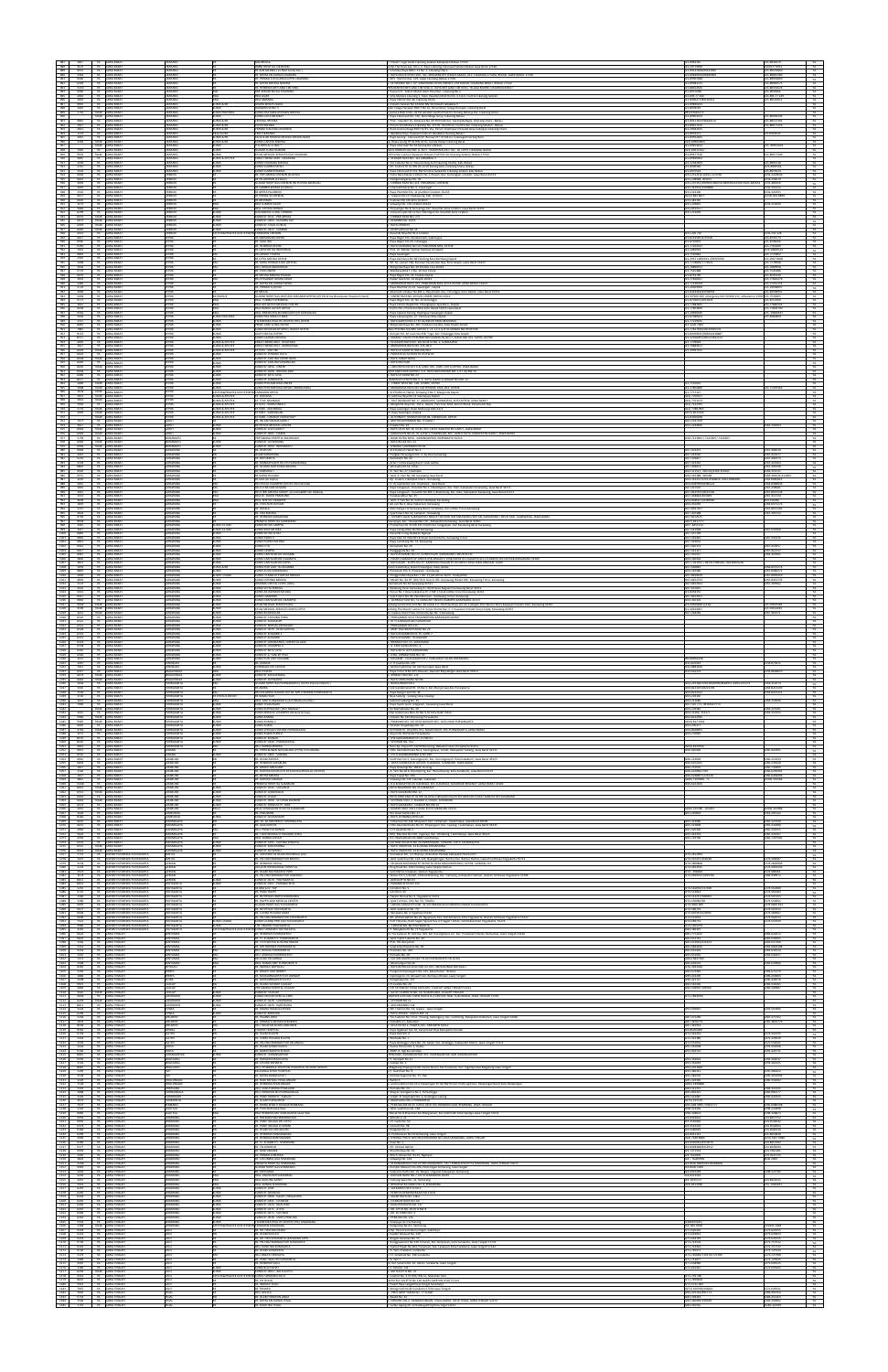| 888                                                 | '4670                                                                                           | 887 1067 YA JAWA BARAT<br>YA JAWA BARAT                                                                                                      | <b>CIKARANG</b><br><b>CIKARANG</b>                                             |                                                                   | EDIROSSA<br><b>OMNI HOSPITAL CIKARANG</b>                                                                                              | Jl. Industri Tegal Gede Cikarang Selatan Kabupaten Bekasi 17550<br>Komp.The Oasis kav. No.1. Jl. Raya Cikarang Cibarusah Selatan Bekasi Jawa Barat 17530                                                                                                                                                                                                                                           | 021-8983216<br>021-29779999                                                                                                 | 021-8934979<br>0212977 9951                                             | YA<br>YA                              |
|-----------------------------------------------------|-------------------------------------------------------------------------------------------------|----------------------------------------------------------------------------------------------------------------------------------------------|--------------------------------------------------------------------------------|-------------------------------------------------------------------|----------------------------------------------------------------------------------------------------------------------------------------|----------------------------------------------------------------------------------------------------------------------------------------------------------------------------------------------------------------------------------------------------------------------------------------------------------------------------------------------------------------------------------------------------|-----------------------------------------------------------------------------------------------------------------------------|-------------------------------------------------------------------------|---------------------------------------|
| 889<br>$-890$<br>891<br>892                         | 0913<br>10660<br>A339                                                                           | YA JAWA BARAT<br>'1462 YA JAWA BARAT<br>YA JAWA BARAT<br>YA JAWA BARAT                                                                       | <b>CIKARANO</b><br><b>CIKARANG</b><br>CIKARANG<br>CIKARANG                     |                                                                   | RS ASRI MEDIKA ( ex RSIA Graha Asri )<br>RS. MITRA KELUARGA CIKARANG<br>RS. PERMATA KELUARGA LIPPO CIKAR<br>S. MITRA MEDIKA NAROM      | JI. Citanduy Raya Blok L 11 No. 1, Cikarang Utara<br>JL: RAYA INDUSTRI NO.100 : KEL: MEKARMUKTI LEMAH ABANG. KEC. CIKARANG UTARA. BEKASI: JAWA BARAT 17550<br>JI. MH. Thamrin Kav. 129, Lippo Cikarang-Bekasi 17550<br>IL: JATIWANGI NO.1, KP. KAMURANG RTOD1/RWOO1, CIKEDOKAN, CIKARANG BARAT, BEKASI 17530<br>PERUMAHAN METLAND CIBITUNG JL: RAYA METLAND CIBITUNG, TELAGA MURNI, CIKARANG BARAT | 021-89142968/8914303<br>021-89840500/89840900<br>021-89905588<br>121-89983741                                               | 021-8914386<br>021-89845489<br>021-89901860<br>021-89983575             | YA<br>YA<br>YA<br>YA                  |
| 893                                                 | "A130                                                                                           | YA JAWA BARAT                                                                                                                                | CIKARANG<br><b>CIKARANG</b><br>CIKARANG<br><b>CIKARANG</b>                     |                                                                   | IS. HERMINA METLAND CIBITUI<br>RSB. MEKAR MULIA CIKARANG<br><b>ISIA GIZAR</b><br>RSIA AMANDA                                           | Jl. Kasuari IV - Sektor Mekar Alam Passimal - Cikarang Baru<br>II. Villa Mutiara Cikarang 1, Ruko Pasadena Blok Ra No. 3,5 & 6. Ciantra Cikarang Selatan                                                                                                                                                                                                                                           | 121-88362626<br>021-893 6940<br>121-896 77 240<br>21-8900277/8911001                                                        | 021-88352626<br>021-8936966<br>021-896 77 239<br>021-89110011           | YA .<br>YA<br>YA<br>YA                |
| $896$<br>$897$<br>898<br>899                        | 1050<br>0916<br>1034<br>7710                                                                    | YA JAWA BARAT<br>YA JAWA BARAT<br>YA JAWA BARAT<br>TIDAK JAWA BARAT                                                                          | CIKARANG<br>CIKARANG<br>CIKARANG                                               | KLINK & RB<br>KLINK<br>KLINK PRATAM                               | RAHA BINA HUSAD<br>HARAPAN SEHAT I<br>OJINIK PRATAMA ASSYABIL MEDIKA                                                                   | Jl. Raya Industri No.36, Cikarang Utara<br>il. Industri Selatan No.1A Blok NN 3A Industri Jababeka II<br>Ruko Telaga Harapan Blok F No 16, Perumahan Telaga Harapan, Cikarang Barat<br>II Cemara Blok Ai No. 19 Perumahan Central Park Ds. Karang Raharja Kec. Cikarang Utara                                                                                                                      | 021-89836243<br>021-8904519<br>08521361027                                                                                  |                                                                         | YA<br>YA<br>YA                        |
| 900<br>$\frac{901}{902}$                            | 0966<br>1567                                                                                    | TIDAK JAWA BARAT<br>YA JAWA BARAT                                                                                                            | <b>CIKARANG</b><br>CIKARANG<br>CIKARANG                                        | KLINK<br>KLINK & RB<br>KLINK & RB                                 | <b>CUNIK DUTA MEDIKA</b><br>CENTRAL MEDIKA<br>UTRA MEDIKA                                                                              | il. Raya Cibarusah No. 16E, Ruko Mega Surya, Cikarang Bekasi<br>II. Pilar - Sukatani Ds. Sukaraya No. 84 Rt 05/06 Kec. Karang Bahagia, Cikarang Utara - Bekasi<br>Jl. Perum Vila Mutiara Cikarang No. 115 Rt. 012/06 Ds. Ciantra Kec. Cikarang Selatan - Bekasi                                                                                                                                    | 21-89903533<br>021-89111103/98<br>21-89677215                                                                               | 021-89900294<br>021-89111101<br>021-89677216                            | YA<br>YA .<br>YA                      |
| 903<br>904<br>905<br>906                            | 2462<br>1719<br>1064<br>2402                                                                    | YA JAWA BARAT<br>YA JAWA BARAT<br>YA JAWA BARAT<br>TIDAK JAWA BARAT                                                                          | IKARANG<br><b>CIKARANG</b><br>IKARANG<br>CIKARANG                              | KLINIK & RB<br><b>RB &amp; KLINIK</b><br>KLINK & RB<br>KLINK & RB | PERMATA BUNDA CIKARANG<br>CMC CIKARANG<br>linik & RB HOSANA MEDIKA SERANG BARL<br><b>GJINIK CAHAYA MEDIKA</b>                          | Jl. Ruko Grama Niaga Blok H2/15-15a, Perum Gramapuri Persada Desa Sukajaya-Cikarang Utara<br>II. Jababeka Raya, Kawasan Industri Jababeka Cikarang Bekasi<br>Jl. Raya Serang - Cibarusah KP. Bunisari RT. 07/04 Ds. Sukaragam Serang Baru<br>Kp. Rawa Julang RT 02 RW 01 Ds. Ganda mekar Cikarang Barat                                                                                            | 021-29282165<br>021-8934371<br>021-8995260<br>(021) 89984005                                                                | 021 8934035                                                             | YA<br>YA<br>YA<br>YA                  |
| 907<br>908<br>909                                   | 7087<br>- 8935                                                                                  | TIDAK JAWA BARAT<br>YA JAWA BARAT<br>TIDAK<br>JAWA BARAT                                                                                     | <b>CIKARANO</b><br><b>CIKARANG</b><br><b>IKARAN</b>                            | KLINK<br>KLINK                                                    | FHL DENTAL CLINIC<br>SILOAM CLINIC ROBSON<br>OAI MEDICAL SERV                                                                          | JI, Ray<br>sah No 63 Serang Baru Bekas<br>RUKO ROBSON SQUARE JL. M.H. THAMRIN BLOK C NO. 18, LIPPO CIKARANG BARAT<br>an Industri EIIP Plot 3A Cikarang Selatan, Bekasi 17550                                                                                                                                                                                                                       | 021-89954434<br>021) 89911432                                                                                               | 021-89954434<br>021-89677309                                            | YA<br>YA<br>YA                        |
| 910<br>911<br>912                                   | 4385<br>1218<br>2742                                                                            | YA JAWA BARAT<br>YA<br>JAWA BARAT<br>YA JAWA BARAT                                                                                           | CIKARANG<br>CIKARANG                                                           | KLINIK & APOTEK<br>KLINK                                          | IMIA FARMA 0340 - CIKARANG<br>INIK CIKARANG I<br><b>CLINIK SUMBER SEHAT</b>                                                            | JL. KEDASIH RAYA NO. 112 JABABEKA II<br>. Yos Sudarso No 27 Desa Karang Asih Cikarang Utama, Kab. E<br>Jl. KH. Fudholi RT 01 RW 04 no 50 Karang Asih, Cikarang Utara, Bekasi                                                                                                                                                                                                                       | 021-89840904<br>021-8900566                                                                                                 | 021-8901318<br>021-8900566                                              | YA<br>YA<br>YA                        |
| 913<br>914<br>$\frac{915}{916}$                     | 1514<br>10602<br>0293<br>"1091                                                                  | YA JAWA BARAT<br><b>YA JAWA BARAT</b>                                                                                                        | CIREBON<br><b>DREBON</b><br>CIREBON                                            |                                                                   | RS. PERTAMINA CIREBON (KLAYAN)<br>S PELABUHAN (Grebon)<br>ILOAM HOSPITALS CIREBON (RS PUTERA BAHAG                                     | Raya Cibarusah RT 04, RW 02 Desa Suka<br>ni Cikarang Selatan kab, 8<br>Jl. Patra Raya Klayan Cirebon No.1, Klayan, Kec. Gunungjati, Cirebon, Jawa Barat 45151<br>Sisingamangaraja No. 45<br>L. CIREMAI RAYA NO.114 PERUMNAS, CIREBON                                                                                                                                                               | 0231-2512116:102311224798<br>31-208948, 2<br>231-207351/490900/48565                                                        | 0231-2224646<br>1231-234670<br>0231-486356                              | YA<br>YA<br>YA<br>YA                  |
| 917<br>918<br>919                                   | 1029<br>1316<br>4677                                                                            | YA JAWA BARAT<br>YA JAWA BARAT<br>YA JAWA BARAT                                                                                              | <b>CIREBON</b><br>CIREBON<br><b>CIREBON</b>                                    |                                                                   | RS SUMBER WARAS (Greb<br>RS MITRA PLUMBON<br>RS PERMATA CIREBON                                                                        | II. Urip Sumoharjo No. 5, Ciwaringin<br>Jl. Raya Plumbon Km, 11 plumbon Cirebon, 45155<br>IL. Tuparev No.117 Kedawung, Kab. Cirebon                                                                                                                                                                                                                                                                | 231-341079/330088<br>231-323100<br>0231) 883 8877                                                                           | 0231-342112<br>0231-322355<br>(0231) 833 8899                           | YA<br>YA<br>YA                        |
| 920<br>921<br>922<br>923                            | 6629<br>1174<br>3882                                                                            | YA JAWA BARAT<br>YA JAWA BARAT<br>YA JAWA BARAT<br>YA JAWA BARAT                                                                             | CIREBON<br><b>JREBON</b><br>CIREBON<br><b>CIREBON</b>                          | KLINK                                                             | RS MEDIMAS<br>SIA SUMBER KASIH<br>RSIA. CAHAYA BUNDA<br><b>GOCIAMEDIC CLINIC CIREBOI</b>                                               | II. Evakuasi No 116 kota Cirebon<br>II. Siliwangi No. 135 Cirebon 45124<br>II. Perjuangan No.8, Sunyaragi, Kec. Kesambi, Kota Cirebon, Jawa Barat 45131                                                                                                                                                                                                                                            | 231-481165<br>31-203819<br>0231-8333377<br>231-221000                                                                       | 0231-210040                                                             | YA<br>YA<br>YA                        |
| 924<br>925                                          | A299<br><b>A670</b><br>4675<br>4939                                                             | TIDAK JAWA BARAT<br>TIDAK JAWA BARAT<br>TIDAK JAWA BARAT                                                                                     | CIREBON<br><b>IREBON</b><br>CIREBON                                            | KLINK<br>KLINK<br>KLINK                                           | KLINIK KF.0531 - PERUMNA:<br>LINIK KF.0493 - GUNUNG JA'<br>KLINIK KF.TEGAL GUBU                                                        | n Cipto No 12 Kel. Pekiringan Ke. Kesambi Kota Cirebo<br>IL. CIREMAI RAYA NO. 275<br>L. KESAMBI NO. 169 B<br>JL. RAYA CIREBON                                                                                                                                                                                                                                                                      |                                                                                                                             |                                                                         | YA<br>YA<br>YA<br>YA                  |
| $\frac{926}{927}$<br>928<br>929                     | 4313<br>0107                                                                                    | A940 TIDAK JAWA BARAT<br>YA<br>JAWA BARAT<br>YA JAWA BARAT                                                                                   | <b>CIREBON</b><br><b>CIRERON</b><br>DEPOK                                      | KLINK<br><b>APOTEK&amp;PRAK</b>                                   | CLINIK KF.O422 - SUMBER<br>FARMARIN CIREBON<br>RS SIMPANGAN DEPOK                                                                      | IL. DEWI SARTIKA NO 36<br>I. Kesambi Raya No 92 A Cirebon<br>Jl. Raya Bogor Km. 36, Sidamukti, Sukmajaya                                                                                                                                                                                                                                                                                           | 1231-205 792<br>021-8741549-8747620                                                                                         | 0231-231 428<br>021-8741574                                             | YA<br>YA                              |
| 930<br>931<br>932<br>933                            | 0346<br>10265<br>7634<br>0009                                                                   | YA JAWA BARAT<br>YA JAWA BARAT<br>YA JAWA BARAT                                                                                              | DEPOK<br>DEPOK<br>DEPOK                                                        |                                                                   | RS. HERMINA DEPOK<br>RSU BHAKTI YUDHA                                                                                                  | Raya Bogor Km 29, Gmanggis<br>JL. RAYA SILIWANGI NO.50, PANCORAN MAS, DEPOK<br>II. Prof. Dr. Bahder Djohan Kampus UI Depok<br>Jl. Raya Sawangan                                                                                                                                                                                                                                                    | 021-77202525<br>021-7520082                                                                                                 | 021-7763309<br>021-5082912<br>021-7775862                               | YA<br>YA<br>YA<br>YA                  |
| 934<br>935<br>936                                   | 2760<br>"1098<br>1056                                                                           | YA JAWA BARAT<br>YA JAWA BARAT<br>YA JAWA BARAT                                                                                              | DEPOK<br>DEPOK<br>DEPOK                                                        |                                                                   | <b>ITRA MEDIKA DEP</b><br>RS. GRHA PERMATA IBU (DEPOK)<br>RSU. BUNDA MAR                                                               | II. Raya Kalimulya No 68 Cilodong Kota Kembang Depok<br>Jl. KH. M. Usman 168, Kukusan Kecamatan Beji, Kota Depok, Jawa Barat 16425<br>Jl. Margonda Raya No. 28 Pondok Cina 16424                                                                                                                                                                                                                   | 021-2967 1000/021-29<br>021-7778899/7774621<br>021-7889055                                                                  | 021-2967 8000<br>021-7778998<br>021-7889958                             | YA<br>YA<br>YA                        |
| 937<br>938<br>939                                   | 10776<br>0470<br>1194                                                                           | YA JAWA BARAT<br>YA JAWA BARAT<br>YA JAWA BARAT                                                                                              | DEPOK<br>DEPOK<br>DEPOK                                                        |                                                                   | RS. PURI CINERE<br>RS SENTRA MEDIKA CISALA<br>SU HASANAH GRAHA AFIA<br>RS: MITRA KELLIARGA DEPOK                                       | Jl. Maribaya Blok F 2 No. 10 Puri Cinere<br>Jl. Raya Bogor Km. 33, Cisalak-Depok<br>Jl. Raden Saleh No. 42 Depok 16412                                                                                                                                                                                                                                                                             | 021-7545488<br>021-8743790<br>021-77826267                                                                                  | 021-7545486<br>021-8743230<br>021-77826276                              | YA<br>YA<br>YA .                      |
| 940<br>941<br>942<br>943                            | 2722<br>$^{+1085}_{+1094}$                                                                      | '1485 YA JAWA BARAT<br>YA JAWA BARAT<br>YA JAWA BARAT<br>YA JAWA BARAT                                                                       | <b>DEPOK</b><br>DEPOK<br>DEPOK<br>DEPOK                                        | <b>RS KHUSUS</b>                                                  | RS. PERMATA DEPOK<br>S MEILIA<br>SILOAM HOSPITALS JANTUNG DIAGRAM DEPOK (d/h Klinik Kardiovaskular Hospital Cinere)                    | JL. MARGONDA RAYA, KEC. PANCORAN MAS. KOTA DEPOK. JAWA BARAT 16424<br>Jl. Raya Muchtar no 22, Sawangan - Depok<br>II. Alternatif Cibubur No.KM.1, Harjamukti, Kec. Cimanggis, Kota Depok, Jawa Barat 16454<br>JL. CINERE RAYA NO.19 PURI CINERE DEPOK 16514                                                                                                                                        | 021-77210700<br>021-29669000<br>21-8444444/8459899<br>021-50 900 100, emergency 021-50 900 111, ambulance 1 500 021-7536965 | 021-77212155<br>021-29668897<br>021-84598952                            | YA<br>YA .<br>YA<br>YA .              |
| 944<br>945                                          | 0777<br>1615                                                                                    | YA JAWA BARAT<br>YA JAWA BARAT                                                                                                               | DEPOK<br>DEPOK<br>DEPOK                                                        |                                                                   | SIA. TUMBUH KEMBAN<br>.<br>RSIA ASY ASYIFA MEDICAL CENTER<br>SIA BUNDA ALIYAH DEPOK                                                    | II. Raya Bogor Km. 31, No. 23 Cimanggis<br>II. Raya Cinere-Depok No. 9 Rangkapan Jaya Baru - Depok<br>Jl. Kartini No 2 Pancoran Mas kota depok 16431 Jawa barat                                                                                                                                                                                                                                    | 121-8701873.8701874<br>121-77883905<br>21-77803600                                                                          | 021-8712300<br>021-77885454<br>021-77803700                             | $\frac{YA}{YA}$                       |
|                                                     | 946 6658<br>947 6563                                                                            | YA JAWA BARAT<br>948 1318 YA JAWA BARAT<br>949 1737 YA JAWA BARAT                                                                            | DEPOK<br>DEPOK<br>DEPOK                                                        | <b>KLINIK PRATAMA</b><br>KLINK                                    | rsia. Brawijaya Bojongsari<br>KLINIK PRATAMA CITAMA<br>ELEMEDIKA HEALTH CENTER (THC) DEPOR                                             | II. Raya Ciputat Parung, Bojongsari Sawangan Depok<br>Jl. Raya Cipayung No. 27 Pancoran Mas-Depok<br>Jl. RAYA KARTINI NO.17 RT.02/RW.09 PANCORAN MAS                                                                                                                                                                                                                                               | 021-29836640<br>021-87989203<br>21-7721992                                                                                  | 021-2983664<br>021-8282869                                              | YA<br>YA<br>YA<br>YA                  |
| 953                                                 | 950 8099<br>8757                                                                                | YA JAWA BARAT<br>951 7985 YA JAWA BARAT<br>952 8112 YA JAWA BARAT<br>YA JAWA BARAT                                                           | DEPOK<br>DEPOK<br>DEPOK<br>DEPOK                                               | <b>KLINIK</b><br>KLINK<br>KLINK<br>KLINK                          | RIME CARE CLINIC DEPOK<br>GJINIK MEDIKIDS BY MHDC WA<br>AUDY DENTAL DEPOK<br>KLINIK GAHARU MEDIKA                                      | Jl. Margonda Raya No. 481, Pondok Gna Beji, Kota Depok 16424<br>MALL PESONA SQUARE LANTAI 3, L3-1,2,3 JL HJR JUANDA NO.99 DE<br>Jl. Komjen Pol. M. Jasin No.45B, Tugu, Kec. Cimanggis Kota Depok<br>JL. KRAMAT 3 RUKO PERUMAHAN GAHARU BLOK C7, SUKATANI, KEC.TAPOS, DEPOK                                                                                                                         | 121-2200 7384<br>21-77817199 08119<br>121-84050925/085692248887<br>021-22920093 081213922131                                |                                                                         | YA<br>YA<br>YA<br>YA                  |
| 954<br>955<br>956                                   | 2630<br>2627<br>A629                                                                            | YA JAWA BARAT<br>YA JAWA BARAT<br>TIDAK JAWA BARAT                                                                                           | DEPOK<br>DEPOK<br>DEPOK                                                        | KLINIK & APOTER<br>KLINIK & APOTEK<br>KLINIK & APOTEK             | <b>OMIA FARMA 0202 - KEJAYAAN</b><br>KIMIA FARMA 0352 - MARGONDA<br>KF.0375 - KARTINI                                                  | JL, KEJAYAAN RAYA NO. 202 BLOK IX NO. 2, SUKMAJAYA<br>JL. MARGONDA RAYA NO. 326, BEJI<br>JL. RAYA CITAYAM RT/RW 001/002                                                                                                                                                                                                                                                                            | 021-7704044<br>021-78884611<br>021-29097432                                                                                 |                                                                         | YA 1<br>YA<br>YA .                    |
| 957<br>958<br>959                                   | <b>A629</b><br><b>A640</b>                                                                      | YA JAWA BARAT<br>A638 TIDAK JAWA BARAT<br>YA JAWA BARAT                                                                                      | DEPOK<br>DEPOK<br>DEPOK                                                        | KLINK<br>KLINIK<br>KLINK                                          | <b>GUNIK KF.PONDOK DUTA</b><br>CUNIK KE ADELINA TANAH BARL<br>UNIK KF.ADELINA SAWA                                                     | IL. PONDOK DUTA RAYA RT.05 RW.01<br>JL. RAYA TANAH BARU<br>L. RAYA MUHTAR                                                                                                                                                                                                                                                                                                                          |                                                                                                                             |                                                                         | YA<br>YA<br>YA                        |
| 960<br>961<br>962<br>963                            | 4658<br>8117                                                                                    | A650 TIDAK JAWA BARAT<br>YA JAWA BARAT<br>A680 YA JAWA BARAT<br>YA<br><b>JAWA BARAT</b>                                                      | DEPOK<br>DEPOK<br>DEPOK                                                        | KLINIK<br><b>KLINIK</b><br>KLINIK<br>KLINIK                       | KLINIK KF.0456 - CINERE<br>LINIK KF.0568 - BOJON<br><b>CUNIK KF.RATU JAYA</b>                                                          | JL. LIMO RAYA NO.101 A-B, LIMO, KEC. LIMO, KOTA DEPOK, JAWA BARAT<br>RUKO KARFFANA SARI NO. 5 JL. RAYA BOJONGSARI KM 1, RT.01/RW.10<br>JL. RAYA CITAYAM NO.23<br>IS CENTER NO.9, JL. RAYA JAKARTA-BOGOR NO.KM. 32                                                                                                                                                                                  |                                                                                                                             |                                                                         | YA<br>YA<br>YA<br>YA                  |
| 964<br>$\frac{965}{966}$                            | '2806<br>2808                                                                                   | TIDAK JAWA BARAT<br>TIDAK JAWA BARAT<br>2078 TIDAK JAWA BARAT                                                                                | DEPOK<br>EPOK<br>DEPOK                                                         | KLINIK<br>KLINIK<br>APOTEK&PRAKTEK DOKTER BERS FARMARIN DEPOK     | LINIK PERTAMEDIKA CINE<br>LINIK PERTAMEDIKA DEPOK I MARG                                                                               | JL. CINERE RAYA NO. 11B, CINERE, DEPOK<br>L. MARGONDA RAYA NO.518 PONDOK CINA, BEJI, DEPOK<br>Jl. Arif Rahman Hakim, Simpang 3 No 7, Margonda Depok                                                                                                                                                                                                                                                | 021-7535022<br>021-27802840<br>021-7757117                                                                                  | 021-77219364                                                            | YA .<br>YA<br>YA .                    |
| 967<br>968<br>969<br>970                            | 5954<br>1950                                                                                    | 5953 TIDAK JAWA BARAT<br>TIDAK JAWA BARAT<br>YA JAWA BARAT<br>TIDAK JAWA BARAT                                                               | DEPOK<br>DEPOK<br>DEPOK                                                        | KLINIK & APOTEK<br>KLINIK & APOTEK<br>KLINIK & APOTEK             | F. SENTOSA<br>KF. TOLE ISKANDAR<br>0F.0143 - MARGONDA                                                                                  | n. Sentosa Raya No 11 Sukmajaya Depok<br>JL. TOLE ISKANDAR NO.17, ABADUAYA, SUKMAJAYA, KOTA DEPOK, JAWA BARAT<br>IL. Margonda Raya No. 154 A, Depok, Pancoran MAS, Kemiri Muka, Kecamatan Beji                                                                                                                                                                                                     | 21) 770067<br>(021) 7701673<br>21) 7522997                                                                                  |                                                                         | YA<br>YA<br>$\frac{YA}{YA}$           |
| 971<br>972<br>973                                   | 5779<br>5949<br>7077                                                                            | TIDAK JAWA BARAT<br>TIDAK JAWA BARAT<br>YA JAWA BARAT                                                                                        | DEPOK<br>EPOK<br>DEPOK<br>GARUT                                                | KLINIK & APOTEK<br><b>CLINIK &amp; APOTEK</b><br>KLINIK & APOTEK  | F.0366 - MAHARAJA<br>F.0491 - SAWANGAM<br>F.0448 - CIBUBUR TRANS<br>S. INTAN HUSADA GARU                                               | II. Raya sawangan ,Ruko Maharaja blok A1/3<br>.<br>Jin. Raya Sawangan, Depok<br>JL. ALTERNATIF TRANSYOGI NO.98, CIMANGGIS, DEPOK<br>IL. MAYOR SUHERMAN NO.72 GARUT                                                                                                                                                                                                                                 | 21) 77887855<br>51) 8615556<br>121-84306298<br>262-2247769                                                                  |                                                                         | YA<br>YA<br>YA                        |
| 974<br>975<br>$\frac{976}{977}$                     | 1627<br><b>A664</b><br>A669<br>1759                                                             | YA JAWA BARAT<br>TIDAK JAWA BARAT<br>TIDAK JAWA BARAT<br>YA JAWA BARAT                                                                       | GARUT<br>GARUT<br>GARUT<br>INDRAMAY                                            | KLINK<br><b>CLINIK</b><br>KLINK                                   | BETHESDA MEDICAL CENTR<br>LINIK KF.LELES GARI<br>KLINIK KF.0605 - CIAMIS<br>PERTAMINA HOSPITAL BALONGAI                                | II. Ciwalen No. 43<br>L. RAYA LELES NO.39, LELES, KEC. LELES, KABUPATEN GARUT, JAWA BARAT<br>JL: KABUPATEN NO.01, RT.1/RW.1, PAMINGGIR, KEC. GARUT KOTA, KABUPATEN GARUT, JAWA BARAT.<br>JL: BUMI PATRA RAYA , KARANGANYAR, INDRAMAYU 45213                                                                                                                                                        | 1262-2244466                                                                                                                | 0262-242663                                                             | YA<br>YA<br>YA                        |
| 978<br>979<br>980                                   | <b>A683</b><br>'0083                                                                            | TIDAK JAWA BARAT<br>A938 TIDAK JAWA BARAT<br>YA JAWA BARAT                                                                                   | <b>NORABAN</b><br>NDRAMAYU                                                     | KLINK                                                             | INIK KE JATIRARAN<br>CLINIK KF.0594 - INDRAMAYI                                                                                        | L. RAYA BULAK NO. 23<br>JL. JENDRAL SUDIRMAN NO 94                                                                                                                                                                                                                                                                                                                                                 | 0234-7121603 / 7121605 / 7121607                                                                                            |                                                                         | YA<br>YA                              |
| 981<br>982<br>983                                   | 1023<br>'1133                                                                                   | YA JAWA BARAT<br>YA JAWA BARAT<br>YA JAWA BARAT                                                                                              | KARAWANG<br>KARAWANG                                                           |                                                                   | SLAM KARAWANG<br>RS. MANDAYA(D/H RS.CITO KARAWANG)                                                                                     | Jl. Pangkal Perjuangan Km. 2, by Pass Karawang<br>DUINI NO. 44<br>Jl. Arteri Tol Karawang Barat Teluk Jambe                                                                                                                                                                                                                                                                                        | 0267-414520<br>0267-414245                                                                                                  | 0267-413277<br>0267-414264                                              | YA<br>YA .<br>YA<br>YA                |
| 984<br>985<br>986                                   | 0869<br>0540<br>0375                                                                            | YA JAWA BARAT<br>YA JAWA BARAT<br>YA JAWA BARAT                                                                                              | KARAWANG                                                                       |                                                                   | RS SARASWATI<br>S KARYA HUSADA                                                                                                         | Jl. A. Yani No. 27, Cikampek<br>I. Jend. A. Yani No. 98 Karawang Jawa barat                                                                                                                                                                                                                                                                                                                        | 0264-311527, 316101/0264-316101<br>0264-316188, 31618                                                                       | 0264-311531<br>0264-301626,31                                           | YA<br>YA<br>YA                        |
| 987<br>988<br>989<br>$-990$                         | 1239<br>2445<br>1006<br>1022                                                                    | YA JAWA BARAT<br>YA JAWA BARAT<br>YA JAWA BARAT                                                                                              | KARAWANG<br>CARAWANG<br>KARAWANG<br>KARAWANG                                   |                                                                   | RS IZZA (ex Agma)<br>U HELSA CIKAMPEK (d/h RS Titian Bunda<br>SU CITRA SARI HUSADA<br>SU FIKRI MEDIKA GROUP (ex klinik&RB Fikri Medika | Jl. Kp. Ciselan, Cikampek Utara - Karawang<br>Jl. Ir. Hj Juanda No 123, Cikampek , Jawa Barat<br>Jl. Raya Telagasari - Kosambi No.3, Cibalongsari, Kec. Klari, Kabupaten Karawang, Jawa Barat 41371<br>Jl. Raya Telagasari - Kosambi No.KM.3, Belendung, Kec. Klari, Kabupaten Karawang, Jawa Barat 413<br>dung, Kec. Klari, Kabupaten Karawang, Jawa Barat 41371                                  | 0264-319307/0264-8386829; 0264-8386830<br>0264-8385999/83862<br>0267-437507<br>0267-8615555/8615                            | 0264 8386832<br>0264-8388936<br>0267-438681<br>0267-8615544             | YA<br>YA<br>YA<br>YA                  |
| 991<br>992<br>993                                   | 1314<br>'4699<br>1409                                                                           | YA JAWA BARAT<br>YA JAWA BARAT<br>YA JAWA BARAT<br>YA JAWA BARAT                                                                             | CARAWANG<br>CARAWANG<br><b>ARAWANG</b>                                         |                                                                   | SIA Dr. DJOKO PRAMONO<br>SIA, SENTUL CIKAMPEI<br>rs. Puri asih jatisar                                                                 | il. Panatayudha I No. 35<br>Llend. A Yani No 16, Sentul Cikampek, Karawang<br>Il Jati sari No 3, desa mekarsari, Karawang                                                                                                                                                                                                                                                                          | 0267-418818/403009<br>264-8386671/83890<br>0264-361459                                                                      | 0267-411744<br>064-316096<br>0264-8375276                               | YA .<br>YA<br>YA .                    |
| 994<br>995<br>996<br>997                            | 2731<br>'2823<br>- 3796<br>- 3978                                                               | YA JAWA BARAT<br>YA JAWA BARAT<br>YA JAWA BARAT<br>YA JAWA BARAT                                                                             | CARAWANG<br><b>ARAWANG</b><br>CARAWANG                                         |                                                                   | RS. ROSELA<br>RS. LIRA MEDIKA<br>S. HERMINA KARAWAN                                                                                    | I Interchange Tol Karawang Barat, Ds Wadas, Kec Jambe Timur, Karawang<br>Jl. Syech Quro No.14, Lamaran - Karawang<br>II. TUPAREV BLOK SUKASARI NO.386A RT.003/RW.004 KARAWANG WETAN, KARAWANG TIMUR, KAB. KARAWANG, JAWA BARAT                                                                                                                                                                     | 1267-8637207<br>0267-407488<br>267 8412525                                                                                  | 0267-8637205<br>0267-405752                                             | YA<br>YA .<br>YA<br>YA                |
| $\frac{998}{999}$                                   | 1035<br>1027<br>1000 0689                                                                       | YA JAWA BARAT<br>YA JAWA BARAT<br>YA JAWA BARAT                                                                                              | ARAWANG<br>KARAWANG<br>ARAWANG<br>KARAWANG                                     | KUNK 24 JAM<br>KUNK 24 JAM<br>KLINK                               | IMAYA HOSPITAL KARAV<br>KLINIK MITRA GEMPOL<br>LINIK BINA MEDIKA<br>LINIK MITRA SEHAT                                                  | Puseurjaya, Kec. Telukjambe Tim., Kabupaten Karawang, Jawa Barat 41361<br>Jl. Proklamasi No 15 KW 8 RT 03/05 Kel Tunggakjati, Kec Karawang Barat Karawang<br>II. Raya Telukjambe No OS Karawang<br>Jl. Kosambi Curug-Babakan Nganjal                                                                                                                                                               | (267) 8417<br>0267-8451114<br>267-641968<br>267-437138                                                                      | 0267-641968                                                             | YA<br>YA<br>YA                        |
| 1003                                                | 0704                                                                                            | 1001 0590 YA JAWA BARAT<br>1002 0591 YA JAWA BARAT<br>YA JAWA BARAT                                                                          | CARAWANG<br>ARAWANG                                                            | KLINK<br><b>KLINK</b>                                             | <b>CLINIK PURWA MEDIKA</b>                                                                                                             | i. Raya Klari Rt. 004/001 Kranjan Guntur Kerta, Karawang Timu<br>II. Raya Tamelang No. 53, Karawang<br>. Kertabumi No.                                                                                                                                                                                                                                                                             | 1267-432416<br>1267-433653<br>67-410173                                                                                     | 0267-432416<br>1267-415957                                              | YA .<br>YA<br>YA                      |
| 1004<br>$\frac{1005}{1006}$<br>1007                 | 3400                                                                                            | 0197 YA JAWA BARAT<br>0095 YA JAWA BARAT<br>YA<br>WA BARAT<br>3401 YA JAWA BARA                                                              | CARAWANG<br>ARAWANG                                                            | KLINK<br>KLINK                                                    | <b>CLINIK GEMPOI</b><br>LINIK GRAHA MEDIS KOSAME<br>NIK GRAHA MED<br>LINIK GRAHA MEDIS KOPE                                            | Jl. Ranggagede No. 29<br>IL. RAYA KOSAMBI, NO.23, DUREN KLARI, KARAWANG TIMUR 41371<br>PASAR CILAMAYA KP.PANDE DSN KRAJAN II RT08/RW04 DS C<br>JL. RAYA KLARI - KOPEL NO.37, KAMPUNG KRAJAN RT.05/RW.01 DESA OBALONGSARI, KLARI                                                                                                                                                                    | 0267-412117<br>1267-435527<br>0267-7021595 / 08131<br>598568 / 08118204200                                                  | 0267-412117                                                             | YA<br>YA<br>YA<br>YA                  |
| 1008<br>1009<br>1010                                | 0399                                                                                            | '1059 YA JAWA BARAT<br>YA JAWA BARAT<br>1058 YA JAWA BARAT                                                                                   | KARAWANG<br>CARAWANG<br>KARAWANG                                               | KLINK & RB<br>KLINK<br>KLINK UTAM                                 | CLINIK PURI ASIH TELUKIAMBE<br>UNIK AULIA KARAWAN<br>KLINIK UTAMA DTP NAFILA MEDIKA                                                    | Dusun Sukamulya, Desa Pinayungan, Teluk Jambe<br>Jl. Purwasari Km. 6, Purwasari - Karawang<br>Il Pringgondani Raya Kav. J No. 47 perumnas bumi - telukjambe                                                                                                                                                                                                                                        | 0267-646845<br>0264-316580<br>0267-8456419                                                                                  | 0264-8375276<br>0267-8386272<br>0267-8456419                            | YA<br>YA<br>YA .                      |
| 1012<br>1013                                        | 4320                                                                                            | 1011 4658 VA JAWA BARAT<br>'1572 YA JAWA BARAT<br>YA JAWA BARAT                                                                              | KARAWANG<br>KARAWANG                                                           | KLINK<br>KLINK<br>KLINK                                           | CUNIK INTERNA MEDIKA<br>HARMA DENTAL CLINIC (DDC)<br>LINIK SETYA MEDIK                                                                 | B. Melati No. 9A RT. 001/010, Guroll, KEL. Karawang Wetan KEC. Karawang Timur, Karawang<br>Jl.Kertabumi No.62 Karawang 41311<br>Jl. Belakang Pasar Karawang RT 02/09 desa Nagasari Karawang Barat 4131                                                                                                                                                                                             | 0267-8452733<br>0267-8453633<br>1267 402025                                                                                 | 0267-8452733<br>0267-403962                                             | YA<br>YA<br>YA                        |
| 1014<br>1015<br>1016                                |                                                                                                 | 5434 YA JAWA BARAT<br>6017 YA JAWA BARAT<br>0908 YA JAWA BARAT                                                                               | KARAWANG<br>CARAWANG<br>CARAWANG<br>KARAWANG                                   | KLINK<br><b>KLINK</b><br>KLINK                                    | KLINIK AR-RAHMAN MEDIKA<br>KLINIK LAMARAN<br>KLINIK GRAHA MEDIS CIKAMPEK<br>CYCIAI MEDICAL SERVICES-KIIC                               | Jl. Peruri No 7 Desa Sukakarya RT 2 RW 1 Teluk Jambe Timur Karawang 41361<br>II. Syech Quro No.04, Palumborsari - Karawang Timur, Karawang<br>IL. ACHMAD YANI NO. 51 DAWUAN TIMUR CIKAMPEK KARAWANG 41373<br>Gedung Sentra KIIC Unit No. 40 Lantai 1 Jl. Permata Raya Lot CA-1 (Depan Pom Bensin KICC) Kawasan Industri KICC, Karawang 41361                                                       | 021-8458155<br>0267-8453951<br>264-310101<br>21-29569380 s/d 82                                                             | 021 29569383                                                            | YA<br>YA<br>YA                        |
|                                                     |                                                                                                 | 1019 3213 TIDAK JAWA BARAT<br>1020 4520 YA JAWA BARAT                                                                                        | CARAWANG<br>KARAWANG<br>CARAWANG                                               | <b>KUNK</b><br>KUNK<br>KUNK<br>KLINK                              | KYOAI MEDICAL SERVICES-SURYA CIPTA<br>KLINIK BIOMEDILAB<br>KLINIK KF.TANJUNG PURA                                                      | Gedung The Manor Lantai 2 Jl. Surva Utama Kay, C -1 Kawasan Industri Surva Ciota, Karawang 41363<br>Jin Tuparev Ruko Pintu rel Kereta Api No. 1 Karawang<br>IL. PROKLAMASI NO.6 TANJUNGPURA KARAWANG BARA                                                                                                                                                                                          | 021-30424007<br>0267-418240                                                                                                 | 021 30424010<br>0267 416971                                             | YA<br>YA<br>YA                        |
| 1021<br>1022                                        | A521<br><b>AS22</b>                                                                             | YA JAWA BARAT<br>YA JAWA BARAT<br>1023    A528    YA JAWA BARAT                                                                              | KARAWANG<br>CARAWANG<br>KARAWANG                                               | KLINK<br>KLINK<br><b>KLINK</b>                                    | KLINIK KF.SUKASEURI<br>KLINIK KF.RENGAS DEN<br>KLINIK KF.0079 - DEWI SARTIKA                                                           | IL. IR. H JUANDA RUKO SUKASEURI<br>JL. PROKLAMASI NO.115<br>JL. ARIEF RACHMAN HAKIM NO.29                                                                                                                                                                                                                                                                                                          |                                                                                                                             |                                                                         | YA<br>YA<br>YA<br>YA                  |
| 1024<br>1025<br>$\frac{1026}{1027}$                 | <b>A535</b><br>A537<br>A554<br>A558                                                             | YA JAWA BARAT<br>YA JAWA BARAT<br>YA JAWA BARAT<br>YA JAWA BARAT                                                                             | CARAWANG<br>CARAWANG<br>(ARAWANG<br>(ARAWANG                                   | KLINK<br>KLINK<br><b>KLINIK</b><br>KLINIK                         | KLINIK KF.KOSAMBI II<br>CLINIK KF.KOSAMBI<br>CUNIK KE GRAHAYANA / GREEN VILLAGE<br>CUNIK KE CIKAMPEK II                                | IL. RAYA KOSAMBI NO.6, RT.2/RW.7<br>IL. RAYA KOSAMBI -TELAGASARI<br>JL. BHARATA NO. 55, SUKAHARJA<br>JL. A. YANI DAWUAN NO. 4                                                                                                                                                                                                                                                                      |                                                                                                                             |                                                                         | YA<br>$\frac{YA}{YA}$                 |
| 1028<br>1029<br>1030                                | <b>AS65</b><br>A566<br>1311                                                                     | YA JAWA BARAT<br>YA JAWA BARAT<br>YA JAWA BARAT                                                                                              | <b>ARAWAN</b><br>KARAWANG                                                      | KLINK<br>KUNK                                                     | <b>LINIK KF.BATU JAYA</b><br>CUNIK KF.A. YANI BY PAS!<br><b>UNIK PURI ASIH KOS</b>                                                     | L. RAYA BATU JAYA-KARAW<br>JL. JEND. AHMAD YANI NO. 43<br>PANCAWATI KLARI KARAWANG<br>L. KOSAMBI - TELAGASARI KM 2.                                                                                                                                                                                                                                                                                | 280002348                                                                                                                   |                                                                         | YA<br>YA<br>YA                        |
| 1031<br>1033<br>1034                                | 6797<br>A679                                                                                    | 1345 YA JAWA BARAT<br>7031 YA JAWA BARAT<br>YA JAWA BARAT<br>TIDAK JAWA BARAT                                                                | CUNINGAN<br>MAJALENGKA                                                         | KLINK<br>RSIA                                                     | RS. JUANDA<br><b>VGAN EYE CENTE</b><br>RSIA LIVASYA                                                                                    | Jl. Ir. H Juanda No. 207<br>n No 150 Kuningan Jawa Barat<br>Jl. Raya Timur III No 875 Dawuan, Dawuan Majalengka Jawa Barat 45453                                                                                                                                                                                                                                                                   | 0232-876433<br>-888110<br>0233-662273                                                                                       | 0232-875871<br>0233-8668019                                             | YA<br>YA<br>YA<br>YA                  |
| 1035<br>1036                                        | 1043                                                                                            | A682 TIDAK JAWA BARAT<br>YA JAWA BARAT<br>YA JAWA BARAT                                                                                      | MAJALENGKA<br>PURWAKARTA                                                       | KLINK                                                             | <b>GJINIK KF.JATIWANG</b><br>ARTA ( d/h RS Efarina Etaham<br>RS AMIRA                                                                  | JL. RAYA CIBOLERANG NO.86<br>Jl. Joik Gandamanah Rt. 35 Rw.3, Kel. Muniul Jaya, Kec. Purwakarta                                                                                                                                                                                                                                                                                                    | 64-219168;0264-86<br>0264-8221191/8221192                                                                                   | 1264-212674<br>0264-8221193                                             | YA<br>YA<br>YA                        |
|                                                     |                                                                                                 |                                                                                                                                              |                                                                                |                                                                   |                                                                                                                                        |                                                                                                                                                                                                                                                                                                                                                                                                    |                                                                                                                             |                                                                         |                                       |
| 1037<br>1038<br>1039                                | 1526<br>'1545                                                                                   | YA JAWA BARAT<br>1718 YA JAWA BARAT                                                                                                          | WAKARTA<br>URWAKARTA<br>URWAKARTA                                              | RS KHUSUS BEDAH                                                   | SU DR.ABDUL RADIA<br><b>HRS. MH THAMRIN PURWAKARTA</b><br>RS RAMA HADI<br><b>ISIA. ASRI PURWAKARTA (Asri I</b>                         | I. Raya Bungur Sari No. 36<br>Il Raya Sadang - Subang Desa Ciwang<br>II. Veteran Sadang No. 15                                                                                                                                                                                                                                                                                                     | 0264-202136<br>0264-211680                                                                                                  | 0264-219046                                                             | YA<br>YA                              |
| $\frac{1040}{1041}$<br>1042<br>1043                 | $\frac{1057}{7038}$<br>1315                                                                     | <b>YA JAWA BARAT</b><br>TIDAK JAWA BARAT<br>YA JAWA BARAT                                                                                    | URWAKARTA<br>URWAKARTA<br><b>URWAKARTA</b>                                     | KLINK<br>KLINK<br>KLINK<br><b>KLINK</b>                           | (LINIK TELAGASARI<br>CUNIK KOPINDOSAT (Puri Medika)*<br>KLINIK MIRACLE CIKAMPEK (Miracle Group                                         | II. Raya Syech Quro Telagasari, Karawang Jawa Barat<br>II. RE Martadinata No. 39<br>Komp Aneka Jasa Blok All NO.9-10 Kota Bukti Indah                                                                                                                                                                                                                                                              | 0267-510 771; 081566<br>264-202382<br>1264-35166, 3513<br>264-8222596                                                       | 0264-215201<br>0264-351355                                              | YA<br>YA<br>YA<br>YA                  |
| 1044<br>1045                                        |                                                                                                 | 5986 TIDAK JAWA BARAT<br>5987 TIDAK JAWA BARAT                                                                                               | URWAKARTA<br>URWAKARTA<br>URWAKARTA<br>URWAKARTA                               | KLINK<br><b>KLINK</b><br>KLINK                                    | <b>CLINIK ANNISA</b><br>KLINIK ANNISA 2<br><b>CLINIK AQMA</b><br>KLINIK SPESIALIS SILOAM PURWAKARTA                                    | II. Industri No 343 Maracang Purwakarta<br>IL. PRAMUKA NO. 107 DESA BUNDER KEC. JATILUHUR PURWAKARTA<br>I. Ibrahim Singadilaga No. 14<br>IL VETERAN RT. 031/004, KEL. NAGRI KALER, KEC PURWAKARTA, JAWA BARAT                                                                                                                                                                                      | 0264) 822 0201<br>264-200377<br>0264-8628901                                                                                |                                                                         | YA<br>YA                              |
| $\frac{1046}{1047}$<br>1048<br>1049                 | 1175<br>8119                                                                                    | 0189 YA JAWA BARAT<br>'4763 TIDAK JAWA BARAT<br>YA JAWA BARAT<br>YA JAWA BARAT                                                               | <b>URWAKARTA</b><br>URWAKARTA<br>URWAKARTA                                     | KLINK<br><b>KLINK</b>                                             | KLINIK AQMA PLERED<br>KLINIK KF.MUNJUL<br>CLINIK KF.0440 - PURWAKARTA                                                                  | II. Anjun No 96 Plered Purwakarta<br>IL. IPIK GANDAMANAH RT.11 RW.03                                                                                                                                                                                                                                                                                                                               | 264-270830                                                                                                                  |                                                                         | YA<br>YA<br>YA<br>YA                  |
|                                                     | $\begin{array}{r l} 1050 & 8120 \\ \hline 1051 & 4054 \end{array}$                              | YA JAWA BARAT<br>1052 0191 YA JAWA BARAT<br>1053 6516 YA JAWA BARAT                                                                          | URWAKARTA<br>SUBANG<br><b>JUBANG</b>                                           | KUNK                                                              | ISU. KARINA MEDIKA<br>RS. PERKEBUNAN NUSANTARA (PTPN) VIII SUBANG<br>LINIK KF.0405 - SUBANG                                            | JL. VETERAN NO. 152<br>Jl. Baru Kp. Krajan RT 31/09 Maracang Babakan Cikao Purwakarta 41151<br>Jl. Otto Iskandardinata No.1, Karanganyar, Coklat, Kabupaten Subang, Jawa Barat 41211<br>JL. OTTO ISKANDARDINATA NO.199                                                                                                                                                                             | 0264) 8220544<br>0260-420406                                                                                                | 0260-420391                                                             | YA<br>YA<br>YA<br>YA                  |
| 1054<br>1055<br>1056<br>1057                        | 0056<br>0832<br>1507                                                                            | YA JAWA BARAT<br>YA JAWA BARAT<br>YA JAWA BARAT<br>'1506 YA JAWA BARAT                                                                       | SUKABUMI<br>SUKABUMI<br>SUKABUMI<br>SUKABUMI                                   |                                                                   | RS. ISLAM ASSYIFA<br>RS. BHAKTI MEDICARE<br>RS. KARTIKA KASIH (D/H RS.KARTIKA MEDICAL CENTER)                                          | Jl. Sudirman No.3, Gunungpuyuh, Kec. Gunungpuyuh, Kota Sukabumi, Jawa Barat 43123<br>IL. RAYA SUKARAJA RT.003/03, SUKARAJA, SUKABUMI, JAWA BARAT<br>Jl. Raya Siliwangi No. 186 B, Cicurug<br>il. A. Yani No.18 A, Nyomplong, Kec. Warudoyong, Kota Sukabumi, Jawa Barat 43131                                                                                                                      | 0266-222663<br>0266-625252<br>0266-731555<br>0266-6250902-90                                                                | 0266-213433<br>0266-235020<br>0266-731899<br>0266-6250901               | YA 1<br>YA<br>YA<br>YA                |
| 1058<br>1059<br>1060                                | 1107<br>2892<br>"A138                                                                           | YA JAWA BARAT<br>YA JAWA BARAT<br>YA JAWA BARAT                                                                                              | SUKABUMI<br>SUKABUMI<br>SUKABUMI                                               |                                                                   | RS. BETHA MEDIKA<br>RS. KARTIKA CIBADA<br>RIMAYA HOSPITAL SUKABUMI                                                                     | Jl. Raya Cisaat No. 595<br>II. Siliwangi No.139, Cibadak, Sukabumi<br>JL. R.A KOSASIH NO.45 SUKARAJA, KEC SUKARAJA, SUKABUMI REGENCY, JAWA BARAT 43192                                                                                                                                                                                                                                             | 0266-6248407/224128<br>0266) 7160068 - 71<br>0266-6221166                                                                   | 0266-6248406<br>(0266) 535586                                           | YA<br>YA<br>YA .                      |
| 1063                                                | <b>A644</b>                                                                                     | 1061 8053 TIDAK JAWA BARAT<br>1062 A531 TIDAK JAWA BARAT<br>YA JAWA BARAT<br>1064 A662 TIDAK JAWA BARAT                                      | SUKABUMI<br>SUKABUMI<br>SUKABUMI<br>SUKABUMI                                   | KLINK<br>KLINK<br>KLINK<br>KLINK                                  | CLINIK KF.0549 - SUKARAJA<br>KLINIK KF.CIMANGKOK<br>LINIK KF. OSAAT<br>CLINIK KF.0008 - VETERAN MANDIR                                 | JL RAYA NGAWENG NO.35 SUKARAJA<br>JL. RAYA SUKABUMI KM. 12<br>IL RAYA CIBOLANG RT 01 RW 01 DESA CIBOLANG KALER KECAMATAN CISAAT KABUPATEN SUKABUMI<br>JL. VETERAN II NO. 2, SELABATU, CIKOLE, SUKABUMI                                                                                                                                                                                             |                                                                                                                             |                                                                         | YA<br>YA<br>YA                        |
| 1066                                                |                                                                                                 | 1065    A674    YA JAWA BARAT<br>2913 YA JAWA BARAT                                                                                          | <b>SUKABUMI</b><br>UKABUMI<br><b>JUMEDANG</b>                                  | <b>KLINK</b>                                                      | KLINIK KF.INHOUSE PT. NIKE<br><b>ISUD SYAMSUDIN SH KOTA SUKABUP</b><br>RS. PAKUWON                                                     | IL. RAYA SUKABUMI - CIANJUR NO.KM 14<br>JL. RUMAH SAKIT NO.1 CIKOLE KOTA SUKABUMI 43113<br>Jl. RD. Dewi Sartika No. 17                                                                                                                                                                                                                                                                             | 0266) 225180 - 22518<br>0261-210834                                                                                         | (0266) 212988<br>0261-201132                                            | $\frac{YA}{YA}$<br>YA                 |
|                                                     |                                                                                                 | 1057 1128 YA JAWA BARAT<br>1058 18182 YA JAWA BARAT<br>1059 0256 YA JAWA BARAT<br>1070 0253 YA JAWA BARAT                                    | JMEDANG<br><b>ASIKMALAYA</b><br>ASIKMALAYA                                     | KLINK                                                             | <b>GUNIK KE JATINANGO</b><br>RSI. HJ. SITI MUNIROH TASIKMALAYA<br>RS. JASA KARTINI                                                     | IL. RAYA JATINANGOR NO.49<br>Jl. Tamansari No.228, Mulyasari, Kec. Tamansari, Tasikmalaya, Jawa Barat 46196<br>Jl. Otto Iskandardinata No.15, Empangsari, Kec. Tawang, Tasikmalaya, Jawa Barat 46131                                                                                                                                                                                               | 0265-323686<br>1265-331808                                                                                                  | 0265-327630<br>0265-331808                                              | YA<br>YA<br>YA<br>YA                  |
| $\frac{1071}{1072}$                                 | 1625                                                                                            | 2390 YA JAWA BARAT<br>YA JAWA BARAT                                                                                                          | <b>TASIKMALAYA</b><br>ASIKMALAYA<br><b>TASIKMALAYA</b><br>ASIKMALAYA           | KLINK                                                             | RSU. PRASETYA BUNDA<br>RS. TASIK MEDIKA CITRAT<br>RSIA. BUNDA AISYAH<br>KLINIK KF.0195 - SUTISNA SENJAYA                               | II. Ir.H. Djuanda No.1<br>II. KHZ. Mustofa No.310, Tuguraja, Kec. Cihideung, Tasikmalaya, Jawa Barat 46125                                                                                                                                                                                                                                                                                         | 265-320100<br>1265-322333<br>1265-729700                                                                                    | 0265-332555<br>0265-326767<br>0265-7297401                              | YA<br>YA                              |
| 1075<br>$\frac{1076}{1077}$                         | 6515<br>$\frac{4663}{7711}$                                                                     | 1073 4798 YA JAWA BARAT<br>1074 6514 YA JAWA BARAT<br>TIDAK JAWA BARAT<br>TIDAK JAWA BARAT<br>YA DAERAH ISTIMEWA YOGYAKARTA                  | <b>ASIKMALAYA</b><br>TASIKMALAYA.<br>BANTUL                                    | KLINK<br>KLINK                                                    | KLINIK KF.SINGAPARNA<br>KLINIK KE.SILIWANGI<br>RS. UNIVERSITAS ISLAM INDONESIA (UII)<br>S. PKU MUHAMMAD                                | II. R.E. Martadinata No 2008 Tasikmalaya<br>II. SUTISNA SENJAYA NO 26 EMPANGSARI, TAWANG, KOTA TASIKMALAYA<br>IL. RAYA TIMUR NO. 34 KUDANG SINGAPARNA<br>IL. RAYA TIMUR NO. 34 KUDANG SINGAPARNA<br>II. Srandakan Km, 5,5 Wijirejo, Kelurahan Pandak Kabupaten Bantul DIY                                                                                                                          | 274-2812999                                                                                                                 |                                                                         | YA<br>YA<br>YA<br>YA<br>YA            |
| 1078<br>1079<br>1080<br>1081                        | 1437<br>'1229                                                                                   | YA DAERAH ISTIMEWA YOGYAKARTA<br>'4334 YA DAERAH ISTIMEWA YOGYAKARTA<br>YA DAERAH ISTIMEWA YOGYAKARTA<br>'2974 YA DAERAH ISTIMEWA YOGYAKARTA | SLEMAN<br>SLEMAN<br>SLEMAN                                                     |                                                                   | RS. HERMINA YOGYA<br><b>DGJA INTERNASIONAL HOSPITA</b><br>RS. ISLAM YOGYAKARTA PDHI                                                    | Jl. Jend. Sudirman No. 124-126, Nyangkringan, Bantul, Kec. Bantul, Bantul, Daerah Istimewa Yogyakarta 55711<br>JL. SELOKAN MATARAM RT 06 RW 50 DESA MAGUWOHARJO, DEPOK, SLEMAN, DIY<br>II. Ring Road No. 160 Condong Catur Depok Slemar<br>Jl. Solo KM 12,5 Kalasan, Sleman Yogyakarta                                                                                                             | 0274-367437/36823<br>0274-2800808<br>0274-4463535<br>0274 - 498000                                                          | 0274-368587<br>0274-2800909<br>274 4463444<br>0274 498464               | YA<br>YA 1<br>YA<br>YA                |
| 1082<br>1084                                        | 1674<br>8163                                                                                    | YA DAERAH ISTIMEWA YOGYAKARTA<br>1083 B162 YA DAERAH ISTIMEWA YOGYAKARTA<br>YA DAERAH ISTIMEWA YOG                                           | SLEMAN<br>SLEMAN                                                               | KLINK                                                             | S. PKU MUHAMMADIYAH GA<br>CUNIK KF.0070 - YOGYAKARTA                                                                                   | wang, Kec. Gamping, Kabupaten Sleman, Daerah Istimewa Yogyakarta 55294<br>Jl. Wates Km 5,5 Bodeh, Ambar<br>JL. ADISUCIPTO NO.63                                                                                                                                                                                                                                                                    | 274-6499704-6                                                                                                               | 0284-949972                                                             | YA<br>YA<br>YA                        |
| 1085<br>1086<br>1087<br>1088                        | 0747<br>1286                                                                                    | '1255 YA DAERAH ISTIMEWA YOGYAKARTA<br>YA DA<br><b>ERAH ISTIMEWA YOGY</b><br>'1400 YA DAERAH ISTIMEWA YOGYAKARTA<br>YA DAERAH ISTIMEWA YOGY. | <b>IDGYAKARTA</b><br>YAKART<br><b>IDGYAKARTA</b>                               |                                                                   | RS MATA Dr. YAP<br>RS. BETHESDA LEMPUYANGWANGI                                                                                         | Jl. Cik Ditiro No. 5<br>Jl. Hayam Wuruk No. 6, Yogyakarta 55211<br>IL. Ipda Tut Hars. Ono No. 53,                                                                                                                                                                                                                                                                                                  | 0274-562054/547448<br>274-514014<br>0274-512257/588002                                                                      | 0274-550380<br>0274-547253                                              | YA<br>YA<br>YA<br>YA                  |
| 1089<br>$\frac{1090}{1091}$                         | '0991<br>$\frac{0077}{0604}$                                                                    | YA DAERAH ISTIMEWA YOGYAKARTA<br>VA DAERAH ISTIMEWA YOGYAKARTA                                                                               | <b>IDGYAKARTA</b><br>OGYAKARTA<br><b>IDGYAKARTA</b>                            |                                                                   | SILOAM HOSPITALS YOGYAKARTA<br>RS. BETHESDA YOGYAKARTA<br>S. LUDIRA HUSADA TAMA                                                        | JL. LAKSDA ADISUCIPTO NO. 32-34 DEMANGAN GONDOKUSUMAN YOGYAKARTA<br>IL. Wiratama No. 4 Tegalrejo 55244                                                                                                                                                                                                                                                                                             | 0274-4600 900<br>274-586701<br>0274 620333/6200                                                                             | 0274 4600 922<br>0274-563312<br>0274-589087                             | YA<br>YA<br>YA .                      |
| $\frac{1092}{1093}$<br>1094<br>1095                 | 10606<br>7512                                                                                   | YA DAERAH ISTIMEWA YOGYAKARTA<br>YA DAERAH ISTIMEWA YOGYAKARTA                                                                               | <b>OGYAKARTA</b><br><b>IOGYAKARTA</b><br><b>OGYAKARTA</b><br><b>IDGYAKARTA</b> | KLINK UTAMA<br>KLINK<br>OTEK&PRAKTEK DOK                          | IS. PKU MUHAMMADIYAH YOGYAKARTA<br>CUNIK UTAMA PERI GIGI YOGYAKARTA<br>THE TIMOHO VOGYAKARTA<br>LINIK FARMARIN YOGYAKARTA              | il. KH. Ahmad Dahlan No.20, Ngupasan, Kec. Gondomanan, Kota Yogyakarta, Daerah Istimewa Yogyakarta 55122<br>II. Prof Yohanes, Ruko Sagan Square Kav 4-5 Sagan Terban, Gondokusuman Yogyakarta, 55223<br>TIMOHO NO. 86 YOGYAKARTA<br>Jl. P. Mangkubumi No 73 Yogyakarta                                                                                                                             | 274-512653<br>0274-589751<br>0274-5305079<br>0284-586397                                                                    | 0274-562613<br>0274-551929                                              | YA<br>YA                              |
| 1096<br>1097                                        | 1445                                                                                            | 19986 YA DAERAH ISTIMEWA YOGYAKARTA<br>14310 YA DAERAH ISTIMEWA YOGYAKARTA<br>YA JAWA TENGAH<br>YA JAWA TENGAH<br>YA JAWA TENGAH             | <b>JANYUMAS</b><br>ANYUMAS<br><b>BANYUMAS</b>                                  |                                                                   | S. HERMINA PURWOKERTO<br>RS. ST. ELISABETH - PURWOKERT<br>S. TK III WUAYA KUSUMA 04060:                                                | .<br>In. Yos Sudarso Rt. 003 Rw. 001, Kel. Karanglewas Lor, Kec. Purwokerto Barat, Banyumas, Jawa Tengah 53136<br>Jl. Jend. Gatot Subroto No. 44<br>II. Prof. HR. Bunyamin                                                                                                                                                                                                                         | 281-777252<br>0281-631761<br>1281-633062/626                                                                                | 0281-626472<br>0281-640005<br>0281-637100                               | YA<br>YA<br>YA<br>YA                  |
| 1098<br>1099<br>1100<br>1101<br>1102                | "1351                                                                                           | YA JAWA TENGAH<br>10201 YA JAWA TENGAH<br>1447 YA JAWA TENGAH<br>17471 YA JAWA TENGAH                                                        | <b>IANYU MAS</b><br>ANYUMAS<br>BANYUMAS<br>BANYUMAS                            |                                                                   | RS. ORTHOPAEDI PURWOKERTO<br>SU. BUNDA PURWOKERTO<br>rsu. Ananda purwoker<br>RSU DADI KELUARGA                                         | Jl. Soepardjo Roestam No. 99<br>II. Pramuka No. 249<br>II. Pemuda No. 30<br>IL. SULTAN AGUNG NO.8A TELUK PURWOKERTO SELATAN                                                                                                                                                                                                                                                                        | 0281-6844166<br>281-635424<br>1281-631439<br>0281) 6847366                                                                  | 0281-6844188<br>0281-632514<br>0281-636417                              | YA<br>YA<br>YA<br>YA<br>YA            |
| 1103<br>1105                                        | 1448<br>2292                                                                                    | YA JAWA TENGAH<br>1104 8365 YA JAWA TENGAH<br>YA JAWA TENGA                                                                                  | AMMINAS<br>BOYOLALI                                                            |                                                                   | <b>CIA BIINDA ARIC DI ISMION</b><br>RS. INDRIATI BOYOLALI<br>S. BHAKTI ASIH BREBI                                                      | JL. RAYA BOYOLALI-SOLO KM. 02, KEC. MOJOSONGO BOYOLALI<br>II. Pangeran Diponegoro No. 125, pesantunan - Breb                                                                                                                                                                                                                                                                                       | 223353.185<br>0276-3281010                                                                                                  | 0281-630966<br>0283-671279                                              | YA<br>YA<br>YA                        |
| 1106<br>1107<br>1108                                | 1889<br>1438<br>10975                                                                           | YA JAWA TENGAH<br>YA JAWA TENGAH<br>YA JAWA TENGAH<br>YA JAWA TENGAH                                                                         | BREBES<br>BLORA<br>CILACAP                                                     |                                                                   | RS. MUHAMMADIYAH SITI AMIN<br>RS. ISLAM FATIMAH CILACAP<br>ERTAMINA HOSPITAL CILA                                                      | Jl. Diponegoro, Ds Jatisawit kec. Burniayu Brebes, Jawa Tengah<br>II. Rongolawe No. 137<br>Jl. H. Juanda No. 20                                                                                                                                                                                                                                                                                    | 0289-432209<br>0282-542396                                                                                                  | 0289-430683<br>0296-424678<br>0282-541065                               | YA<br>YA<br>YA                        |
| 1109<br>1110                                        | 2860                                                                                            | 3526 TIDAK JAWA TENGAH<br>1111 / 7044 YA JAWA TENGAH<br>1112 A293 TIDAK JAWA TENGAH                                                          | <b>OLACAP</b><br>CILACAP<br>SUKOHARJI<br>SUKOHARJO                             | KLINIK<br>KLINK<br>KLINK                                          | KLINIK KF. CILACAP<br>CUNIK GENTAN DENTAL CAR<br>CUNIK KF.0228 - SUKOHARJO                                                             | JI. DR. SETIABUDI TEGAL KATILAYU, CILACAP, JAWA TENGAH 53211<br>JL. GATOT SUBROTO NO. 59, SIDANEGARA, CILACAP TENGAH<br>KOMPLEK GENTAN TOWN HOUSE B-2 GENTAN, BAKI, SUKOHARJO, JAWA TENGAH 57556<br>JL. VETERAN NO 11                                                                                                                                                                              | 0271-7894339                                                                                                                | 0282-509987                                                             | YA<br>YA<br>YA<br>YA                  |
| 1113<br>1114                                        | 8161<br>1224                                                                                    | YA JAWA TENGAH<br>YA JAWA TENGAH<br>1115 A298 YA JAWA TENGAH                                                                                 | SUKOHARJI<br><b>JEPARA</b><br><b>JEPARA</b>                                    | KLINK<br><b>KLINK</b>                                             | QJINIK KF.0420 - KARTASURA<br>RS. GRAHA HUSADA JEPARA<br>KLINIK KF. MAYONG                                                             | JL. ADISUMARMO 114<br>Jl. Mh Thamrin No. 14, Jepara - Jawa Tengah<br><b>IL RAYA IFPARA - KLIDUS KM 22</b>                                                                                                                                                                                                                                                                                          | 0291-592067                                                                                                                 | 0291-597806                                                             | YA<br>YA                              |
| 1116<br>$\begin{array}{r} 1117 \\ 1118 \end{array}$ | 1243<br>$\begin{array}{r} 1870 \\ 3558 \end{array}$                                             | YA JAWA TENGAH<br>YA JAWA TENGAH                                                                                                             | KEBUMEN<br>KEBUMEN<br>KEBUMEN                                                  |                                                                   | RS. PALANG BIRU<br>S. PERMATA MEDIKA KEBUMEN<br>RSU. WIJAYAKUSUMA KEBUMEI<br>CHARLIE HOSPITAL                                          | Jl. Yos Sudarso No.Timur, Pucang, Kedungpuji, Kec. Gombong, Kabupaten Kebumen, Jawa Tengah 54416<br>I. Indrakita 17, Kebumen<br>IL GELATIK NO.1, PANJER, KEC. KEBUMEN 54312                                                                                                                                                                                                                        | 0287-471290<br>1287-3870779<br>0287-381954                                                                                  | 0287-473762<br>0287-3870779                                             | YA .<br>YA<br>YA .                    |
| 1121<br>1122                                        |                                                                                                 | 1119 - 3163 - YA JAWA TENGAH<br>1120 - 10754 - YA JAWA TENGAH<br>YA JAWA TENGAH<br>YA JAWA TENGAH                                            | KENDAL<br>KLATEN<br>KLATEN<br>KLATEN                                           |                                                                   | <b>RS. ISLAM KLATEN</b><br>S. CAKRA HUSADA KLATEN<br>RS. PKU MUHAMMADIYAH                                                              | il. Raya Ngabean Kav 1A, Kecamatan Boja Kabupaten Kendal<br>Jl. Raya Solo Km.4<br>il. Merbabu No. 7<br>l. Raya Delanggu Utara No. 19, Gatak, Kec. Delanggu, Kabupaten Klaten, Jawa Tengah 57471                                                                                                                                                                                                    | 024-86005000<br>272-322252<br>272-322386<br>272-551051                                                                      | 0272-332235<br>0272-329029<br>0272-554041                               | YA 7<br>YA<br>YA<br>YA                |
|                                                     | $\begin{array}{r} \textcolor{red}{\textbf{1441}} \\ \textcolor{red}{\textbf{1519}} \end{array}$ | 1123 1222 YA JAWATENGAH<br>1124 10146 YA JAWATENGAH                                                                                          | KUDUS<br>andris<br>CARANGANYAR                                                 | <b>KLINK</b>                                                      | RS. ISLAM SUNAN KUDUS<br>RS. MARDI RAHAYU KUDU<br>KLINIK KF. KARANGANYAF                                                               | II. Kudus Permai No. 1, Kudus<br>JI. AKBP. R. Agil Kusumadya<br>EERBONAN, KARANGANYAR, KEC. KARANGANYAR, KAB. KARANGANYAR                                                                                                                                                                                                                                                                          | 1291-432008<br>291-434707                                                                                                   | 0291-432008<br>0291-434711                                              | YA<br>YA                              |
| 1129                                                |                                                                                                 | 1125 8183 YA JAWA TENGAH<br>1126 9183 YA JAWA TENGAH<br>1127 '1132 YA JAWA TENGAH<br>1128 8030 YA JAWA TENGAH<br>'1299 YA JAWA TENGAH        |                                                                                |                                                                   | . SYUBBANUL WATHON TEGALREJO (SILOAM GRI<br>LUARGA SEHAT HOSPITAL                                                                      | II. P. Senopati No.11<br>Jl. Magelang Kopeng km.08: Dusun Nuren, Kel Purwosari, Kec. Tegalrejo Kab Magelang Jawa Tengah<br>Jl. P. Sudirman No. 9                                                                                                                                                                                                                                                   | 93-364033<br>0293-2911900<br>0295-386111                                                                                    | 0293-364037<br>0295-384422                                              | YA<br>YA<br><b>VA</b><br>YA .<br>YA 1 |
| 1130<br>1131                                        | '1534                                                                                           | YA JAWA TENGAH<br>'1220 YA JAWA TENGAH<br>1132 7534 YA JAWA TENGAH                                                                           | PEKALONGAN<br>PEKALONGAN                                                       |                                                                   | RS. MITRA BANGSA PATI<br>RS. BUDI RAHAYU PEKALONGAN<br><b>RS. HERMINA PEKALONGAN</b>                                                   | II. Kolonel Sugiyono No. 75, Pati<br>Jl. Barito S<br>IL. Jend Sudirman No.16 A Pekalongan RT 01/RW 05 Kel. Podosugih Kec. Pekalongan Barat Kota Pekalongan                                                                                                                                                                                                                                         | 1295-382559<br>0285-424340<br>0285) 449888                                                                                  | 0295-4191994<br>0285-432002                                             | YA<br>YA<br>YA                        |
| 1133<br>1134                                        | 1888                                                                                            | '1219 YA JAWA TENGAH<br>YA JAWA TENGAH<br>1135 1226 YA JAWA TENGAH<br>1136 14971 YA JAWA TENGAH                                              | PEMALANG<br>PURWODADI                                                          |                                                                   | RSU. SANTA MARIA PEMALANG<br>. HARAPAN IBU PURBALINGG<br>RS. PANTI RAHAYU " Yakkum '<br>. ISLAM PURWOREJO                              | Jl. Pemuda No. 24<br>II. Mayjen Soengkono No.1, Purbalingga<br>Jl. Letjen. R. Soeprapto No. 6, Grobogan, Jateng                                                                                                                                                                                                                                                                                    | 0284-321251<br>0281-892222<br>0292-421087                                                                                   | 0284-322335<br>0281-982277<br>0292-422325                               | YA<br>YA<br>YA<br>YA                  |
| 1137<br>1138                                        | 1145                                                                                            | '7075 YA JAWA TENGAH<br>YA JAWA TENGAH<br>1139 6885 YA JAWA TENGAH                                                                           | REMBANG<br>SALATIGA                                                            |                                                                   | RS. BHINA BHAKTI HUSADA REMBANG<br>RSIA HERMINA MUTIARA BUNDA SALATIGA                                                                 | JL. PEMUDA KM.04 DS TURUS GEDE KEC.REMBANG KAB. REMBANG JAWA TENGAH<br>JI Merak No.8 Klaseman Kel Mangunsari, Kec Sidomukti Kota Salatiga Jawa Tengah 50721                                                                                                                                                                                                                                        | 0295-698 0999 / 698 0777<br>0298-328873                                                                                     | 0295-6980598<br>0298-328873                                             | YA<br>YA<br>YA                        |
| $\begin{array}{r} 1140 \\ 1141 \end{array}$         |                                                                                                 | 10053 YA JAWATENGAH<br>1142  0379  YA JAWA TENGAH                                                                                            | EMARANG<br>SEMARANG                                                            |                                                                   | S. ROEMANI MUHAMMA<br>RS. PANTI WILASA DR. CIPTO<br>RS. PANTI WILASA CITARUM                                                           | II. Dr. Cipto No. 50<br>II. Citarum No. 98                                                                                                                                                                                                                                                                                                                                                         | 124-3546040<br>124-3542224                                                                                                  | 024-8415752<br>024-3546042<br>024-3542064                               | YA<br>YA<br>YA .                      |
| 1143<br>1145                                        |                                                                                                 | '0182 YA JAWA TENGAH<br>1144 0299 YA JAWA TENGAH<br>'2969 YA JAWA TENGAH                                                                     | EMARANG<br>SEMARANG<br>EMARANG<br>EMARANG                                      |                                                                   | RS. ISLAM SULTAN AGUNG<br>RS. HERMINA PANDANARAN<br>RS. HERMINA BANYUMANI<br>S. ST. ELISABETH - SEMARANO                               | II. Kaligawe Km.4<br>ifn. Pandanaran No 24 Semarang, Jawa Tengah<br>IL. JENDRAL POLISI ANTON SOEDJARWO NO.195A,SEMARANG, JAWA TENGAH<br>I. Kawi No. 1                                                                                                                                                                                                                                              | 024-6580019<br>024-8411112<br>024) 7648 8989<br>24-8310035/83100                                                            | 024-6581928<br>021-8450818<br>(024) 7647 9080<br>024-8412392            | YA<br>YA<br>YA<br>YA                  |
| 1149                                                |                                                                                                 | 1148  1901  YA JAWA TENGAH<br>'1450 YA JAWA TENGAH                                                                                           | EMARANG<br>SEMARANG<br>EMARANG                                                 |                                                                   | RS. TELOGOREIO<br>RS. BANYUMANIK<br>RS. PERMATA MEDIKA                                                                                 | Jl. KH. Ahmad Dahlar<br>II. Bina Remaja No. 61<br>II. Moch. Ichsan No. 93-97, Ngaliyan                                                                                                                                                                                                                                                                                                             | 024-8448448/845291<br>024-7471519<br>024-7625005                                                                            | 024-8446000<br>024-7462181<br>024-7621733                               | YA<br>YA<br>YA                        |
| 1150<br>1153                                        | 2822                                                                                            | YA JAWA TENGAH<br>1151 74148 YA JAWA TENGAH<br>1152 76963 YA JAWA TENGAH<br>'1663 YA JAWA TENGAH                                             | EMARANG<br>EMARANG<br>EMARANG<br><b><i>FMARANG</i></b>                         |                                                                   | S. COLUMBIA ASIA SEMARANO<br>PRIMAYA HOSPITAL SEMARANG.<br>SILOAM HOSPITALS SEMARANG<br><b>PC KEN SARAS</b>                            | . Siliwangi No. 143<br>IL. KEDUNGMUNDU NO.24 KEDUNGMUNDU, KEC.TEMBALANG KOTA SEMARANG, JAWA TENGAH 50273<br>Jl. Kompol Maksum No 296, Peterongan Semarang, Jawa tengah<br>Jl. Soekarno Hatta Km. 29, Bergas. Ungaran Kabupaten Semaran                                                                                                                                                             | 24-7620999<br>024-8600 8600/024-8<br>124-8600 1900<br>024-6922269                                                           | 8646 2099<br>0298-522706                                                | YA<br>YA<br>YA<br>YA                  |
| 1155                                                | '4457                                                                                           | 1154   5430   YA JAWA TENGAH<br>YA JAWA TENGAH                                                                                               | SEMARANG<br>SEMARANG                                                           | <b>RSIA</b><br><b>RSIA</b>                                        | RSIA. ANUGERAH SEMARANG<br>RSIA, BUNDA SEMARANG                                                                                        | JL. KALISARI BARU NO.7, KOTA SEMARANG 50245<br>unung Sawo No. 21, Semarang<br>JL. BRIGJEND KATAMSO NO. 8, SEMARANG                                                                                                                                                                                                                                                                                 | 024-8313543<br>(024) 8413060                                                                                                | 024 - 8416037                                                           | YA<br>YA<br>YA                        |
| 1159                                                | A304                                                                                            | A295 YA JAWA TENGAH<br>1158 A296 YA JAWA TENGAH<br>YA JAWA TENGAH<br>1160 A305 YA JAWA TENGAH                                                | SEMARANG<br>EMARANO<br>SEMARANG                                                | KLINK<br>KLINK<br>KLINK                                           | KLINIK KF.SRONDOL<br>INIK KF.0468 - GAJAH / MA<br>KLINIK KF.0445 - CITARUM                                                             | JL. PERINTIS KEMERDEKAAN NO.178 B<br>IL. GAJAH RAYA NO. 138 A<br>JL. CITARUM RAYA NO. 60                                                                                                                                                                                                                                                                                                           |                                                                                                                             |                                                                         | YA<br>YA<br>YA<br>YA .                |
| 1161<br>1162                                        |                                                                                                 | A306 YA JAWA TENGAH<br>A307 YA JAWA TENGAH<br>1163 A308 YA JAWA TENGAH                                                                       | SEMARANG<br>SEMARANG<br>SEMARANG                                               | KLINK<br>KLINK<br>KLINK                                           | LINIK KF.0324 - NGALIYAN<br>CLINIK KF.0271 - ATTIN<br>QJINIK KF.0071 - SUTOMO                                                          | JL. NGALIYAN RAYA NO. 1 B<br>JL. DR. CIPTO NO. 49 RT 8 RW 8<br>JL. DR. SUTOMO NO. 3                                                                                                                                                                                                                                                                                                                |                                                                                                                             |                                                                         | YA<br>YA .<br>YA                      |
| 1166                                                |                                                                                                 | 1164 A363 YA JAWA TENGAH<br>1165 5554 YA JAWA TENGAH<br>2168 TIDAK JAWA TENGAH                                                               | SEMARANG<br>SEMARANG<br>SEMARANG                                               | KLINK<br><b>KLINK</b><br>OTEK&PRAKTEK DOK                         | KLINIK KF.0018 - OSHCS PEMUDA<br>TELEMEDIKA HEALTH CENTER (THC) SEMARANG<br>ARMARIN SEMARANG<br>S. DR. OEN SOLO BARL                   | IL. PEMUDA NO. 135<br>Jl. Sriwijaya no.3 Seman<br>Jl. Kaligarang No 8 C, Semarang                                                                                                                                                                                                                                                                                                                  | 024864533451<br>024-845 0558<br>71-620220                                                                                   | 024 845 1048<br>1271-62255                                              | YA .<br>YA<br>YA                      |
|                                                     |                                                                                                 |                                                                                                                                              | SOLO<br>SOLO<br>SOLO                                                           |                                                                   | RS. ISLAM KUSTATI<br>S. DR. OEN SURAKARTA (KANDANG SAPI)<br>RS. PKU MUHAMMADIYAH SURAKARTA                                             | . Perum Solo Baru, Grogol, Sukoharj<br>Jl. Kapten Mulyadi No. 249<br>II. Brigjen Katamso No. 55<br>I. Ronggowarsito No.130 Timuran, Kec. Banjarsari, Kota Surakarta, Jawa Tengah 57131                                                                                                                                                                                                             | 1271-643013<br>1271-643139<br>271-714578                                                                                    | 0271-634823<br>0271-622555<br>0271-717012                               | YA<br>YA<br>YA                        |
|                                                     |                                                                                                 |                                                                                                                                              | SOLO<br>SOLO                                                                   |                                                                   | <b>ISU, KASIH IBU SURAKARTA</b><br>RS. ISLAM SURAKARTA<br>RSU. BRAYAT MINULYA                                                          | II. Slamet Riyadi No.404, Purwosari, Kec. Laweyan, Kota Surakarta, Jawa Tengah 57142<br>II. A. Yani, Prabelan, Surakarta<br>Jl. Dr. Setiabudi No. 106 Surakarta<br>II. A. Yani I                                                                                                                                                                                                                   | 271-714422<br>271-710571<br>1271-716646/710170/727309<br>271-712077                                                         | 0271-717722<br>0271-725134<br>0271-727308                               | YA<br>YA                              |
|                                                     |                                                                                                 | 1173 1179 YA JAWATENGAH<br>1174 '1483 YA JAWATENGAH<br>1175 2907 YA JAWA TENGAH<br>1176 1180 YA JAWA TENGAH 1177 A294 TIDAK JAWA TENGAH      | SOLO<br>SOLO<br>SOLO<br><b>SOLO</b>                                            | KLINK                                                             | RS. PANTI WALUYO SURAKART<br>RS. HERMINA SOLO<br>(LINIK BUDI SEHAT<br>KLINIK KF.0063 - ADI SUCIPTO                                     | Jin. Kol. Sutarto No. 16. Jebres. Surakarta. Jawa Tengah<br>Jl. S. Parman 131<br>JL. ADI SUCIPTO NO. 70                                                                                                                                                                                                                                                                                            | 0271-638989<br>0271-661415                                                                                                  | 0271-729125<br>0271-644525<br>0271-643265                               | YA<br>YA<br>YA                        |
| 1180                                                |                                                                                                 | 1178 14311 YA JAWA TENGAH<br>1179 '8047 YA JAWA TENGAH<br>3911 YA JAWA TENGAH                                                                | soLo<br><b>SOLO</b>                                                            | <b>OTEK&amp;PRA</b>                                               | <b>UNIK FARMARIN SOL</b><br><b>RS. JIH (SOLO)</b><br>RS. INDRIATI SOLO                                                                 | II. Gremet No. 3 TR 007/RW 11, Manahan Solo<br>JALAN ADI SUCIPTO No.118 JAJAR LAWEYAN SOLO 57144<br>Jl. Palem Raya Langenharjo Grogol Sukoharjo                                                                                                                                                                                                                                                    | 0271-719 306<br>0271-7469100<br>0271-5722 000                                                                               |                                                                         | $YA$<br>$YA$<br>YA<br>YA 1<br>YA      |
| 1183<br>1184                                        | 1540                                                                                            | 1181 7067 YA JAWA TENGAH<br>1182 1665 YA JAWA TENGAH<br>'0753 YA JAWA TENGAH<br>YA JAWA TENGAH<br>1185 7715 YA JAWA TENGAH                   | SOLO<br>TEGAL<br><b>TEGAL</b><br>TEGAL<br><b>TEGAL</b>                         |                                                                   | RS TRIHARSI<br>RSU. ADELLA<br>RS. ISLAM HARAPAN ANDA<br>RS. MITRA KELUARGA TEGA<br>RS. KASIH IBU TEGAL                                 | Jl. Monginsidi No.82 Surakarta 57134 Jawa Tengah<br>IL. PROF MOH YAMIN NO. 77 SLAWI<br>Jl. Ababil No. 42<br>IL. SIPELEM, NO.4, KEMANDUNGAN, TEGAL BARAT, KOTA TEGAL, JAWA TENGAH 52114<br>Jl. Sultan Agung No 32 Randugunting Kota Tegal 52131                                                                                                                                                     | (0271) 656903/64606<br>0283-491154/491773<br>0283-358244<br>0283-340999/340399<br>0283-355525                               | 0271-643931<br>0283-491354<br>0283-351263<br>0283-340902<br>0283-321995 | YA<br>YA<br>YA .<br>YA<br>YA          |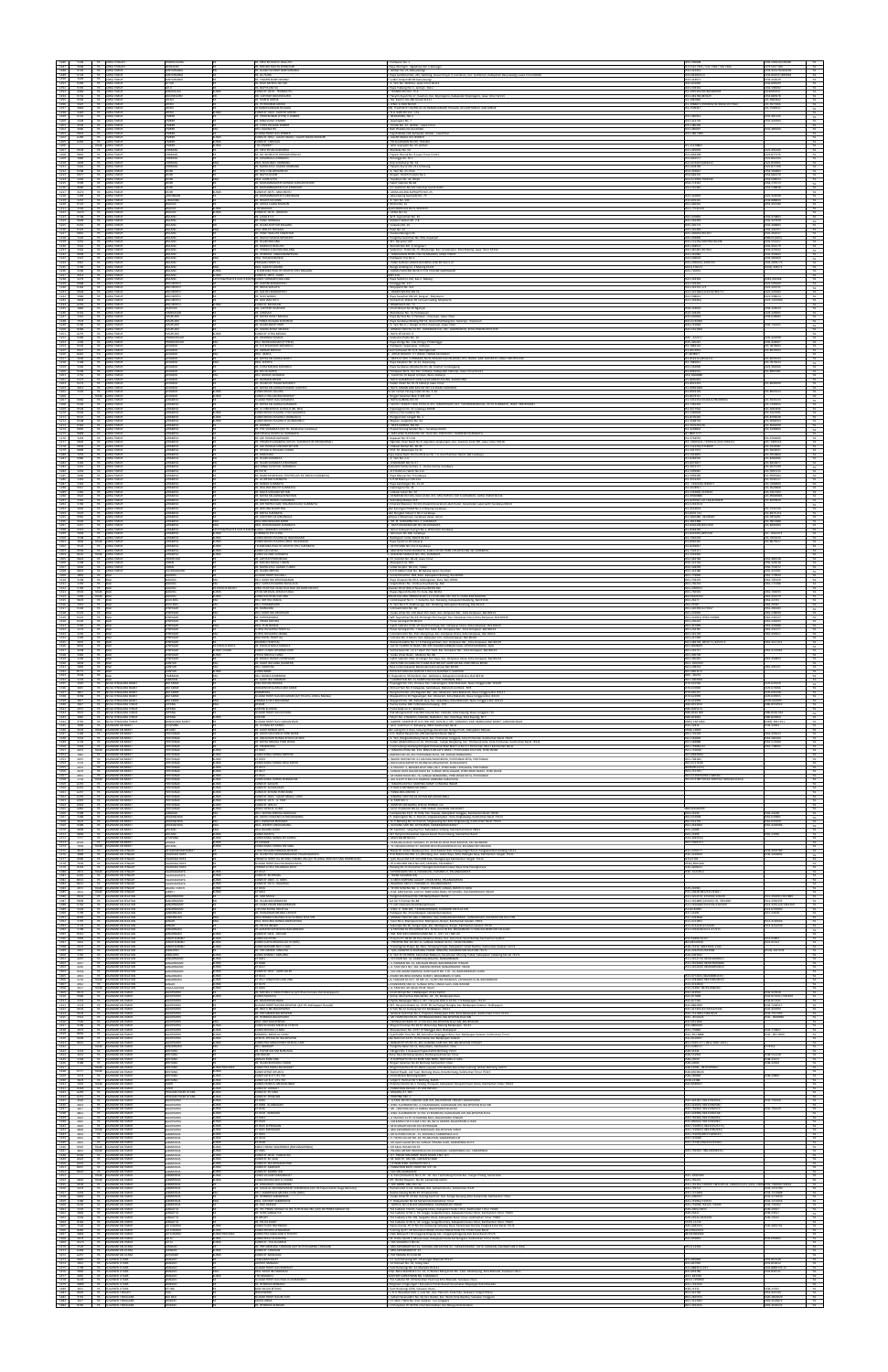| 1186<br>$\frac{1187}{1188}$                                 | 1144 YA JAWA TENGAH<br>'1668 YA JAWA TENGAH                            |                                                                                                                                                                                                                                                                                                                                                                                                              | WONOGIRI                                                    |                                                              | RS. KRISTEN NGESTI WALUYO<br>RS. MEDIKA MULYA WONOGIR<br>S. ISLAM FATIMAH BAN                                                                                                           | Jl. Pahlawan No. 1<br>. II. Raya Wonogiri - Ngadirojo Km 5 Wonogiri<br>. II. Jember No. 25, Banyuwangi                                                                                                                                                                                                                                                                                                          | 0293-596008<br>0273 532 7365 / 532 7369 / 532 7366                                                                               | 0293-596410/596490<br>0273 5327 366                     | YA<br>YA                                        |
|-------------------------------------------------------------|------------------------------------------------------------------------|--------------------------------------------------------------------------------------------------------------------------------------------------------------------------------------------------------------------------------------------------------------------------------------------------------------------------------------------------------------------------------------------------------------|-------------------------------------------------------------|--------------------------------------------------------------|-----------------------------------------------------------------------------------------------------------------------------------------------------------------------------------------|-----------------------------------------------------------------------------------------------------------------------------------------------------------------------------------------------------------------------------------------------------------------------------------------------------------------------------------------------------------------------------------------------------------------|----------------------------------------------------------------------------------------------------------------------------------|---------------------------------------------------------|-------------------------------------------------|
| 1189<br>1190<br>1191                                        | 0726<br>'0724 YA JAWA TIMUR<br>1429 YA JAWATIMUR<br>10269 YA JAWATIMUR | YA JAWA TIMUR                                                                                                                                                                                                                                                                                                                                                                                                | ANYUWANGI<br>ANYUWANGI                                      |                                                              | RS. AL-HUDA<br>S. YASMIN BANYUWANGI<br>RS. BUDI RAHAYU BLITAR                                                                                                                           | Jl. Raya Gambiran No. 225, Gentene, Dusun Kraian II, Gambiran, Kec. Gambiran, Kabupaten Banyuwanei, Jawa Timur 68465<br>Letkol Istiglah 80-84 banyuwangi<br>II. A. Yani No. 18 Blitar, Jawa Timur 6611:                                                                                                                                                                                                         | 1333-42149<br>0333-8420333-6<br>333-424671<br>1342-801066                                                                        | 1333-842037/8459<br>333-418219<br>342-806509            | YA<br>YA<br>YA<br>YA                            |
| 1192<br>1193<br>1194                                        | '0192 YA JAWATIMUR<br>"A281<br>'0731 YA JAWATIMUR                      | YA JAWA TIMUR                                                                                                                                                                                                                                                                                                                                                                                                | NGKALAN<br><b>QJONEGORO</b>                                 |                                                              | S. BAPTIS (BATU)<br>LINIK KF.0419 - TRUNOJC<br>RSI. AISYIYAH BOJONEGORO                                                                                                                 | II. Raya Tlekung No. 1, Junrejo - Batu<br>IL. TRUNOJOYO NO. 75 A<br>Jl. Hasyim Asyari No.17, Kauman, Kec. Bojonegoro, Kabupaten Bojonegoro, Jawa Timur 62113                                                                                                                                                                                                                                                    | 341-594161<br>031-3095459/0878<br>0353-481784,887829                                                                             | 341-598192<br>313095459<br>0353-885978                  | YA<br>YA<br>YA<br>YA                            |
| 1195<br>1196<br>1197                                        | '0596 YA JAWA TIMUR<br>1427<br>'4902                                   | YA JAWA TIMUR<br>YA JAWA TIMUR                                                                                                                                                                                                                                                                                                                                                                               | RESIK<br>RESIK                                              |                                                              | RS. SEMEN GRESIK<br>RS. PETROKIMIA GRESIK<br>RS RANDEGANSARI HUSAD                                                                                                                      | JL. RA. Kartini, No.280 Gresik 6111<br>IL. JEND. A.YANI NO.69<br>.<br>DSN. TELAPAK RT.02/RW.01 DS.RANDEGANSARI HUSADA, KEC.DRIYOREJO, KAB GRESIK                                                                                                                                                                                                                                                                | 131-3987840<br>031-3988877/3990994/3978658/3977666<br>31-750931                                                                  | 31-3987842<br>31-3977666<br>11-7509317                  | $\frac{YA}{YA}$                                 |
| 1198<br>1199<br>$\begin{array}{r} 1200 \\ 1201 \end{array}$ | 'A285 YA JAWATIMUR<br>10725<br>$\frac{1428}{3530}$                     | YA JAWA TIMUR<br>YA JAWA TIMUR<br>YA JAWA TIMUR                                                                                                                                                                                                                                                                                                                                                              | GRESIK<br>EMBER<br>MBER<br>MBER                             | KUNK                                                         | KLINIK KF.0164 - KARTINI GRESI<br>RS. PERKEBUNAN (PTPN) X JEMBE<br>RS. BINA SEHAT JEMBER<br>RS. CITRA HUSADA JEMI                                                                       | JL. R.A. KARTINI 150 - 152<br>IL. BEDADUNG, NO.2<br>il. Jayanegara No. 7<br>Il. Teratai No. 22, Jember - Jawa Timu                                                                                                                                                                                                                                                                                              | 1331-485912<br>1331-422701<br>1331-486200                                                                                        | 331-487226<br>331-424304                                | YA<br>YA<br>$\frac{YA}{YA}$                     |
| 1202<br>1203<br>1204                                        | 1685<br>6814<br>A289                                                   | YA JAWA TIMUR<br>YA JAWA TIMUR<br>YA JAWA TIMUR                                                                                                                                                                                                                                                                                                                                                              | <b>EMBER</b><br><b>EMBER</b><br>EMBER                       | KLINK                                                        | <b>ISU. KALIWATES</b><br><b>ILOAM HOSPITALS JEMBER</b><br>CUNIK KF.0062 - GAJAH MADA / GAJAH MADA MANDIR                                                                                | Jl Diah Pitaloka No 4a Jember<br>il. Gajah Mada 104, Kaliwates Jember , Ja<br>JL. GAJAH MADA 103 JEMBER                                                                                                                                                                                                                                                                                                         | 1331-48569<br>0331-286 1900                                                                                                      | 0331-489100                                             | YA<br>YA<br>YA                                  |
| 1205<br>1206<br>1207                                        | <b>A494</b><br>0978                                                    | YA JAWA TIMUR<br>TIDAK JAWA TIMUR<br>YA JAWA TIMUR                                                                                                                                                                                                                                                                                                                                                           | EMBER<br>EMBER<br><b>DMBANO</b>                             | KLINK<br>KLINK                                               | LINIK KF.TANO<br>THC JEMBER*<br>RS. KRISTEN MOJOWA                                                                                                                                      | L. PB.SUDIRMAN NO.99, TEKOAM<br>Jl. Jend. Suprapto No. 65 Jember<br>rdeka No. 59                                                                                                                                                                                                                                                                                                                                | 021-21478802<br>0321-495093                                                                                                      | 321-492200                                              | YA<br>YA .<br>YA                                |
| 1208<br>1209<br>1210                                        | 10810<br>1880<br>"1849                                                 | YA JAWA TIMUR<br>YA JAWA TIMUF<br>YA JAWA TIMUR                                                                                                                                                                                                                                                                                                                                                              | OMBANG<br>OMBANG                                            |                                                              | RS. DR. MOEDJITO DWIDJOSISWOJC<br>RSIA. MUSLIMAT JOMBANO                                                                                                                                | Jl. Hayam Wuruk No. 9,Jawa Timur 61411<br>Airlangga No. 50 C<br>Il Urip Sumoharjo No. 34                                                                                                                                                                                                                                                                                                                        | 0321-864308<br>0321-8744533/8                                                                                                    | 1321-877276<br>21-86219<br>321-854991                   | YA<br>YA<br>YA                                  |
| 1212<br>$\begin{array}{r} 1213 \\ 1214 \end{array}$         | 5425<br>'0248 YA JAWA TIMUR<br>19977 YA JAWATIMUR<br>1430 YA JAWATIMUR | YA JAWA TIMUF                                                                                                                                                                                                                                                                                                                                                                                                | EDIRI                                                       |                                                              | RS. HVA TOELOENGREDJO<br>RS. BAPTIS KEDIRI<br>RSIA. AURA SYIFA                                                                                                                          | syim Asy'ari No 211 Jo<br>Jl. A. Yani No. 25, Pare<br>I. Brigen, Polibh                                                                                                                                                                                                                                                                                                                                         | 1321-878700<br>0354-391047                                                                                                       | 1354-392883<br>1354-682170<br>1354-696033               | YA<br>YA<br>YA                                  |
| 1215<br>1216<br>1217                                        | 1599 YA JAWATIMUR<br>'4680 YA JAWATIMUR<br>'A272                       |                                                                                                                                                                                                                                                                                                                                                                                                              | EDIRI<br>DIRI.                                              | KLINK                                                        | RS. MUHAMMADIYAH AHMAD DAHLAN KEDIR<br>RS. MUHAMMADIYAH SITI KHODUA<br>CLINIK KF.0075 - MOJOROTO                                                                                        | II. Jayobayo No. 42, Diapa<br>Jl. Gatot Subroto No.84<br>II. Dr. Soetomo No 322 Sukorejo Gurah Ked<br>L. JAKSA AGUNG SUPRAPTO NO. 25                                                                                                                                                                                                                                                                            | 0354-671939/<br>1354-773115<br>354-545481                                                                                        | 354-776773<br>354-548838                                | YA<br>YA<br>YA                                  |
| 1218<br>1219<br>1220                                        | '1199<br>1247<br>10722                                                 | YA JAWA TIMUR<br>YA JAWA TIMUR<br>YA JAWA TIMUR<br>YA JAWA TIMUR                                                                                                                                                                                                                                                                                                                                             | AMONGA<br>UMAJANO<br>DJUN                                   |                                                              | RS. MUHAMMADIYAH LAMON<br>RS. WIJAYA KUSUMA<br>RS. SANTA CLARA MADIUI                                                                                                                   | I. Jaksa Agung Suprapto No. 76<br>J. A. Yani No. 149<br>II. Biliton No. 15                                                                                                                                                                                                                                                                                                                                      | 1322-322834<br>334-891325<br>1351-466510                                                                                         | 322-314048<br>0334-888844<br>351-455780                 | $\frac{YA}{YA}$<br>YA<br>YA                     |
| 1221<br>1222<br>1223                                        | 2345<br>'A270 YA JAWA TIMUR<br>0708                                    | YA JAWA TIMUR<br>YA JAWA TIMUR                                                                                                                                                                                                                                                                                                                                                                               | ADJUN<br>ADJUN<br>MALANG                                    | KLINK<br>KLINK                                               | <b>HC MADIUN</b><br>CLINIK KF.0076 - MADIL<br>S. LAVALETTE                                                                                                                              | IALAN MANGGIS NO.9, MADIUN<br>L. JAWA NO.14<br>II. W.R. Supratman No. 10                                                                                                                                                                                                                                                                                                                                        | 351-77542120<br>341-470805                                                                                                       | 1341-470804                                             | YA<br>YA                                        |
| 1224<br>$\frac{1225}{1226}$                                 | '0609 YA JAWA TIMUR<br>$\frac{0252}{0125}$                             | YA JAWA TIMUR<br>YA JAWA TIMUR                                                                                                                                                                                                                                                                                                                                                                               | AALANG<br>talang<br>talang                                  |                                                              | RS. PANTI NIRMALA<br>s. Islam Aisylyah Ma<br>Sia. Melati Husada                                                                                                                         | II. Kebalen Wetan No. 2-8<br>I. Sulawesi No. 16<br>I. Kawi No. 32                                                                                                                                                                                                                                                                                                                                               | 1341-362459<br>1341-326773<br>1341-325249                                                                                        | 1341-327930<br>341-368883<br>341-341357                 | YA<br>YA<br>$\frac{YA}{YA}$                     |
| 1227<br>1228<br>1229                                        | $\sqrt{0815}$<br>1326<br>"1252                                         | YA JAWA TIMUR<br>YA JAWA TIMUF<br>YA JAWA TIMUR<br>YA JAWA TIMUF                                                                                                                                                                                                                                                                                                                                             | AALANG<br>MALANG                                            |                                                              | IS. PANTI WALUYA SA<br>S. WAVA HUSADA<br>RS. ISLAM MALANG                                                                                                                               | . Nusakambangan Si<br>II. Panglima Suc<br>Jl. MT. Haryono 139                                                                                                                                                                                                                                                                                                                                                   | 1341-366033/36<br>1341.39300<br>0341-551356/580798/565448                                                                        | 1341-362017<br>0341-551257                              | YA<br>YA<br>YA<br>YA                            |
| 1231<br>1233                                                | '1325<br>'1561 YA JAWA TIMUR<br>'0094<br>1327                          | YA JAWA TIMU<br>YA JAWA TIMUR                                                                                                                                                                                                                                                                                                                                                                                | MALANG<br>MALANG                                            |                                                              | RS. PERMATA BUNDA MALAN<br>RSIA. HUSADA BUNDA                                                                                                                                           | Jl. Soekarno - Hatta No.75, Mojolangu, Kec. Lowokwaru, Kota Malang, Jawa Timur 65142<br>Jl. Pahlawan Trip No.2                                                                                                                                                                                                                                                                                                  | 0341-487487/40746<br>0341-569634                                                                                                 | 341-474242<br>0341-580169                               | YA<br>YA<br>YA                                  |
| 1235                                                        | '2967<br>2790<br>2346                                                  | YA JAWA TIMUR<br>YA JAWA TIMUF                                                                                                                                                                                                                                                                                                                                                                               | MALANG                                                      |                                                              | RSIA. GALERI CANDRA                                                                                                                                                                     | Jl. Bunga Andong no. 3 Malang 65141<br>JL. DANAU SENTANI BLO                                                                                                                                                                                                                                                                                                                                                    | 0341) 478571                                                                                                                     | 0341) 478571                                            | YA<br>YA<br>YA                                  |
| 1237<br>$\frac{1238}{1239}$                                 | 'A511<br>$\frac{2279}{0088}$                                           | YA JAWA TIMUR<br>YA JAWA TIMUR<br>YA JAWA TIMUR                                                                                                                                                                                                                                                                                                                                                              | MALANG<br>MALANG<br>MOJOKER                                 | KUNK                                                         | LINIK KF.0053 - KAW<br>LINIK FARMARIN MA<br>5. KARTINI MOJOKEI                                                                                                                          | KAWI 22A<br>Jl. Raya Sulfat no 232, Kav.2, Malang.<br>Jl. Erlangga No. 137                                                                                                                                                                                                                                                                                                                                      | 1341-334163                                                                                                                      | 1341-334164<br>321-595569                               | YA<br>YA<br>YA                                  |
| 1240<br>1241<br>1242                                        | 0164<br>10928<br>$\begin{array}{r} 1980 \\ 2818 \end{array}$           | YA JAWA TIMUR<br>YA JAWA TIMUR<br>YA JAWA TIMUR                                                                                                                                                                                                                                                                                                                                                              | <b>QJOKERTO</b><br>AOJOKERTO<br><b>IQJOKERTO</b>            |                                                              | S. REKSA WALUYA<br>RS. GATOEL MOJOKER<br>IS. SIDO WARAS                                                                                                                                 | II. Mojopahit No. 422<br>L. RADEN WIJAYA NO.56<br>Jl. Raya Sawahan KM.10, bangsal - Mojokerto                                                                                                                                                                                                                                                                                                                   | 321-322170-17<br>0321-3211681/32<br>1321-598621                                                                                  | 21-322511<br>321-321684<br>321-598624                   | YA<br>YA<br>YA<br>YA                            |
| 1243<br>1244<br>1245                                        | A292<br>'1881                                                          | YA JAWA TIMUR<br>YA JAWA TIMUR<br>YA JAWA TIMUR                                                                                                                                                                                                                                                                                                                                                              | AOJOKERTO<br><b>MOJOKERTO</b><br><b>IGANJUK</b><br>AMEKASAN | KITNIK                                                       | RS. MUTIARA HATI<br>LINIK KF MOJOSARI<br>RSI. AISYIYAH NGANJU<br>S. LARASATI                                                                                                            | Jl. Kemantren Wetan 49 Terusan Gedeg, Mojokerte<br>IL. BRAWUAYA NO. 75<br>II. Imam Bonjol No 20 Nganjuk<br>.<br>Mandilaras No. 74, Pamekasan                                                                                                                                                                                                                                                                    | 1321-363442<br>358-324024<br>1324-328305                                                                                         | 321-7223400<br>358-324024<br>324-328305                 | YA<br>YA                                        |
| $1246$<br>$1247$<br>1248<br>1249                            | 1313 YA JAWATIMUR<br>1347 YA JAWATIMUR<br>$\frac{7974}{0700}$          | YA JAWA TIMUR<br>YA JAWA TIMUR                                                                                                                                                                                                                                                                                                                                                                               | <b>ISURUAN</b><br>ASURUAN<br>SURUAN                         |                                                              | RS. MITRA SEHAT MEDIKA<br>S PRIMA HUSADA SUKOREJ<br>RS. ISLAM MASYITHOH                                                                                                                 | II. Raya By Pass No. 6 Pandaan - Pasuruan, Jawa Timur<br>II. Raya Surabaya Malang KM 54, Desa lemahbang Kec. Sukorejo - Pasurua<br>II. A. Yani No. 6-7, Bangil, 67153, Pasuruan, Jawa Timur                                                                                                                                                                                                                     | 1343-636064<br>343-6745000<br>1343-741018                                                                                        | 1343-636083<br>343-742425                               | $\frac{YA}{YA}$<br>YA<br>YA                     |
| $\frac{1250}{1251}$<br>1252                                 | $\frac{8283}{A279}$<br>'0309 YA JAWATIMUR                              | YA JAWA TIMUR<br>YA JAWA TIMUR                                                                                                                                                                                                                                                                                                                                                                               | <b>ISURUAN</b><br>ISURUAN<br>ROBOLINGGI                     |                                                              | .<br>INK KE CITRA MEDIK<br>INK KE CITRA MEDIKA<br>RS. DHARMA HUSADA                                                                                                                     | AHMAD YANI NO.15 KEL. KARANGKETUG, KEC. GADINGREJO, KOTA PASURUAN 67135<br>RAYA IFTAK NO. 9<br>II. Soekarno Hatta No. 10                                                                                                                                                                                                                                                                                        | 1343-5611000<br>1335 - 42217                                                                                                     | 335-422698                                              | YA<br>YA<br>YA                                  |
| 1254<br>1255                                                | '1330<br>10545<br>'0927                                                | YA JAWA TIMU<br>YA JAWA TIMUR                                                                                                                                                                                                                                                                                                                                                                                | DOARJO                                                      |                                                              | RS. SITI KHODUAH (SIDOARJO<br>WAR M                                                                                                                                                     | Raya Dringu No. 118, Dringu, Probolinggo<br>Jl. Pahlawan, Sepanjang - Sidoarjo                                                                                                                                                                                                                                                                                                                                  | 031-7882123                                                                                                                      | 031-7876064                                             | YA<br>YA<br>YA                                  |
| 1256<br>1258                                                | B222<br>'1040<br>1108                                                  | YA JAWA TIMUR<br>YA JAWA TIMUF<br>YA JAWA TIMUR                                                                                                                                                                                                                                                                                                                                                              | IDOARIO<br>IDOARJO                                          |                                                              | RSU. USADA<br>RS. MITRA KELL<br>RSIA. SOERYA                                                                                                                                            | JL. JERUK NOMOR 117 WAGE-TAMAN SIDOARJO<br>L. RAYA LETJEN. S.PARMAN, NO.8, KRAJAN KULON WARU, KEC. WARU, KAB. SIDOARJO, JAWA TIMUR 6125<br>Jl. Raya Kalijaten No. 11-15, Sepanjang                                                                                                                                                                                                                              | 131-8539671<br>031-8543111/<br>031-7885011                                                                                       | 031-8545543<br>031-7873633                              | YA<br>YA<br>YA                                  |
| 1259<br>1260<br>1261<br>1262                                | 1346<br>10249<br>2755<br>16375                                         | YA JAWA TIMUR<br>YA JAWA TIMUR<br>YA JAWA TIMUR<br>YA JAWA TIMUR                                                                                                                                                                                                                                                                                                                                             | <b>OARJO</b><br>IDOARJO<br>DOARIO<br><b>DOARJO</b>          |                                                              | S. CITRA MEDIKA S<br>RS. DELTA SURYA<br>SU. BUNDA SIDOARI<br>RS. RAHMAN RAHIM                                                                                                           | II. Raya Surabaya, Mojokerto Km.44, Kramat Tumenggung<br>Jl. Pahlawan No.9, Jati, Kec. Sidoarjo, Kabupaten Sidoarjo, Jawa Timur 61211<br>IL. Kundi No. 70 Kepuh Kiriman, Waru Sidoarjo<br>JL. RAYA SAIMBANG RT/RW:10/03 KEBON AGUNG, SUKODONC                                                                                                                                                                   | 0321-361000<br>031-8962531<br>(031) 866888<br>031-8830010                                                                        | 031-8961281                                             | YA<br>YA<br>YA<br>YA                            |
| $\frac{1263}{1264}$<br>1265                                 | 0271<br>"A611<br>1342                                                  | YA JAWA TIMUR<br>YA JAWA TIMUR<br>YA JAWA TIMUR                                                                                                                                                                                                                                                                                                                                                              | XARIO<br>DOARJO<br>DOARJO                                   | KLINK                                                        | RS. ISLAM SITI HAJAR S<br>RS. MITRA KELUARGA PONDOK TJANDR<br>LINIK MEDIS GELORA                                                                                                        | Jl. Raden Patah No 70-72 Sidoarjo Jawa Timur<br>JL. RAYA TAMAN ASRI KAV DD NO:1-8 WARU SID<br>Perum Taman Pinang Indah B7 No. 3-3A                                                                                                                                                                                                                                                                              | 31-8921233<br>031-9969100<br>031-8929139                                                                                         | 131-8944990<br>131-8929123                              | YA<br>YA .                                      |
| 1266<br>1267<br>1268                                        | - 10081<br>10136                                                       | TIDAK JAWA TIMUR<br>YA JAWA TIMUR<br>YA JAWA TIMUR                                                                                                                                                                                                                                                                                                                                                           | <b>DOARJO</b><br><b>JRABAYA</b><br><b>JRABAYA</b>           | KLINK                                                        | CUNIK CITRA GADING MEDIKA<br><b>ILOAM HOSPITALS SURABAYA</b><br>RS. MITRA KELUARGA SURABAYA                                                                                             | Jl. Brigjen Katamso Blok A 408-409<br>IL. RAYA GUBENG NO.70<br>IL. SATELIT INDAH II BIOK FN No.8, KELTANJUNGSARI, KEC. SUKOMANUNGGAL, KOTA SURABAYA, JAWA TIMUR 60187                                                                                                                                                                                                                                           | 031-8679727<br>031-5031333/50318<br>031-7345333                                                                                  | 31-5031533<br>131-7345955                               | $\frac{YA}{YA}$<br>$\frac{YA}{YA}$              |
| $\frac{1269}{1270}$<br>1271                                 | 10544<br>10546<br>$\frac{0547}{0548}$                                  | YA JAWA TIMUR<br>YA JAWA TIMUR<br>YA JAWA TIMUR                                                                                                                                                                                                                                                                                                                                                              | URABAYA<br>RABAYA<br>URABAYA                                | KLINK<br>KLINK                                               | S. ST. VINCENTIUS A. PAULO (RS. RKZ)<br>GJINIK MEDIS PUSURA I (YOS SUDARSO<br>LINIK MEDIS PUSURA II (RUNGKUT                                                                            | II. Diponegoro No. 51 Surabaya 60008<br>II. Kom (L) Yos Sudarso 9A<br>II. Rungkut Asri Tengah No. 2                                                                                                                                                                                                                                                                                                             | 131-5677562<br>031-5340604<br>031-8705210                                                                                        | 131-5687846<br>31-5327095<br>131-8793028                | YA<br>YA<br>YA<br>YA                            |
| 1272<br>1273<br>1274                                        | 10163 YA JAWATIMUR<br>10895 YA JAWATIMUR                               | YA JAWA TIMUR                                                                                                                                                                                                                                                                                                                                                                                                | RABAYA<br>URABAYA<br>RABAYA                                 |                                                              | GUNIK MEDIS PUSURA III (SUNGKON<br>RS. DARMO<br>RS. PHC SURABAYA (d/h RS. Pelabuhan Surabaya                                                                                            | II. Mayjen. Sungkono No. 64<br>JL. RAYA DARMO, NO.90<br>II. Prapat Kurung Selatan No. I, Surabaya 60165<br>JL. MAYJEND SUNGKONO NO.16-20 KEL PAKIS KEC. SAWAHAN SURABAYA                                                                                                                                                                                                                                        | 031-5668763<br>031-5676253/56<br>131-3294801                                                                                     | 31-5668763<br>031-5602690<br>31-3294804                 | YA<br>YA<br>YA                                  |
| 1275<br>1276<br>1277<br>1278                                | 1201 YA JAWATIMUR<br>1201 YA JAWATIMUR<br>'0829 YA JAWATIMUR<br>0830   | YA JAWA TIMUR                                                                                                                                                                                                                                                                                                                                                                                                | URABAYA.<br>URABAYA<br>URABAYA<br>URABAYA                   |                                                              | MAYAPADA HOSPITAL SURABAYA<br>RS. ADI HUSADA KAPASARI<br>RS: PREMIER SURABAYA (d/h RS: SURABAYA INTERNASIONA<br>RS. ADI HUSADA UNDAAN WET                                               | Jl. Nginden Intan Barat No.B, Ngenden Jangkungan, Kec. Sukolilo, Kota SBY, Jawa Timur 60118<br>II. Undaan Wetan No. 40-44                                                                                                                                                                                                                                                                                       | 131-99217777<br>131-3764555<br>031-33003211/5993211 031-599321<br>031-5321256/5                                                  | 31.3764666<br>031-5993214<br>031-5321081                | YA<br><b>YA</b><br>YA                           |
| 1279<br>1280<br>1281                                        | 10809<br>1453<br>10980                                                 | YA JAWA TIMUR<br>YA JAWA TIMUR<br>YA JAWA TIMUR                                                                                                                                                                                                                                                                                                                                                              | <b>SURABAYA</b><br><b>JRABAYA</b><br>URABAYA                |                                                              | RS. SPESIALIS HUSADA UTAMA<br>RS. ONKOLOGI<br>RS. ISLAM SURABAYA                                                                                                                        | Jl. Prof. Dr. Moestopo 31-35<br>Araya Galaxi Bumi Permai Blok A2 No.7 Jl. Arief Rahman Hakim 182 Surabaya<br>Jl. A. Yani No. 2-4                                                                                                                                                                                                                                                                                | 031-5017975<br>031-591485<br>031-8284505                                                                                         | 031-5018337<br>131-5914860<br>031-8284486               | YA<br>YA<br>YA                                  |
| 1282<br>1283<br>1284                                        | '1364 YA JAWA TIMUR<br>2315<br>1454                                    | YA JAWA TIMUR<br>YA JAWA TIMUR                                                                                                                                                                                                                                                                                                                                                                               | URABAYA<br>URABAYA                                          |                                                              | RS. ISLAM SURABAYA JEMURSARI<br>NATIONAL HOSPITAL SURABAYA<br>RS PUTRI                                                                                                                  | JL. JEMURSARI NO.51-57<br>oulevard Family Sel kav. 1 - Graha Family, Surabaya<br>II. Arif Rahman Hakim No.112                                                                                                                                                                                                                                                                                                   | 031-8471877<br>031-2975777<br>031-5999987                                                                                        | 031-8414877<br>031-2975799<br>131-5997215               | YA<br>YA<br>YA                                  |
| 1285<br>1286<br>1287                                        | '1690<br>1361<br>"1363                                                 | YA JAWA TIMUR<br>YA JAWA TIMUR<br>YA JAWA TIMUR                                                                                                                                                                                                                                                                                                                                                              | URABAYA<br>URABAYA<br><b>SURABAYA</b>                       |                                                              | RS. MANYAR MEDICAL CENTRE (d/h RS. BEDAH SURABAYA)<br>RS. AL IRSYAD SURABAYA<br>RS. BUNDA SURABAYA                                                                                      | Jl. Raya Manyar No. 9 Surabaya<br>JI. K.H.M Mansyur 210-214<br>Jl. Raya Kandangan No. 23-24                                                                                                                                                                                                                                                                                                                     | 031-5999369<br>031-3531223<br>031 - 7442220/7440                                                                                 | 131-5995284<br>031-3541517<br>031-7400694               | YA<br>YA<br>YA                                  |
| 1288<br>1289<br>1290<br>1291                                | 0917<br>1365<br>$\begin{array}{r} 2925 \\ 1362 \end{array}$            | YA JAWA TIMUR<br>YA JAWA TIMUR<br>YA JAWA TIMUR<br>YA JAWA TIMUR                                                                                                                                                                                                                                                                                                                                             | URABAYA<br>URABAYA<br>URABAYA<br>RABAYA                     |                                                              | RS. WILLIAM BOOTH SURABA<br>RS. MATA UNDAAN WETAN<br><b>RS. MITRA KELUARGA KENJERAN<br/>RS. BHAKTI RAHAYU SURABAYA</b>                                                                  | I. Diponegoro Ne<br>Jl. Undaan Kulon No. 19<br>IL. KENJERAN NO.506, KALIJUDAN, KEC. MULYOREJO, KOTA SURABAYA, JAWA TIMUR 60134<br>II. Ketintang Madya I/16                                                                                                                                                                                                                                                      | 031-5678917<br>031-5343806,531<br>031-99000880<br>031-8295922 ext 118/                                                           | 31-5624868<br>131-5317503<br>131-99000885<br>31-8293839 | YA<br>YA .<br>YA<br>YA                          |
| 1292<br>1293<br>1294                                        | 2785<br>2001<br>2476 YA JAWA TIMUR                                     | YA JAWA TIMUR<br>YA JAWA TIMUR                                                                                                                                                                                                                                                                                                                                                                               | URABAYA<br>RABAYA<br><b>URABAYA</b>                         |                                                              | <b>IS ORTHOPEDI DAN TRAHMATOLOGI SHRARAYA</b><br>RS. WIYUNG SEJAHTER<br>RS. ROYAL SURABAYA                                                                                              | il. Emerald Mansion TX/10 Citraland Kelurahan Lidah Kulon, Kecamatan Lakarsantri Surabaya 60213<br>Jalan Karangan PDAM No.1-3 Wiyung Surabaya<br>Jalan Rungkut Industri I No.1 Surabaya                                                                                                                                                                                                                         | 031-57431574<br>031-4532653<br>031-8476 111                                                                                      | 31-7533726<br>031-8476 211                              | $\frac{YA}{YA}$                                 |
| 1295<br>1296<br>1297                                        | '6965<br>$\frac{4446}{2217}$                                           | YA JAWA TIMUR<br>YA JAWA TIMUR<br>YA JAWA TIMUR                                                                                                                                                                                                                                                                                                                                                              | RABAYA<br><b>JRABAYA</b><br>RABAYA                          |                                                              | S. UNIVERSITAS AIRLANG<br>RSIA KENDANGSARI MERR<br>RSIA. KENDANGSARI SURABA                                                                                                             | Kampus C Mulyorejo, Surabaya (Jawa Tim<br>IL. DR. IR. SOEKARNO NO. 2, SURABAYA<br>L. RAYA KENDANGSARI NO.38 SURABAY/                                                                                                                                                                                                                                                                                            | 131-5820280, 5820<br>031-3814388<br>131-8436200/84                                                                               | 131-5916291<br>31-3813488<br>31-8494484                 | YA<br>YA<br>$\frac{YA}{YA}$                     |
| 1298<br>1299<br>$\frac{1300}{1301}$                         | '4312 YA JAWA TIMUR<br>7603<br>$^{1548}_{1846}$                        | YA JAWA TIMUR<br><b>YA JAWA TIMUR<br/>TIDAK JAWA TIMUR</b>                                                                                                                                                                                                                                                                                                                                                   | URABAYA<br>RABAYA<br>JRABAYA<br>JRABAYA                     | APOTEK&PRAKTEK DOKTER BERS KLINIK FARMARIN SURABAYA<br>KLINK | JRABAYA EYE CLINIC<br>LINIK MEDIS PUSURA (5) BALONGSARI<br>LINIK MEDIS PUSURA CANDI ISIDOARI                                                                                            | Jl. Jemur Andayani Gang II No 1, Wonocolo Surabay<br>. Jemursari No 108, Surabaya<br>I. Balongsari Tama, Blok B No 8-9<br>I. Raya Candi no 49 Sidoario                                                                                                                                                                                                                                                          | 031-8418190<br>131-8433050,849<br>1-7416234<br>1-8966345                                                                         | 131 - 8412473<br>31-7416234                             | YA<br>YA<br>$\frac{YA}{YA}$                     |
| 1302<br>1303<br>1304                                        | "SS76 YA JAWA TIMUR<br>6939 YA JAWATIMUR                               |                                                                                                                                                                                                                                                                                                                                                                                                              | SURABAYA<br>URABAYA<br>URABAYA                              | <b>KLINK</b><br>KLINK                                        | TELEMEDIKA HEALTH CENTER (THC) SURABAY.<br>CLINIK GIGI SEHAT<br>KLINIK SILOAM SURABAYA                                                                                                  | JL. KETINTANG NO.152 A Surabaya<br>JL. MAYJEND.YONO SOEWOYO, RUKO OFFICE PARK 2 BLOK B2 NO.28, SURABAYA                                                                                                                                                                                                                                                                                                         | 031-829401<br>031-7329177                                                                                                        |                                                         | YA<br>YA<br>YA                                  |
| 1305<br>1306 1198 YA JAWA TIMUR<br>1307                     | 8116 TIDAK JAWA TIMUR<br>19823 YA JAWA TIMUR<br>2002 YA JAWATIMUR      |                                                                                                                                                                                                                                                                                                                                                                                                              | TUBAN                                                       |                                                              | RS. MEDIKA MULIA TUBAN<br>S. NAHDLATUL ULAMA TUBAN                                                                                                                                      | IL. NGINDEN SEMOLO NO. 915, SURABAYA<br>Sutomo No. 18-24, Jawa Timur<br>Jl. Mojopahit no. 699<br>II. Letda Sucipto No 211, Tuban                                                                                                                                                                                                                                                                                | 031-5934430<br>0356-322744<br>0356-328299                                                                                        | 352-484218<br>0356-324618<br>0356-712072                | YA<br>YA YA<br>YA                               |
| 1308 10813 YA JAWATIMUR<br>1309 1909 YA BALI<br>1310        | '1138  YA BAU                                                          |                                                                                                                                                                                                                                                                                                                                                                                                              | TULUNGAGUNG<br>ADUNG                                        |                                                              | RS. ISLAM ORPEHA<br>LOAM HOSPITALS BA<br>RSU. KASIH IBU KEDONGANA!                                                                                                                      | Jl. K.H.R Abdul Fatah No. 80 Batang Saren, Kauman<br>I. Sunset Road No. 818, Kuta -Kabupaten Badung, Bali 80361<br>Jl. Raya Uluwatu No.69 A, Kedonganan, Kuta, Bali, 80361                                                                                                                                                                                                                                      | 0355-323186<br>0361-779900<br>0361-703270                                                                                        | 1355-327691<br>361-77994<br>361-703329                  | YA .<br>YA<br>YA                                |
| 1311<br>1312<br>$\frac{1313}{1314}$                         | YA BA<br>"5783 YA BALI<br>6933 TIDAK BALL<br>'1492 TIDAK BALL          |                                                                                                                                                                                                                                                                                                                                                                                                              | BADUNG                                                      | RS KHUSUS BEDAH                                              | BIMC HOSPITAL NUSA DUA BALI (SILOAM GROUP)                                                                                                                                              | II. Siligita Blok I No. 14 Nusa Dua-<br>adung -Bali<br>Kawasan BTCD Blok D Nusa Dua 80363 Bali<br>Jl. Bypas Ngurah Rai No 9 C Kuta, Bali 80361<br>PERUM DALUNG PERMAI BLOK C1-C4 DALUNG KEC KUTA UTARA KAB BADUNG                                                                                                                                                                                               | 0361-3000911                                                                                                                     | 61-771388                                               | YA<br>YA<br>$\frac{YA}{YA}$                     |
| $\begin{array}{r} 1315 \\ 1316 \end{array}$<br>1317         | '0870 YA BALI<br>'1451 YA BALL                                         |                                                                                                                                                                                                                                                                                                                                                                                                              | ADUNG<br>ULELENG<br>ULELENG<br>ENPASAR                      | KLINIK                                                       | .<br>Qunik kasih ibu dalung<br>RSU. KERTHA USADA<br><b>ISU. PARAMASIDHI</b><br>RS. MANUABA                                                                                              | Jl. Cendrawasih No.5 - 7, Kaliuntu, Kec. Buleleng, Kabupaten Buleleng, Bali 81116<br>II. A. Yani No.171, Baktiseraga, Kec. Buleleng, Kabupaten Buleleng, Bali 81116                                                                                                                                                                                                                                             | 082236324193<br>0362-26277<br>0362-29787<br>0361-426393/427944                                                                   | 1361-422179<br>0362-22741<br>362-29787                  | YA<br>YA                                        |
| 1318<br>1319<br>1320                                        | 0140 YA BALL<br>'0179  YA BALI<br>0221 YA BALL<br>'0220 YA BALI        |                                                                                                                                                                                                                                                                                                                                                                                                              | <b>ENPASAR</b><br>DENPASAR                                  |                                                              | RSU. KASIH IBU DENPA<br>RS. PURI RAHARJA<br>RS. PRIMA MEDIKA                                                                                                                            | II. Cokroaminoto No. 28<br>II. Cokroaminoto No. 28<br>II. Teuku Umar No. 120 Dauh Puri Kauh, Kec. Denpasar Bar., Kota Denpasar, Bali 80114<br>II. WR. Supratman No.14-19 Dangin Puri Kangin, Kec. Denpasar Utara, Kota Denpasar, Bali 80236<br>Jl. Pulau Serangan 9X 80114                                                                                                                                      | 0361-223036<br>0361-222013/0361-240584                                                                                           | 361-286183<br>361-238690<br>1361-242537                 | YA<br>YA<br>YA<br>YA                            |
| 1321<br>1322<br>1323                                        | 1150<br>'1273 YA BALI                                                  | YA BALI                                                                                                                                                                                                                                                                                                                                                                                                      | <b>ENPASAR</b><br>ENPASAR<br><b>ENPASAR</b><br>ENPASAR      |                                                              | RSIA. PURI BUNDA<br>URYA HUSADHA HOSPI<br>URYA HUSADHA UBUNG                                                                                                                            | il. Gatot Subroto VI No.19 Dauh Puri Kaja, Kec. Denpasar Utara, Kota Denpasar, Bali 80233<br>Jl. Pulau Serangan No. 7 Dauh Puri Klod, Kec. Denpasar Bar., Kota Denpasar, Bali 80114<br>Jl. Cokroaminoto No. 356 Ubung Kaja, Kec. Denpasar Utara, Kota Denpasar, Bali 80116                                                                                                                                      | 0361-236225<br>0361-437999<br>0361-233787<br>0361-425744                                                                         | 361-236203<br>361-433988<br>361-231177<br>1361-430557   | YA<br>YA                                        |
| 1324<br>$1325$<br>$1326$                                    | 1245 YA BALL<br>1309 YA BALL<br>1047 YA BALL<br>8045 YA BALL           |                                                                                                                                                                                                                                                                                                                                                                                                              | <b>ENPASAR</b><br>ENPASAR<br>ENPASAR                        | IS KHUSUS MATA                                               | BALI ROYAL HOSPITAL<br>IALIMED HOSPITAL<br>IS. KHUSUS MATA RAMATI                                                                                                                       | I. Tantular No. 6 Renon Kec. Denpasar Tim., Kota Denpasar, Bali 80226<br>.<br>II. Mahendradatta No. 57 X Padangsambian, Kec. Denpasar Bar., Kota Denpasar, Bali 80119<br>IL. GATOT SUBROTO BARAT NO.429 PADANGSAMBIAN KAIA, DENPASAR BARAT, BALI                                                                                                                                                                | 0361-247499<br>1361-484748, 8450771, 8450772<br>1361 9069009                                                                     | 361-3117311                                             | YA<br>YA<br>YA<br>YA                            |
| $1327$<br>$1328$<br>1329                                    | '4438                                                                  | YA BAL                                                                                                                                                                                                                                                                                                                                                                                                       | ENPASAR                                                     | KLINIK UTAMA                                                 | LINIK UTAMA DHARMA SIDI<br><b>PENTA MEDICA CLINIC</b>                                                                                                                                   | Jl. Serma Kawi No. 13-17 Dauh Puri Klod, Kec. Denpasar Bar., Kota Denpasar, Bali 80114<br>Jl. Teuku Umar Barat - Malboro No. 88                                                                                                                                                                                                                                                                                 | 0361-242717<br>0361-490709                                                                                                       | 1361-4723465<br>361-430833                              | YA<br>YA<br>YA                                  |
| 1330                                                        | 1463<br>YA BAL<br>'1146 YA BALI                                        |                                                                                                                                                                                                                                                                                                                                                                                                              | ENPASAR<br>DENPASAR                                         |                                                              | RS. BHAKTI RAHAYU DENPASAR                                                                                                                                                              | Jl. Gatot Subroto II No.11 Dangin Puri Kaja, Kec. Denpasar Utara, Kota Denpasar, Bali 80234                                                                                                                                                                                                                                                                                                                     | 0361-430245                                                                                                                      |                                                         |                                                 |
| 1331                                                        | '4834<br>'1896 YA BALI<br>YA BAI<br>8773                               |                                                                                                                                                                                                                                                                                                                                                                                                              | <b>IANYAR</b>                                               |                                                              | S. KASIH IBU SABA<br>RSU. GANESHA                                                                                                                                                       | AR BALI INDONESIA 805<br>Jl. Raya Celuk Sukawati Batubulan Kab. Gianyar Bali 80582<br>ULAN ANYELIR S NO.3 A SUKAWATI, GIANY                                                                                                                                                                                                                                                                                     | 0361-298233                                                                                                                      | 361-291237                                              | YA .<br>YA                                      |
| 1332<br>1333<br>1334<br>1335                                | '3558 YA BALI<br>2133                                                  | 1539 YA NUSA TENGGARA BARAT                                                                                                                                                                                                                                                                                                                                                                                  | <b>EMBRANA</b><br>MATARAM                                   |                                                              | RSU. BUNDA JEMBRANA<br>RISA SENTRA MEDIKA                                                                                                                                               | Jin. Rajawali no 36 Pendem, Kec. Jembrana, Kabupaten Jembrana, Bali 82218                                                                                                                                                                                                                                                                                                                                       | 0365 - 40251<br>1370-625560                                                                                                      | 370-625559                                              | YA<br>YA<br>YA                                  |
| 1336<br>1337                                                | 1645                                                                   | YA NUSA TENGGARA BARAT<br>1827 YA NUSA TENGGARA BARAT                                                                                                                                                                                                                                                                                                                                                        | <b>ARAM</b><br>MATARAM                                      |                                                              | BIOMEDIKA                                                                                                                                                                               | Jl. Pejanggik No. 115, Cilinaya, Kec. Cakranegara, Kota Mataram, Nusa Tenggara Bar. 83239<br>ad Yani No. 9 Selagalas, Sandubaya, Mataram Lombok - NTB<br>Jl. Bung Karno No. 143 Pagutan Bar., Kec. Mataram, Kota Mataram, Nusa Tenggara Bar. 83117                                                                                                                                                              | 0370-645137                                                                                                                      | 1370-645138                                             | YA<br>YA<br>YA                                  |
| 1338<br>1339<br>1340<br>1341                                |                                                                        | 1958 YA NUSA TENGGARA BARAT<br>1957 YA NUSA TENGGARA BARAT<br>1647 YA NUSA TENGGARA TIMUR<br>2972 YA NUSA TENGGARA TIMUR                                                                                                                                                                                                                                                                                     | MATARAM<br>MATARAM<br><b>UPANG</b><br><b>UPANG</b>          |                                                              | ERMATA HATI MATARAN<br>DEDARI<br><b>KARTINI KUPANG</b>                                                                                                                                  | il. Majapahit no 10 Pagesangan, Kec. Mataram, Kota Mataram, Nusa Tenggara Bar. 83115<br>Il. Majapahit No.10C, Kekalik Jaya, Kec. Sekarbela, Kota Mataram, Nusa Tenggara Bar. 83114<br>Jl. Rantai Damai 69D TDM Oebufu Kupang - NTT<br>Jl. Frans Seda no 17, Walikota                                                                                                                                            | 1370-623999<br>1370-631999<br>0380-8553914<br>0380-8065111                                                                       | 170-635955<br>370-63299 <mark>:</mark><br>80-8553914    | YA<br>YA<br>YA                                  |
| 1342<br>1343<br>1344                                        |                                                                        | 13975 YA NUSA TENGGARA TIMUR<br>1380 YA NUSA TENGGARA TIMUR<br>'4762 YA NUSA TENGGARA TIMUR                                                                                                                                                                                                                                                                                                                  | JPANG<br><b>UPANG</b><br>AANGGARAI BARA                     | KLINK                                                        | ILOAM HOSPITALS KUPAN<br>CARTINI<br>ILOAM HOSPITALS LABUAN BAJO                                                                                                                         | II. RW Monginsidi RT 014/004 Fatululi Kec. Oebobo, Kota Kupang, Nusa Tenggara Tim.<br>Jl. Eltari I No. 2 Naikotin, Oebobo, Naikoten I, Kec. Kota Raja, Kota Kupang, NTT.<br>Jl.: GABRIEL GAMPUR RT.013. RW.005, DUSUN V, KEC. KOMODO, KAB. MANGGARAI BARAT, LABUHAN BAJO                                                                                                                                        | 0380-8530 900<br>0380-833010<br>0385) 238 1900                                                                                   | 380-8530 933<br>380-820660<br>0385) 238 1911            | $\begin{array}{c}\nYA \\ YA \\ YA\n\end{array}$ |
| 1345<br>$1346$<br>$1347$<br>1348                            |                                                                        | '1800 YA KALIMANTAN BARAT<br>5633 TIDAK KALIMANTAN BARAT<br>'1106 YA KALIMANTAN BARAT                                                                                                                                                                                                                                                                                                                        | ETAPANG<br><b>ELAWI</b><br>ONTIANAK<br>ONTIANAK             |                                                              | RS. FATIMA KETAPANG<br>S. KASIH BUNDA JAYA<br>RS. SANTO ANTONIUS PONTIANA<br>S. ANUGERAH BUNDA KHATULISTIWA                                                                             | Jl. Jend. Sudirman 27 Ketapang 78813 Kalimantan Barat<br>alan Juang Km 2 Desa Tanjung Niaga Kecamatan Nanga Pinoh, Kabupaten Melaw<br>Jl. K.H. Wahid Hasyim No. 249 Kalimantan Barat 78112                                                                                                                                                                                                                      | 3534-32814<br>3568) 22885<br>1561-732101<br>0561-581818                                                                          | 634-33064<br>0561-433623<br>661-584100                  | YA<br>YA<br>YA<br>YA                            |
| 1349<br>$\begin{array}{r} 1350 \\ 1351 \end{array}$         |                                                                        | 1431 YA KALIMANTAN BARAT<br>12729 YA KALIMANTAN BARAT<br>1563 YA KALIMANTAN BARAT 12253 TIDAK KALIMANTAN BARAT                                                                                                                                                                                                                                                                                               | ONTIANAK<br>ONTIANAK<br>ONTIANAK                            | KUNK                                                         | RS. MITRA MEDIKA PONTIANAK<br>RS. PROMEDIKA<br>Œ 0032                                                                                                                                   | il. A. Yani, Bangka Belitung Darat, Kec. Pontianak Tenggara, Kota Pontianak, Kalimantan Barat 78124<br>Jl. Sultan Abdulrahman no 25, Pontianak - Sungai Bangkong, Kec. Pontianak Kota, Kota Pontianak, Kalimantan Barat 78113<br>ll. Gusti Sulung Lelanang Komplek Pontianak Mall Blok E-A No.2-5 Pontianak 78117 Kalimantan Barat<br>L. TANJUNG PURA NO. 419, BENUA MELAYU BARAT, PONTIANAK SELATAN, PONTIANAK | 0561-584888<br>1661-739082/4<br>1661-7316581                                                                                     | 1561-576100<br>561-738692                               | YA<br>YA<br>YA<br>YA                            |
| 1352<br>1353<br>1354                                        | 7982<br>2255<br>7779                                                   | YA KALIMANTAN BARAT<br>YA KALIMANTAN BARAT<br>YA KALIMANTAN BARAT                                                                                                                                                                                                                                                                                                                                            | <b>INTIANAK</b><br>ONTIANAK                                 | KLINK<br>KLINK                                               | CLINIK KIMIA FARMA AMPERA<br>KLINIK KIMIA FARMA DESA KAPUR                                                                                                                              | AMPERA NO 30, KEC PONTIANAK KOTA, KEL SUNGAI BANGKONG<br>WAHID HASYIM NO. 61 ASUNGAI BANGKONG, PONTIANAK KOTA, PONTIANA<br>RAYA DESA KAPUR RT.05/RW.02 DESA KAPUR, SUNGAI RAYA                                                                                                                                                                                                                                  | 0561-8182360<br>1561-6717678                                                                                                     |                                                         | YA<br>YA<br>YA                                  |
| 1355<br>1356<br>1357                                        | 2254<br>2679<br>4391                                                   | YA KALIMANTAN BARAT<br>YA KALIMANTAN BARAT                                                                                                                                                                                                                                                                                                                                                                   | <b>INTIANAK</b>                                             | KLINK                                                        | CF 0477                                                                                                                                                                                 | A YANI NO. 5, BANGKA BELITUNG LAUT, PONTIANAK TENGGARA, PONTIANA<br>L. SUNGAI RAYA DALAM RUKO B1, SUNGAI RAYA DALAM, PONTIANAK BARAT, PONTIANAK<br>. M YAMIN RUKO NO. 7A, SUNGAI BANGKONG, PONTIANAK KOTA, PONTIANAK                                                                                                                                                                                            | 1561-737797                                                                                                                      |                                                         | YA<br>YA<br>YA                                  |
| 1358<br>1359<br>1360                                        | 7778<br>A219                                                           | TIDAK KALIMANTAN BARAT<br>YA KALIMANTAN BARAT<br>A235 YA KALIMANTAN BARAT                                                                                                                                                                                                                                                                                                                                    | ONTIANAK<br>TIANAK<br>ONTIANAK                              | KLINK<br>KLINK<br>KLINK                                      | KLINIK KIMIA FARMA ROSMALINA<br><b>CLINIK KF.SAIGON</b><br>KLINIK KF.SUNGAUAW                                                                                                           | L. ADI SUCIPTO KM 13.6 AARANG LIMBUNG KUBU RAYA<br>L. TANJUNG RAYA II SAMPING KOMP. CENDANA INDAH<br>JL. H RAIS A RAHMAN NO 168/C                                                                                                                                                                                                                                                                               | 1561-6717897/0534-3035532/085654211454                                                                                           |                                                         | YA<br>YA<br>YA                                  |
| 1361<br>1362                                                |                                                                        | A237 YA KALIMANTAN BARAT<br>A239 YA KALIMANTAN BARAT                                                                                                                                                                                                                                                                                                                                                         | ntianak<br>ONTIANAK<br>NTIANAK<br><b>ONTIANAK</b>           | KLINK<br>KLINK<br>KUNK<br>KLINK                              | LINIK KF.SERUNI PONTIA<br>CLINIK KF.0565 - GAJAH MADA / URIP<br>LINIK KF.0371 - A. YAN<br><b>CLINIK KF.JERUJU</b>                                                                       | JL. PANGLIMA AIM NO. 2<br>JL. JENDRAL URIP NO.A1 DEPAN MATAHARI MALL<br>JL. A. YANI NO. 5<br>JL. KOMYOS SOEDARSO, JERUJU PERMAI J 22                                                                                                                                                                                                                                                                            |                                                                                                                                  |                                                         | YA<br>YA                                        |
| $1363$<br>$1364$<br>1367                                    |                                                                        | 4919 - YA KALIMANTAN BARAT<br>4929 - YA KALIMANTAN BARAT<br>1365 4081 YA KALIMANTAN BARAT<br>1366 '4108 YA KALIMANTAN BARAT                                                                                                                                                                                                                                                                                  | ONTIANAK<br>ANGGAU<br>INGKAWANG                             | <b>KLINK</b>                                                 | <b>SMILE DENTAL CLINI</b><br>RSU. SENTRA MEDIKA SANGGAU<br>RS. SANTO VINCENTIUS SINGKAWAN                                                                                               | IL. GUSTI HAMZAH NO.6C, PONTIANAK, KALIMANTAN BARAT<br>II. Cempaka No 14/3 Ilir Kota, Kec. Kapuas, Kabupaten Sanggau, Kalimantan Barat 78516<br>II. P. Diponegoro No. 5, Pasiran, Singkawang Bar., Kota Singkawang, Kalimantan Barat 79123                                                                                                                                                                      | 1895335540909<br>0564-24240<br>3562-631008                                                                                       | 664-24248<br>62-633881                                  | $YA$<br>$YA$<br>YA .<br>YA.                     |
| 1368                                                        |                                                                        | 1368 YA KALIMANTAN BARAT<br>2621 YA KALIMANTAN BARAT<br>1369 '6489 YA KALIMANTAN BARAT<br>1370 '6849 YA KALIMANTAN BARAT                                                                                                                                                                                                                                                                                     | INGKAWANG<br>INGKAWANG<br>INTANG                            | <b>RSIA</b>                                                  | RSU. HARAPAN BERSAMA<br>RSIA. WEMPE SINGKAWAN<br>RSIA BUJANG DARA                                                                                                                       | JL. N. P.Belitung No. 61 Pasiran, Singkawang Bar, Kota Singkawang, Kalimantan Barat 79123<br>L. GUNUNG SARI NO.10 PASIRAN, SINGKAWANG BARA'<br>Jl. M. Saad Kel. Tangjung Puri, Kabupaten Sintang, Kalimantan Barat 78613                                                                                                                                                                                        | 1562-631791<br>1562-4644000<br>1565-22689                                                                                        | 1562-633359<br>562-4200086                              | YA<br>YA<br>YA<br>YA                            |
| $\begin{array}{r} 1371 \\ 1372 \end{array}$                 |                                                                        | 16850 YA KALIMANTAN BARAT<br>7777 YA KALIMANTAN BARAT                                                                                                                                                                                                                                                                                                                                                        | INTANG<br>ETAPANG<br>NDAK<br>NTANG                          | <b>KLINK</b><br>KLINK<br>KLINK                               | LINIK ASSYIFA<br>CLINIK KIMIA FARMA KE                                                                                                                                                  | .<br>II. MT Haryono Kelurahan Kapuas Kanan Hulu Sintang, Kalimantan Barat<br>IL. AGUS SALIM NO.31<br>PEMUDA DUSUN TUNGKUL RT 03 RW 10 DESA HILIR KANTOR, KEC.NGABANG<br>L. YC OEVANG OERAY RT 029/RW 003 DESA BANING KOTA, KECAMATAN SINTANG                                                                                                                                                                    | 3565-23396<br>1534-3035532<br>0563-2020737                                                                                       | 665-23396                                               | YA<br>YA                                        |
| $\frac{1373}{1374}$<br>$\frac{1375}{1376}$                  | $\frac{8729}{7978}$                                                    | YA KALIMANTAN BARAT<br>TIDAK KALIMANTAN BARAT<br>14676 – YA KALIMANTAN TENGAH<br>12889 – YA KALIMANTAN TENGAH<br>1377 6906 YA KALIMANTAN TENGAH                                                                                                                                                                                                                                                              | OTAWARINGIN BARAT<br>ALANGKA RAYA<br>ALANGKA RAYA           |                                                              | KF LANDAK<br>KLINIK KIMIA FARMA SINTANG<br>CITRA HUSADA PANGKALAN BUN<br>RS: ISLAM PKU MUHAMMADIYAH PALANGKARAYA<br>PRIMAYA HOSPITAL BETANG PAMBELUM (d/h RS AWAL BROS BETANG PAMBELUM) | Jl. Malijo RT 14 Kel. Madurejo Kec. Arut Selatan Kab. Kotawaringin Barat, Pangkalan Bun Kalteng 74112<br>Jl. RTA Milono No.KM. 2,5; Menteng, Kec. Jekan Raya, Kota Palangka Raya, Kalimantan Tengah 73111<br>Jl. Tjilik Riwut KM 6 RT 005/008 Kota Palangkaraya Kalimantan Tengah 73112                                                                                                                         | (632-2070777<br>536.3739444<br>11527702                                                                                          | 532-2070789<br>536-3244802                              | $\frac{YA}{YA}$<br>YA<br>YA                     |
| 1378<br>1379<br>1380                                        | '8192                                                                  | 7630 YA KALIMANTAN TEN<br>YA KALIMANTAN TENGAH<br>2673 TIDAK KALIMANTAN TENGAH                                                                                                                                                                                                                                                                                                                               | ALANGKA RAYA<br>PALANGKA RAYA<br>LANGKARAYA                 | KLINK                                                        | ILOAM HOSPITALS PALANGKA RAYA<br>PERMATA HATI PALANGKA RAYA<br>KF 0112                                                                                                                  | IL. RTA MILONO KM.4 NO.425, LANGKAI, PAHANDUT<br>Jl. Beliang No.21 Kelurahan Palangka Kecamatan Jekan Raya Kota Palangkaraya<br>JL. DIPONEGORO NO. 8, PANARUNG, PAHANDUT, PALANGKARAY                                                                                                                                                                                                                           | (0536) 800110<br>0536-4268222                                                                                                    |                                                         | $\frac{YA}{YA}$<br>YA<br>YA                     |
| 1381<br>1383                                                | 8155                                                                   | A226 YA KALIMANTAN TENGAH<br>1382 8154 YA KALIMANTAN TENGAH<br>YA KALIMANTAN TENGAH                                                                                                                                                                                                                                                                                                                          | LANGKARAYA<br>LANGKARAYA<br>LANGKARAYA                      | KLINK<br>KLINK<br>KLINK                                      | KLINIK KF.BIOPRIMA<br>0. INIK KF.0483 - G. 0805<br>CLINIK KF.0373 - RAJAWAL                                                                                                             | JL. TRANS KALIMANTAN<br>JL: G OBOS SIMPANG GALAXY, JEKAN RAYA, PALANGKARAYA<br>JL. RAJAWALI KM 4.5, PAHANDUT, PALANGKARAYA                                                                                                                                                                                                                                                                                      |                                                                                                                                  |                                                         | YA<br>YA<br>YA                                  |
| 1384<br>1385<br>1387                                        | 2675<br>2672<br>10849                                                  | TIDAK KALIMANTAN TENGAH<br>TIDAK KALIMANTAN TENGAH<br>1386   1386   10631   YA KALIMANTAN SELATAN<br>YA KALIMANTAN SELATAN                                                                                                                                                                                                                                                                                   | <b>IUARA TEWEH</b><br>MPIT<br>ianjarmasin<br>ANJARMASIN     | KLINK<br>KLINK                                               | OF 0156<br>KF 0103<br>RS. SARI MULIA<br>RS. ISLAM BANJARMASIN                                                                                                                           | L. YETRO SINSENG NO. 1, TEWEH TENGAH, LANJAS, BARITO UTARA<br>IL. H.M. ARSYAD NO. 120 D-E, MENTAWA BARU, KETAPANG, KOTAWARINGIN TIMUR<br>Jl. Pangeran Antasari No. 139 Banjarmasin 70233<br>Jl.Let Jen S Parman No.88                                                                                                                                                                                           | 0519-21698<br>0531-24828/081253574382<br>0511-3252570, 3254341, 326149<br>0511-3354896,3350332-35, 3351690                       | 0511-266491/3257889<br>0511-3350335                     | YA<br>YA<br>YA<br>YA                            |
| $\frac{1388}{1389}$                                         |                                                                        | '0763 YA KALIMANTAN SELATAN<br>"S424 YA KALIMANTAN SELATAN                                                                                                                                                                                                                                                                                                                                                   | ANJARMASIN<br>ANJARMASIN<br>ANDANGAN                        |                                                              | RS SUAKA INSAN BANJARM<br>CIPUTRA MITRA HOSPITAL<br>RS. PAHLAWAN MEDIKA CENTER                                                                                                          | Jl. H. Zafri Zamzam No 60 Banjarm<br>JL. JEND. A. YANI KM. 7.8 BANJARMASIN, KALIMANTAN SELATAR                                                                                                                                                                                                                                                                                                                  | 3511-3356280/3353<br>15116743999<br>3517-23191                                                                                   | 511-3355121/336316<br>511-6743900<br>517-23678          | YA<br>YA<br>YA                                  |
| $1392$<br>$1393$                                            |                                                                        | 1390 1799 YA KALIMANTAN SELATAN 1391 3405 YA KALIMANTAN SELATAN<br>1797 - YA KALIMANTAN SELATAN<br>2721 - YA KALIMANTAN SELATAN                                                                                                                                                                                                                                                                              | NDANGAN<br>ianjar<br>Ianjar                                 | <b>RSIA</b>                                                  | RSIA PERMATA BUNDA HULU SUNGAI SELATAN<br>RSIA. MUTIARA BUNDA MARTAPURA<br>RS. PELITA INSANI                                                                                            | JI. Pahlawan No. 15 kandangan, kalimantan Selatan.<br>JI. AHMAD YANI NO.28A TUMPANG TALU KANDANGAN BARAT, KANDANGAN, KALIMANTAN SELATAN.<br>Jl. Takir No.2, Martapura Kec. Martapura, Banjar, Kalimantan Selatan 70614<br>II. Sekumpul No 66, Sungai Sipai, Kec. Martapura, Banjar, Kalimantan Selatan 7071                                                                                                     | 1517-2032828<br>1511-4721901<br>1511-4722210,472                                                                                 | 511-4720664<br>511-472223                               | YA<br>$YA$<br>$YA$                              |
| 1394<br>1395<br>1396                                        |                                                                        | 2709 YA KALIMANTAN SELATAN<br>18157 YA KALIMANTAN SELATAN<br>3995 YA KALIMANTAN SELATAN                                                                                                                                                                                                                                                                                                                      | ANJARBARU<br>TANAH BUMBU                                    | KLINK                                                        | RS ALMANSYUR MEDIKA BANJARBAR<br>OLINIK KF.0431 - MISTAI<br>KLINIK KASIH IBU                                                                                                            | JL. A YANI KM 36 RTO3/RWO1 KEL SUNGAI ULIN KEC BANJARBARU UTARA KALIMANTAN SELATAN<br>IL. HM. MISTAR COKROKUSUMO NO. 3 - 4 RT. 15 / RW. 03<br>Jl. Propinsi RT 08 No 09 Desa Makmur Mulia, Kec. Satui Kab Tanah Bumbu Kalimantan Selatan                                                                                                                                                                         | 0511-5914228 0511-477115<br>1512-61893/61157                                                                                     | 512-61893                                               | $\frac{YA}{YA}$<br>YA                           |
| 1397                                                        |                                                                        | "1011 YA KALIMANTAN SELATAN<br>1398 5637 YA KALIMANTAN SELATAN<br>1399 2707 YA KALIMANTAN SELATAN                                                                                                                                                                                                                                                                                                            | WAH BUMBL<br>ANAH BUMBU<br>BALONG                           | <b>KLINK</b><br>KLINK<br>KLINK                               | CUNIK SURYA MEDIKA SATUI (SM<br>KLINIK MANDIRI BATU LICIN<br>RS. PERTAMINA TANJUN<br>KLINIK ANNISA TABALONG                                                                             | IL. PROPINSI KM 167 NO 11, SUNGAI DANAU SATUI, TANAH BUMBU<br>Jl. Transmigrasi Plajau, Kp. Baru, Simpang Empat, Kabupaten Tanah Bumbu, Kalimantan Selatan 72273<br>IL. GAS, KOMPERTA MURUNG PUDAK TANJUNG, KALIMANTAN SELATAN 71571                                                                                                                                                                             | 182148740340<br>0518-75111; 0853 5041 1140<br>0526-2022550/2023068                                                               | 512-61312<br>526) 2027678                               | YA<br>$\frac{YA}{YA}$                           |
| $1400$<br>$1401$<br>1402<br>1403                            | 2237<br>2236                                                           | 1765 YA KALIMANTAN SELATAN<br>2235 YA KALIMANTAN SELATAN<br>YA KALIMANTAN SELATAN<br>YA KALIMANTAN SELATAN                                                                                                                                                                                                                                                                                                   | ABALONG<br>IAN IARMASIT<br>NJARMASIN<br><b>NJARMASIN</b>    | <b>KLINK</b><br>KLINK<br><b>KLINK</b><br>KLINK               | KF 0188<br>KF 0217                                                                                                                                                                      | JI. A. Yani RT 03 RW01, Kelurahan Mabuun, Kecamatan Murung Pudak, Kabupaten Tabalong Kal-Sel 71571<br>JI. VETERAN NO. 51, KAMPUNG MELAYU, BANJARMASIN<br>JL. S. PARMAN NO. 42, ANTASAN BESAR, BANJARMASIN TENGAH<br>A. YANI KM 2 NO. 136, KARANG MEKAR, BANJARMASIN TIMUR                                                                                                                                       | 1526-2031922<br>1511-3252779/0878120000<br>0511-3354020/087815000188<br>0511-3252250/0878404                                     |                                                         | YA<br>YA<br><b>YA</b><br>YA                     |
| 1404<br>1405<br>1406                                        | '8156<br>4393<br>5770                                                  | YA KALIMANTAN SELATAN<br>YA KALIMANTAN SELATAN<br>TIDAK KALIMANTAN SELATAN                                                                                                                                                                                                                                                                                                                                   | <b>VJARMASIN</b><br>WIARBARL<br>UARBARU                     | KLINK<br>KLINK<br>KLINK                                      | KLINIK KF.0547 - JAHRI SALEH<br>KF 0111<br>KF 0517 DINZEPUR GUNTUNG                                                                                                                     | L. SULTAN ADAM SIMPANG JAHRI SALEH NO. 1 RT. 20, BANJARMASIN UTARA<br>AYANITIMURNO.10KM34, KOMET, BANJARBARU UTARA<br>ILA. YANI KM 30,9 RT. 09 RW. 01, GUNTUNG MANGGIS, LANDASAN ULIN, BANJARBARU                                                                                                                                                                                                               | 0511-4772141, 082148961115<br>0511-4781484/082154020643                                                                          |                                                         | YA<br>YA<br>YA                                  |
| 1407<br>1408<br>1409                                        | 4392<br>2677<br>0672                                                   | YA KALIMANTAN SELATAN<br>TIDAK KALIMANTAN SELATAN<br>YA KALIMANTAN TIMUR                                                                                                                                                                                                                                                                                                                                     | <b>BALKAL</b><br><b>UALA KAPUAS</b><br><b>ALIKPAPAN</b>     | KLINK<br>KLINK                                               | KF 0179<br>KF 0265<br>RS. MEDIKA UTAMA PERMATA (d/h RSIA Permata Hati Balikpapan)                                                                                                       | AYANKM39,5NO.47, SUNGAI SIPAI, CINDAI ALUS, KAB. BANJAR.<br>L. A. YANI NO. 49, SELAT HILIR, SELAT<br>I. Imam Bonjol No. 1 Balikpapan 76112 Kalti                                                                                                                                                                                                                                                                | 0511-4722654<br>0513-21406/087812000265<br>0542-413932                                                                           | 542-413928                                              | YA<br>YA<br>YA                                  |
| 1410<br>1411<br>1412                                        | - 1213                                                                 | '0686 YA KALIMANTAN TIMUR<br>YA KALIMANTAN TIMUR<br>'1374 YA KALIMANTAN TIMUR                                                                                                                                                                                                                                                                                                                                | ALIKPAPAN<br>ALIKPAPAN<br>ALIKPAPAN                         | KLINK                                                        | KLINIK PANACEA<br>RS. BALIKPAPAN BARI<br>SILOAM HOSPITALS BALIKPAPAN (d/h RS, Balikpapan Husada)                                                                                        | Jl. Komp. Mal Fantasi Blok AB No. 18 - 20, Balikpapan Ban<br>lek Balikpapan Baru Jl. MT. Haryono Blok A-3A No. 7-9 Balikpapan,76114<br>Jl. MT. Haryono Dalam no. 23 RT 30, kel Sungai Nangka, Kec Balikpapan Selatan - Balikpapan                                                                                                                                                                               | 0542-877898<br>0542-877330<br>0542-8862999                                                                                       | 0542-877641/7031819<br>0542-877331<br>1542-7206517      | YA YA<br>YA<br>YA                               |
| $\frac{1413}{1414}$<br>1415<br>1416                         |                                                                        | 10632 YA KALIMANTAN TIMUR<br>10633 YA KALIMANTAN TIMUR<br>19912 - YA KALIMANTAN TIMUR<br>1990 - YA KALIMANTAN TIMUR                                                                                                                                                                                                                                                                                          | BALIKPAPAN<br>BALIKPAPAN<br>IALIKPAPAN<br>ALIKPAPAN         |                                                              | RS. PERTAMINA BALIKPAPA<br>RS. HERMINA BALIKPAPAN<br>SIA. ASIH BALIKPAPAN                                                                                                               | Jl. A Yani No 12 Gunung Sari Ilir Balikpapan, 76121<br>Jl. Jenderal Sudirman No.1, Prapatan, Balikpapan Kota, Kota Balikpapan, Kalimantan Timur 76111<br>JL: MT.HARYONO NO.45, SEPINGGAN BARU, BALIKPAPAN SELATAN<br>JL: SEPINGGAN BARU RT.27 NO.104, BALIKPAPAN SELATAN, BALIKPAPAN                                                                                                                            | 0542-427342/427343/<br>0542-7517485/734020<br>0542 - 8532525<br>0542-8521666                                                     | 542-414494<br>542-7517493<br>542 - 8508989              | YA<br>YA .<br>YA<br>YA                          |
| 1417<br>1418                                                |                                                                        | 14109 YA KALIMANTAN TIMUR<br>2073 YA KALIMANTAN TIMUR                                                                                                                                                                                                                                                                                                                                                        | <b>IALIKPAPAN</b><br>LIKPAPAN<br>ALIKPAPAN                  | KLINK<br>KLINK<br><b>KLINK</b>                               | KLINIK KUSUMA MEDICAL CENTER<br>KLINIK MEDIKA UTAMA<br>MIRABELL MEDICAL CLINIC                                                                                                          | Jl. Mayjend Sutoyo No 38 RT 48 Gunung Malang Balikpapan, 76113<br>II. Mulawarman No. 24 RT 07 Manggar Baru Balikpapan<br>Jl. Syarifuddin Yoes No. 88, Kelurahan Sepinggan Baru, Kec. Balikpapan Selatan, Kalimantan Timur                                                                                                                                                                                       | 0542-8800020<br>1542-770846<br>0542-852 8888                                                                                     | 642-770847<br>0542 - 852 9000                           | $\frac{YA}{YA}$                                 |
| 1421<br>1422                                                | 8047                                                                   | 1419 '8050 YA KALIMANTAN TIMUR<br>1420 '6699 YA KALIMANTAN TIMUR<br>YA KALIMANTAN TIMUR<br>TIDAK KALIMANTAN TIMUR                                                                                                                                                                                                                                                                                            | ALIKPAPAN<br>ALIKPAPAN<br><b>UARBARL</b>                    | KLINK<br><b>KLINK</b>                                        | DENTAL SPECIALIST BALIKPAPA<br>CLINIK PRATAMA HENNY DENTAL CARE<br>RSU. MAWA                                                                                                            | Ruko Namirah A3 RT.15 Kel.Damai Kec.Balikpapan Selatar<br>IL. BANJAR RT.OS NO.25, KEL GUNUNG SARI ILIR, KEC BALIKPAPAN TENGAH<br>Jl. Panglima Batur No.52, Banjarbaru, Kalimantan Timur                                                                                                                                                                                                                         | 1542-8510937<br>1811-5919-177 / 0812-5087-1011<br>1511-478071                                                                    | 74152                                                   | $\frac{YA}{YA}$<br>YA<br>YA                     |
| $1423$<br>$1424$                                            |                                                                        | 1214 YA KALIMANTAN TIMUR<br>"1657 YA KALIMANTAN TIMUR                                                                                                                                                                                                                                                                                                                                                        | BONTANG<br>ONTANG<br>ONTANG                                 |                                                              | <b>RS. PUPUK KALTIM BONTANG</b><br>LNG BADAK<br>MALIA BONTANG<br>IS. ISLAM BONTAN                                                                                                       | II. Oksigen No. 1 Kawasan Pupuk Kaltim Bontang 75313                                                                                                                                                                                                                                                                                                                                                            | 0548-41444<br>1548-552992<br>1548-25050<br>1548-20003                                                                            | 548-552128<br>548-23275<br>548-22644                    | $\frac{YA}{YA}$                                 |
|                                                             |                                                                        | $\begin{tabular}{c c c c} \hline 1424 & 425 & 2118 & \textit{VA} & \textit{OMIMANTAN TMN} \\ \hline 1425 & 2118 & \textit{VA} & \textit{KALIMANTAN TMN} \\ \hline 1426 & 3189 & \textit{VA} & \textit{KALIMANTAN TMN} \\ \hline 1427 & \textit{TOAK} & \textit{KALIMANTAN TMNIR} \\ \hline 1428 & 6777 & \textit{TOAK} & \textit{KALIMANTAN TMNIR} \\ \hline \end{tabular}$<br>1429 2474 YA KALIMANTAN TIMUR | BONTANG<br>BONTANG                                          | KLINIK PRATAM<br>KLINIK<br>KLINIK                            | CUNIK PRATAMA LNG BADA<br>KLINIK SEHAT DHUAFA<br><b>GUNIK SATELIT 1 RS. PKT</b>                                                                                                         | Ji.Kutai Raya Bontang Selatan, Bontang Kalimantan Timur<br>Ji R.SOEPRAPTO NO.22 BONTANG BARU, BONTANG UTARA<br>Ji. Brigjen Katamso No 40 Bontang Kalimantan Timur<br>II. Brigim Katamso RT 05 (Ruko yayasan LNG Badak) Kelurahan Gunung Telihan Bontang, Kaltim<br>Jl. Slamet Riyadi, Lok Tuan, Bontang Utara, Kota Bontang, Kalimantan Timur 75321<br>Jl. Imam Bonjol Bontang-Kaltim                           | (648 22999; 081)<br>0548-83034626<br>0548-240800                                                                                 | 0548-24800                                              | YA<br>YA<br>YA<br>YA<br>YA .                    |
| 1430<br>1431<br>1432                                        | 3874                                                                   | YA KALIMANTAN TIMUR<br>7047 TIDAK KALIMANTAN TIMUR<br>18166 YA KALIMANTAN TIMUR                                                                                                                                                                                                                                                                                                                              | PASER                                                       | KLINIK<br>KLINK                                              | LINIK SATELIT 3 RS. PKT<br>KLINIK DIORATU MEDICALINE<br>LINIK KF.GROG                                                                                                                   | II. Letjen S. Parman No 5 Bontang, Kaltim<br>Jl. Propinsi No.Km.16,5, Petung, Penajam, Kabupaten Penajam Paser Utara, Kalimantan Timur 76143<br>AYAT RT.004 RW.00                                                                                                                                                                                                                                               | 0548-23388<br>0542-8540017                                                                                                       |                                                         | YA<br>YA YA<br>YA                               |
| 1434<br>1435                                                |                                                                        | 1433 A249 YA KALIMANTAN TIMUR<br>A251 YA KALIMANTAN TIMUR                                                                                                                                                                                                                                                                                                                                                    | PENAJAM PASER UTARA<br><b>IALIKPAPAN</b>                    | KLINK<br>KLINK                                               | KLINIK KF. PETUNG<br>LINIK KF. PENAJA<br>KF 0056                                                                                                                                        | JL. NEGARA, RT. 003<br>JL. A.YANI, NO.95 GUNUNG SARI ILIR, BALIKPAPAN TENGAH, BALIKPAPAN                                                                                                                                                                                                                                                                                                                        | 0542-424187/08115961954                                                                                                          | 542-731560                                              | YA .<br>YA<br>YA .                              |
| $\frac{1436}{1437}$                                         |                                                                        | 1520 YA KALIMANTANTIMUR<br>2633 YA KALIMANTANTIMUR<br>1457 YA KALIMANTANTIMUR                                                                                                                                                                                                                                                                                                                                | IKPAPAN<br><b>IALIKPAPAN</b><br><b>ALIKPAPAN</b>            | KLINK                                                        | 0F 0068 - KLANDA<br>KF 0136                                                                                                                                                             | JEND. SUDIRMAN NO. 2-3 KLANDASAN, KLANDASAN ILIR, BALIKPAPAN SELATAN<br>. MT. HARYONO NO.72 DAMAI. BALIKPAPAN SELATAN                                                                                                                                                                                                                                                                                           | 2-422691/0811<br>0542-763962/08115962472                                                                                         | 0542-761629                                             | YA<br>YA                                        |
| $\frac{1438}{1439}$<br>1440<br>1441<br>1442                 | $\frac{4852}{2632}$<br>2635<br>2634<br>4828                            | YA KALIMANTAN TIMUR<br>YA KALIMANTAN TIMUR<br>YA KALIMANTAN TIMUR<br>YA KALIMANTAN TIMUR<br><b>TIDAK KALIMANTAN TIMUR</b>                                                                                                                                                                                                                                                                                    | ALIKPAPAN<br>LIKPAPAN<br>LIKPAPAN<br>ALIKPAPAN              | KLINIK<br>Klinik<br>KLINK<br>KLINK<br>KLINK                  | KF 0329<br>KF 0425 SEPINGGAN<br>KF 0435 MANGGAR                                                                                                                                         | JEND. SUDIRMAN RT 51 NO. 33 MARKONI, KLANDASAN ILIR, BALIKPAPAN KOTA.<br>A YANI NO 23 RT 25 KARANG REJO, BALIKPAPAN TENGAH<br>SOEKARNO HATTA KM 5 NO. 86, BATU AMPAR, BALIKPAPAN UTARA<br>M.R ISWAHYUDI NO.702 SEPINGGAN<br>MULAWARMAN NO.44 MANGGAR, BALIKPAPAN TIMUR                                                                                                                                          | 3542-424948/0811596215<br>3542-792420/0811596203<br>542-860024/08115961987<br>542-7210391/08131152577<br>542-7210441/08115962442 |                                                         | YA<br>YA<br>YA<br>YA                            |
| 1443<br>1444<br>1445                                        | 2631<br>2105                                                           | 2104 YA KALIMANTAN TIMUR<br>YA KALIMANTAN TIMUR<br>YA KALIMANTAN TIMUR                                                                                                                                                                                                                                                                                                                                       | ARINDA<br>MARINDA<br><b>ARINDA</b>                          | KLINK<br>KLINK<br>KLINK                                      | KF 0105<br>KF 0114<br>KF 0138                                                                                                                                                           | . DR.SUTOMO NO.36 - 37, SIDODADI, SAMARINDA ULU<br>. P. HIDYATULLAH NO. 46, PELABUHAN, SAMARINDA ILIR<br>KH.AGUS SALIM NO.30, SUNGAI PINANG LUAR, SAMARINDA KOTA                                                                                                                                                                                                                                                | 1541-741639/085751878147<br>641742198<br>541-737447/082143723310                                                                 |                                                         | YA<br>YA                                        |
| 1446<br>1447                                                | 6539                                                                   | TIDAK KALIMANTAN TIMUR<br>3813 TIDAK KALIMANTAN TIMUR<br>1448 AS36 YA KALIMANTAN TIMUR                                                                                                                                                                                                                                                                                                                       | MARINDA<br>AARINDA<br>MARINDA                               | <b>CLINIK</b><br>KLINK<br>KLINK                              | OMIA FARMA SAMARINDA (BM SAMARINDA)<br>KF 0385<br>KLINIK KF.0010 - PANJAITAN                                                                                                            | KH ARIS HASAN NO S3<br>L. PALANG MERAH INDONESIA NO.25SIDODADI, SAMARINDA ULU, SAMARINDA<br>L. D.I. PANJAITAN KOMP. RUKO SEGIRI 2 NO. 8-5                                                                                                                                                                                                                                                                       | 0541-734334 / 085246294335                                                                                                       |                                                         | YA                                              |
|                                                             |                                                                        | 1449 A623 YA KALIMANTAN TIMUR<br>1450    A633    YA KALIMANTAN TIMUR<br>1451    B165    YA KALIMANTAN TIMUR                                                                                                                                                                                                                                                                                                  | ARINDA<br>MARINDA<br><b>MARINDA</b><br>MARINDA              | KLINK<br>CLINIK<br>CLINIK<br><b>CLINIK</b>                   | KLINIK KF.M. SAID<br>GJINIK KE RIA KENCANA PKBI.<br>GJINIK KE AMANAH<br><b>CLINIK KF.SAMBUTAN</b>                                                                                       | JL. M. SAID RT. 045 KEL. LOK BAHU SMD<br>L. LETNAN JEND. SUPRAPTO NO.1<br>L. PANGERAN MOH. NOOR NO 4 RT 50<br>JL: SULTAN ALIMUDDIN                                                                                                                                                                                                                                                                              |                                                                                                                                  |                                                         | YA<br>$\frac{YA}{YA}$                           |
|                                                             |                                                                        | 1452 8169 YA KALIMANTAN TIMUR<br>1453 TIDAK KALIMANTAN TIMUR<br>1454 S810 TIDAK KALIMANTAN TIMUR                                                                                                                                                                                                                                                                                                             | <b>AMARINDA</b>                                             | KLINK                                                        | KLINIK MEDIKA META UTAMA                                                                                                                                                                | .<br>A. Yani (Pemuda II) No.3, RT. 10 - Kel. Temindung Permai Kec. Sungai Pinang, Samarinda<br>Jl. KH. Wahid Hasyim I, No 10, Samarinda Kaltim<br>GN. MERB. ABU, NO. 62                                                                                                                                                                                                                                         | 3541-2090 900<br>0541-765275                                                                                                     |                                                         | YA<br>YA                                        |
|                                                             |                                                                        | 1457 2453 YA KALIMANTAN TIMUR<br>1458 '6801 YA KALIMANTAN TIMUR                                                                                                                                                                                                                                                                                                                                              | MARINDA<br>AMARINDA                                         |                                                              | RS. SIAGA AL MUNAWWARAH SAMARINDA (d/h RS Pupuk Kaltim Siaga Ramania)<br>RS. HERMINA SAMARINDA                                                                                          | Jl. Ramania No 3, kel. Sidodadi, Kec. Samarinda Ulu, Samarinda 75123<br>I. Kadrie Oening No 85 RT 35 Samarinda<br>Jl. Teuku Umar RT 34 Kel. Karang Asam Ilir, Kec. Sungai Kunjang, Kota Samarinda, Kalimantan Timur                                                                                                                                                                                             | 0541-739772<br>0541-2090707                                                                                                      | 0541-7272700<br>0541-2773030                            | YA<br>YA<br>YA<br>YA                            |
| $\frac{1459}{1460}$                                         |                                                                        | '1186 YA KALIMANTAN TIMUR<br>'0230 YA KALIMANTAN TIMUR<br>1461 1376 YA KALIMANTAN TIMUR                                                                                                                                                                                                                                                                                                                      | AARINDA<br><b>AMARINDA</b>                                  |                                                              | RS. HAJI DARJAD<br>RS. PKT PRIMA SANGATTA (RS. PUPUK KALTIM ) (d/h RS PRIMA SANGATTA)                                                                                                   | JL. DAHLIA, NO.4 BUGIS SAMARINDA, KALIMANTAN TIMUR<br>il. Yos Sudarso i No.01, Sangatta Utara, Kabupaten Kutai Timur, Kalimantan Timur 75683                                                                                                                                                                                                                                                                    | 0541-732698,734123,73260<br>0549-2005/245                                                                                        | 0541-732562                                             | YA<br>YA<br>YA                                  |
| 1462                                                        |                                                                        | '1801 YA KALIMANTAN TIMUR<br>1463 1556 YA KALIMANTAN TIMUR<br>1464 18164 YA KALIMANTAN TIMUR                                                                                                                                                                                                                                                                                                                 | ANGATTA<br>ANGATTA<br>ANGATTA                               |                                                              | RS. SOHC SANGATTA                                                                                                                                                                       | Jl. Yos Sudarso IV No.1, Tik. Lingga, Sangatta Utara, Kabupaten Kutai Timur, Kalimantan Timur 75683<br>Jl. Yos Sudarso 2 No.101, Sangatta Utara, Kabupaten Kutai Timur, Kalimantan Timur 75683<br>Jl. Yos Sudarso IV. No.9, Tik. Lingga, Sangatta Utara, Kabupaten Kutai Timur, Kalimantan Timur 75683                                                                                                          | 0549-23417<br>3549-24222/20<br>0549) 21236                                                                                       | 0549-23417<br>549-24222                                 | YA .<br>YA<br>YA                                |
|                                                             |                                                                        | 1465 7526 YA KALIMANTAN TIMUR<br>1466 '8469 YA KALIMANTAN TIMUR                                                                                                                                                                                                                                                                                                                                              | <b>UTAI BARAT</b><br>UTAI BARAT<br>UTAI BARAT               | KLINK<br>KLINK<br><b>KLINIK PRATAMA</b>                      | CUNIK PURAI NGERIMAN<br>KLINIK MEDIKA SENDAWAR<br><b>CLINIK PRATAMA SANTO YOSEPH</b>                                                                                                    | II. Naras Gunaq, RT IV No 151 Kampung Simpang Raya, Kecamatan Barong Tongkok Kutai Barat 75576<br>II. Gunung Aji RT. 09 Kelurahan Melak Ulu Kec Melak Kode Pos 75565 Kutai Barat<br>II. Olah Bebaya RT.01 Linggang Bingung Kec. Linggang Binggung Kab Kutai Barat,75576                                                                                                                                         | 0545-4043761<br>'082250625051<br>081347832964                                                                                    | 645-4043761                                             | $\frac{YA}{YA}$<br>YA                           |
|                                                             |                                                                        | 1467 14802 YA KALIMANTAN TIMUR<br>1468 1074 YA KALIMANTAN TIMUR<br>1469 8170 YA KALIMANTAN TIMUR<br>1470 1529 YA KALIMANTAN UTARA                                                                                                                                                                                                                                                                            | <b>UTAI</b><br><b>UTAI</b><br>TARAKAN<br>TARAKAN            | KLINK<br><b>KLINK</b><br><b>KLINK</b>                        | KLINIK MAJU SEJAHTERA<br>CLINIK KF. YOS SUDARSO<br>RS. PERTAMEDIKA TARAKAN (D/H RS PERTAMINA TARAKAN<br>LINIK KF. TARAKAN                                                               | il. M. Hatta Handii II, Muara Jawa, Kabupaten Kutai Kartanegara, Kalimantan Timur 75263<br>L. YOS SUDARSO 2 NO.41<br>IL. MULAWARMAN NO.14, KARANG ANYAR PANTAI, TARAKAN BARAT, KOTA TARAKAN, KALIMANTAN UTARA<br>MILAWARAMAN RT 43                                                                                                                                                                              | 0541-691891<br>(0551) 31403                                                                                                      | 0541-691892                                             | YA<br>$\frac{YA}{YA}$                           |
| 1472                                                        |                                                                        | 1471 A248 YA KALIMANTAN UTARA<br>A257 YA KALIMANTAN UTARA<br>1473 0540 YA SULAWESI UTARA                                                                                                                                                                                                                                                                                                                     | NUNUKAN<br>OQANAD                                           | KLINK                                                        | KLINIK KF.NUNUKAN<br>PANCARAN KASIH<br><b>DVENT MANADO</b>                                                                                                                              | IL. PATTIMURA RT.6 NO.99<br>Jl. Dr. Sam Ratulangi XIII, Titiwungen Manado 95113<br>II. 14 Februari No. 01, Teling Atas                                                                                                                                                                                                                                                                                          | 0431-865800<br>0431-847950                                                                                                       | 0431-857628<br>0431-850012                              | $\frac{YA}{YA}$                                 |
|                                                             |                                                                        | 1475 1798 YA SULAWESI UTARA<br>1476 2805 YA SULAWESI UTARA<br>1477 2296 YA SULAWESI UTARA                                                                                                                                                                                                                                                                                                                    | AANADO<br>AANADO<br>MANADO                                  | <b>KTIMIK</b>                                                | ILOAM HOSPITALS MANADO<br>ISIA: KASIH IBU MANADO<br>THC MANADO                                                                                                                          | m. ver suurummese sessa.<br>JI. Sam Ratulangi No. 22, Manado 951111<br>Komp. Bahu Mali Blok C no. 23, Jl. Wolter Monginsidi No. 1,Kec. Malalayang, Kota Manado, Sulawesi Utara<br>JALAN WR SUPRATMAN NO. 5 MANADO                                                                                                                                                                                               | 0431-8883131,911<br>0431-834780<br>3431-843363                                                                                   | 0431-8883133,13<br>0431-834721                          | $\frac{YA}{YA}$<br>YA<br>YA<br><b>YA</b>        |
| 1478<br>1479                                                |                                                                        | '8233 YA SULAWESI UTARA<br>'A809 YA SULAWESI UTARA<br>1480 1421 YA SULAWESI UTARA<br>1481 0639   YA SULAWESI TENGAH                                                                                                                                                                                                                                                                                          | MANADO                                                      |                                                              | <b>GAM HOSPITALS PAAL DL</b><br>RS. HERMINA MANADO<br><b>BUDI MULIA BITUNG</b><br>WOODWARD                                                                                              | ll. Yos Sudarso 38 -40 Kelurahan Paal Dua Kota Manado, Sulawesi Utara<br>Jl.Ringroad 2 lingkungan I Kelurahan Paniki Bawah Kecamatan Mapanget Kota Manado<br>m Ratulangi X/9A, Sulawesi Utara<br>Jl. L.H Jl. Woodward No.1, Lolu Sel., Kec. Palu Sel., Kota Palu, Sulawesi Tengah 94112                                                                                                                         | 0431-7242525<br>0451-421769                                                                                                      | 438-21922<br>0451-423744                                | YA<br>YA<br>YA<br>YA .                          |